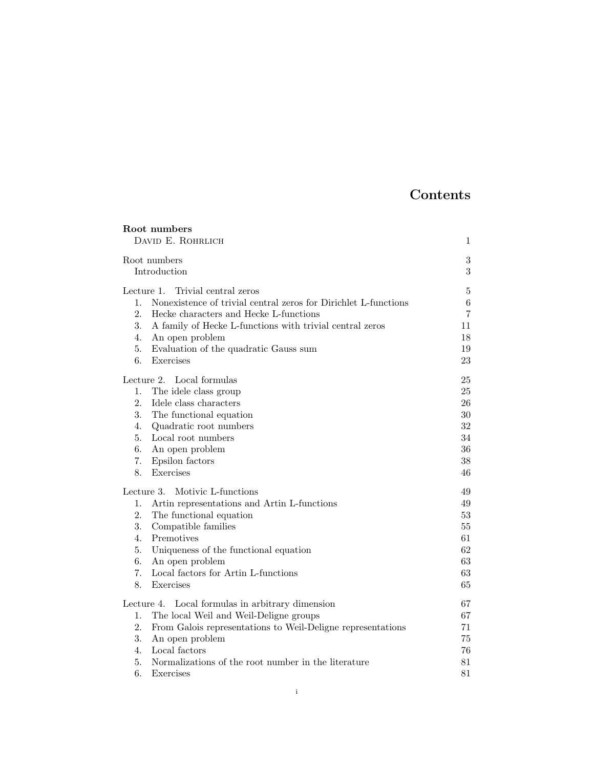# Contents

| Root numbers                                                                                                 |            |
|--------------------------------------------------------------------------------------------------------------|------------|
| DAVID E. ROHRLICH                                                                                            | 1          |
| Root numbers                                                                                                 | $\sqrt{3}$ |
| Introduction                                                                                                 | 3          |
|                                                                                                              |            |
| Lecture 1.<br>Trivial central zeros<br>Nonexistence of trivial central zeros for Dirichlet L-functions<br>1. | 5<br>$\,6$ |
| 2.<br>Hecke characters and Hecke L-functions                                                                 | 7          |
| 3.<br>A family of Hecke L-functions with trivial central zeros                                               | 11         |
| 4.<br>An open problem                                                                                        | 18         |
| 5.<br>Evaluation of the quadratic Gauss sum                                                                  | 19         |
| 6.<br>Exercises                                                                                              | 23         |
|                                                                                                              |            |
| Lecture 2. Local formulas<br>1.                                                                              | 25<br>25   |
| The idele class group<br>2.<br>Idele class characters                                                        | 26         |
| 3.<br>The functional equation                                                                                | 30         |
| Quadratic root numbers<br>4.                                                                                 | 32         |
| 5.<br>Local root numbers                                                                                     | 34         |
| 6.<br>An open problem                                                                                        | 36         |
| 7.<br>Epsilon factors                                                                                        | 38         |
| Exercises<br>8.                                                                                              | 46         |
| Lecture 3.<br>Motivic L-functions                                                                            | 49         |
| Artin representations and Artin L-functions<br>1.                                                            | 49         |
| 2.<br>The functional equation                                                                                | 53         |
| 3.<br>Compatible families                                                                                    | 55         |
| Premotives<br>4.                                                                                             | 61         |
| 5.<br>Uniqueness of the functional equation                                                                  | 62         |
| 6.<br>An open problem                                                                                        | 63         |
| Local factors for Artin L-functions<br>7.                                                                    | 63         |
| Exercises<br>8.                                                                                              | 65         |
| Local formulas in arbitrary dimension<br>Lecture 4.                                                          | 67         |
| 1.<br>The local Weil and Weil-Deligne groups                                                                 | 67         |
| 2.<br>From Galois representations to Weil-Deligne representations                                            | 71         |
| 3.<br>An open problem                                                                                        | 75         |
| Local factors<br>4.                                                                                          | 76         |
| 5.<br>Normalizations of the root number in the literature                                                    | 81         |
| 6.<br>Exercises                                                                                              | 81         |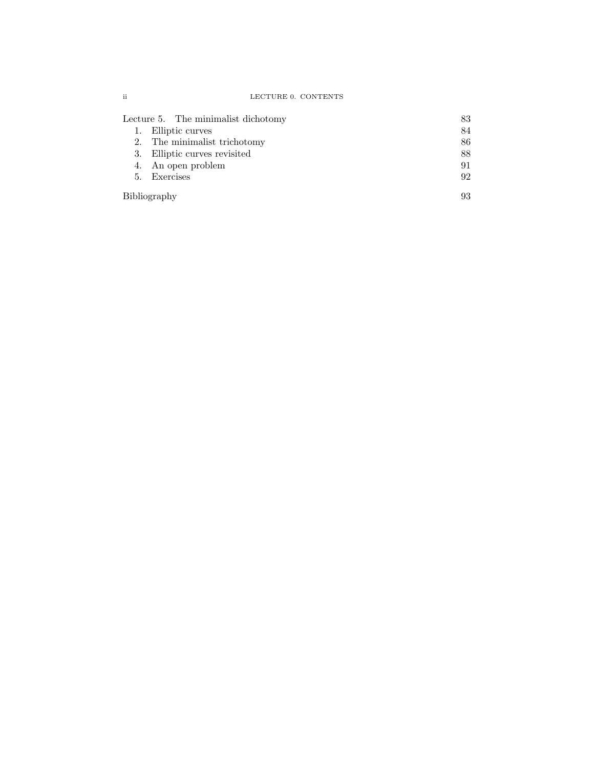| LECTURE 0. CONTENTS |  |
|---------------------|--|
|                     |  |

| Lecture 5. The minimalist dichotomy | 83 |
|-------------------------------------|----|
| 1. Elliptic curves                  | 84 |
| 2. The minimalist trichotomy        | 86 |
| 3. Elliptic curves revisited        | 88 |
| 4. An open problem                  | 91 |
| 5. Exercises                        | 92 |
| Bibliography                        | 93 |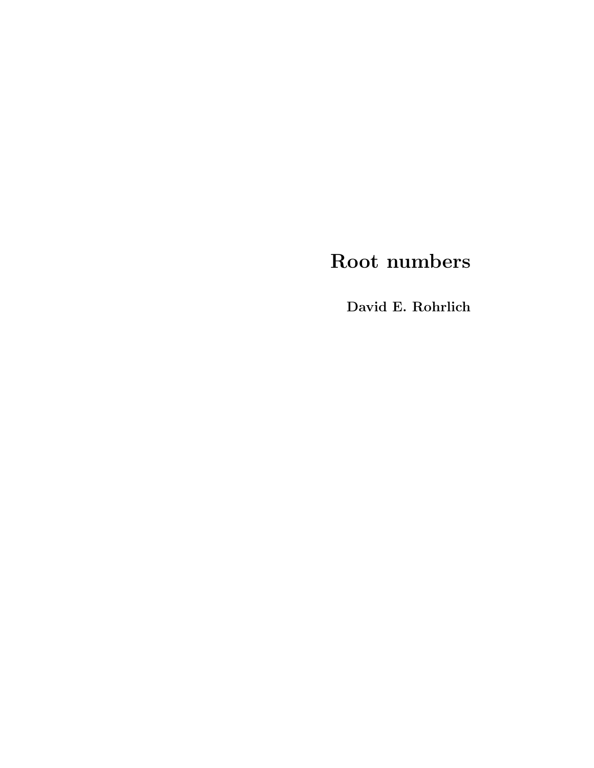# Root numbers

David E. Rohrlich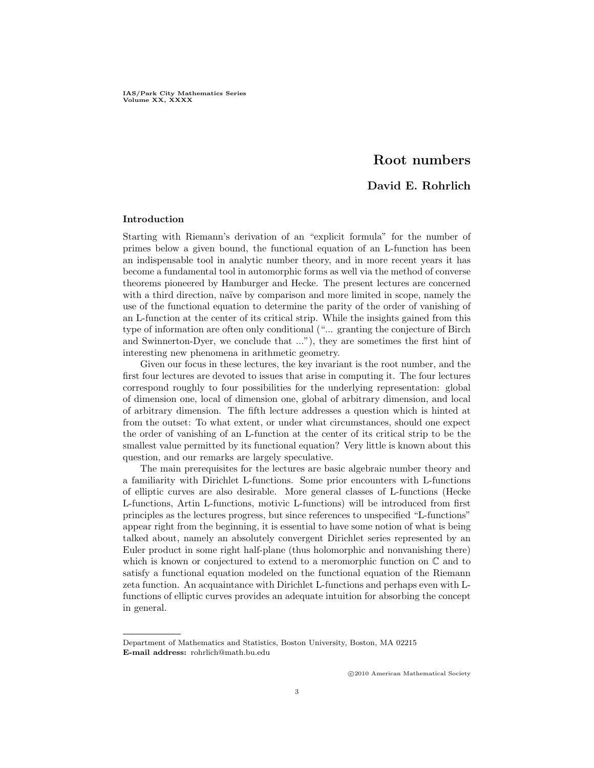IAS/Park City Mathematics Series Volume XX, XXXX

# Root numbers

# David E. Rohrlich

#### Introduction

Starting with Riemann's derivation of an "explicit formula" for the number of primes below a given bound, the functional equation of an L-function has been an indispensable tool in analytic number theory, and in more recent years it has become a fundamental tool in automorphic forms as well via the method of converse theorems pioneered by Hamburger and Hecke. The present lectures are concerned with a third direction, naïve by comparison and more limited in scope, namely the use of the functional equation to determine the parity of the order of vanishing of an L-function at the center of its critical strip. While the insights gained from this type of information are often only conditional ("... granting the conjecture of Birch and Swinnerton-Dyer, we conclude that ..."), they are sometimes the first hint of interesting new phenomena in arithmetic geometry.

Given our focus in these lectures, the key invariant is the root number, and the first four lectures are devoted to issues that arise in computing it. The four lectures correspond roughly to four possibilities for the underlying representation: global of dimension one, local of dimension one, global of arbitrary dimension, and local of arbitrary dimension. The fifth lecture addresses a question which is hinted at from the outset: To what extent, or under what circumstances, should one expect the order of vanishing of an L-function at the center of its critical strip to be the smallest value permitted by its functional equation? Very little is known about this question, and our remarks are largely speculative.

The main prerequisites for the lectures are basic algebraic number theory and a familiarity with Dirichlet L-functions. Some prior encounters with L-functions of elliptic curves are also desirable. More general classes of L-functions (Hecke L-functions, Artin L-functions, motivic L-functions) will be introduced from first principles as the lectures progress, but since references to unspecified "L-functions" appear right from the beginning, it is essential to have some notion of what is being talked about, namely an absolutely convergent Dirichlet series represented by an Euler product in some right half-plane (thus holomorphic and nonvanishing there) which is known or conjectured to extend to a meromorphic function on  $\mathbb C$  and to satisfy a functional equation modeled on the functional equation of the Riemann zeta function. An acquaintance with Dirichlet L-functions and perhaps even with Lfunctions of elliptic curves provides an adequate intuition for absorbing the concept in general.

c 2010 American Mathematical Society

Department of Mathematics and Statistics, Boston University, Boston, MA 02215 E-mail address: rohrlich@math.bu.edu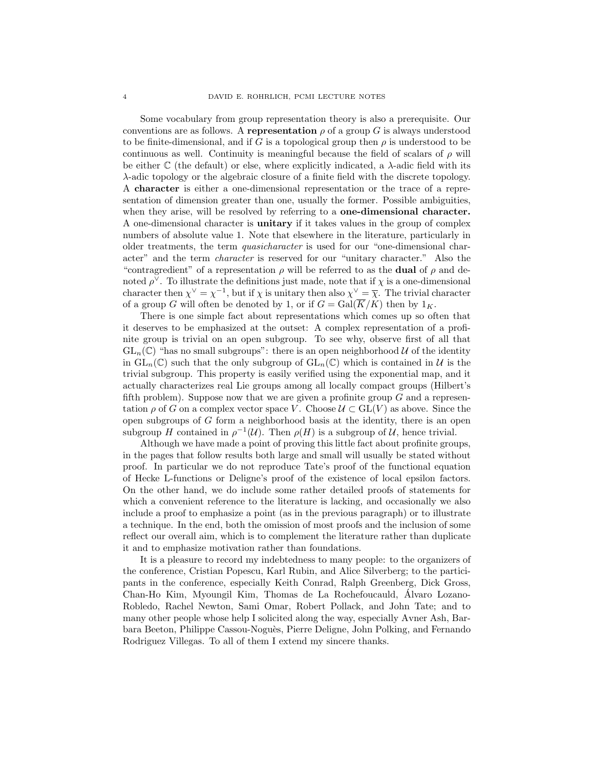Some vocabulary from group representation theory is also a prerequisite. Our conventions are as follows. A representation  $\rho$  of a group G is always understood to be finite-dimensional, and if G is a topological group then  $\rho$  is understood to be continuous as well. Continuity is meaningful because the field of scalars of  $\rho$  will be either  $\mathbb C$  (the default) or else, where explicitly indicated, a  $\lambda$ -adic field with its λ-adic topology or the algebraic closure of a finite field with the discrete topology. A character is either a one-dimensional representation or the trace of a representation of dimension greater than one, usually the former. Possible ambiguities, when they arise, will be resolved by referring to a **one-dimensional character.** A one-dimensional character is unitary if it takes values in the group of complex numbers of absolute value 1. Note that elsewhere in the literature, particularly in older treatments, the term quasicharacter is used for our "one-dimensional character" and the term character is reserved for our "unitary character." Also the "contragredient" of a representation  $\rho$  will be referred to as the **dual** of  $\rho$  and denoted  $\rho^{\vee}$ . To illustrate the definitions just made, note that if  $\chi$  is a one-dimensional character then  $\chi^{\vee} = \chi^{-1}$ , but if  $\chi$  is unitary then also  $\chi^{\vee} = \overline{\chi}$ . The trivial character of a group G will often be denoted by 1, or if  $G = \text{Gal}(\overline{K}/K)$  then by  $1_K$ .

There is one simple fact about representations which comes up so often that it deserves to be emphasized at the outset: A complex representation of a profinite group is trivial on an open subgroup. To see why, observe first of all that  $GL_n(\mathbb{C})$  "has no small subgroups": there is an open neighborhood U of the identity in  $GL_n(\mathbb{C})$  such that the only subgroup of  $GL_n(\mathbb{C})$  which is contained in  $\mathcal U$  is the trivial subgroup. This property is easily verified using the exponential map, and it actually characterizes real Lie groups among all locally compact groups (Hilbert's fifth problem). Suppose now that we are given a profinite group  $G$  and a representation  $\rho$  of G on a complex vector space V. Choose  $\mathcal{U} \subset GL(V)$  as above. Since the open subgroups of G form a neighborhood basis at the identity, there is an open subgroup H contained in  $\rho^{-1}(\mathcal{U})$ . Then  $\rho(H)$  is a subgroup of  $\mathcal{U}$ , hence trivial.

Although we have made a point of proving this little fact about profinite groups, in the pages that follow results both large and small will usually be stated without proof. In particular we do not reproduce Tate's proof of the functional equation of Hecke L-functions or Deligne's proof of the existence of local epsilon factors. On the other hand, we do include some rather detailed proofs of statements for which a convenient reference to the literature is lacking, and occasionally we also include a proof to emphasize a point (as in the previous paragraph) or to illustrate a technique. In the end, both the omission of most proofs and the inclusion of some reflect our overall aim, which is to complement the literature rather than duplicate it and to emphasize motivation rather than foundations.

It is a pleasure to record my indebtedness to many people: to the organizers of the conference, Cristian Popescu, Karl Rubin, and Alice Silverberg; to the participants in the conference, especially Keith Conrad, Ralph Greenberg, Dick Gross, Chan-Ho Kim, Myoungil Kim, Thomas de La Rochefoucauld, Alvaro Lozano- ´ Robledo, Rachel Newton, Sami Omar, Robert Pollack, and John Tate; and to many other people whose help I solicited along the way, especially Avner Ash, Barbara Beeton, Philippe Cassou-Nogu`es, Pierre Deligne, John Polking, and Fernando Rodriguez Villegas. To all of them I extend my sincere thanks.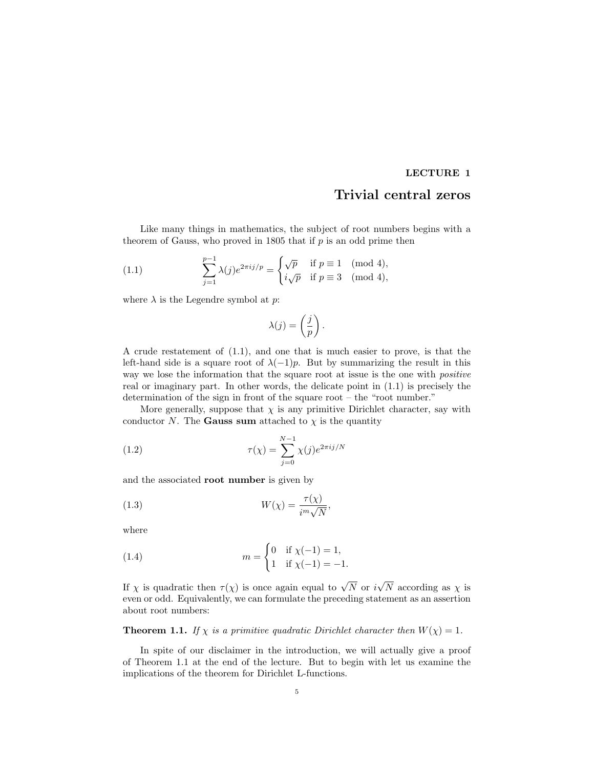# LECTURE 1

# Trivial central zeros

Like many things in mathematics, the subject of root numbers begins with a theorem of Gauss, who proved in 1805 that if  $p$  is an odd prime then

(1.1) 
$$
\sum_{j=1}^{p-1} \lambda(j) e^{2\pi i j/p} = \begin{cases} \sqrt{p} & \text{if } p \equiv 1 \pmod{4}, \\ i\sqrt{p} & \text{if } p \equiv 3 \pmod{4}, \end{cases}
$$

where  $\lambda$  is the Legendre symbol at  $p$ :

$$
\lambda(j) = \left(\frac{j}{p}\right).
$$

A crude restatement of (1.1), and one that is much easier to prove, is that the left-hand side is a square root of  $\lambda(-1)p$ . But by summarizing the result in this way we lose the information that the square root at issue is the one with *positive* real or imaginary part. In other words, the delicate point in (1.1) is precisely the determination of the sign in front of the square root – the "root number."

More generally, suppose that  $\chi$  is any primitive Dirichlet character, say with conductor N. The **Gauss sum** attached to  $\chi$  is the quantity

(1.2) 
$$
\tau(\chi) = \sum_{j=0}^{N-1} \chi(j) e^{2\pi i j/N}
$$

and the associated root number is given by

(1.3) 
$$
W(\chi) = \frac{\tau(\chi)}{i^m \sqrt{N}},
$$

where

(1.4) 
$$
m = \begin{cases} 0 & \text{if } \chi(-1) = 1, \\ 1 & \text{if } \chi(-1) = -1. \end{cases}
$$

If  $\chi$  is quadratic then  $\tau(\chi)$  is once again equal to  $\sqrt{N}$  or i N according as  $\chi$  is even or odd. Equivalently, we can formulate the preceding statement as an assertion about root numbers:

# **Theorem 1.1.** If  $\chi$  is a primitive quadratic Dirichlet character then  $W(\chi) = 1$ .

In spite of our disclaimer in the introduction, we will actually give a proof of Theorem 1.1 at the end of the lecture. But to begin with let us examine the implications of the theorem for Dirichlet L-functions.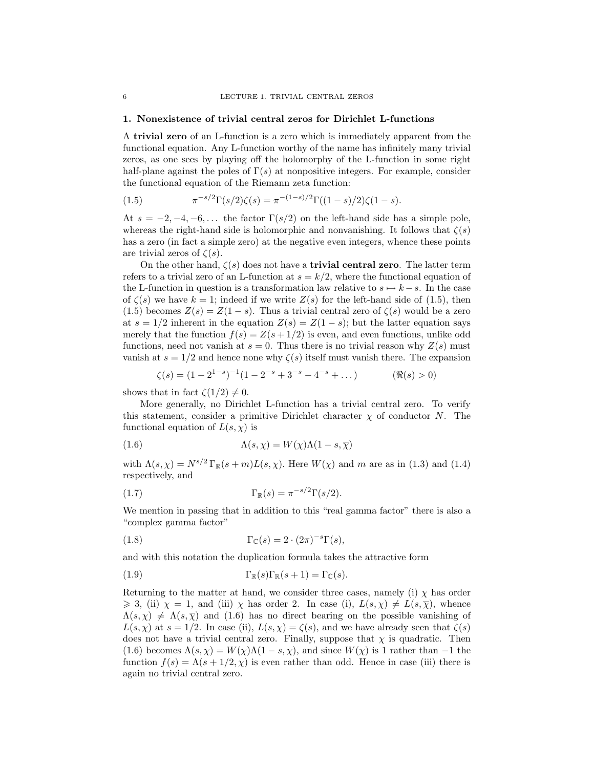#### 1. Nonexistence of trivial central zeros for Dirichlet L-functions

A trivial zero of an L-function is a zero which is immediately apparent from the functional equation. Any L-function worthy of the name has infinitely many trivial zeros, as one sees by playing off the holomorphy of the L-function in some right half-plane against the poles of  $\Gamma(s)$  at nonpositive integers. For example, consider the functional equation of the Riemann zeta function:

(1.5) 
$$
\pi^{-s/2} \Gamma(s/2) \zeta(s) = \pi^{-(1-s)/2} \Gamma((1-s)/2) \zeta(1-s).
$$

At  $s = -2, -4, -6, \dots$  the factor  $\Gamma(s/2)$  on the left-hand side has a simple pole, whereas the right-hand side is holomorphic and nonvanishing. It follows that  $\zeta(s)$ has a zero (in fact a simple zero) at the negative even integers, whence these points are trivial zeros of  $\zeta(s)$ .

On the other hand,  $\zeta(s)$  does not have a **trivial central zero**. The latter term refers to a trivial zero of an L-function at  $s = k/2$ , where the functional equation of the L-function in question is a transformation law relative to  $s \mapsto k - s$ . In the case of  $\zeta(s)$  we have  $k = 1$ ; indeed if we write  $Z(s)$  for the left-hand side of (1.5), then (1.5) becomes  $Z(s) = Z(1-s)$ . Thus a trivial central zero of  $\zeta(s)$  would be a zero at  $s = 1/2$  inherent in the equation  $Z(s) = Z(1-s)$ ; but the latter equation says merely that the function  $f(s) = Z(s + 1/2)$  is even, and even functions, unlike odd functions, need not vanish at  $s = 0$ . Thus there is no trivial reason why  $Z(s)$  must vanish at  $s = 1/2$  and hence none why  $\zeta(s)$  itself must vanish there. The expansion

$$
\zeta(s) = (1 - 2^{1-s})^{-1}(1 - 2^{-s} + 3^{-s} - 4^{-s} + \dots) \tag{Re(s) > 0}
$$

shows that in fact  $\zeta(1/2) \neq 0$ .

More generally, no Dirichlet L-function has a trivial central zero. To verify this statement, consider a primitive Dirichlet character  $\chi$  of conductor N. The functional equation of  $L(s, \chi)$  is

(1.6) 
$$
\Lambda(s, \chi) = W(\chi)\Lambda(1 - s, \overline{\chi})
$$

with  $\Lambda(s, \chi) = N^{s/2} \Gamma_{\mathbb{R}}(s+m) L(s, \chi)$ . Here  $W(\chi)$  and m are as in (1.3) and (1.4) respectively, and

(1.7) 
$$
\Gamma_{\mathbb{R}}(s) = \pi^{-s/2} \Gamma(s/2).
$$

We mention in passing that in addition to this "real gamma factor" there is also a "complex gamma factor"

(1.8) 
$$
\Gamma_{\mathbb{C}}(s) = 2 \cdot (2\pi)^{-s} \Gamma(s),
$$

and with this notation the duplication formula takes the attractive form

(1.9) 
$$
\Gamma_{\mathbb{R}}(s)\Gamma_{\mathbb{R}}(s+1) = \Gamma_{\mathbb{C}}(s).
$$

Returning to the matter at hand, we consider three cases, namely (i)  $\chi$  has order  $\geq 3$ , (ii)  $\chi = 1$ , and (iii)  $\chi$  has order 2. In case (i),  $L(s, \chi) \neq L(s, \overline{\chi})$ , whence  $\Lambda(s, \chi) \neq \Lambda(s, \overline{\chi})$  and (1.6) has no direct bearing on the possible vanishing of  $L(s, \chi)$  at  $s = 1/2$ . In case (ii),  $L(s, \chi) = \zeta(s)$ , and we have already seen that  $\zeta(s)$ does not have a trivial central zero. Finally, suppose that  $\chi$  is quadratic. Then (1.6) becomes  $\Lambda(s, \chi) = W(\chi) \Lambda(1 - s, \chi)$ , and since  $W(\chi)$  is 1 rather than -1 the function  $f(s) = \Lambda(s + 1/2, \chi)$  is even rather than odd. Hence in case (iii) there is again no trivial central zero.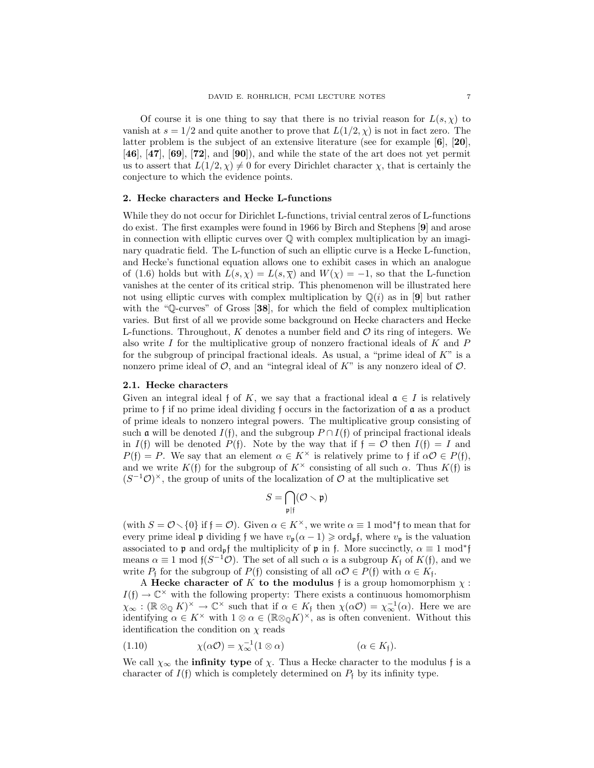Of course it is one thing to say that there is no trivial reason for  $L(s, \chi)$  to vanish at  $s = 1/2$  and quite another to prove that  $L(1/2, \chi)$  is not in fact zero. The latter problem is the subject of an extensive literature (see for example [6], [20],  $[46]$ ,  $[47]$ ,  $[69]$ ,  $[72]$ , and  $[90]$ ), and while the state of the art does not yet permit us to assert that  $L(1/2, \chi) \neq 0$  for every Dirichlet character  $\chi$ , that is certainly the conjecture to which the evidence points.

#### 2. Hecke characters and Hecke L-functions

While they do not occur for Dirichlet L-functions, trivial central zeros of L-functions do exist. The first examples were found in 1966 by Birch and Stephens [9] and arose in connection with elliptic curves over  $\mathbb Q$  with complex multiplication by an imaginary quadratic field. The L-function of such an elliptic curve is a Hecke L-function, and Hecke's functional equation allows one to exhibit cases in which an analogue of (1.6) holds but with  $L(s, \chi) = L(s, \overline{\chi})$  and  $W(\chi) = -1$ , so that the L-function vanishes at the center of its critical strip. This phenomenon will be illustrated here not using elliptic curves with complex multiplication by  $\mathbb{Q}(i)$  as in [9] but rather with the "Q-curves" of Gross [38], for which the field of complex multiplication varies. But first of all we provide some background on Hecke characters and Hecke L-functions. Throughout, K denotes a number field and  $\mathcal O$  its ring of integers. We also write I for the multiplicative group of nonzero fractional ideals of  $K$  and  $P$ for the subgroup of principal fractional ideals. As usual, a "prime ideal of  $K$ " is a nonzero prime ideal of  $\mathcal{O}$ , and an "integral ideal of K" is any nonzero ideal of  $\mathcal{O}$ .

### 2.1. Hecke characters

Given an integral ideal f of K, we say that a fractional ideal  $\mathfrak{a} \in I$  is relatively prime to f if no prime ideal dividing f occurs in the factorization of a as a product of prime ideals to nonzero integral powers. The multiplicative group consisting of such a will be denoted  $I(f)$ , and the subgroup  $P \cap I(f)$  of principal fractional ideals in  $I(f)$  will be denoted  $P(f)$ . Note by the way that if  $f = \mathcal{O}$  then  $I(f) = I$  and  $P(f) = P$ . We say that an element  $\alpha \in K^{\times}$  is relatively prime to f if  $\alpha \mathcal{O} \in P(f)$ , and we write  $K(f)$  for the subgroup of  $K^{\times}$  consisting of all such  $\alpha$ . Thus  $K(f)$  is  $(S^{-1}\mathcal{O})^{\times}$ , the group of units of the localization of  $\mathcal{O}$  at the multiplicative set

$$
S=\bigcap_{\mathfrak{p}\mid \mathfrak{f}}(\mathcal{O}\smallsetminus \mathfrak{p})
$$

(with  $S = \mathcal{O} \setminus \{0\}$  if  $f = \mathcal{O}$ ). Given  $\alpha \in K^{\times}$ , we write  $\alpha \equiv 1 \mod^* \mathfrak{f}$  to mean that for every prime ideal p dividing f we have  $v_p(\alpha - 1) \geqslant \text{ord}_p f$ , where  $v_p$  is the valuation associated to p and ord<sub>p</sub>f the multiplicity of p in f. More succinctly,  $\alpha \equiv 1 \mod^* \mathfrak{f}$ means  $\alpha \equiv 1 \mod f(S^{-1}\mathcal{O})$ . The set of all such  $\alpha$  is a subgroup  $K_f$  of  $K(f)$ , and we write  $P_f$  for the subgroup of  $P(f)$  consisting of all  $\alpha \mathcal{O} \in P(f)$  with  $\alpha \in K_f$ .

A Hecke character of K to the modulus f is a group homomorphism  $\chi$ :  $I(f) \to \mathbb{C}^\times$  with the following property: There exists a continuous homomorphism  $\chi_{\infty}$ : ( $\mathbb{R} \otimes_{\mathbb{Q}} K$ )<sup>×</sup>  $\to \mathbb{C}^{\times}$  such that if  $\alpha \in K_{\mathfrak{f}}$  then  $\chi(\alpha \mathcal{O}) = \chi_{\infty}^{-1}(\alpha)$ . Here we are identifying  $\alpha \in K^{\times}$  with  $1 \otimes \alpha \in (\mathbb{R} \otimes_{\mathbb{Q}} K)^{\times}$ , as is often convenient. Without this identification the condition on  $\chi$  reads

(1.10) 
$$
\chi(\alpha \mathcal{O}) = \chi_{\infty}^{-1} (1 \otimes \alpha) \qquad (\alpha \in K_{\mathfrak{f}}).
$$

We call  $\chi_{\infty}$  the **infinity type** of  $\chi$ . Thus a Hecke character to the modulus f is a character of  $I(f)$  which is completely determined on  $P_f$  by its infinity type.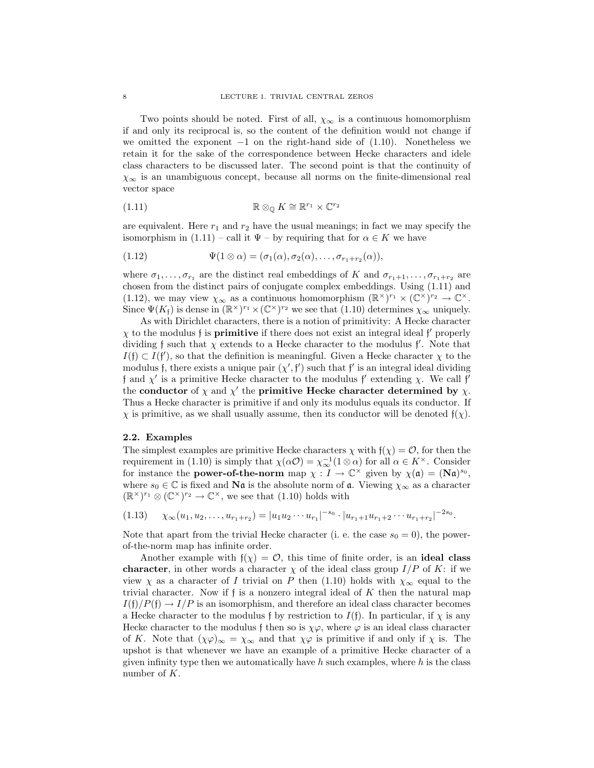Two points should be noted. First of all,  $\chi_{\infty}$  is a continuous homomorphism if and only its reciprocal is, so the content of the definition would not change if we omitted the exponent  $-1$  on the right-hand side of  $(1.10)$ . Nonetheless we retain it for the sake of the correspondence between Hecke characters and idele class characters to be discussed later. The second point is that the continuity of  $\chi_{\infty}$  is an unambiguous concept, because all norms on the finite-dimensional real vector space

(1.11) 
$$
\mathbb{R} \otimes_{\mathbb{Q}} K \cong \mathbb{R}^{r_1} \times \mathbb{C}^{r_2}
$$

are equivalent. Here  $r_1$  and  $r_2$  have the usual meanings; in fact we may specify the isomorphism in  $(1.11)$  – call it  $\Psi$  – by requiring that for  $\alpha \in K$  we have

(1.12) 
$$
\Psi(1 \otimes \alpha) = (\sigma_1(\alpha), \sigma_2(\alpha), \dots, \sigma_{r_1+r_2}(\alpha)),
$$

where  $\sigma_1, \ldots, \sigma_{r_1}$  are the distinct real embeddings of K and  $\sigma_{r_1+1}, \ldots, \sigma_{r_1+r_2}$  are chosen from the distinct pairs of conjugate complex embeddings. Using (1.11) and (1.12), we may view  $\chi_{\infty}$  as a continuous homomorphism  $(\mathbb{R}^{\times})^{r_1} \times (\mathbb{C}^{\times})^{r_2} \to \mathbb{C}^{\times}$ . Since  $\Psi(K_f)$  is dense in  $(\mathbb{R}^\times)^{r_1} \times (\mathbb{C}^\times)^{r_2}$  we see that (1.10) determines  $\chi_\infty$  uniquely.

As with Dirichlet characters, there is a notion of primitivity: A Hecke character  $\chi$  to the modulus f is **primitive** if there does not exist an integral ideal f' properly dividing f such that  $\chi$  extends to a Hecke character to the modulus f'. Note that  $I(f) \subset I(f')$ , so that the definition is meaningful. Given a Hecke character  $\chi$  to the modulus f, there exists a unique pair  $(\chi', \mathfrak{f}')$  such that f' is an integral ideal dividing f and  $\chi'$  is a primitive Hecke character to the modulus f' extending  $\chi$ . We call f' the conductor of  $\chi$  and  $\chi'$  the primitive Hecke character determined by  $\chi$ . Thus a Hecke character is primitive if and only its modulus equals its conductor. If  $\chi$  is primitive, as we shall usually assume, then its conductor will be denoted  $f(\chi)$ .

# 2.2. Examples

The simplest examples are primitive Hecke characters  $\chi$  with  $f(\chi) = \mathcal{O}$ , for then the requirement in (1.10) is simply that  $\chi(\alpha \mathcal{O}) = \chi_{\infty}^{-1}(1 \otimes \alpha)$  for all  $\alpha \in K^{\times}$ . Consider for instance the **power-of-the-norm** map  $\chi : I \to \mathbb{C}^\times$  given by  $\chi(\mathfrak{a}) = (\mathbf{N}\mathfrak{a})^{s_0}$ , where  $s_0 \in \mathbb{C}$  is fixed and **Na** is the absolute norm of **a**. Viewing  $\chi_{\infty}$  as a character  $(\mathbb{R}^\times)^{r_1} \otimes (\mathbb{C}^\times)^{r_2} \to \mathbb{C}^\times$ , we see that (1.10) holds with

 $(1.13) \quad \chi_{\infty}(u_1, u_2, \ldots, u_{r_1+r_2}) = |u_1u_2\cdots u_{r_1}|^{-s_0} \cdot |u_{r_1+1}u_{r_1+2}\cdots u_{r_1+r_2}|^{-2s_0}.$ 

Note that apart from the trivial Hecke character (i. e. the case  $s_0 = 0$ ), the powerof-the-norm map has infinite order.

Another example with  $f(\chi) = \mathcal{O}$ , this time of finite order, is an ideal class character, in other words a character  $\chi$  of the ideal class group  $I/P$  of K: if we view  $\chi$  as a character of I trivial on P then (1.10) holds with  $\chi_{\infty}$  equal to the trivial character. Now if  $f$  is a nonzero integral ideal of  $K$  then the natural map  $I(f)/P(f) \rightarrow I/P$  is an isomorphism, and therefore an ideal class character becomes a Hecke character to the modulus f by restriction to  $I(f)$ . In particular, if  $\chi$  is any Hecke character to the modulus f then so is  $\chi\varphi$ , where  $\varphi$  is an ideal class character of K. Note that  $(\chi\varphi)_{\infty} = \chi_{\infty}$  and that  $\chi\varphi$  is primitive if and only if  $\chi$  is. The upshot is that whenever we have an example of a primitive Hecke character of a given infinity type then we automatically have  $h$  such examples, where  $h$  is the class number of K.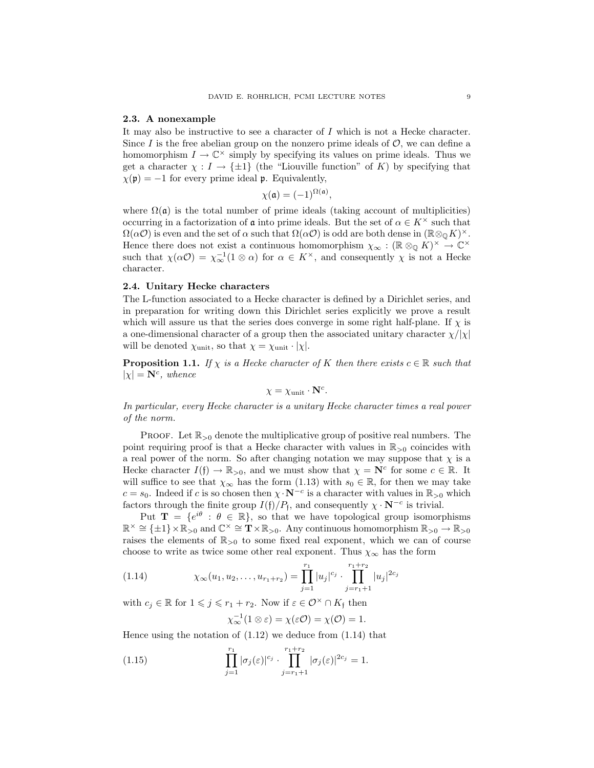#### 2.3. A nonexample

It may also be instructive to see a character of I which is not a Hecke character. Since I is the free abelian group on the nonzero prime ideals of  $\mathcal{O}$ , we can define a homomorphism  $I \to \mathbb{C}^\times$  simply by specifying its values on prime ideals. Thus we get a character  $\chi : I \to {\pm 1}$  (the "Liouville function" of K) by specifying that  $\chi(\mathfrak{p}) = -1$  for every prime ideal **p**. Equivalently,

$$
\chi(\mathfrak{a}) = (-1)^{\Omega(\mathfrak{a})},
$$

where  $\Omega(\mathfrak{a})$  is the total number of prime ideals (taking account of multiplicities) occurring in a factorization of  $\mathfrak a$  into prime ideals. But the set of  $\alpha \in K^{\times}$  such that  $\Omega(\alpha O)$  is even and the set of  $\alpha$  such that  $\Omega(\alpha O)$  is odd are both dense in  $(\mathbb{R} \otimes_{\mathbb{Q}} K)^{\times}$ . Hence there does not exist a continuous homomorphism  $\chi_{\infty} : (\mathbb{R} \otimes_{\mathbb{Q}} \hat{K})^{\times} \to \mathbb{C}^{\times}$ such that  $\chi(\alpha O) = \chi_{\infty}^{-1}(1 \otimes \alpha)$  for  $\alpha \in K^{\times}$ , and consequently  $\chi$  is not a Hecke character.

# 2.4. Unitary Hecke characters

The L-function associated to a Hecke character is defined by a Dirichlet series, and in preparation for writing down this Dirichlet series explicitly we prove a result which will assure us that the series does converge in some right half-plane. If  $\chi$  is a one-dimensional character of a group then the associated unitary character  $\chi/|\chi|$ will be denoted  $\chi$ <sub>unit</sub>, so that  $\chi = \chi$ <sub>unit</sub> ·  $|\chi|$ .

**Proposition 1.1.** If  $\chi$  is a Hecke character of K then there exists  $c \in \mathbb{R}$  such that  $|\chi| = \mathbf{N}^c$ , whence

$$
\chi = \chi_{\text{unit}} \cdot \mathbf{N}^c.
$$

In particular, every Hecke character is a unitary Hecke character times a real power of the norm.

PROOF. Let  $\mathbb{R}_{>0}$  denote the multiplicative group of positive real numbers. The point requiring proof is that a Hecke character with values in  $\mathbb{R}_{>0}$  coincides with a real power of the norm. So after changing notation we may suppose that  $\chi$  is a Hecke character  $I(f) \to \mathbb{R}_{>0}$ , and we must show that  $\chi = \mathbf{N}^c$  for some  $c \in \mathbb{R}$ . It will suffice to see that  $\chi_{\infty}$  has the form (1.13) with  $s_0 \in \mathbb{R}$ , for then we may take  $c = s_0$ . Indeed if c is so chosen then  $\chi \cdot N^{-c}$  is a character with values in  $\mathbb{R}_{>0}$  which factors through the finite group  $I(f)/P_f$ , and consequently  $\chi \cdot N^{-c}$  is trivial.

Put  $\mathbf{T} = \{e^{i\theta} : \theta \in \mathbb{R}\},\$  so that we have topological group isomorphisms  $\mathbb{R}^{\times} \cong \{\pm 1\} \times \mathbb{R}_{>0}$  and  $\mathbb{C}^{\times} \cong \mathbf{T} \times \mathbb{R}_{>0}$ . Any continuous homomorphism  $\mathbb{R}_{>0} \to \mathbb{R}_{>0}$ raises the elements of  $\mathbb{R}_{\geq 0}$  to some fixed real exponent, which we can of course choose to write as twice some other real exponent. Thus  $\chi_{\infty}$  has the form

(1.14) 
$$
\chi_{\infty}(u_1, u_2, \dots, u_{r_1+r_2}) = \prod_{j=1}^{r_1} |u_j|^{c_j} \cdot \prod_{j=r_1+1}^{r_1+r_2} |u_j|^{2c_j}
$$

with  $c_j \in \mathbb{R}$  for  $1 \leq j \leq r_1 + r_2$ . Now if  $\varepsilon \in \mathcal{O}^\times \cap K_f$  then

$$
\chi_\infty^{-1}(1\otimes\varepsilon)=\chi(\varepsilon\mathcal{O})=\chi(\mathcal{O})=1.
$$

Hence using the notation of  $(1.12)$  we deduce from  $(1.14)$  that

(1.15) 
$$
\prod_{j=1}^{r_1} |\sigma_j(\varepsilon)|^{c_j} \cdot \prod_{j=r_1+1}^{r_1+r_2} |\sigma_j(\varepsilon)|^{2c_j} = 1.
$$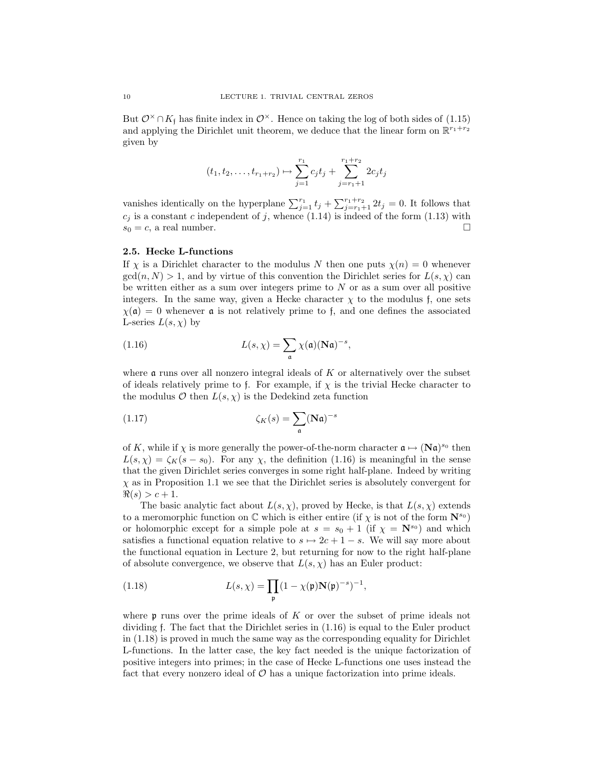But  $\mathcal{O}^{\times} \cap K_{f}$  has finite index in  $\mathcal{O}^{\times}$ . Hence on taking the log of both sides of (1.15) and applying the Dirichlet unit theorem, we deduce that the linear form on  $\mathbb{R}^{r_1+r_2}$ given by

$$
(t_1, t_2, \dots, t_{r_1+r_2}) \mapsto \sum_{j=1}^{r_1} c_j t_j + \sum_{j=r_1+1}^{r_1+r_2} 2c_j t_j
$$

vanishes identically on the hyperplane  $\sum_{j=1}^{r_1} t_j + \sum_{j=r_1+1}^{r_1+r_2} 2t_j = 0$ . It follows that  $c_j$  is a constant c independent of j, whence (1.14) is indeed of the form (1.13) with  $s_0 = c$ , a real number.

### 2.5. Hecke L-functions

If  $\chi$  is a Dirichlet character to the modulus N then one puts  $\chi(n) = 0$  whenever  $gcd(n, N) > 1$ , and by virtue of this convention the Dirichlet series for  $L(s, \chi)$  can be written either as a sum over integers prime to  $N$  or as a sum over all positive integers. In the same way, given a Hecke character  $\chi$  to the modulus f, one sets  $\chi(\mathfrak{a}) = 0$  whenever **a** is not relatively prime to f, and one defines the associated L-series  $L(s, \chi)$  by

(1.16) 
$$
L(s,\chi) = \sum_{\mathfrak{a}} \chi(\mathfrak{a})(\mathbf{N}\mathfrak{a})^{-s},
$$

where  $\alpha$  runs over all nonzero integral ideals of K or alternatively over the subset of ideals relatively prime to f. For example, if  $\chi$  is the trivial Hecke character to the modulus  $\mathcal O$  then  $L(s,\chi)$  is the Dedekind zeta function

(1.17) 
$$
\zeta_K(s) = \sum_{\mathfrak{a}} (\mathbf{N}\mathfrak{a})^{-s}
$$

of K, while if  $\chi$  is more generally the power-of-the-norm character  $\mathfrak{a} \mapsto (\mathbf{N}\mathfrak{a})^{s_0}$  then  $L(s, \chi) = \zeta_K(s - s_0)$ . For any  $\chi$ , the definition (1.16) is meaningful in the sense that the given Dirichlet series converges in some right half-plane. Indeed by writing  $\chi$  as in Proposition 1.1 we see that the Dirichlet series is absolutely convergent for  $\Re(s) > c + 1.$ 

The basic analytic fact about  $L(s, \chi)$ , proved by Hecke, is that  $L(s, \chi)$  extends to a meromorphic function on  $\mathbb C$  which is either entire (if  $\chi$  is not of the form  $\mathbf N^{s_0}$ ) or holomorphic except for a simple pole at  $s = s_0 + 1$  (if  $\chi = \mathbf{N}^{s_0}$ ) and which satisfies a functional equation relative to  $s \mapsto 2c + 1 - s$ . We will say more about the functional equation in Lecture 2, but returning for now to the right half-plane of absolute convergence, we observe that  $L(s, \chi)$  has an Euler product:

(1.18) 
$$
L(s,\chi) = \prod_{\mathfrak{p}} (1 - \chi(\mathfrak{p}) \mathbf{N}(\mathfrak{p})^{-s})^{-1},
$$

where  $\mathfrak p$  runs over the prime ideals of K or over the subset of prime ideals not dividing f. The fact that the Dirichlet series in (1.16) is equal to the Euler product in (1.18) is proved in much the same way as the corresponding equality for Dirichlet L-functions. In the latter case, the key fact needed is the unique factorization of positive integers into primes; in the case of Hecke L-functions one uses instead the fact that every nonzero ideal of  $\mathcal O$  has a unique factorization into prime ideals.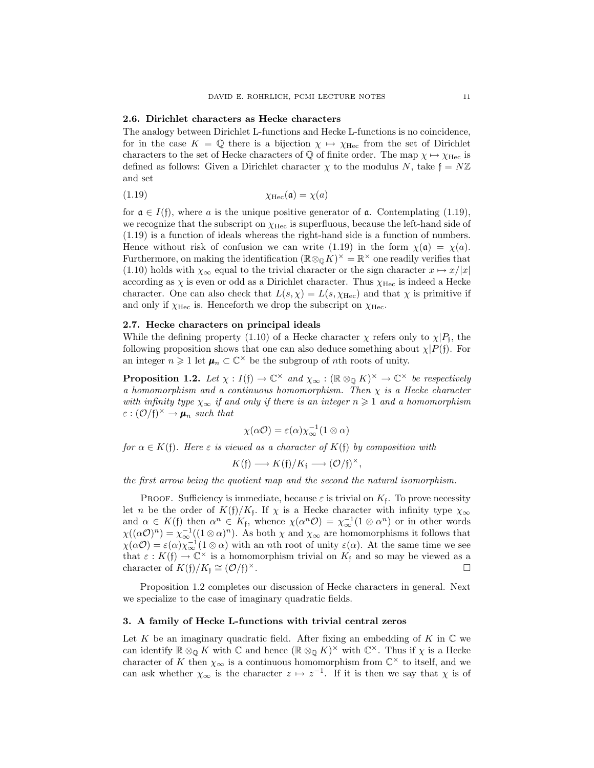#### 2.6. Dirichlet characters as Hecke characters

The analogy between Dirichlet L-functions and Hecke L-functions is no coincidence, for in the case  $K = \mathbb{Q}$  there is a bijection  $\chi \mapsto \chi_{\text{Hec}}$  from the set of Dirichlet characters to the set of Hecke characters of  $\mathbb Q$  of finite order. The map  $\chi \mapsto \chi_{\text{Hec}}$  is defined as follows: Given a Dirichlet character  $\chi$  to the modulus N, take  $f = N\mathbb{Z}$ and set

$$
\chi_{\text{Hec}}(\mathfrak{a}) = \chi(a)
$$

for  $\mathfrak{a} \in I(\mathfrak{f})$ , where a is the unique positive generator of  $\mathfrak{a}$ . Contemplating (1.19), we recognize that the subscript on  $\chi_{\text{Hec}}$  is superfluous, because the left-hand side of (1.19) is a function of ideals whereas the right-hand side is a function of numbers. Hence without risk of confusion we can write (1.19) in the form  $\chi(\mathfrak{a}) = \chi(a)$ . Furthermore, on making the identification  $(\mathbb{R} \otimes_{\mathbb{Q}} K)^{\times} = \mathbb{R}^{\times}$  one readily verifies that (1.10) holds with  $\chi_{\infty}$  equal to the trivial character or the sign character  $x \mapsto x/|x|$ according as  $\chi$  is even or odd as a Dirichlet character. Thus  $\chi_{\text{Hec}}$  is indeed a Hecke character. One can also check that  $L(s, \chi) = L(s, \chi_{\text{Hec}})$  and that  $\chi$  is primitive if and only if  $\chi_{\text{Hec}}$  is. Henceforth we drop the subscript on  $\chi_{\text{Hec}}$ .

### 2.7. Hecke characters on principal ideals

While the defining property (1.10) of a Hecke character  $\chi$  refers only to  $\chi | P_f$ , the following proposition shows that one can also deduce something about  $\chi$ | $P$ (f). For an integer  $n \geq 1$  let  $\mu_n \subset \mathbb{C}^\times$  be the subgroup of *n*th roots of unity.

**Proposition 1.2.** Let  $\chi : I(f) \to \mathbb{C}^\times$  and  $\chi_\infty : (\mathbb{R} \otimes_{\mathbb{Q}} K)^\times \to \mathbb{C}^\times$  be respectively a homomorphism and a continuous homomorphism. Then  $\chi$  is a Hecke character with infinity type  $\chi_{\infty}$  if and only if there is an integer  $n \geq 1$  and a homomorphism  $\varepsilon : (\mathcal{O}/\mathfrak{f})^{\times} \to \mu_n$  such that

$$
\chi(\alpha \mathcal{O}) = \varepsilon(\alpha) \chi_{\infty}^{-1} (1 \otimes \alpha)
$$

for  $\alpha \in K(f)$ . Here  $\varepsilon$  is viewed as a character of  $K(f)$  by composition with

$$
K(\mathfrak{f}) \longrightarrow K(\mathfrak{f})/K_{\mathfrak{f}} \longrightarrow (\mathcal{O}/\mathfrak{f})^{\times},
$$

the first arrow being the quotient map and the second the natural isomorphism.

**PROOF.** Sufficiency is immediate, because  $\varepsilon$  is trivial on  $K_f$ . To prove necessity let *n* be the order of  $K(f)/K_f$ . If  $\chi$  is a Hecke character with infinity type  $\chi_{\infty}$ and  $\alpha \in K(\mathfrak{f})$  then  $\alpha^n \in K_{\mathfrak{f}}$ , whence  $\chi(\alpha^n \mathcal{O}) = \chi_{\infty}^{-1}(1 \otimes \alpha^n)$  or in other words  $\chi((\alpha \mathcal{O})^n) = \chi_{\infty}^{-1}((1 \otimes \alpha)^n)$ . As both  $\chi$  and  $\chi_{\infty}$  are homomorphisms it follows that  $\chi(\alpha O) = \varepsilon(\alpha) \chi_{\infty}^{-1} (1 \otimes \alpha)$  with an *n*th root of unity  $\varepsilon(\alpha)$ . At the same time we see that  $\varepsilon : K(f) \to \mathbb{C}^\times$  is a homomorphism trivial on  $K_f$  and so may be viewed as a character of  $K(f)/K_f \cong (O/f)$  $\times$ .

Proposition 1.2 completes our discussion of Hecke characters in general. Next we specialize to the case of imaginary quadratic fields.

#### 3. A family of Hecke L-functions with trivial central zeros

Let K be an imaginary quadratic field. After fixing an embedding of K in  $\mathbb C$  we can identify  $\mathbb{R} \otimes_{\mathbb{Q}} K$  with  $\mathbb{C}$  and hence  $(\mathbb{R} \otimes_{\mathbb{Q}} K)^{\times}$  with  $\mathbb{C}^{\times}$ . Thus if  $\chi$  is a Hecke character of K then  $\chi_{\infty}$  is a continuous homomorphism from  $\mathbb{C}^{\times}$  to itself, and we can ask whether  $\chi_{\infty}$  is the character  $z \mapsto z^{-1}$ . If it is then we say that  $\chi$  is of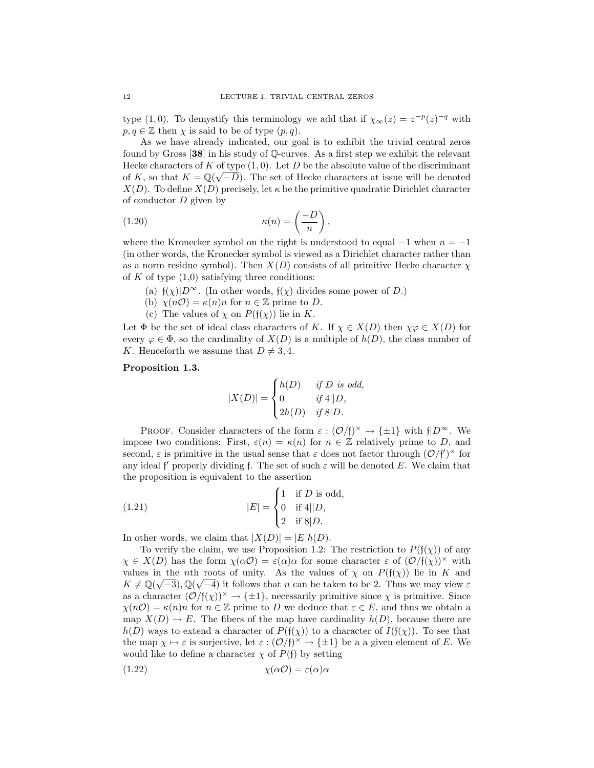type (1,0). To demystify this terminology we add that if  $\chi_{\infty}(z) = z^{-p}(\overline{z})^{-q}$  with  $p, q \in \mathbb{Z}$  then  $\chi$  is said to be of type  $(p, q)$ .

As we have already indicated, our goal is to exhibit the trivial central zeros found by Gross [38] in his study of Q-curves. As a first step we exhibit the relevant Hecke characters of K of type  $(1,0)$ . Let D be the absolute value of the discriminant of K, so that  $K = \mathbb{Q}(\sqrt{-D})$ . The set of Hecke characters at issue will be denoted  $X(D)$ . To define  $X(D)$  precisely, let  $\kappa$  be the primitive quadratic Dirichlet character of conductor  $D$  given by

(1.20) 
$$
\kappa(n) = \left(\frac{-D}{n}\right),
$$

where the Kronecker symbol on the right is understood to equal  $-1$  when  $n = -1$ (in other words, the Kronecker symbol is viewed as a Dirichlet character rather than as a norm residue symbol). Then  $X(D)$  consists of all primitive Hecke character  $\chi$ of K of type  $(1,0)$  satisfying three conditions:

- (a)  $f(\chi)|D^{\infty}$ . (In other words,  $f(\chi)$  divides some power of D.)
- (b)  $\chi(n\mathcal{O}) = \kappa(n)n$  for  $n \in \mathbb{Z}$  prime to D.
- (c) The values of  $\chi$  on  $P(f(\chi))$  lie in K.

Let  $\Phi$  be the set of ideal class characters of K. If  $\chi \in X(D)$  then  $\chi \varphi \in X(D)$  for every  $\varphi \in \Phi$ , so the cardinality of  $X(D)$  is a multiple of  $h(D)$ , the class number of K. Henceforth we assume that  $D \neq 3, 4$ .

# Proposition 1.3.

$$
|X(D)| = \begin{cases} h(D) & \text{if } D \text{ is odd,} \\ 0 & \text{if } 4||D, \\ 2h(D) & \text{if } 8|D. \end{cases}
$$

PROOF. Consider characters of the form  $\varepsilon : (\mathcal{O}/f)^{\times} \to {\pm 1}$  with  $f|_{D^{\infty}}$ . We impose two conditions: First,  $\varepsilon(n) = \kappa(n)$  for  $n \in \mathbb{Z}$  relatively prime to D, and second,  $\varepsilon$  is primitive in the usual sense that  $\varepsilon$  does not factor through  $(\mathcal{O}/f')^{\times}$  for any ideal f' properly dividing f. The set of such  $\varepsilon$  will be denoted E. We claim that the proposition is equivalent to the assertion

(1.21) 
$$
|E| = \begin{cases} 1 & \text{if } D \text{ is odd,} \\ 0 & \text{if } 4||D, \\ 2 & \text{if } 8|D. \end{cases}
$$

In other words, we claim that  $|X(D)| = |E|h(D)|$ .

To verify the claim, we use Proposition 1.2: The restriction to  $P(f(\chi))$  of any  $\chi \in X(D)$  has the form  $\chi(\alpha O) = \varepsilon(\alpha)\alpha$  for some character  $\varepsilon$  of  $(\mathcal{O}/\mathfrak{f}(\chi))^{\times}$  with values in the nth roots of unity. As the values of  $\chi$  on  $P(f(\chi))$  lie in K and  $K \neq \mathbb{Q}(\sqrt{-3}), \mathbb{Q}(\sqrt{-4})$  it follows that n can be taken to be 2. Thus we may view  $\varepsilon$ as a character  $(\mathcal{O}/f(\chi))^\times \to {\pm 1}$ , necessarily primitive since  $\chi$  is primitive. Since  $\chi(n\mathcal{O}) = \kappa(n)n$  for  $n \in \mathbb{Z}$  prime to D we deduce that  $\varepsilon \in E$ , and thus we obtain a map  $X(D) \to E$ . The fibers of the map have cardinality  $h(D)$ , because there are  $h(D)$  ways to extend a character of  $P(f(\chi))$  to a character of  $I(f(\chi))$ . To see that the map  $\chi \mapsto \varepsilon$  is surjective, let  $\varepsilon : (\mathcal{O}/\mathfrak{f})^{\times} \to {\pm 1}$  be a a given element of E. We would like to define a character  $\chi$  of  $P(f)$  by setting

$$
\chi(\alpha \mathcal{O}) = \varepsilon(\alpha)\alpha
$$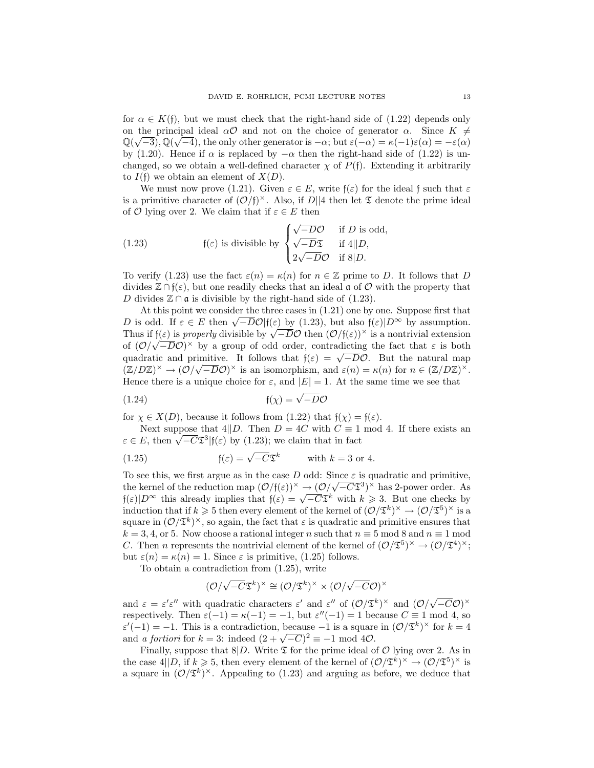for  $\alpha \in K(f)$ , but we must check that the right-hand side of  $(1.22)$  depends only on the principal ideal  $\alpha \mathcal{O}$  and not on the choice of generator  $\alpha$ . Since  $K \neq$  $\mathbb{Q}(\sqrt{-3})$ ,  $\mathbb{Q}(\sqrt{-4})$ , the only other generator is  $-\alpha$ ; but  $\varepsilon(-\alpha) = \kappa(-1)\varepsilon(\alpha) = -\varepsilon(\alpha)$ by (1.20). Hence if  $\alpha$  is replaced by  $-\alpha$  then the right-hand side of (1.22) is unchanged, so we obtain a well-defined character  $\chi$  of  $P(f)$ . Extending it arbitrarily to  $I(f)$  we obtain an element of  $X(D)$ .

We must now prove (1.21). Given  $\varepsilon \in E$ , write  $f(\varepsilon)$  for the ideal f such that  $\varepsilon$ is a primitive character of  $(\mathcal{O}/f)^\times$ . Also, if  $D||4$  then let  $\mathfrak T$  denote the prime ideal of O lying over 2. We claim that if  $\varepsilon \in E$  then

(1.23) 
$$
\mathfrak{f}(\varepsilon) \text{ is divisible by } \begin{cases} \sqrt{-D}\mathcal{O} & \text{if } D \text{ is odd,} \\ \sqrt{-D}\mathfrak{T} & \text{if } 4||D, \\ 2\sqrt{-D}\mathcal{O} & \text{if } 8|D. \end{cases}
$$

To verify (1.23) use the fact  $\varepsilon(n) = \kappa(n)$  for  $n \in \mathbb{Z}$  prime to D. It follows that D divides  $\mathbb{Z} \cap \mathfrak{f}(\varepsilon)$ , but one readily checks that an ideal  $\mathfrak{a}$  of  $\mathcal O$  with the property that D divides  $\mathbb{Z} \cap \mathfrak{a}$  is divisible by the right-hand side of (1.23).

At this point we consider the three cases in (1.21) one by one. Suppose first that At this point we consider the three cases in (1.21) one by one. Suppose first that D is odd. If  $\varepsilon \in E$  then  $\sqrt{-D}\mathcal{O}|\mathfrak{f}(\varepsilon)$  by (1.23), but also  $\mathfrak{f}(\varepsilon)|D^{\infty}$  by assumption. *D* is odd. If  $\varepsilon \in E$  then  $\sqrt{-D}\mathcal{O}(\mathfrak{f}(\varepsilon))$  by (1.23), but also  $\mathfrak{f}(\varepsilon)|D^{\infty}$  by assumption.<br>Thus if  $\mathfrak{f}(\varepsilon)$  is properly divisible by  $\sqrt{-D}\mathcal{O}$  then  $(\mathcal{O}/\mathfrak{f}(\varepsilon))^{\times}$  is a nontrivial exten of  $(\mathcal{O}/\sqrt{-D}\mathcal{O})^{\times}$  by a group of odd order, contradicting the fact that  $\varepsilon$  is both of  $(\mathcal{O}/\sqrt{-D\mathcal{O}})^{\wedge}$  by a group of odd order, contradicting the fact that  $\varepsilon$  is both quadratic and primitive. It follows that  $f(\varepsilon) = \sqrt{-D}\mathcal{O}$ . But the natural map  $(\mathbb{Z}/D\mathbb{Z})^{\times} \to (\mathcal{O}/\sqrt{-D}\mathcal{O})^{\times}$  is an isomorphism, and  $\varepsilon(n) = \kappa(n)$  for  $n \in (\mathbb{Z}/D\mathbb{Z})^{\times}$ . Hence there is a unique choice for  $\varepsilon$ , and  $|E| = 1$ . At the same time we see that

$$
f(x) = \sqrt{-D}\mathcal{O}
$$

for  $\chi \in X(D)$ , because it follows from (1.22) that  $f(\chi) = f(\varepsilon)$ .

Next suppose that 4||D. Then  $D = 4C$  with  $C \equiv 1 \mod 4$ . If there exists an Next suppose that  $4||D$ . Then  $D = 4C$  with  $C \equiv 1$ <br> $\varepsilon \in E$ , then  $\sqrt{-C} \mathfrak{S}^3 | f(\varepsilon)$  by (1.23); we claim that in fact

(1.25) 
$$
\mathfrak{f}(\varepsilon) = \sqrt{-C} \mathfrak{T}^k \quad \text{with } k = 3 \text{ or } 4.
$$

To see this, we first argue as in the case D odd: Since  $\varepsilon$  is quadratic and primitive, the kernel of the reduction map  $(\mathcal{O}/f(\varepsilon))^{\times} \to (\mathcal{O}/\sqrt{-C}\mathfrak{T}^{3})^{\times}$  has 2-power order. As the kernel of the reduction map  $(\mathcal{O}/f(\varepsilon))^{\wedge} \to (\mathcal{O}/\sqrt{-C} \mathfrak{L}^{\omega})^{\wedge}$  has 2-power order. As  $f(\varepsilon)|D^{\infty}$  this already implies that  $f(\varepsilon) = \sqrt{-C} \mathfrak{T}^k$  with  $k \geq 3$ . But one checks by induction that if  $k \geqslant 5$  then every element of the kernel of  $(\mathcal{O}/\mathfrak{T}^k)^\times \to (\mathcal{O}/\mathfrak{T}^5)^\times$  is a square in  $(\mathcal{O}/\mathfrak{T}^k)^\times$ , so again, the fact that  $\varepsilon$  is quadratic and primitive ensures that  $k = 3, 4,$  or 5. Now choose a rational integer n such that  $n \equiv 5 \mod 8$  and  $n \equiv 1 \mod 8$ C. Then *n* represents the nontrivial element of the kernel of  $(\mathcal{O}/\mathfrak{T}^5)^\times \to (\mathcal{O}/\mathfrak{T}^4)^\times$ ; but  $\varepsilon(n) = \kappa(n) = 1$ . Since  $\varepsilon$  is primitive, (1.25) follows.

To obtain a contradiction from (1.25), write

$$
(\mathcal{O}/\sqrt{-C}\mathfrak{T}^k)^{\times}\cong (\mathcal{O}/\mathfrak{T}^k)^{\times}\times (\mathcal{O}/\sqrt{-C}\mathcal{O})^{\times}
$$

and  $\varepsilon = \varepsilon' \varepsilon''$  with quadratic characters  $\varepsilon'$  and  $\varepsilon''$  of  $(\mathcal{O}/\mathfrak{T}^k)^\times$  and  $(\mathcal{O}/\sqrt{k})$  $\overline{-C\mathcal{O}})^{\times}$ respectively. Then  $\varepsilon(-1) = \kappa(-1) = -1$ , but  $\varepsilon''(-1) = 1$  because  $C \equiv 1 \mod 4$ , so  $\varepsilon'(-1) = -1$ . This is a contradiction, because  $-1$  is a square in  $(\mathcal{O}/\mathfrak{T}^k)^\times$  for  $k = 4$  $\varepsilon'(-1) = -1$ . This is a contradiction, because  $-1$  is a square and *a fortiori* for  $k = 3$ : indeed  $(2 + \sqrt{-C})^2 \equiv -1 \mod 40$ .

Finally, suppose that  $8|D$ . Write  $\mathfrak T$  for the prime ideal of  $\mathcal O$  lying over 2. As in the case  $4||D, \text{ if } k \geqslant 5, \text{ then every element of the Kernel of } (\mathcal{O}/\mathfrak{T}^k)^{\times} \to (\mathcal{O}/\mathfrak{T}^5)^{\times}$  is a square in  $(\mathcal{O}/\mathfrak{T}^k)^\times$ . Appealing to (1.23) and arguing as before, we deduce that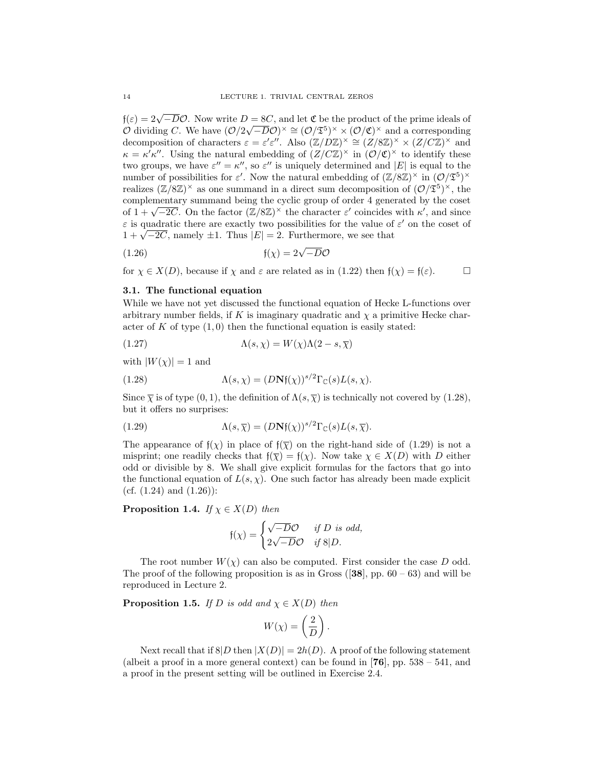$f(\varepsilon) = 2\sqrt{-D}\mathcal{O}$ . Now write  $D = 8C$ , and let  $\mathfrak C$  be the product of the prime ideals of  $\mathcal{O}$  dividing C. We have  $(\mathcal{O}/2\sqrt{-D}\mathcal{O})^{\times} \cong (\mathcal{O}/\mathfrak{T}^5)^{\times} \times (\mathcal{O}/\mathfrak{C})^{\times}$  and a corresponding decomposition of characters  $\varepsilon = \varepsilon' \varepsilon''$ . Also  $(\mathbb{Z}/D\mathbb{Z})^{\times} \cong (Z/8\mathbb{Z})^{\times} \times (Z/C\mathbb{Z})^{\times}$  and  $\kappa = \kappa' \kappa''$ . Using the natural embedding of  $(Z/CZ)^{\times}$  in  $(\mathcal{O}/\mathfrak{C})^{\times}$  to identify these two groups, we have  $\varepsilon'' = \kappa''$ , so  $\varepsilon''$  is uniquely determined and  $|E|$  is equal to the number of possibilities for  $\varepsilon'$ . Now the natural embedding of  $(\mathbb{Z}/8\mathbb{Z})^{\times}$  in  $(\mathcal{O}/\mathfrak{T}^5)^{\times}$ realizes  $(\mathbb{Z}/8\mathbb{Z})^{\times}$  as one summand in a direct sum decomposition of  $(\mathcal{O}/\mathfrak{T}^{5})^{\times}$ , the complementary summand being the cyclic group of order 4 generated by the coset complementary summand being the cyclic group of order 4 generated by the coset<br>of  $1 + \sqrt{-2C}$ . On the factor  $(\mathbb{Z}/8\mathbb{Z})^{\times}$  the character  $\varepsilon'$  coincides with  $\kappa'$ , and since  $\varepsilon$  is quadratic there are exactly two possibilities for the value of  $\varepsilon'$  on the coset of  $\varepsilon$  is quadratic there are exactly two possibilities for the value of  $1 + \sqrt{-2C}$ , namely  $\pm 1$ . Thus  $|E| = 2$ . Furthermore, we see that

$$
\mathfrak{f}(\chi) = 2\sqrt{-D}\mathcal{O}
$$

for  $\chi \in X(D)$ , because if  $\chi$  and  $\varepsilon$  are related as in (1.22) then  $f(\chi) = f(\varepsilon)$ .  $\Box$ 

#### 3.1. The functional equation

While we have not yet discussed the functional equation of Hecke L-functions over arbitrary number fields, if K is imaginary quadratic and  $\chi$  a primitive Hecke character of K of type  $(1,0)$  then the functional equation is easily stated:

(1.27) 
$$
\Lambda(s, \chi) = W(\chi)\Lambda(2 - s, \overline{\chi})
$$

with  $|W(\chi)| = 1$  and

(1.28) 
$$
\Lambda(s,\chi) = (D\mathbf{N}\mathfrak{f}(\chi))^{s/2} \Gamma_{\mathbb{C}}(s) L(s,\chi).
$$

Since  $\overline{\chi}$  is of type (0, 1), the definition of  $\Lambda(s,\overline{\chi})$  is technically not covered by (1.28), but it offers no surprises:

(1.29) 
$$
\Lambda(s,\overline{\chi}) = (D\mathbf{N}\mathfrak{f}(\chi))^{s/2} \Gamma_{\mathbb{C}}(s) L(s,\overline{\chi}).
$$

The appearance of  $f(\chi)$  in place of  $f(\overline{\chi})$  on the right-hand side of (1.29) is not a misprint; one readily checks that  $f(\overline{\chi}) = f(\chi)$ . Now take  $\chi \in X(D)$  with D either odd or divisible by 8. We shall give explicit formulas for the factors that go into the functional equation of  $L(s, \chi)$ . One such factor has already been made explicit (cf.  $(1.24)$  and  $(1.26)$ ):

**Proposition 1.4.** If  $\chi \in X(D)$  then

$$
f(\chi) = \begin{cases} \sqrt{-D}\mathcal{O} & \text{if } D \text{ is odd,} \\ 2\sqrt{-D}\mathcal{O} & \text{if } 8|D. \end{cases}
$$

The root number  $W(\chi)$  can also be computed. First consider the case D odd. The proof of the following proposition is as in Gross  $(38)$ , pp.  $60 - 63$ ) and will be reproduced in Lecture 2.

**Proposition 1.5.** If D is odd and  $\chi \in X(D)$  then

$$
W(\chi) = \left(\frac{2}{D}\right).
$$

Next recall that if  $8|D \t{then} |X(D)| = 2h(D)$ . A proof of the following statement (albeit a proof in a more general context) can be found in  $[76]$ , pp.  $538 - 541$ , and a proof in the present setting will be outlined in Exercise 2.4.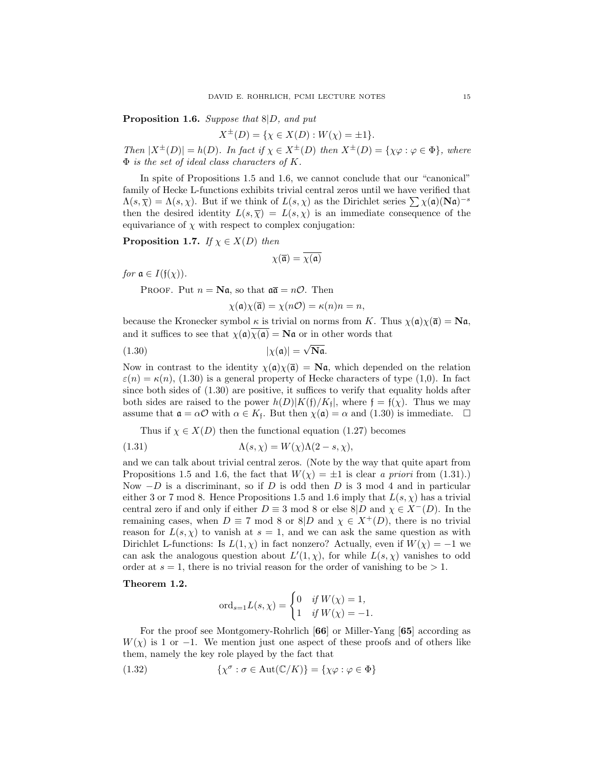Proposition 1.6. Suppose that  $8|D$ , and put

$$
X^{\pm}(D) = \{ \chi \in X(D) : W(\chi) = \pm 1 \}.
$$

Then  $|X^{\pm}(D)| = h(D)$ . In fact if  $\chi \in X^{\pm}(D)$  then  $X^{\pm}(D) = {\chi \varphi : \varphi \in \Phi}$ , where  $\Phi$  is the set of ideal class characters of K.

In spite of Propositions 1.5 and 1.6, we cannot conclude that our "canonical" family of Hecke L-functions exhibits trivial central zeros until we have verified that  $\Lambda(s,\overline{\chi}) = \Lambda(s,\chi)$ . But if we think of  $L(s,\chi)$  as the Dirichlet series  $\sum \chi(\mathfrak{a})(N\mathfrak{a})^{-s}$ then the desired identity  $L(s,\overline{\chi}) = L(s,\chi)$  is an immediate consequence of the equivariance of  $\chi$  with respect to complex conjugation:

**Proposition 1.7.** If  $\chi \in X(D)$  then

$$
\chi(\overline{\mathfrak{a}}) = \overline{\chi(\mathfrak{a})}
$$

*for*  $\mathfrak{a} \in I(\mathfrak{f}(\chi))$ .

PROOF. Put  $n = \mathbf{N}\mathfrak{a}$ , so that  $\mathfrak{a}\overline{\mathfrak{a}} = n\mathcal{O}$ . Then

$$
\chi(\mathfrak{a})\chi(\overline{\mathfrak{a}}) = \chi(n\mathcal{O}) = \kappa(n)n = n,
$$

because the Kronecker symbol  $\kappa$  is trivial on norms from K. Thus  $\chi(\mathfrak{a})\chi(\overline{\mathfrak{a}}) = N\mathfrak{a}$ , and it suffices to see that  $\chi(\mathfrak{a})\chi(\mathfrak{a}) = \mathbf{N}\mathfrak{a}$  or in other words that

$$
|\chi(\mathfrak{a})| = \sqrt{\mathbf{N}\mathfrak{a}}.
$$

Now in contrast to the identity  $\chi(\mathfrak{a})\chi(\bar{\mathfrak{a}}) = \mathbf{N}\mathfrak{a}$ , which depended on the relation  $\varepsilon(n) = \kappa(n)$ , (1.30) is a general property of Hecke characters of type (1,0). In fact since both sides of (1.30) are positive, it suffices to verify that equality holds after both sides are raised to the power  $h(D)|K(\mathfrak{f})/K_{\mathfrak{f}}|$ , where  $\mathfrak{f} = \mathfrak{f}(\chi)$ . Thus we may assume that  $\mathfrak{a} = \alpha \mathcal{O}$  with  $\alpha \in K_{\mathfrak{f}}$ . But then  $\chi(\mathfrak{a}) = \alpha$  and  $(1.30)$  is immediate.  $\Box$ 

Thus if  $\chi \in X(D)$  then the functional equation (1.27) becomes

(1.31) 
$$
\Lambda(s,\chi) = W(\chi)\Lambda(2-s,\chi),
$$

and we can talk about trivial central zeros. (Note by the way that quite apart from Propositions 1.5 and 1.6, the fact that  $W(\chi) = \pm 1$  is clear a priori from (1.31).) Now  $-D$  is a discriminant, so if D is odd then D is 3 mod 4 and in particular either 3 or 7 mod 8. Hence Propositions 1.5 and 1.6 imply that  $L(s, \chi)$  has a trivial central zero if and only if either  $D \equiv 3 \mod 8$  or else  $8|D \text{ and } \chi \in X^-(D)$ . In the remaining cases, when  $D \equiv 7 \mod 8$  or  $8|D \text{ and } \chi \in X^+(D)$ , there is no trivial reason for  $L(s, \chi)$  to vanish at  $s = 1$ , and we can ask the same question as with Dirichlet L-functions: Is  $L(1, \chi)$  in fact nonzero? Actually, even if  $W(\chi) = -1$  we can ask the analogous question about  $L'(1,\chi)$ , for while  $L(s,\chi)$  vanishes to odd order at  $s = 1$ , there is no trivial reason for the order of vanishing to be  $> 1$ .

#### Theorem 1.2.

$$
ord_{s=1}L(s,\chi) = \begin{cases} 0 & \text{if } W(\chi) = 1, \\ 1 & \text{if } W(\chi) = -1. \end{cases}
$$

For the proof see Montgomery-Rohrlich [66] or Miller-Yang [65] according as  $W(\chi)$  is 1 or −1. We mention just one aspect of these proofs and of others like them, namely the key role played by the fact that

(1.32) 
$$
\{\chi^{\sigma} : \sigma \in \text{Aut}(\mathbb{C}/K)\} = \{\chi \varphi : \varphi \in \Phi\}
$$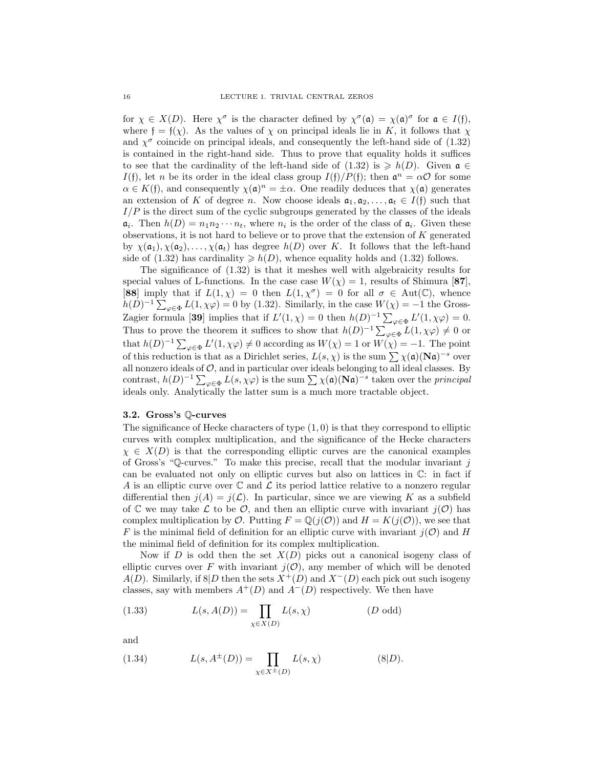for  $\chi \in X(D)$ . Here  $\chi^{\sigma}$  is the character defined by  $\chi^{\sigma}(\mathfrak{a}) = \chi(\mathfrak{a})^{\sigma}$  for  $\mathfrak{a} \in I(\mathfrak{f})$ , where  $f = f(\chi)$ . As the values of  $\chi$  on principal ideals lie in K, it follows that  $\chi$ and  $\chi^{\sigma}$  coincide on principal ideals, and consequently the left-hand side of (1.32) is contained in the right-hand side. Thus to prove that equality holds it suffices to see that the cardinality of the left-hand side of (1.32) is  $\geq h(D)$ . Given  $\mathfrak{a} \in$ I(f), let n be its order in the ideal class group  $I(f)/P(f)$ ; then  $\mathfrak{a}^n = \alpha \mathcal{O}$  for some  $\alpha \in K(\mathfrak{f})$ , and consequently  $\chi(\mathfrak{a})^n = \pm \alpha$ . One readily deduces that  $\chi(\mathfrak{a})$  generates an extension of K of degree n. Now choose ideals  $a_1, a_2, \ldots, a_t \in I(f)$  such that  $I/P$  is the direct sum of the cyclic subgroups generated by the classes of the ideals  $a_i$ . Then  $h(D) = n_1 n_2 \cdots n_t$ , where  $n_i$  is the order of the class of  $a_i$ . Given these observations, it is not hard to believe or to prove that the extension of K generated by  $\chi(\mathfrak{a}_1), \chi(\mathfrak{a}_2), \ldots, \chi(\mathfrak{a}_t)$  has degree  $h(D)$  over K. It follows that the left-hand side of (1.32) has cardinality  $\geq h(D)$ , whence equality holds and (1.32) follows.

The significance of (1.32) is that it meshes well with algebraicity results for special values of L-functions. In the case case  $W(\chi) = 1$ , results of Shimura [87], [88] imply that if  $L(1,\chi) = 0$  then  $L(1,\chi^{\sigma}) = 0$  for all  $\sigma \in Aut(\mathbb{C})$ , whence  $h(D)^{-1} \sum_{\varphi \in \Phi} L(1, \chi \varphi) = 0$  by (1.32). Similarly, in the case  $W(\chi) = -1$  the Gross-Zagier formula [39] implies that if  $L'(1,\chi) = 0$  then  $h(D)^{-1} \sum_{\varphi \in \Phi} L'(1,\chi\varphi) = 0$ . Thus to prove the theorem it suffices to show that  $h(D)^{-1} \sum_{\varphi \in \Phi} L(1, \chi \varphi) \neq 0$  or that  $h(D)^{-1} \sum_{\varphi \in \Phi} L'(1, \chi \varphi) \neq 0$  according as  $W(\chi) = 1$  or  $W(\chi) = -1$ . The point of this reduction is that as a Dirichlet series,  $L(s, \chi)$  is the sum  $\sum \chi(\mathfrak{a})(N\mathfrak{a})^{-s}$  over all nonzero ideals of  $\mathcal{O}$ , and in particular over ideals belonging to all ideal classes. By contrast,  $h(D)^{-1} \sum_{\varphi \in \Phi} L(s, \chi \varphi)$  is the sum  $\sum \chi(\mathfrak{a})(N\mathfrak{a})^{-s}$  taken over the *principal* ideals only. Analytically the latter sum is a much more tractable object.

# 3.2. Gross's Q-curves

The significance of Hecke characters of type  $(1, 0)$  is that they correspond to elliptic curves with complex multiplication, and the significance of the Hecke characters  $\chi \in X(D)$  is that the corresponding elliptic curves are the canonical examples of Gross's "Q-curves." To make this precise, recall that the modular invariant  $j$ can be evaluated not only on elliptic curves but also on lattices in C: in fact if A is an elliptic curve over  $\mathbb C$  and  $\mathcal L$  its period lattice relative to a nonzero regular differential then  $j(A) = j(\mathcal{L})$ . In particular, since we are viewing K as a subfield of C we may take L to be O, and then an elliptic curve with invariant  $j(0)$  has complex multiplication by  $\mathcal O$ . Putting  $F = \mathbb Q(j(\mathcal O))$  and  $H = K(j(\mathcal O))$ , we see that F is the minimal field of definition for an elliptic curve with invariant  $j(\mathcal{O})$  and H the minimal field of definition for its complex multiplication.

Now if D is odd then the set  $X(D)$  picks out a canonical isogeny class of elliptic curves over F with invariant  $j(\mathcal{O})$ , any member of which will be denoted  $A(D)$ . Similarly, if 8|D then the sets  $X^+(D)$  and  $X^-(D)$  each pick out such isogeny classes, say with members  $A^+(D)$  and  $A^-(D)$  respectively. We then have

(1.33) 
$$
L(s, A(D)) = \prod_{\chi \in X(D)} L(s, \chi)
$$
 (*D* odd)

and

(1.34) 
$$
L(s, A^{\pm}(D)) = \prod_{\chi \in X^{\pm}(D)} L(s, \chi)
$$
 (8|D).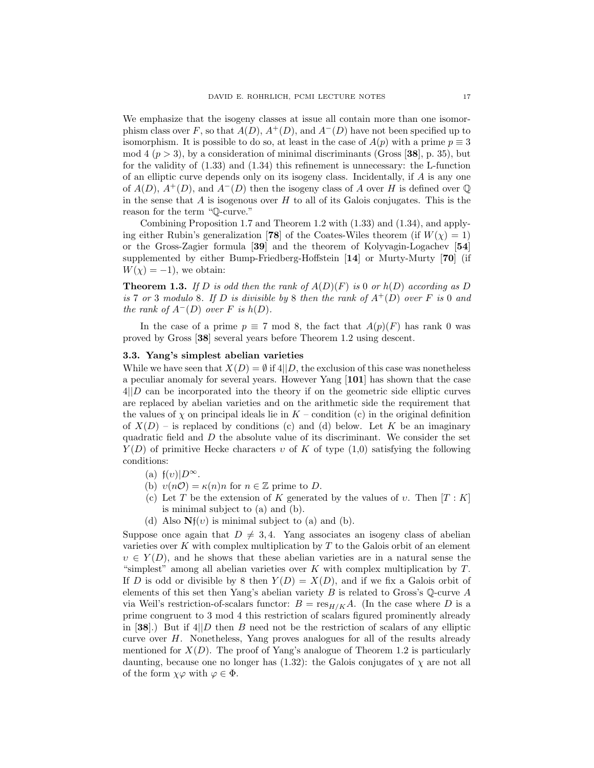We emphasize that the isogeny classes at issue all contain more than one isomorphism class over F, so that  $A(D)$ ,  $A^+(D)$ , and  $A^-(D)$  have not been specified up to isomorphism. It is possible to do so, at least in the case of  $A(p)$  with a prime  $p \equiv 3$ mod 4 ( $p > 3$ ), by a consideration of minimal discriminants (Gross [38], p. 35), but for the validity of (1.33) and (1.34) this refinement is unnecessary: the L-function of an elliptic curve depends only on its isogeny class. Incidentally, if  $A$  is any one of  $A(D)$ ,  $A^+(D)$ , and  $A^-(D)$  then the isogeny class of A over H is defined over Q in the sense that  $A$  is isogenous over  $H$  to all of its Galois conjugates. This is the reason for the term "Q-curve."

Combining Proposition 1.7 and Theorem 1.2 with (1.33) and (1.34), and applying either Rubin's generalization [78] of the Coates-Wiles theorem (if  $W(\chi) = 1$ ) or the Gross-Zagier formula [39] and the theorem of Kolyvagin-Logachev [54] supplemented by either Bump-Friedberg-Hoffstein [14] or Murty-Murty [70] (if  $W(\chi) = -1$ , we obtain:

**Theorem 1.3.** If D is odd then the rank of  $A(D)(F)$  is 0 or  $h(D)$  according as D is 7 or 3 modulo 8. If D is divisible by 8 then the rank of  $A^+(D)$  over F is 0 and the rank of  $A^{-}(D)$  over F is  $h(D)$ .

In the case of a prime  $p \equiv 7 \mod 8$ , the fact that  $A(p)(F)$  has rank 0 was proved by Gross [38] several years before Theorem 1.2 using descent.

#### 3.3. Yang's simplest abelian varieties

While we have seen that  $X(D) = \emptyset$  if  $4||D$ , the exclusion of this case was nonetheless a peculiar anomaly for several years. However Yang [101] has shown that the case  $4||D \text{ can be incorporated into the theory if on the geometric side elliptic curves}$ are replaced by abelian varieties and on the arithmetic side the requirement that the values of  $\chi$  on principal ideals lie in  $K$  – condition (c) in the original definition of  $X(D)$  – is replaced by conditions (c) and (d) below. Let K be an imaginary quadratic field and D the absolute value of its discriminant. We consider the set  $Y(D)$  of primitive Hecke characters v of K of type  $(1,0)$  satisfying the following conditions:

- (a)  $f(v)|D^{\infty}$ .
- (b)  $v(n\mathcal{O}) = \kappa(n)n$  for  $n \in \mathbb{Z}$  prime to D.
- (c) Let T be the extension of K generated by the values of v. Then  $[T:K]$ is minimal subject to (a) and (b).
- (d) Also  $Nf(v)$  is minimal subject to (a) and (b).

Suppose once again that  $D \neq 3, 4$ . Yang associates an isogeny class of abelian varieties over  $K$  with complex multiplication by  $T$  to the Galois orbit of an element  $v \in Y(D)$ , and he shows that these abelian varieties are in a natural sense the "simplest" among all abelian varieties over  $K$  with complex multiplication by  $T$ . If D is odd or divisible by 8 then  $Y(D) = X(D)$ , and if we fix a Galois orbit of elements of this set then Yang's abelian variety B is related to Gross's  $\mathbb Q$ -curve A via Weil's restriction-of-scalars functor:  $B = \text{res}_{H/K} A$ . (In the case where D is a prime congruent to 3 mod 4 this restriction of scalars figured prominently already in [38].) But if  $4||D$  then B need not be the restriction of scalars of any elliptic curve over  $H$ . Nonetheless, Yang proves analogues for all of the results already mentioned for  $X(D)$ . The proof of Yang's analogue of Theorem 1.2 is particularly daunting, because one no longer has  $(1.32)$ : the Galois conjugates of  $\chi$  are not all of the form  $\chi\varphi$  with  $\varphi \in \Phi$ .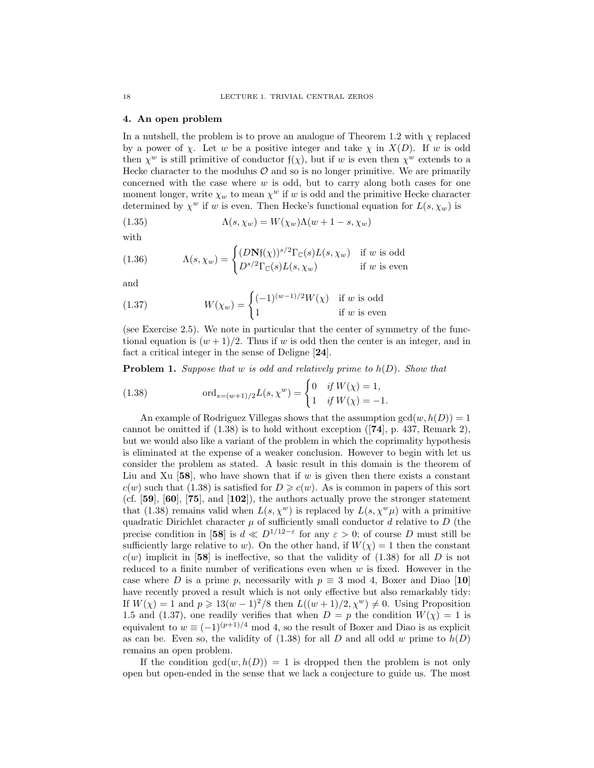#### 4. An open problem

In a nutshell, the problem is to prove an analogue of Theorem 1.2 with  $\chi$  replaced by a power of  $\chi$ . Let w be a positive integer and take  $\chi$  in  $X(D)$ . If w is odd then  $\chi^w$  is still primitive of conductor  $f(\chi)$ , but if w is even then  $\chi^w$  extends to a Hecke character to the modulus  $\mathcal O$  and so is no longer primitive. We are primarily concerned with the case where  $w$  is odd, but to carry along both cases for one moment longer, write  $\chi_w$  to mean  $\chi^w$  if w is odd and the primitive Hecke character determined by  $\chi^w$  if w is even. Then Hecke's functional equation for  $L(s, \chi_w)$  is

(1.35) 
$$
\Lambda(s, \chi_w) = W(\chi_w) \Lambda(w + 1 - s, \chi_w)
$$

with

(1.36) 
$$
\Lambda(s, \chi_w) = \begin{cases} (D\mathbf{N}\mathfrak{f}(\chi))^{s/2} \Gamma_{\mathbb{C}}(s) L(s, \chi_w) & \text{if } w \text{ is odd} \\ D^{s/2} \Gamma_{\mathbb{C}}(s) L(s, \chi_w) & \text{if } w \text{ is even} \end{cases}
$$

and

(1.37) 
$$
W(\chi_w) = \begin{cases} (-1)^{(w-1)/2} W(\chi) & \text{if } w \text{ is odd} \\ 1 & \text{if } w \text{ is even} \end{cases}
$$

(see Exercise 2.5). We note in particular that the center of symmetry of the functional equation is  $(w + 1)/2$ . Thus if w is odd then the center is an integer, and in fact a critical integer in the sense of Deligne [24].

**Problem 1.** Suppose that w is odd and relatively prime to  $h(D)$ . Show that

(1.38) 
$$
\text{ord}_{s=(w+1)/2}L(s,\chi^w) = \begin{cases} 0 & \text{if } W(\chi) = 1, \\ 1 & \text{if } W(\chi) = -1. \end{cases}
$$

An example of Rodriguez Villegas shows that the assumption  $gcd(w, h(D)) = 1$ cannot be omitted if  $(1.38)$  is to hold without exception  $(74)$ , p. 437, Remark 2), but we would also like a variant of the problem in which the coprimality hypothesis is eliminated at the expense of a weaker conclusion. However to begin with let us consider the problem as stated. A basic result in this domain is the theorem of Liu and Xu  $[58]$ , who have shown that if w is given then there exists a constant  $c(w)$  such that (1.38) is satisfied for  $D \geqslant c(w)$ . As is common in papers of this sort (cf.  $[59]$ ,  $[60]$ ,  $[75]$ , and  $[102]$ ), the authors actually prove the stronger statement that (1.38) remains valid when  $L(s, \chi^w)$  is replaced by  $L(s, \chi^w \mu)$  with a primitive quadratic Dirichlet character  $\mu$  of sufficiently small conductor d relative to D (the precise condition in [58] is  $d \ll D^{1/12-\epsilon}$  for any  $\varepsilon > 0$ ; of course D must still be sufficiently large relative to w). On the other hand, if  $W(\chi) = 1$  then the constant  $c(w)$  implicit in [58] is ineffective, so that the validity of (1.38) for all D is not reduced to a finite number of verifications even when  $w$  is fixed. However in the case where D is a prime p, necessarily with  $p \equiv 3 \mod 4$ , Boxer and Diao [10] have recently proved a result which is not only effective but also remarkably tidy: If  $W(\chi) = 1$  and  $p \geq 13(w-1)^2/8$  then  $L((w+1)/2, \chi^w) \neq 0$ . Using Proposition 1.5 and (1.37), one readily verifies that when  $D = p$  the condition  $W(\chi) = 1$  is equivalent to  $w \equiv (-1)^{(p+1)/4} \mod 4$ , so the result of Boxer and Diao is as explicit as can be. Even so, the validity of  $(1.38)$  for all D and all odd w prime to  $h(D)$ remains an open problem.

If the condition  $gcd(w, h(D)) = 1$  is dropped then the problem is not only open but open-ended in the sense that we lack a conjecture to guide us. The most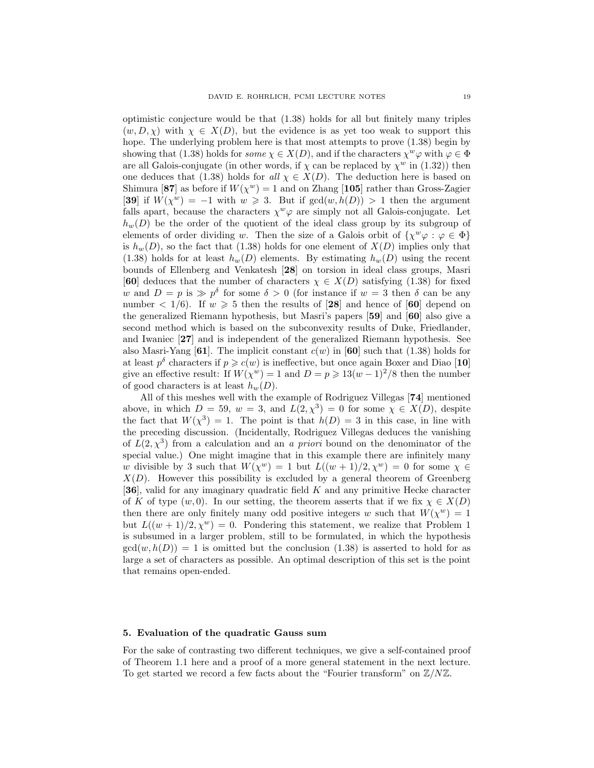optimistic conjecture would be that (1.38) holds for all but finitely many triples  $(w, D, \chi)$  with  $\chi \in X(D)$ , but the evidence is as yet too weak to support this hope. The underlying problem here is that most attempts to prove (1.38) begin by showing that (1.38) holds for some  $\chi \in X(D)$ , and if the characters  $\chi^w \varphi$  with  $\varphi \in \Phi$ are all Galois-conjugate (in other words, if  $\chi$  can be replaced by  $\chi^w$  in (1.32)) then one deduces that (1.38) holds for all  $\chi \in X(D)$ . The deduction here is based on Shimura [87] as before if  $W(\chi^w) = 1$  and on Zhang [105] rather than Gross-Zagier [39] if  $W(\chi^w) = -1$  with  $w \ge 3$ . But if  $gcd(w, h(D)) > 1$  then the argument falls apart, because the characters  $\chi^w \varphi$  are simply not all Galois-conjugate. Let  $h_w(D)$  be the order of the quotient of the ideal class group by its subgroup of elements of order dividing w. Then the size of a Galois orbit of  $\{\chi^w \varphi : \varphi \in \Phi\}$ is  $h_w(D)$ , so the fact that (1.38) holds for one element of  $X(D)$  implies only that  $(1.38)$  holds for at least  $h_w(D)$  elements. By estimating  $h_w(D)$  using the recent bounds of Ellenberg and Venkatesh [28] on torsion in ideal class groups, Masri [60] deduces that the number of characters  $\chi \in X(D)$  satisfying (1.38) for fixed w and  $D = p$  is  $\gg p^{\delta}$  for some  $\delta > 0$  (for instance if  $w = 3$  then  $\delta$  can be any number  $\langle 1/6 \rangle$ . If  $w \ge 5$  then the results of [28] and hence of [60] depend on the generalized Riemann hypothesis, but Masri's papers [59] and [60] also give a second method which is based on the subconvexity results of Duke, Friedlander, and Iwaniec [27] and is independent of the generalized Riemann hypothesis. See also Masri-Yang [61]. The implicit constant  $c(w)$  in [60] such that (1.38) holds for at least  $p^{\delta}$  characters if  $p \geqslant c(w)$  is ineffective, but once again Boxer and Diao [10] give an effective result: If  $W(\chi^w) = 1$  and  $D = p \geq 13(w-1)^2/8$  then the number of good characters is at least  $h_w(D)$ .

All of this meshes well with the example of Rodriguez Villegas [74] mentioned above, in which  $D = 59$ ,  $w = 3$ , and  $L(2,\chi^3) = 0$  for some  $\chi \in X(D)$ , despite the fact that  $W(\chi^3) = 1$ . The point is that  $h(D) = 3$  in this case, in line with the preceding discussion. (Incidentally, Rodriguez Villegas deduces the vanishing of  $L(2,\chi^3)$  from a calculation and an a priori bound on the denominator of the special value.) One might imagine that in this example there are infinitely many w divisible by 3 such that  $W(\chi^w) = 1$  but  $L((w+1)/2, \chi^w) = 0$  for some  $\chi \in$  $X(D)$ . However this possibility is excluded by a general theorem of Greenberg [36], valid for any imaginary quadratic field K and any primitive Hecke character of K of type  $(w, 0)$ . In our setting, the theorem asserts that if we fix  $\chi \in X(D)$ then there are only finitely many odd positive integers w such that  $W(\chi^w) = 1$ but  $L((w+1)/2, \chi^w) = 0$ . Pondering this statement, we realize that Problem 1 is subsumed in a larger problem, still to be formulated, in which the hypothesis  $gcd(w, h(D)) = 1$  is omitted but the conclusion (1.38) is asserted to hold for as large a set of characters as possible. An optimal description of this set is the point that remains open-ended.

#### 5. Evaluation of the quadratic Gauss sum

For the sake of contrasting two different techniques, we give a self-contained proof of Theorem 1.1 here and a proof of a more general statement in the next lecture. To get started we record a few facts about the "Fourier transform" on  $\mathbb{Z}/N\mathbb{Z}$ .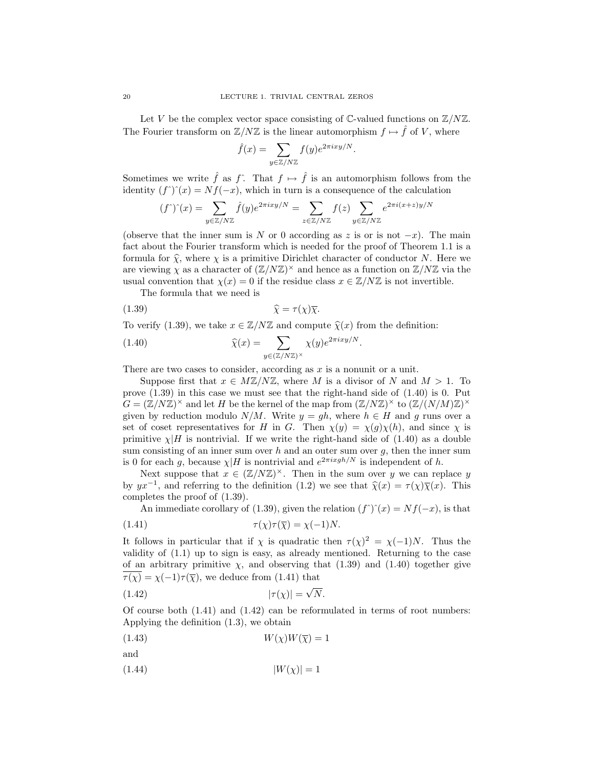Let V be the complex vector space consisting of  $\mathbb{C}\text{-valued functions on }\mathbb{Z}/N\mathbb{Z}$ . The Fourier transform on  $\mathbb{Z}/N\mathbb{Z}$  is the linear automorphism  $f \mapsto \hat{f}$  of V, where

$$
\hat{f}(x) = \sum_{y \in \mathbb{Z}/N\mathbb{Z}} f(y) e^{2\pi i x y/N}.
$$

Sometimes we write  $\hat{f}$  as  $f^*$ . That  $f \mapsto \hat{f}$  is an automorphism follows from the identity  $(f<sup>\hat{}})(x) = Nf(-x)</sup>$ , which in turn is a consequence of the calculation

$$
(f^{\hat{ }})^{\hat{ }}(x)=\sum_{y\in \mathbb{Z}/N\mathbb{Z}}\hat{f}(y)e^{2\pi ixy/N}=\sum_{z\in \mathbb{Z}/N\mathbb{Z}}f(z)\sum_{y\in \mathbb{Z}/N\mathbb{Z}}e^{2\pi i(x+z)y/N}
$$

(observe that the inner sum is N or 0 according as z is or is not  $-x$ ). The main fact about the Fourier transform which is needed for the proof of Theorem 1.1 is a formula for  $\hat{\chi}$ , where  $\chi$  is a primitive Dirichlet character of conductor N. Here we are viewing  $\chi$  as a character of  $(\mathbb{Z}/N\mathbb{Z})^{\times}$  and hence as a function on  $\mathbb{Z}/N\mathbb{Z}$  via the usual convention that  $\chi(x) = 0$  if the residue class  $x \in \mathbb{Z}/N\mathbb{Z}$  is not invertible.

The formula that we need is

$$
\widehat{\chi} = \tau(\chi)\overline{\chi}.
$$

To verify (1.39), we take  $x \in \mathbb{Z}/N\mathbb{Z}$  and compute  $\hat{\chi}(x)$  from the definition:

(1.40) 
$$
\widehat{\chi}(x) = \sum_{y \in (\mathbb{Z}/N\mathbb{Z})^{\times}} \chi(y) e^{2\pi i x y/N}.
$$

There are two cases to consider, according as  $x$  is a nonunit or a unit.

Suppose first that  $x \in M\mathbb{Z}/N\mathbb{Z}$ , where M is a divisor of N and  $M > 1$ . To prove  $(1.39)$  in this case we must see that the right-hand side of  $(1.40)$  is 0. Put  $G = (\mathbb{Z}/N\mathbb{Z})^{\times}$  and let H be the kernel of the map from  $(\mathbb{Z}/N\mathbb{Z})^{\times}$  to  $(\mathbb{Z}/(N/M)\mathbb{Z})^{\times}$ given by reduction modulo  $N/M$ . Write  $y = gh$ , where  $h \in H$  and g runs over a set of coset representatives for H in G. Then  $\chi(y) = \chi(g)\chi(h)$ , and since  $\chi$  is primitive  $\chi$  H is nontrivial. If we write the right-hand side of (1.40) as a double sum consisting of an inner sum over  $h$  and an outer sum over  $g$ , then the inner sum is 0 for each g, because  $\chi$ |H is nontrivial and  $e^{2\pi i xgh/N}$  is independent of h.

Next suppose that  $x \in (\mathbb{Z}/N\mathbb{Z})^{\times}$ . Then in the sum over y we can replace y by  $yx^{-1}$ , and referring to the definition (1.2) we see that  $\hat{\chi}(x) = \tau(\chi)\overline{\chi}(x)$ . This completes the proof of (1.39).

An immediate corollary of (1.39), given the relation  $(f<sup>\,\hat{})^{\,\hat{}}(x) = Nf(-x)</sup>$ , is that (1.41)  $\tau(\chi)\tau(\overline{\chi}) = \chi(-1)N.$ 

It follows in particular that if  $\chi$  is quadratic then  $\tau(\chi)^2 = \chi(-1)N$ . Thus the validity of (1.1) up to sign is easy, as already mentioned. Returning to the case of an arbitrary primitive  $\chi$ , and observing that (1.39) and (1.40) together give  $\overline{\tau(\chi)} = \chi(-1)\tau(\overline{\chi})$ , we deduce from (1.41) that

$$
(1.42)\t\t\t |\tau(\chi)| = \sqrt{N}.
$$

Of course both  $(1.41)$  and  $(1.42)$  can be reformulated in terms of root numbers: Applying the definition (1.3), we obtain

$$
(1.43) \t\t W(\chi)W(\overline{\chi}) = 1
$$

and

 $|W(\chi)| = 1$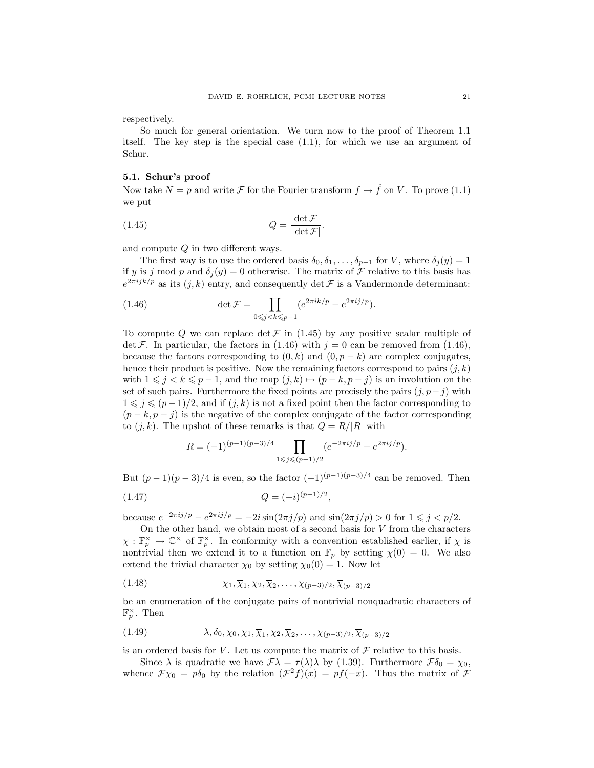respectively.

So much for general orientation. We turn now to the proof of Theorem 1.1 itself. The key step is the special case (1.1), for which we use an argument of Schur.

# 5.1. Schur's proof

Now take  $N = p$  and write  $\mathcal F$  for the Fourier transform  $f \mapsto \hat{f}$  on V. To prove (1.1) we put

(1.45) 
$$
Q = \frac{\det \mathcal{F}}{|\det \mathcal{F}|}.
$$

and compute Q in two different ways.

The first way is to use the ordered basis  $\delta_0, \delta_1, \ldots, \delta_{p-1}$  for V, where  $\delta_i(y) = 1$ if y is j mod p and  $\delta_i(y) = 0$  otherwise. The matrix of F relative to this basis has  $e^{2\pi i jk/p}$  as its  $(j, k)$  entry, and consequently det  $\mathcal F$  is a Vandermonde determinant:

(1.46) 
$$
\det \mathcal{F} = \prod_{0 \le j < k \le p-1} (e^{2\pi i k/p} - e^{2\pi i j/p}).
$$

To compute Q we can replace det  $\mathcal F$  in (1.45) by any positive scalar multiple of det F. In particular, the factors in (1.46) with  $j = 0$  can be removed from (1.46), because the factors corresponding to  $(0, k)$  and  $(0, p - k)$  are complex conjugates, hence their product is positive. Now the remaining factors correspond to pairs  $(j, k)$ with  $1 \leq j \leq k \leq p-1$ , and the map  $(j, k) \mapsto (p - k, p - j)$  is an involution on the set of such pairs. Furthermore the fixed points are precisely the pairs  $(j, p-j)$  with  $1 \leq j \leq (p-1)/2$ , and if  $(j, k)$  is not a fixed point then the factor corresponding to  $(p - k, p - j)$  is the negative of the complex conjugate of the factor corresponding to  $(j, k)$ . The upshot of these remarks is that  $Q = R/|R|$  with

$$
R = (-1)^{(p-1)(p-3)/4} \prod_{1 \leq j \leq (p-1)/2} (e^{-2\pi i j/p} - e^{2\pi i j/p}).
$$

But  $(p-1)(p-3)/4$  is even, so the factor  $(-1)^{(p-1)(p-3)/4}$  can be removed. Then

$$
(1.47) \tQ = (-i)^{(p-1)/2},
$$

because  $e^{-2\pi i j/p} - e^{2\pi i j/p} = -2i \sin(2\pi j/p)$  and  $\sin(2\pi j/p) > 0$  for  $1 \leq j < p/2$ .

On the other hand, we obtain most of a second basis for  $V$  from the characters  $\chi:\mathbb{F}_p^\times\to\mathbb{C}^\times$  of  $\mathbb{F}_p^\times$ . In conformity with a convention established earlier, if  $\chi$  is nontrivial then we extend it to a function on  $\mathbb{F}_p$  by setting  $\chi(0) = 0$ . We also extend the trivial character  $\chi_0$  by setting  $\chi_0(0) = 1$ . Now let

(1.48) 
$$
\chi_1, \overline{\chi}_1, \chi_2, \overline{\chi}_2, \dots, \chi_{(p-3)/2}, \overline{\chi}_{(p-3)/2}
$$

be an enumeration of the conjugate pairs of nontrivial nonquadratic characters of  $\mathbb{F}_p^{\times}$ . Then

(1.49) 
$$
\lambda, \delta_0, \chi_0, \chi_1, \overline{\chi}_1, \chi_2, \overline{\chi}_2, \dots, \chi_{(p-3)/2}, \overline{\chi}_{(p-3)/2}
$$

is an ordered basis for  $V.$  Let us compute the matrix of  ${\mathcal F}$  relative to this basis.

Since  $\lambda$  is quadratic we have  $\mathcal{F}\lambda = \tau(\lambda)\lambda$  by (1.39). Furthermore  $\mathcal{F}\delta_0 = \chi_0$ , whence  $\mathcal{F}\chi_0 = p\delta_0$  by the relation  $(\mathcal{F}^2 f)(x) = pf(-x)$ . Thus the matrix of  $\mathcal F$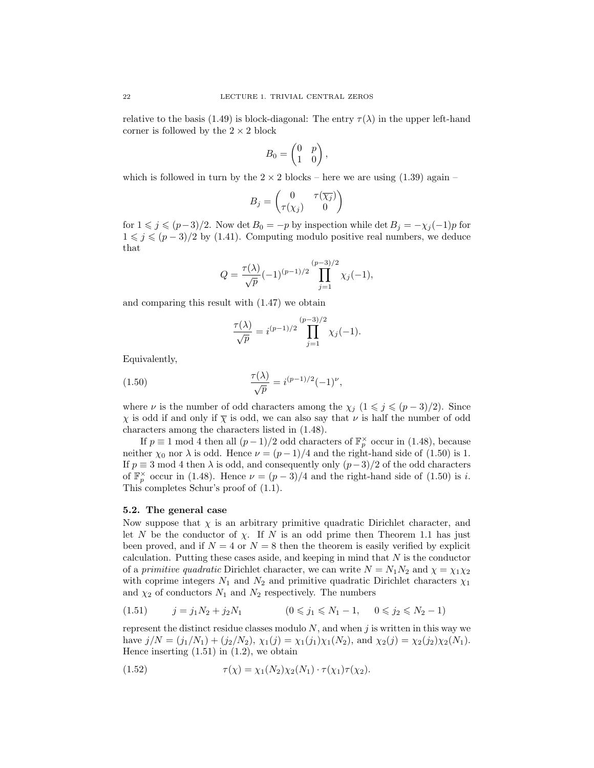relative to the basis (1.49) is block-diagonal: The entry  $\tau(\lambda)$  in the upper left-hand corner is followed by the  $2 \times 2$  block

$$
B_0 = \begin{pmatrix} 0 & p \\ 1 & 0 \end{pmatrix},
$$

which is followed in turn by the  $2 \times 2$  blocks – here we are using  $(1.39)$  again –

$$
B_j = \begin{pmatrix} 0 & \tau(\overline{\chi_j}) \\ \tau(\chi_j) & 0 \end{pmatrix}
$$

for  $1 \leq j \leq (p-3)/2$ . Now det  $B_0 = -p$  by inspection while det  $B_j = -\chi_j(-1)p$  for  $1 \leq j \leq (p-3)/2$  by (1.41). Computing modulo positive real numbers, we deduce that

$$
Q = \frac{\tau(\lambda)}{\sqrt{p}} (-1)^{(p-1)/2} \prod_{j=1}^{(p-3)/2} \chi_j(-1),
$$

and comparing this result with (1.47) we obtain

$$
\frac{\tau(\lambda)}{\sqrt{p}} = i^{(p-1)/2} \prod_{j=1}^{(p-3)/2} \chi_j(-1).
$$

Equivalently,

(1.50) 
$$
\frac{\tau(\lambda)}{\sqrt{p}} = i^{(p-1)/2}(-1)^{\nu},
$$

where  $\nu$  is the number of odd characters among the  $\chi_i$  ( $1 \leq j \leq (p-3)/2$ ). Since  $\chi$  is odd if and only if  $\overline{\chi}$  is odd, we can also say that  $\nu$  is half the number of odd characters among the characters listed in (1.48).

If  $p \equiv 1 \mod 4$  then all  $(p-1)/2$  odd characters of  $\mathbb{F}_p^{\times}$  occur in (1.48), because neither  $\chi_0$  nor  $\lambda$  is odd. Hence  $\nu = (p-1)/4$  and the right-hand side of (1.50) is 1. If  $p \equiv 3 \mod 4$  then  $\lambda$  is odd, and consequently only  $(p-3)/2$  of the odd characters of  $\mathbb{F}_p^{\times}$  occur in (1.48). Hence  $\nu = (p-3)/4$  and the right-hand side of (1.50) is i. This completes Schur's proof of (1.1).

### 5.2. The general case

Now suppose that  $\chi$  is an arbitrary primitive quadratic Dirichlet character, and let N be the conductor of  $\chi$ . If N is an odd prime then Theorem 1.1 has just been proved, and if  $N = 4$  or  $N = 8$  then the theorem is easily verified by explicit calculation. Putting these cases aside, and keeping in mind that  $N$  is the conductor of a *primitive quadratic* Dirichlet character, we can write  $N = N_1N_2$  and  $\chi = \chi_1\chi_2$ with coprime integers  $N_1$  and  $N_2$  and primitive quadratic Dirichlet characters  $\chi_1$ and  $\chi_2$  of conductors  $N_1$  and  $N_2$  respectively. The numbers

$$
(1.51) \t j = j_1 N_2 + j_2 N_1 \t (0 \leq j_1 \leq N_1 - 1, \t 0 \leq j_2 \leq N_2 - 1)
$$

represent the distinct residue classes modulo  $N$ , and when  $j$  is written in this way we have  $j/N = (j_1/N_1) + (j_2/N_2)$ ,  $\chi_1(j) = \chi_1(j_1)\chi_1(N_2)$ , and  $\chi_2(j) = \chi_2(j_2)\chi_2(N_1)$ . Hence inserting  $(1.51)$  in  $(1.2)$ , we obtain

(1.52) 
$$
\tau(\chi) = \chi_1(N_2)\chi_2(N_1) \cdot \tau(\chi_1)\tau(\chi_2).
$$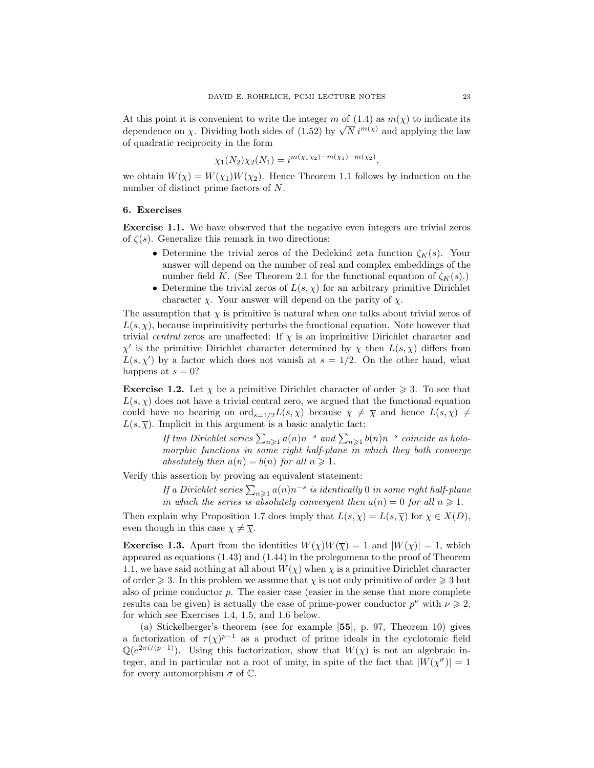At this point it is convenient to write the integer m of  $(1.4)$  as  $m(\chi)$  to indicate its At this point it is convenient to write the integer m of (1.4) as  $m(\chi)$  to indicate its dependence on  $\chi$ . Dividing both sides of (1.52) by  $\sqrt{N} i^{m(\chi)}$  and applying the law of quadratic reciprocity in the form

$$
\chi_1(N_2)\chi_2(N_1) = i^{m(\chi_1\chi_2) - m(\chi_1) - m(\chi_2)},
$$

we obtain  $W(\chi) = W(\chi_1)W(\chi_2)$ . Hence Theorem 1.1 follows by induction on the number of distinct prime factors of N.

### 6. Exercises

Exercise 1.1. We have observed that the negative even integers are trivial zeros of  $\zeta(s)$ . Generalize this remark in two directions:

- Determine the trivial zeros of the Dedekind zeta function  $\zeta_K(s)$ . Your answer will depend on the number of real and complex embeddings of the number field K. (See Theorem 2.1 for the functional equation of  $\zeta_K(s)$ .)
- Determine the trivial zeros of  $L(s, \chi)$  for an arbitrary primitive Dirichlet character  $\chi$ . Your answer will depend on the parity of  $\chi$ .

The assumption that  $\chi$  is primitive is natural when one talks about trivial zeros of  $L(s, \chi)$ , because imprimitivity perturbs the functional equation. Note however that trivial central zeros are unaffected: If  $\chi$  is an imprimitive Dirichlet character and  $\chi'$  is the primitive Dirichlet character determined by  $\chi$  then  $L(s, \chi)$  differs from  $L(s, \chi')$  by a factor which does not vanish at  $s = 1/2$ . On the other hand, what happens at  $s = 0$ ?

**Exercise 1.2.** Let  $\chi$  be a primitive Dirichlet character of order  $\geq 3$ . To see that  $L(s, \chi)$  does not have a trivial central zero, we argued that the functional equation could have no bearing on  $\text{ord}_{s=1/2}L(s,\chi)$  because  $\chi \neq \overline{\chi}$  and hence  $L(s,\chi) \neq$  $L(s,\overline{\chi})$ . Implicit in this argument is a basic analytic fact:

> If two Dirichlet series  $\sum_{n\geqslant 1}a(n)n^{-s}$  and  $\sum_{n\geqslant 1}b(n)n^{-s}$  coincide as holomorphic functions in some right half-plane in which they both converge absolutely then  $a(n) = b(n)$  for all  $n \ge 1$ .

Verify this assertion by proving an equivalent statement:

If a Dirichlet series  $\sum_{n\geqslant 1}a(n)n^{-s}$  is identically 0 in some right half-plane in which the series is absolutely convergent then  $a(n) = 0$  for all  $n \ge 1$ .

Then explain why Proposition 1.7 does imply that  $L(s, \chi) = L(s, \overline{\chi})$  for  $\chi \in X(D)$ , even though in this case  $\chi \neq \overline{\chi}$ .

**Exercise 1.3.** Apart from the identities  $W(\chi)W(\overline{\chi}) = 1$  and  $|W(\chi)| = 1$ , which appeared as equations (1.43) and (1.44) in the prolegomena to the proof of Theorem 1.1, we have said nothing at all about  $W(\chi)$  when  $\chi$  is a primitive Dirichlet character of order  $\geq 3$ . In this problem we assume that  $\chi$  is not only primitive of order  $\geq 3$  but also of prime conductor p. The easier case (easier in the sense that more complete results can be given) is actually the case of prime-power conductor  $p^{\nu}$  with  $\nu \geqslant 2$ , for which see Exercises 1.4, 1.5, and 1.6 below.

(a) Stickelberger's theorem (see for example [55], p. 97, Theorem 10) gives a factorization of  $\tau(\chi)^{p-1}$  as a product of prime ideals in the cyclotomic field  $\mathbb{Q}(e^{2\pi i/(p-1)})$ . Using this factorization, show that  $W(\chi)$  is not an algebraic integer, and in particular not a root of unity, in spite of the fact that  $|W(\chi^{\sigma})| = 1$ for every automorphism  $\sigma$  of  $\mathbb{C}$ .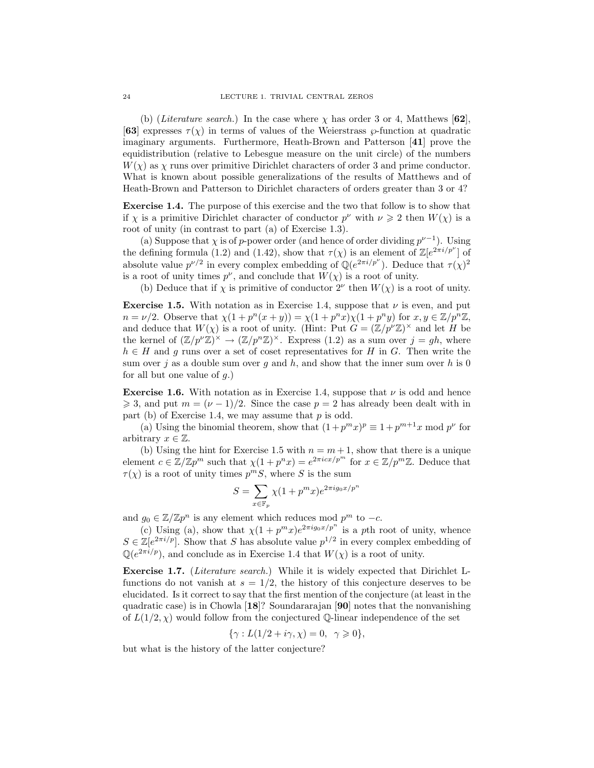(b) (Literature search.) In the case where  $\chi$  has order 3 or 4, Matthews [62], [63] expresses  $\tau(\chi)$  in terms of values of the Weierstrass  $\wp$ -function at quadratic imaginary arguments. Furthermore, Heath-Brown and Patterson [41] prove the equidistribution (relative to Lebesgue measure on the unit circle) of the numbers  $W(\chi)$  as  $\chi$  runs over primitive Dirichlet characters of order 3 and prime conductor. What is known about possible generalizations of the results of Matthews and of Heath-Brown and Patterson to Dirichlet characters of orders greater than 3 or 4?

Exercise 1.4. The purpose of this exercise and the two that follow is to show that if  $\chi$  is a primitive Dirichlet character of conductor  $p^{\nu}$  with  $\nu \geq 2$  then  $W(\chi)$  is a root of unity (in contrast to part (a) of Exercise 1.3).

(a) Suppose that  $\chi$  is of p-power order (and hence of order dividing  $p^{\nu-1}$ ). Using the defining formula (1.2) and (1.42), show that  $\tau(\chi)$  is an element of  $\mathbb{Z}[e^{2\pi i/p^{\nu}}]$  of absolute value  $p^{\nu/2}$  in every complex embedding of  $\mathbb{Q}(e^{2\pi i/p^{\nu}})$ . Deduce that  $\tau(\chi)^2$ is a root of unity times  $p^{\nu}$ , and conclude that  $W(\chi)$  is a root of unity.

(b) Deduce that if  $\chi$  is primitive of conductor  $2^{\nu}$  then  $W(\chi)$  is a root of unity.

**Exercise 1.5.** With notation as in Exercise 1.4, suppose that  $\nu$  is even, and put  $n = \nu/2$ . Observe that  $\chi(1 + p^n(x + y)) = \chi(1 + p^n x)\chi(1 + p^n y)$  for  $x, y \in \mathbb{Z}/p^n\mathbb{Z}$ , and deduce that  $W(\chi)$  is a root of unity. (Hint: Put  $G = (\mathbb{Z}/p^{\nu}\mathbb{Z})^{\times}$  and let H be the kernel of  $(\mathbb{Z}/p^{\nu}\mathbb{Z})^{\times} \to (\mathbb{Z}/p^{n}\mathbb{Z})^{\times}$ . Express (1.2) as a sum over  $j = gh$ , where  $h \in H$  and g runs over a set of coset representatives for H in G. Then write the sum over j as a double sum over g and h, and show that the inner sum over h is 0 for all but one value of  $q$ .)

**Exercise 1.6.** With notation as in Exercise 1.4, suppose that  $\nu$  is odd and hence  $\geq 3$ , and put  $m = (\nu - 1)/2$ . Since the case  $p = 2$  has already been dealt with in part (b) of Exercise 1.4, we may assume that  $p$  is odd.

(a) Using the binomial theorem, show that  $(1+p^m x)^p \equiv 1+p^{m+1}x \mod p^{\nu}$  for arbitrary  $x \in \mathbb{Z}$ .

(b) Using the hint for Exercise 1.5 with  $n = m + 1$ , show that there is a unique element  $c \in \mathbb{Z}/\mathbb{Z}p^m$  such that  $\chi(1+p^nx) = e^{2\pi i cx/p^m}$  for  $x \in \mathbb{Z}/p^m\mathbb{Z}$ . Deduce that  $\tau(\chi)$  is a root of unity times  $p^mS$ , where S is the sum

$$
S = \sum_{x \in \mathbb{F}_p} \chi(1 + p^m x) e^{2\pi i g_0 x/p^n}
$$

and  $g_0 \in \mathbb{Z}/\mathbb{Z}p^n$  is any element which reduces mod  $p^m$  to  $-c$ .

(c) Using (a), show that  $\chi(1 + p^m x)e^{2\pi i g_0 x/p^n}$  is a pth root of unity, whence  $S \in \mathbb{Z}[e^{2\pi i/p}]$ . Show that S has absolute value  $p^{1/2}$  in every complex embedding of  $\mathbb{Q}(e^{2\pi i/p})$ , and conclude as in Exercise 1.4 that  $W(\chi)$  is a root of unity.

Exercise 1.7. (Literature search.) While it is widely expected that Dirichlet Lfunctions do not vanish at  $s = 1/2$ , the history of this conjecture deserves to be elucidated. Is it correct to say that the first mention of the conjecture (at least in the quadratic case) is in Chowla [18]? Soundararajan [90] notes that the nonvanishing of  $L(1/2, \chi)$  would follow from the conjectured Q-linear independence of the set

$$
\{\gamma : L(1/2 + i\gamma, \chi) = 0, \ \gamma \geqslant 0\},\
$$

but what is the history of the latter conjecture?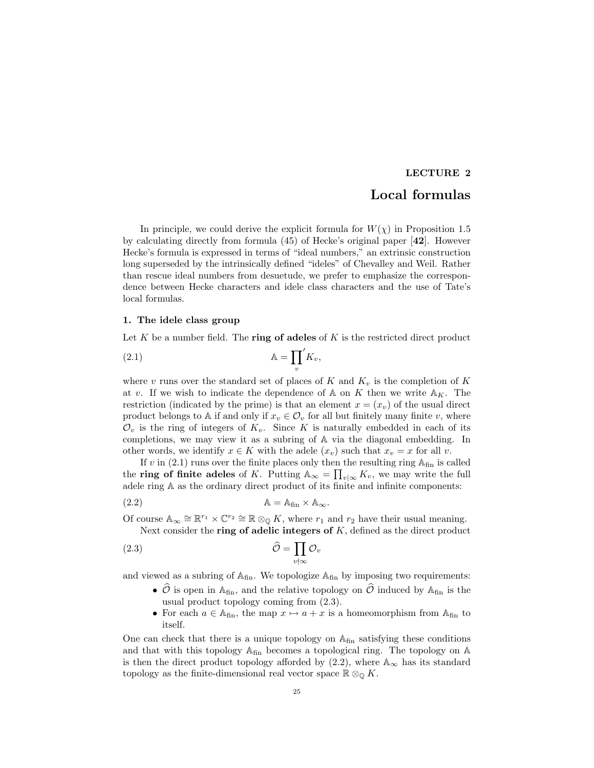# LECTURE 2

# Local formulas

In principle, we could derive the explicit formula for  $W(\chi)$  in Proposition 1.5 by calculating directly from formula  $(45)$  of Hecke's original paper  $[42]$ . However Hecke's formula is expressed in terms of "ideal numbers," an extrinsic construction long superseded by the intrinsically defined "ideles" of Chevalley and Weil. Rather than rescue ideal numbers from desuetude, we prefer to emphasize the correspondence between Hecke characters and idele class characters and the use of Tate's local formulas.

# 1. The idele class group

Let  $K$  be a number field. The ring of adeles of  $K$  is the restricted direct product

$$
\mathbb{A} = \prod_{v}^{\prime} K_v,
$$

where v runs over the standard set of places of K and  $K_v$  is the completion of K at v. If we wish to indicate the dependence of  $A$  on K then we write  $A_K$ . The restriction (indicated by the prime) is that an element  $x = (x_v)$  of the usual direct product belongs to A if and only if  $x_v \in \mathcal{O}_v$  for all but finitely many finite v, where  $\mathcal{O}_v$  is the ring of integers of  $K_v$ . Since K is naturally embedded in each of its completions, we may view it as a subring of A via the diagonal embedding. In other words, we identify  $x \in K$  with the adele  $(x_v)$  such that  $x_v = x$  for all v.

If v in  $(2.1)$  runs over the finite places only then the resulting ring  $A_{fin}$  is called the **ring of finite adeles** of K. Putting  $\mathbb{A}_{\infty} = \prod_{v | \infty} K_v$ , we may write the full adele ring A as the ordinary direct product of its finite and infinite components:

(2.2) A = Afin × A∞.

Of course  $\mathbb{A}_{\infty} \cong \mathbb{R}^{r_1} \times \mathbb{C}^{r_2} \cong \mathbb{R} \otimes_{\mathbb{Q}} K$ , where  $r_1$  and  $r_2$  have their usual meaning. Next consider the ring of adelic integers of  $K$ , defined as the direct product

(2.3) 
$$
\widehat{\mathcal{O}} = \prod_{v \nmid \infty} \mathcal{O}_v
$$

and viewed as a subring of  $A_{fin}$ . We topologize  $A_{fin}$  by imposing two requirements:

- $\hat{\mathcal{O}}$  is open in A<sub>fin</sub>, and the relative topology on  $\hat{\mathcal{O}}$  induced by A<sub>fin</sub> is the usual product topology coming from (2.3).
- For each  $a \in A_{fin}$ , the map  $x \mapsto a + x$  is a homeomorphism from  $A_{fin}$  to itself.

One can check that there is a unique topology on  $\mathbb{A}_{fin}$  satisfying these conditions and that with this topology  $A_{fin}$  becomes a topological ring. The topology on  $A$ is then the direct product topology afforded by  $(2.2)$ , where  $\mathbb{A}_{\infty}$  has its standard topology as the finite-dimensional real vector space  $\mathbb{R} \otimes_{\mathbb{Q}} K$ .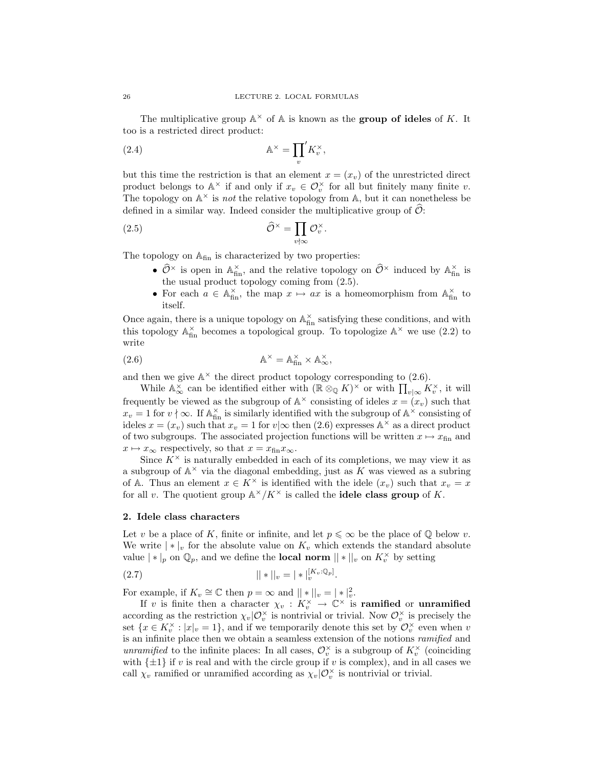The multiplicative group  $\mathbb{A}^{\times}$  of  $\mathbb{A}$  is known as the **group of ideles** of K. It too is a restricted direct product:

(2.4) 
$$
\mathbb{A}^{\times} = \prod_{v} K_{v}^{\times},
$$

but this time the restriction is that an element  $x = (x_v)$  of the unrestricted direct product belongs to  $\mathbb{A}^{\times}$  if and only if  $x_v \in \mathcal{O}_v^{\times}$  for all but finitely many finite v. The topology on  $\mathbb{A}^{\times}$  is *not* the relative topology from  $\mathbb{A}$ , but it can nonetheless be defined in a similar way. Indeed consider the multiplicative group of  $\mathcal{O}$ :

(2.5) 
$$
\widehat{\mathcal{O}}^{\times} = \prod_{v \nmid \infty} \mathcal{O}_v^{\times}.
$$

The topology on  $\mathbb{A}_{fin}$  is characterized by two properties:

- $\hat{\mathcal{O}}^{\times}$  is open in  $\mathbb{A}_{\text{fin}}^{\times}$ , and the relative topology on  $\hat{\mathcal{O}}^{\times}$  induced by  $\mathbb{A}_{\text{fin}}^{\times}$  is the usual product topology coming from (2.5).
- For each  $a \in \mathbb{A}_{\text{fin}}^{\times}$ , the map  $x \mapsto ax$  is a homeomorphism from  $\mathbb{A}_{\text{fin}}^{\times}$  to itself.

Once again, there is a unique topology on  $\mathbb{A}_{\text{fin}}^\times$  satisfying these conditions, and with this topology  $\mathbb{A}_{\text{fin}}^{\times}$  becomes a topological group. To topologize  $\mathbb{A}^{\times}$  we use (2.2) to write

(2.6) 
$$
\mathbb{A}^{\times} = \mathbb{A}_{\text{fin}}^{\times} \times \mathbb{A}_{\infty}^{\times},
$$

and then we give  $\mathbb{A}^{\times}$  the direct product topology corresponding to (2.6).

While  $\mathbb{A}_{\infty}^{\times}$  can be identified either with  $(\mathbb{R} \otimes_{\mathbb{Q}} K)^{\times}$  or with  $\prod_{v|\infty} K_v^{\times}$ , it will frequently be viewed as the subgroup of  $\mathbb{A}^{\times}$  consisting of ideles  $x = (x_v)$  such that  $x_v = 1$  for  $v \nmid \infty$ . If  $\mathbb{A}_{\text{fin}}^{\times}$  is similarly identified with the subgroup of  $\mathbb{A}^{\times}$  consisting of ideles  $x = (x_v)$  such that  $x_v = 1$  for  $v | \infty$  then (2.6) expresses  $\mathbb{A}^{\times}$  as a direct product of two subgroups. The associated projection functions will be written  $x \mapsto x_{fin}$  and  $x \mapsto x_{\infty}$  respectively, so that  $x = x_{\text{fin}}x_{\infty}$ .

Since  $K^{\times}$  is naturally embedded in each of its completions, we may view it as a subgroup of  $A^{\times}$  via the diagonal embedding, just as K was viewed as a subring of A. Thus an element  $x \in K^{\times}$  is identified with the idele  $(x_v)$  such that  $x_v = x$ for all v. The quotient group  $\mathbb{A}^{\times}/K^{\times}$  is called the **idele class group** of K.

### 2. Idele class characters

Let v be a place of K, finite or infinite, and let  $p \leq \infty$  be the place of Q below v. We write  $|\cdot|_v$  for the absolute value on  $K_v$  which extends the standard absolute value  $| * |_p$  on  $\mathbb{Q}_p$ , and we define the **local norm**  $|| * ||_v$  on  $K_v^{\times}$  by setting

(2.7) 
$$
||*||_v = |*|_v^{[K_v:\mathbb{Q}_p]}.
$$

For example, if  $K_v \cong \mathbb{C}$  then  $p = \infty$  and  $||*||_v = |*|_v^2$ .

If v is finite then a character  $\chi_v : K_v^{\times} \to \mathbb{C}^{\times}$  is **ramified** or **unramified** according as the restriction  $\chi_v|\mathcal{O}_v^{\times}$  is nontrivial or trivial. Now  $\mathcal{O}_v^{\times}$  is precisely the set  $\{x \in K_v^{\times} : |x|_v = 1\}$ , and if we temporarily denote this set by  $\mathcal{O}_v^{\times}$  even when v is an infinite place then we obtain a seamless extension of the notions ramified and unramified to the infinite places: In all cases,  $\mathcal{O}_v^{\times}$  is a subgroup of  $K_v^{\times}$  (coinciding with  $\{\pm 1\}$  if v is real and with the circle group if v is complex), and in all cases we call  $\chi_v$  ramified or unramified according as  $\chi_v|\mathcal{O}_v^{\times}$  is nontrivial or trivial.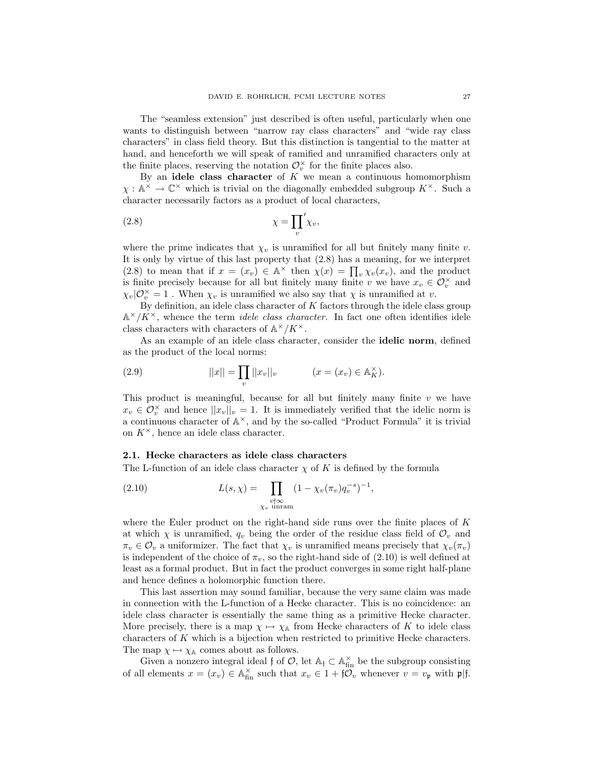The "seamless extension" just described is often useful, particularly when one wants to distinguish between "narrow ray class characters" and "wide ray class characters" in class field theory. But this distinction is tangential to the matter at hand, and henceforth we will speak of ramified and unramified characters only at the finite places, reserving the notation  $\mathcal{O}_v^{\times}$  for the finite places also.

By an idele class character of  $K$  we mean a continuous homomorphism  $\chi : \mathbb{A}^{\times} \to \mathbb{C}^{\times}$  which is trivial on the diagonally embedded subgroup  $K^{\times}$ . Such a character necessarily factors as a product of local characters,

$$
\chi = \prod_{v} \chi_{v},
$$

where the prime indicates that  $\chi_v$  is unramified for all but finitely many finite v. It is only by virtue of this last property that (2.8) has a meaning, for we interpret (2.8) to mean that if  $x = (x_v) \in \mathbb{A}^{\times}$  then  $\chi(x) = \prod_v \chi_v(x_v)$ , and the product is finite precisely because for all but finitely many finite v we have  $x_v \in \mathcal{O}_v^{\times}$  and  $\chi_v|\mathcal{O}_v^{\times} = 1$ . When  $\chi_v$  is unramified we also say that  $\chi$  is unramified at v.

By definition, an idele class character of  $K$  factors through the idele class group  $\mathbb{A}^{\times}/K^{\times}$ , whence the term *idele class character*. In fact one often identifies idele class characters with characters of  $\mathbb{A}^{\times}/K^{\times}$ .

As an example of an idele class character, consider the **idelic norm**, defined as the product of the local norms:

(2.9) 
$$
||x|| = \prod_{v} ||x_v||_v \qquad (x = (x_v) \in \mathbb{A}_K^{\times}).
$$

This product is meaningful, because for all but finitely many finite  $v$  we have  $x_v \in \mathcal{O}_v^{\times}$  and hence  $||x_v||_v = 1$ . It is immediately verified that the idelic norm is a continuous character of  $\mathbb{A}^{\times}$ , and by the so-called "Product Formula" it is trivial on  $K^{\times}$ , hence an idele class character.

#### 2.1. Hecke characters as idele class characters

The L-function of an idele class character  $\chi$  of K is defined by the formula

(2.10) 
$$
L(s,\chi) = \prod_{\substack{v \nmid \infty \\ \chi_v \text{ unram}}} (1 - \chi_v(\pi_v) q_v^{-s})^{-1},
$$

where the Euler product on the right-hand side runs over the finite places of  $K$ at which  $\chi$  is unramified,  $q_v$  being the order of the residue class field of  $\mathcal{O}_v$  and  $\pi_v \in \mathcal{O}_v$  a uniformizer. The fact that  $\chi_v$  is unramified means precisely that  $\chi_v(\pi_v)$ is independent of the choice of  $\pi_v$ , so the right-hand side of (2.10) is well defined at least as a formal product. But in fact the product converges in some right half-plane and hence defines a holomorphic function there.

This last assertion may sound familiar, because the very same claim was made in connection with the L-function of a Hecke character. This is no coincidence: an idele class character is essentially the same thing as a primitive Hecke character. More precisely, there is a map  $\chi \mapsto \chi_{\mathbb{A}}$  from Hecke characters of K to idele class characters of  $K$  which is a bijection when restricted to primitive Hecke characters. The map  $\chi \mapsto \chi_{\mathbb{A}}$  comes about as follows.

Given a nonzero integral ideal f of  $\mathcal{O}$ , let  $\mathbb{A}_f \subset \mathbb{A}_{fin}^{\times}$  be the subgroup consisting of all elements  $x = (x_v) \in \mathbb{A}_{fin}^{\times}$  such that  $x_v \in 1 + \mathfrak{f} \mathcal{O}_v$  whenever  $v = v_{\mathfrak{p}}$  with  $\mathfrak{p} | \mathfrak{f}$ .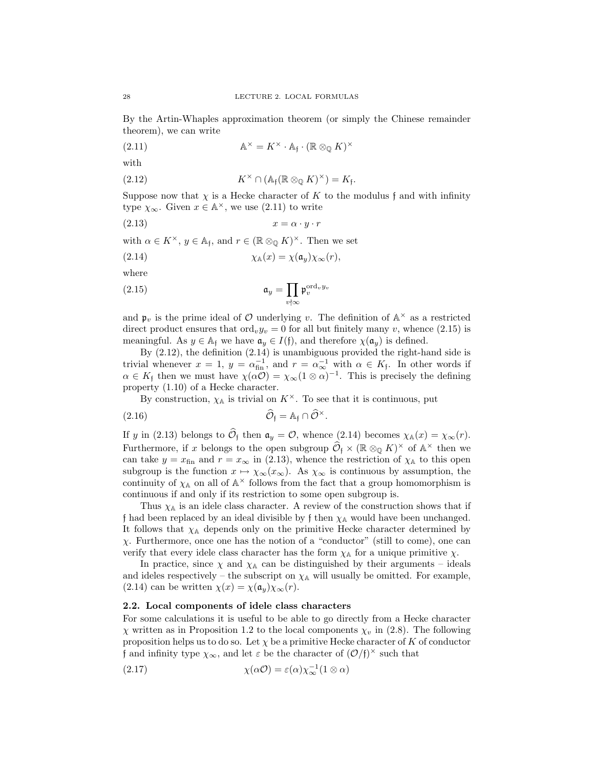By the Artin-Whaples approximation theorem (or simply the Chinese remainder theorem), we can write

(2.11) 
$$
\mathbb{A}^{\times} = K^{\times} \cdot \mathbb{A}_{\mathfrak{f}} \cdot (\mathbb{R} \otimes_{\mathbb{Q}} K)^{\times}
$$

with

(2.12) 
$$
K^{\times} \cap (\mathbb{A}_{\mathfrak{f}}(\mathbb{R} \otimes_{\mathbb{Q}} K)^{\times}) = K_{\mathfrak{f}}.
$$

Suppose now that  $\chi$  is a Hecke character of K to the modulus f and with infinity type  $\chi_{\infty}$ . Given  $x \in \mathbb{A}^{\times}$ , we use (2.11) to write

$$
(2.13) \t\t x = \alpha \cdot y \cdot r
$$

with  $\alpha \in K^{\times}$ ,  $y \in A_{\mathfrak{f}}$ , and  $r \in (\mathbb{R} \otimes_{\mathbb{Q}} K)^{\times}$ . Then we set

(2.14) 
$$
\chi_{\mathbb{A}}(x) = \chi(\mathfrak{a}_y)\chi_{\infty}(r),
$$

where

(2.15) 
$$
\mathfrak{a}_y = \prod_{v \nmid \infty} \mathfrak{p}_v^{\text{ord}_v y_v}
$$

and  $\mathfrak{p}_v$  is the prime ideal of  $\mathcal O$  underlying v. The definition of  $\mathbb A^\times$  as a restricted direct product ensures that  $\text{ord}_v y_v = 0$  for all but finitely many v, whence (2.15) is meaningful. As  $y \in A_f$  we have  $\mathfrak{a}_y \in I(f)$ , and therefore  $\chi(\mathfrak{a}_y)$  is defined.

By (2.12), the definition (2.14) is unambiguous provided the right-hand side is trivial whenever  $x = 1$ ,  $y = \alpha_{fin}^{-1}$ , and  $r = \alpha_{\infty}^{-1}$  with  $\alpha \in K_f$ . In other words if  $\alpha \in K_f$  then we must have  $\chi(\alpha O) = \chi_{\infty} (1 \otimes \alpha)^{-1}$ . This is precisely the defining property (1.10) of a Hecke character.

By construction,  $\chi_{\mathbb{A}}$  is trivial on  $K^{\times}$ . To see that it is continuous, put

(2.16) 
$$
\widehat{\mathcal{O}}_{\mathfrak{f}} = \mathbb{A}_{\mathfrak{f}} \cap \widehat{\mathcal{O}}^{\times}.
$$

If y in (2.13) belongs to  $\widehat{\mathcal{O}}_f$  then  $\mathfrak{a}_y = \mathcal{O}$ , whence (2.14) becomes  $\chi_{\mathbb{A}}(x) = \chi_{\infty}(r)$ . Furthermore, if x belongs to the open subgroup  $\widehat{\mathcal{O}}_f \times (\mathbb{R} \otimes_{\mathbb{Q}} K)^\times$  of  $\mathbb{A}^\times$  then we can take  $y = x_{fin}$  and  $r = x_{\infty}$  in (2.13), whence the restriction of  $\chi_{\mathbb{A}}$  to this open subgroup is the function  $x \mapsto \chi_{\infty}(x_{\infty})$ . As  $\chi_{\infty}$  is continuous by assumption, the continuity of  $\chi_{\mathbb{A}}$  on all of  $\mathbb{A}^{\times}$  follows from the fact that a group homomorphism is continuous if and only if its restriction to some open subgroup is.

Thus  $\chi_{\mathbb{A}}$  is an idele class character. A review of the construction shows that if f had been replaced by an ideal divisible by f then  $\chi_A$  would have been unchanged. It follows that  $\chi_{\mathbb{A}}$  depends only on the primitive Hecke character determined by  $\chi$ . Furthermore, once one has the notion of a "conductor" (still to come), one can verify that every idele class character has the form  $\chi_A$  for a unique primitive  $\chi$ .

In practice, since  $\chi$  and  $\chi$ <sup> $\chi$ </sup> can be distinguished by their arguments – ideals and ideles respectively – the subscript on  $\chi_{\mathbb{A}}$  will usually be omitted. For example, (2.14) can be written  $\chi(x) = \chi(\mathfrak{a}_y) \chi_\infty(r)$ .

#### 2.2. Local components of idele class characters

For some calculations it is useful to be able to go directly from a Hecke character  $χ$  written as in Proposition 1.2 to the local components  $χ<sub>v</sub>$  in (2.8). The following proposition helps us to do so. Let  $\chi$  be a primitive Hecke character of K of conductor f and infinity type  $\chi_{\infty}$ , and let  $\varepsilon$  be the character of  $(\mathcal{O}/f)^{\times}$  such that

(2.17) 
$$
\chi(\alpha \mathcal{O}) = \varepsilon(\alpha) \chi_{\infty}^{-1} (1 \otimes \alpha)
$$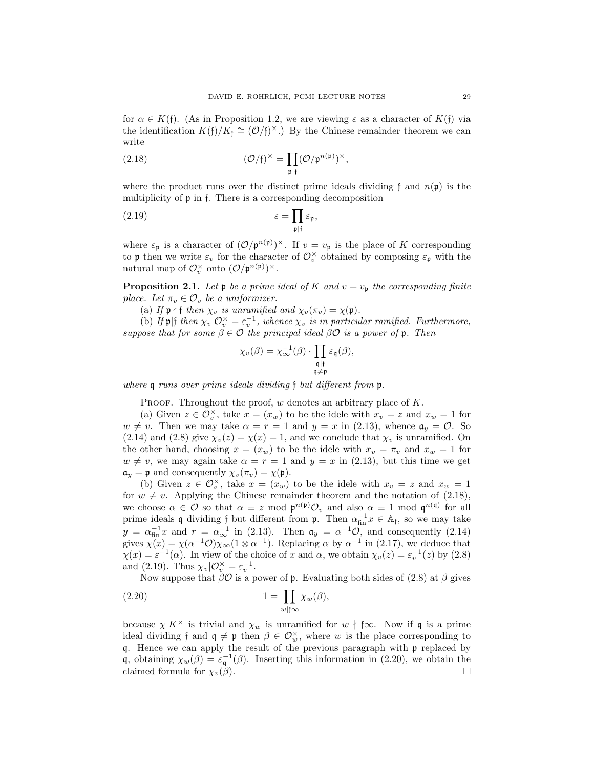for  $\alpha \in K(\mathfrak{f})$ . (As in Proposition 1.2, we are viewing  $\varepsilon$  as a character of  $K(\mathfrak{f})$  via the identification  $K(f)/K_f \cong (\mathcal{O}/f)^{\times}$ .) By the Chinese remainder theorem we can write

(2.18) 
$$
(\mathcal{O}/f)^{\times} = \prod_{\mathfrak{p} | f} (\mathcal{O}/\mathfrak{p}^{n(\mathfrak{p})})^{\times},
$$

where the product runs over the distinct prime ideals dividing f and  $n(\mathfrak{p})$  is the multiplicity of p in f. There is a corresponding decomposition

(2.19) 
$$
\varepsilon = \prod_{\mathfrak{p}|\mathfrak{f}} \varepsilon_{\mathfrak{p}},
$$

where  $\varepsilon_{\mathfrak{p}}$  is a character of  $(\mathcal{O}/\mathfrak{p}^{n(\mathfrak{p})})^{\times}$ . If  $v = v_{\mathfrak{p}}$  is the place of K corresponding to p then we write  $\varepsilon_v$  for the character of  $\mathcal{O}_v^{\times}$  obtained by composing  $\varepsilon_p$  with the natural map of  $\mathcal{O}_v^{\times}$  onto  $(\mathcal{O}/\mathfrak{p}^{n(\mathfrak{p})})^{\times}$ .

**Proposition 2.1.** Let  $\mathfrak{p}$  be a prime ideal of K and  $v = v_{\mathfrak{p}}$  the corresponding finite place. Let  $\pi_v \in \mathcal{O}_v$  be a uniformizer.

(a) If  $\mathfrak{p} \nmid \mathfrak{f}$  then  $\chi_v$  is unramified and  $\chi_v(\pi_v) = \chi(\mathfrak{p})$ .

(b) If  $\mathfrak{p}$ |f then  $\chi_v | \mathcal{O}_v^{\times} = \varepsilon_v^{-1}$ , whence  $\chi_v$  is in particular ramified. Furthermore, suppose that for some  $\beta \in \mathcal{O}$  the principal ideal  $\beta \mathcal{O}$  is a power of p. Then

$$
\chi_v(\beta) = \chi_{\infty}^{-1}(\beta) \cdot \prod_{\substack{\mathfrak{q} \mid \mathfrak{f} \\ \mathfrak{q} \neq \mathfrak{p}}} \varepsilon_{\mathfrak{q}}(\beta),
$$

where **q** runs over prime ideals dividing f but different from **p**.

PROOF. Throughout the proof,  $w$  denotes an arbitrary place of  $K$ .

(a) Given  $z \in \mathcal{O}_v^{\times}$ , take  $x = (x_w)$  to be the idele with  $x_v = z$  and  $x_w = 1$  for  $w \neq v$ . Then we may take  $\alpha = r = 1$  and  $y = x$  in (2.13), whence  $\mathfrak{a}_y = \mathcal{O}$ . So (2.14) and (2.8) give  $\chi_v(z) = \chi(x) = 1$ , and we conclude that  $\chi_v$  is unramified. On the other hand, choosing  $x = (x_w)$  to be the idele with  $x_v = \pi_v$  and  $x_w = 1$  for  $w \neq v$ , we may again take  $\alpha = r = 1$  and  $y = x$  in (2.13), but this time we get  $\mathfrak{a}_y = \mathfrak{p}$  and consequently  $\chi_v(\pi_v) = \chi(\mathfrak{p}).$ 

(b) Given  $z \in \mathcal{O}_v^\times$ , take  $x = (x_w)$  to be the idele with  $x_v = z$  and  $x_w = 1$ for  $w \neq v$ . Applying the Chinese remainder theorem and the notation of (2.18), we choose  $\alpha \in \mathcal{O}$  so that  $\alpha \equiv z \mod \mathfrak{p}^{n(\mathfrak{p})} \mathcal{O}_v$  and also  $\alpha \equiv 1 \mod \mathfrak{q}^{n(\mathfrak{q})}$  for all prime ideals q dividing f but different from  $\mathfrak{p}$ . Then  $\alpha_{\text{fin}}^{-1}x \in \mathbb{A}_{\mathfrak{f}}$ , so we may take  $y = \alpha_{\text{fin}}^{-1}x$  and  $r = \alpha_{\infty}^{-1}$  in (2.13). Then  $\mathfrak{a}_y = \alpha^{-1}\mathcal{O}$ , and consequently (2.14) gives  $\chi(x) = \chi(\alpha^{-1}\mathcal{O})\chi_{\infty}^{\infty}(1\otimes \alpha^{-1})$ . Replacing  $\alpha$  by  $\alpha^{-1}$  in (2.17), we deduce that  $\chi(x) = \varepsilon^{-1}(\alpha)$ . In view of the choice of x and  $\alpha$ , we obtain  $\chi_v(z) = \varepsilon_v^{-1}(z)$  by (2.8) and (2.19). Thus  $\chi_v|\mathcal{O}_v^{\times} = \varepsilon_v^{-1}$ .

Now suppose that  $\beta O$  is a power of **p**. Evaluating both sides of (2.8) at  $\beta$  gives

(2.20) 
$$
1 = \prod_{w \mid f \infty} \chi_w(\beta),
$$

because  $\chi|K^{\times}$  is trivial and  $\chi_w$  is unramified for  $w \nmid \mathfrak{f}\infty$ . Now if q is a prime ideal dividing f and  $\mathfrak{q} \neq \mathfrak{p}$  then  $\beta \in \mathcal{O}_w^{\times}$ , where w is the place corresponding to q. Hence we can apply the result of the previous paragraph with p replaced by q, obtaining  $\chi_w(\beta) = \varepsilon_q^{-1}(\beta)$ . Inserting this information in (2.20), we obtain the claimed formula for  $\chi_v(\beta)$ .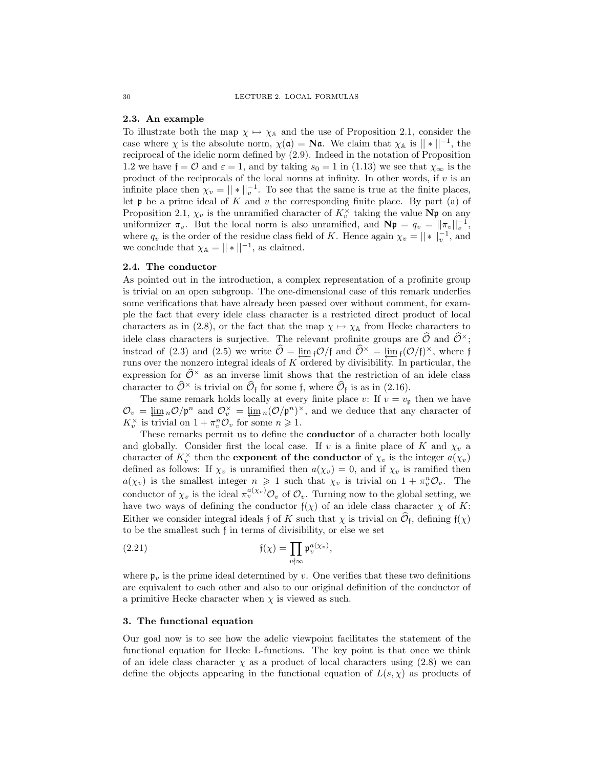#### 2.3. An example

To illustrate both the map  $\chi \mapsto \chi_A$  and the use of Proposition 2.1, consider the case where  $\chi$  is the absolute norm,  $\chi(\mathfrak{a}) = \mathbf{N}\mathfrak{a}$ . We claim that  $\chi_{\mathbb{A}}$  is  $||*||^{-1}$ , the reciprocal of the idelic norm defined by (2.9). Indeed in the notation of Proposition 1.2 we have  $f = \mathcal{O}$  and  $\varepsilon = 1$ , and by taking  $s_0 = 1$  in (1.13) we see that  $\chi_{\infty}$  is the product of the reciprocals of the local norms at infinity. In other words, if  $v$  is an infinite place then  $\chi_v = ||*||_v^{-1}$ . To see that the same is true at the finite places, let  $\mathfrak p$  be a prime ideal of K and v the corresponding finite place. By part (a) of Proposition 2.1,  $\chi_v$  is the unramified character of  $K_v^{\times}$  taking the value Np on any uniformizer  $\pi_v$ . But the local norm is also unramified, and  $N\mathfrak{p} = q_v = ||\pi_v||_v^{-1}$ , where  $q_v$  is the order of the residue class field of K. Hence again  $\chi_v = ||*||_v^{-1}$ , and we conclude that  $\chi_{\mathbb{A}} = ||*||^{-1}$ , as claimed.

### 2.4. The conductor

As pointed out in the introduction, a complex representation of a profinite group is trivial on an open subgroup. The one-dimensional case of this remark underlies some verifications that have already been passed over without comment, for example the fact that every idele class character is a restricted direct product of local characters as in (2.8), or the fact that the map  $\chi \mapsto \chi_{\mathbb{A}}$  from Hecke characters to idele class characters is surjective. The relevant profinite groups are  $\hat{\mathcal{O}}$  and  $\hat{\mathcal{O}}^{\times}$ ; instead of (2.3) and (2.5) we write  $\hat{\mathcal{O}} = \varprojlim_{f} \mathcal{O}/f$  and  $\hat{\mathcal{O}}^{\times} = \varprojlim_{f} (\mathcal{O}/f)^{\times}$ , where f runs over the nonzero integral ideals of  $K$  ordered by divisibility. In particular, the expression for  $\widehat{\mathcal{O}}^{\times}$  as an inverse limit shows that the restriction of an idele class character to  $\hat{\mathcal{O}}^{\times}$  is trivial on  $\hat{\mathcal{O}}_{f}$  for some f, where  $\hat{\mathcal{O}}_{f}$  is as in (2.16).

The same remark holds locally at every finite place v: If  $v = v_p$  then we have  $\mathcal{O}_v = \varprojlim{}_n \mathcal{O}/\mathfrak{p}^n$  and  $\mathcal{O}_v^{\times} = \varprojlim{}_n (\mathcal{O}/\mathfrak{p}^n)^{\times}$ , and we deduce that any character of  $K_v^{\times}$  is trivial on  $1 + \pi_v^n \mathcal{O}_v$  for some  $n \geq 1$ .

These remarks permit us to define the **conductor** of a character both locally and globally. Consider first the local case. If v is a finite place of K and  $\chi_v$  a character of  $K_v^{\times}$  then the **exponent of the conductor** of  $\chi_v$  is the integer  $a(\chi_v)$ defined as follows: If  $\chi_v$  is unramified then  $a(\chi_v) = 0$ , and if  $\chi_v$  is ramified then  $a(\chi_v)$  is the smallest integer  $n \geq 1$  such that  $\chi_v$  is trivial on  $1 + \pi_v^n \mathcal{O}_v$ . The conductor of  $\chi_v$  is the ideal  $\pi_v^{a(\chi_v)} \mathcal{O}_v$  of  $\mathcal{O}_v$ . Turning now to the global setting, we have two ways of defining the conductor  $f(\chi)$  of an idele class character  $\chi$  of K: Either we consider integral ideals f of K such that  $\chi$  is trivial on  $\widehat{\mathcal{O}}_f$ , defining  $f(\chi)$ to be the smallest such f in terms of divisibility, or else we set

(2.21) 
$$
\mathfrak{f}(\chi) = \prod_{v \nmid \infty} \mathfrak{p}_v^{a(\chi_v)},
$$

where  $\mathfrak{p}_v$  is the prime ideal determined by v. One verifies that these two definitions are equivalent to each other and also to our original definition of the conductor of a primitive Hecke character when  $\chi$  is viewed as such.

#### 3. The functional equation

Our goal now is to see how the adelic viewpoint facilitates the statement of the functional equation for Hecke L-functions. The key point is that once we think of an idele class character  $\chi$  as a product of local characters using (2.8) we can define the objects appearing in the functional equation of  $L(s, \chi)$  as products of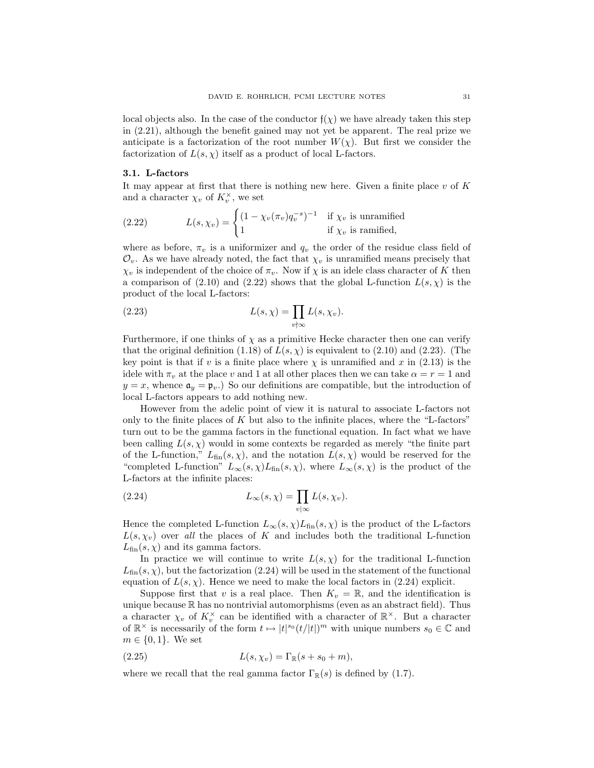local objects also. In the case of the conductor  $f(\chi)$  we have already taken this step in (2.21), although the benefit gained may not yet be apparent. The real prize we anticipate is a factorization of the root number  $W(\chi)$ . But first we consider the factorization of  $L(s, \chi)$  itself as a product of local L-factors.

#### 3.1. L-factors

It may appear at first that there is nothing new here. Given a finite place  $v$  of  $K$ and a character  $\chi_v$  of  $K_v^{\times}$ , we set

(2.22) 
$$
L(s, \chi_v) = \begin{cases} (1 - \chi_v(\pi_v)q_v^{-s})^{-1} & \text{if } \chi_v \text{ is unramified} \\ 1 & \text{if } \chi_v \text{ is ramified,} \end{cases}
$$

where as before,  $\pi_v$  is a uniformizer and  $q_v$  the order of the residue class field of  $\mathcal{O}_v$ . As we have already noted, the fact that  $\chi_v$  is unramified means precisely that  $\chi_v$  is independent of the choice of  $\pi_v$ . Now if  $\chi$  is an idele class character of K then a comparison of (2.10) and (2.22) shows that the global L-function  $L(s, \chi)$  is the product of the local L-factors:

(2.23) 
$$
L(s,\chi) = \prod_{v \nmid \infty} L(s,\chi_v).
$$

Furthermore, if one thinks of  $\chi$  as a primitive Hecke character then one can verify that the original definition (1.18) of  $L(s, \chi)$  is equivalent to (2.10) and (2.23). (The key point is that if v is a finite place where  $\chi$  is unramified and x in (2.13) is the idele with  $\pi_v$  at the place v and 1 at all other places then we can take  $\alpha = r = 1$  and  $y = x$ , whence  $\mathfrak{a}_y = \mathfrak{p}_y$ . So our definitions are compatible, but the introduction of local L-factors appears to add nothing new.

However from the adelic point of view it is natural to associate L-factors not only to the finite places of  $K$  but also to the infinite places, where the "L-factors" turn out to be the gamma factors in the functional equation. In fact what we have been calling  $L(s, \chi)$  would in some contexts be regarded as merely "the finite part of the L-function,"  $L_{fin}(s, \chi)$ , and the notation  $L(s, \chi)$  would be reserved for the "completed L-function"  $L_{\infty}(s, \chi) L_{fin}(s, \chi)$ , where  $L_{\infty}(s, \chi)$  is the product of the L-factors at the infinite places:

(2.24) 
$$
L_{\infty}(s,\chi) = \prod_{v \mid \infty} L(s,\chi_v).
$$

Hence the completed L-function  $L_{\infty}(s, \chi)L_{fin}(s, \chi)$  is the product of the L-factors  $L(s, \chi_v)$  over all the places of K and includes both the traditional L-function  $L_{fin}(s, \chi)$  and its gamma factors.

In practice we will continue to write  $L(s, \chi)$  for the traditional L-function  $L_{fin}(s, \chi)$ , but the factorization (2.24) will be used in the statement of the functional equation of  $L(s, \chi)$ . Hence we need to make the local factors in (2.24) explicit.

Suppose first that v is a real place. Then  $K_v = \mathbb{R}$ , and the identification is unique because  $\mathbb R$  has no nontrivial automorphisms (even as an abstract field). Thus a character  $\chi_v$  of  $K_v^{\times}$  can be identified with a character of  $\mathbb{R}^{\times}$ . But a character of  $\mathbb{R}^\times$  is necessarily of the form  $t \mapsto |t|^{s_0} (t/|t|)^m$  with unique numbers  $s_0 \in \mathbb{C}$  and  $m \in \{0, 1\}$ . We set

$$
L(s, \chi_v) = \Gamma_{\mathbb{R}}(s + s_0 + m),
$$

where we recall that the real gamma factor  $\Gamma_{\mathbb{R}}(s)$  is defined by (1.7).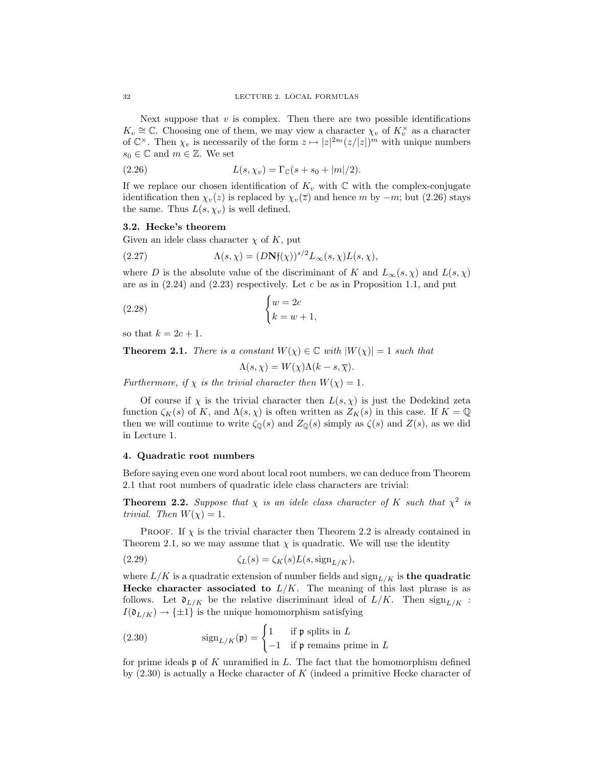Next suppose that  $v$  is complex. Then there are two possible identifications  $K_v \cong \mathbb{C}$ . Choosing one of them, we may view a character  $\chi_v$  of  $K_v^{\times}$  as a character of  $\mathbb{C}^{\times}$ . Then  $\chi_v$  is necessarily of the form  $z \mapsto |z|^{2s_0} (z/|z|)^m$  with unique numbers  $s_0 \in \mathbb{C}$  and  $m \in \mathbb{Z}$ . We set

(2.26) 
$$
L(s, \chi_v) = \Gamma_{\mathbb{C}}(s + s_0 + |m|/2).
$$

If we replace our chosen identification of  $K_v$  with  $\mathbb C$  with the complex-conjugate identification then  $\chi_v(z)$  is replaced by  $\chi_v(\overline{z})$  and hence m by  $-m$ ; but (2.26) stays the same. Thus  $L(s, \chi_v)$  is well defined.

#### 3.2. Hecke's theorem

Given an idele class character  $\chi$  of K, put

(2.27) 
$$
\Lambda(s,\chi) = (D\mathbf{N}\mathfrak{f}(\chi))^{s/2} L_{\infty}(s,\chi)L(s,\chi),
$$

where D is the absolute value of the discriminant of K and  $L_{\infty}(s, \chi)$  and  $L(s, \chi)$ are as in  $(2.24)$  and  $(2.23)$  respectively. Let c be as in Proposition 1.1, and put

$$
\begin{cases} w = 2c \\ k = w + 1, \end{cases}
$$

so that  $k = 2c + 1$ .

**Theorem 2.1.** There is a constant  $W(\chi) \in \mathbb{C}$  with  $|W(\chi)| = 1$  such that

$$
\Lambda(s, \chi) = W(\chi)\Lambda(k - s, \overline{\chi}).
$$

Furthermore, if  $\chi$  is the trivial character then  $W(\chi) = 1$ .

Of course if  $\chi$  is the trivial character then  $L(s, \chi)$  is just the Dedekind zeta function  $\zeta_K(s)$  of K, and  $\Lambda(s,\chi)$  is often written as  $Z_K(s)$  in this case. If  $K = \mathbb{Q}$ then we will continue to write  $\zeta_{\mathbb{Q}}(s)$  and  $Z_{\mathbb{Q}}(s)$  simply as  $\zeta(s)$  and  $Z(s)$ , as we did in Lecture 1.

### 4. Quadratic root numbers

Before saying even one word about local root numbers, we can deduce from Theorem 2.1 that root numbers of quadratic idele class characters are trivial:

**Theorem 2.2.** Suppose that  $\chi$  is an idele class character of K such that  $\chi^2$  is trivial. Then  $W(\chi) = 1$ .

**PROOF.** If  $\chi$  is the trivial character then Theorem 2.2 is already contained in Theorem 2.1, so we may assume that  $\chi$  is quadratic. We will use the identity

(2.29) 
$$
\zeta_L(s) = \zeta_K(s)L(s, \text{sign}_{L/K}),
$$

where  $L/K$  is a quadratic extension of number fields and  $\text{sign}_{L/K}$  is the quadratic Hecke character associated to  $L/K$ . The meaning of this last phrase is as follows. Let  $\mathfrak{d}_{L/K}$  be the relative discriminant ideal of  $L/K$ . Then  $\text{sign}_{L/K}$ :  $I(\mathfrak{d}_{L/K}) \to {\pm 1}$  is the unique homomorphism satisfying

(2.30) 
$$
\operatorname{sign}_{L/K}(\mathfrak{p}) = \begin{cases} 1 & \text{if } \mathfrak{p} \text{ splits in } L \\ -1 & \text{if } \mathfrak{p} \text{ remains prime in } L \end{cases}
$$

for prime ideals  $\mathfrak p$  of K unramified in L. The fact that the homomorphism defined by  $(2.30)$  is actually a Hecke character of K (indeed a primitive Hecke character of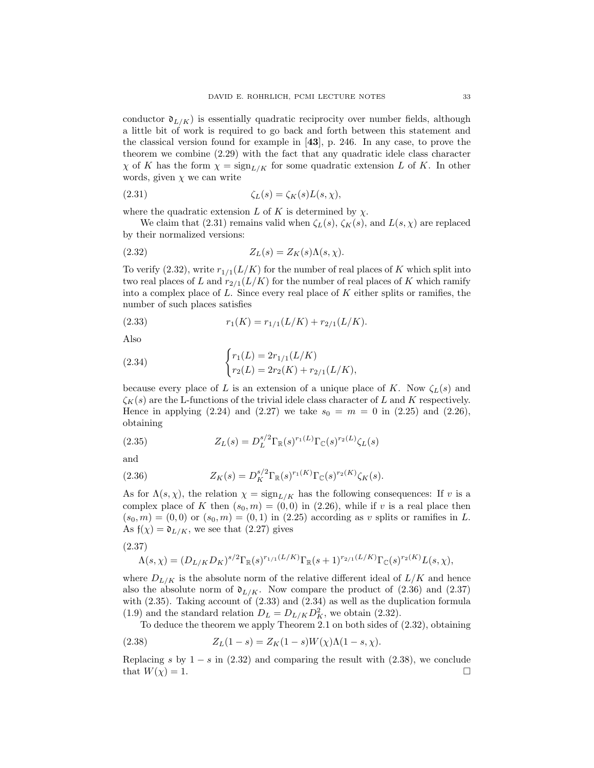conductor  $\mathfrak{d}_{L/K}$ ) is essentially quadratic reciprocity over number fields, although a little bit of work is required to go back and forth between this statement and the classical version found for example in [43], p. 246. In any case, to prove the theorem we combine (2.29) with the fact that any quadratic idele class character  $\chi$  of K has the form  $\chi = \text{sign}_{L/K}$  for some quadratic extension L of K. In other words, given  $\chi$  we can write

$$
\zeta_L(s) = \zeta_K(s)L(s,\chi),
$$

where the quadratic extension L of K is determined by  $\chi$ .

We claim that (2.31) remains valid when  $\zeta_L(s)$ ,  $\zeta_K(s)$ , and  $L(s, \chi)$  are replaced by their normalized versions:

$$
(2.32) \t\t Z_L(s) = Z_K(s)\Lambda(s,\chi).
$$

To verify (2.32), write  $r_{1/1}(L/K)$  for the number of real places of K which split into two real places of L and  $r_{2/1}(L/K)$  for the number of real places of K which ramify into a complex place of  $L$ . Since every real place of  $K$  either splits or ramifies, the number of such places satisfies

(2.33) 
$$
r_1(K) = r_{1/1}(L/K) + r_{2/1}(L/K).
$$

Also

(2.34) 
$$
\begin{cases} r_1(L) = 2r_{1/1}(L/K) \\ r_2(L) = 2r_2(K) + r_{2/1}(L/K), \end{cases}
$$

because every place of L is an extension of a unique place of K. Now  $\zeta_L(s)$  and  $\zeta_K(s)$  are the L-functions of the trivial idele class character of L and K respectively. Hence in applying (2.24) and (2.27) we take  $s_0 = m = 0$  in (2.25) and (2.26), obtaining

(2.35) 
$$
Z_L(s) = D_L^{s/2} \Gamma_{\mathbb{R}}(s)^{r_1(L)} \Gamma_{\mathbb{C}}(s)^{r_2(L)} \zeta_L(s)
$$

and

(2.36) 
$$
Z_K(s) = D_K^{s/2} \Gamma_{\mathbb{R}}(s)^{r_1(K)} \Gamma_{\mathbb{C}}(s)^{r_2(K)} \zeta_K(s).
$$

As for  $\Lambda(s, \chi)$ , the relation  $\chi = \text{sign}_{L/K}$  has the following consequences: If v is a complex place of K then  $(s_0, m) = (0, 0)$  in (2.26), while if v is a real place then  $(s_0, m) = (0, 0)$  or  $(s_0, m) = (0, 1)$  in (2.25) according as v splits or ramifies in L. As  $f(\chi) = \mathfrak{d}_{L/K}$ , we see that  $(2.27)$  gives

(2.37)

$$
\Lambda(s,\chi) = (D_{L/K}D_K)^{s/2} \Gamma_{\mathbb{R}}(s)^{r_{1/1}(L/K)} \Gamma_{\mathbb{R}}(s+1)^{r_{2/1}(L/K)} \Gamma_{\mathbb{C}}(s)^{r_2(K)} L(s,\chi),
$$

where  $D_{L/K}$  is the absolute norm of the relative different ideal of  $L/K$  and hence also the absolute norm of  $\mathfrak{d}_{L/K}$ . Now compare the product of (2.36) and (2.37) with (2.35). Taking account of (2.33) and (2.34) as well as the duplication formula (1.9) and the standard relation  $D_L = D_{L/K} D_K^2$ , we obtain (2.32).

To deduce the theorem we apply Theorem 2.1 on both sides of (2.32), obtaining

(2.38) 
$$
Z_L(1-s) = Z_K(1-s)W(\chi)\Lambda(1-s,\chi).
$$

Replacing s by  $1 - s$  in (2.32) and comparing the result with (2.38), we conclude that  $W(\chi) = 1$ .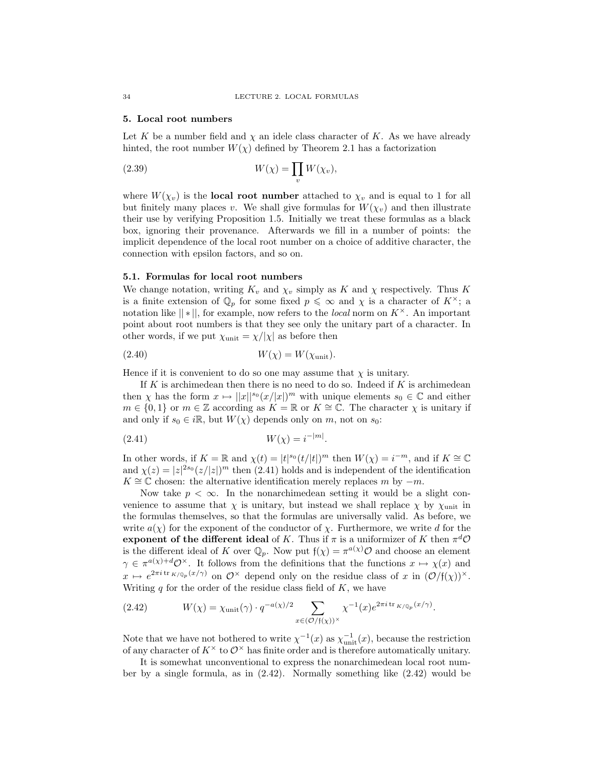#### 5. Local root numbers

Let K be a number field and  $\chi$  an idele class character of K. As we have already hinted, the root number  $W(\chi)$  defined by Theorem 2.1 has a factorization

(2.39) 
$$
W(\chi) = \prod_{v} W(\chi_v),
$$

where  $W(\chi_v)$  is the local root number attached to  $\chi_v$  and is equal to 1 for all but finitely many places v. We shall give formulas for  $W(\chi_v)$  and then illustrate their use by verifying Proposition 1.5. Initially we treat these formulas as a black box, ignoring their provenance. Afterwards we fill in a number of points: the implicit dependence of the local root number on a choice of additive character, the connection with epsilon factors, and so on.

#### 5.1. Formulas for local root numbers

We change notation, writing  $K_v$  and  $\chi_v$  simply as K and  $\chi$  respectively. Thus K is a finite extension of  $\mathbb{Q}_p$  for some fixed  $p \leq \infty$  and  $\chi$  is a character of  $K^{\times}$ ; a notation like  $||*||$ , for example, now refers to the *local* norm on  $K^{\times}$ . An important point about root numbers is that they see only the unitary part of a character. In other words, if we put  $\chi_{\text{unit}} = \chi/|\chi|$  as before then

$$
(2.40) \t\t W(\chi) = W(\chi_{\text{unit}}).
$$

Hence if it is convenient to do so one may assume that  $\chi$  is unitary.

If  $K$  is archimedean then there is no need to do so. Indeed if  $K$  is archimedean then  $\chi$  has the form  $x \mapsto ||x||^{s_0} (x/|x|)^m$  with unique elements  $s_0 \in \mathbb{C}$  and either  $m \in \{0,1\}$  or  $m \in \mathbb{Z}$  according as  $K = \mathbb{R}$  or  $K \cong \mathbb{C}$ . The character  $\chi$  is unitary if and only if  $s_0 \in i\mathbb{R}$ , but  $W(\chi)$  depends only on m, not on  $s_0$ :

(2.41) 
$$
W(\chi) = i^{-|m|}.
$$

In other words, if  $K = \mathbb{R}$  and  $\chi(t) = |t|^{s_0} (t/|t|)^m$  then  $W(\chi) = i^{-m}$ , and if  $K \cong \mathbb{C}$ and  $\chi(z) = |z|^{2s_0} (z/|z|)^m$  then (2.41) holds and is independent of the identification  $K \cong \mathbb{C}$  chosen: the alternative identification merely replaces m by  $-m$ .

Now take  $p < \infty$ . In the nonarchimedean setting it would be a slight convenience to assume that  $\chi$  is unitary, but instead we shall replace  $\chi$  by  $\chi$ <sub>unit</sub> in the formulas themselves, so that the formulas are universally valid. As before, we write  $a(\chi)$  for the exponent of the conductor of  $\chi$ . Furthermore, we write d for the exponent of the different ideal of K. Thus if  $\pi$  is a uniformizer of K then  $\pi^d\mathcal{O}$ is the different ideal of K over  $\mathbb{Q}_p$ . Now put  $f(\chi) = \pi^{a(\chi)} \mathcal{O}$  and choose an element  $\gamma \in \pi^{a(\chi)+d}\mathcal{O}^{\times}$ . It follows from the definitions that the functions  $x \mapsto \chi(x)$  and  $x \mapsto e^{2\pi i \operatorname{tr} K/\mathbb{Q}_p(x/\gamma)}$  on  $\mathcal{O}^\times$  depend only on the residue class of x in  $(\mathcal{O}/\mathfrak{f}(\chi))^{\times}$ . Writing  $q$  for the order of the residue class field of  $K$ , we have

(2.42) 
$$
W(\chi) = \chi_{\text{unit}}(\gamma) \cdot q^{-a(\chi)/2} \sum_{x \in (\mathcal{O}/\mathfrak{f}(\chi))^\times} \chi^{-1}(x) e^{2\pi i \operatorname{tr}_{K/\mathbb{Q}_p}(x/\gamma)}.
$$

Note that we have not bothered to write  $\chi^{-1}(x)$  as  $\chi_{\text{unit}}^{-1}(x)$ , because the restriction of any character of  $K^{\times}$  to  $\mathcal{O}^{\times}$  has finite order and is therefore automatically unitary.

It is somewhat unconventional to express the nonarchimedean local root number by a single formula, as in (2.42). Normally something like (2.42) would be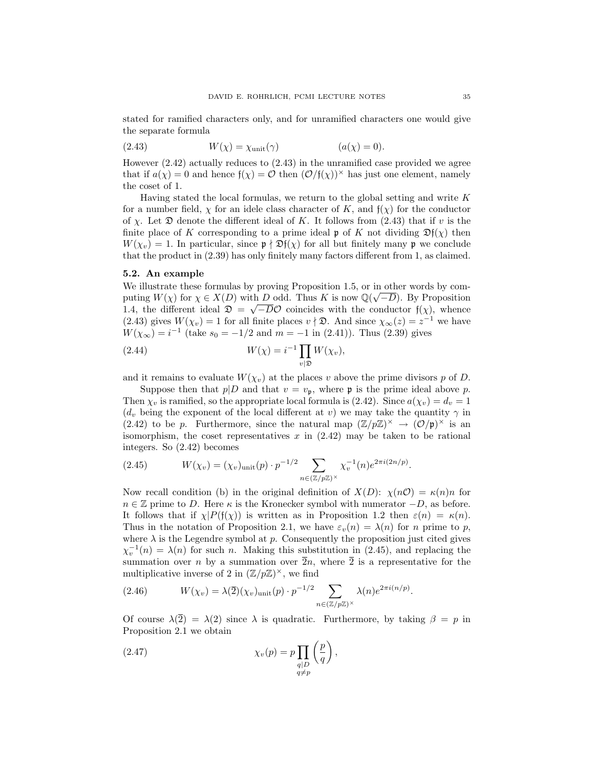stated for ramified characters only, and for unramified characters one would give the separate formula

$$
(2.43) \t W(\chi) = \chi_{\text{unit}}(\gamma) \t (a(\chi) = 0).
$$

However (2.42) actually reduces to (2.43) in the unramified case provided we agree that if  $a(\chi) = 0$  and hence  $f(\chi) = \mathcal{O}$  then  $(\mathcal{O}/f(\chi))^\times$  has just one element, namely the coset of 1.

Having stated the local formulas, we return to the global setting and write  $K$ for a number field,  $\chi$  for an idele class character of K, and  $f(\chi)$  for the conductor of  $\chi$ . Let  $\mathfrak D$  denote the different ideal of K. It follows from (2.43) that if v is the finite place of K corresponding to a prime ideal p of K not dividing  $\mathfrak{D}f(\chi)$  then  $W(\chi_v) = 1$ . In particular, since  $\mathfrak{p} \nmid \mathfrak{D}f(\chi)$  for all but finitely many  $\mathfrak{p}$  we conclude that the product in (2.39) has only finitely many factors different from 1, as claimed.

## 5.2. An example

We illustrate these formulas by proving Proposition 1.5, or in other words by computing  $W(\chi)$  for  $\chi \in X(D)$  with D odd. Thus K is now  $\mathbb{Q}(\sqrt{-D})$ . By Proposition 1.4, the different ideal  $\mathfrak{D} = \sqrt{-D}\mathcal{O}$  coincides with the conductor  $f(\chi)$ , whence (2.43) gives  $W(\chi_v) = 1$  for all finite places  $v \nmid \mathfrak{D}$ . And since  $\chi_{\infty}(z) = z^{-1}$  we have  $W(\chi_{\infty}) = i^{-1}$  (take  $s_0 = -1/2$  and  $m = -1$  in (2.41)). Thus (2.39) gives

(2.44) 
$$
W(\chi) = i^{-1} \prod_{v \mid \mathfrak{D}} W(\chi_v),
$$

and it remains to evaluate  $W(\chi_v)$  at the places v above the prime divisors p of D.

Suppose then that  $p|D$  and that  $v = v_p$ , where **p** is the prime ideal above p. Then  $\chi_v$  is ramified, so the appropriate local formula is (2.42). Since  $a(\chi_v) = d_v = 1$  $(d_v)$  being the exponent of the local different at v) we may take the quantity  $\gamma$  in (2.42) to be p. Furthermore, since the natural map  $(\mathbb{Z}/p\mathbb{Z})^{\times} \to (\mathcal{O}/p)^{\times}$  is an isomorphism, the coset representatives  $x$  in  $(2.42)$  may be taken to be rational integers. So (2.42) becomes

(2.45) 
$$
W(\chi_v) = (\chi_v)_{\text{unit}}(p) \cdot p^{-1/2} \sum_{n \in (\mathbb{Z}/p\mathbb{Z})^\times} \chi_v^{-1}(n) e^{2\pi i (2n/p)}.
$$

Now recall condition (b) in the original definition of  $X(D)$ :  $\chi(n\mathcal{O}) = \kappa(n)n$  for  $n \in \mathbb{Z}$  prime to D. Here  $\kappa$  is the Kronecker symbol with numerator  $-D$ , as before. It follows that if  $\chi$ |P(f( $\chi$ )) is written as in Proposition 1.2 then  $\varepsilon(n) = \kappa(n)$ . Thus in the notation of Proposition 2.1, we have  $\varepsilon_v(n) = \lambda(n)$  for n prime to p, where  $\lambda$  is the Legendre symbol at  $p$ . Consequently the proposition just cited gives  $\chi_v^{-1}(n) = \lambda(n)$  for such n. Making this substitution in (2.45), and replacing the summation over n by a summation over  $\overline{2}n$ , where  $\overline{2}$  is a representative for the multiplicative inverse of 2 in  $(\mathbb{Z}/p\mathbb{Z})^{\times}$ , we find

(2.46) 
$$
W(\chi_v) = \lambda(\overline{2})(\chi_v)_{\text{unit}}(p) \cdot p^{-1/2} \sum_{n \in (\mathbb{Z}/p\mathbb{Z})^\times} \lambda(n) e^{2\pi i (n/p)}.
$$

Of course  $\lambda(\overline{2}) = \lambda(2)$  since  $\lambda$  is quadratic. Furthermore, by taking  $\beta = p$  in Proposition 2.1 we obtain

(2.47) 
$$
\chi_v(p) = p \prod_{\substack{q \mid D \\ q \neq p}} \left(\frac{p}{q}\right),
$$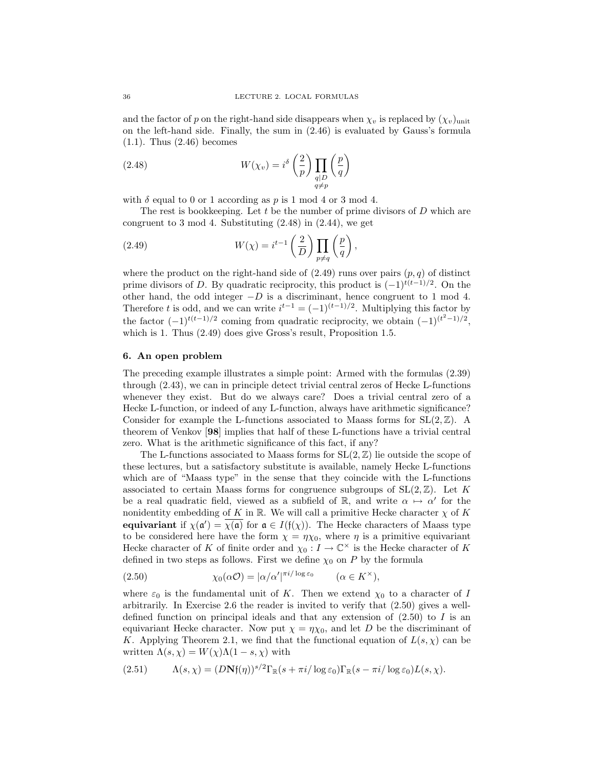and the factor of p on the right-hand side disappears when  $\chi_v$  is replaced by  $(\chi_v)_{\text{unit}}$ on the left-hand side. Finally, the sum in (2.46) is evaluated by Gauss's formula (1.1). Thus (2.46) becomes

(2.48) 
$$
W(\chi_v) = i^{\delta} \left(\frac{2}{p}\right) \prod_{\substack{q \mid D \\ q \neq p}} \left(\frac{p}{q}\right)
$$

with  $\delta$  equal to 0 or 1 according as p is 1 mod 4 or 3 mod 4.

The rest is bookkeeping. Let  $t$  be the number of prime divisors of  $D$  which are congruent to 3 mod 4. Substituting (2.48) in (2.44), we get

(2.49) 
$$
W(\chi) = i^{t-1} \left(\frac{2}{D}\right) \prod_{p \neq q} \left(\frac{p}{q}\right),
$$

where the product on the right-hand side of  $(2.49)$  runs over pairs  $(p, q)$  of distinct prime divisors of D. By quadratic reciprocity, this product is  $(-1)^{t(t-1)/2}$ . On the other hand, the odd integer  $-D$  is a discriminant, hence congruent to 1 mod 4. Therefore t is odd, and we can write  $i^{t-1} = (-1)^{(t-1)/2}$ . Multiplying this factor by the factor  $(-1)^{t(t-1)/2}$  coming from quadratic reciprocity, we obtain  $(-1)^{(t^2-1)/2}$ , which is 1. Thus  $(2.49)$  does give Gross's result, Proposition 1.5.

# 6. An open problem

The preceding example illustrates a simple point: Armed with the formulas (2.39) through (2.43), we can in principle detect trivial central zeros of Hecke L-functions whenever they exist. But do we always care? Does a trivial central zero of a Hecke L-function, or indeed of any L-function, always have arithmetic significance? Consider for example the L-functions associated to Maass forms for  $SL(2,\mathbb{Z})$ . A theorem of Venkov [98] implies that half of these L-functions have a trivial central zero. What is the arithmetic significance of this fact, if any?

The L-functions associated to Maass forms for  $SL(2,\mathbb{Z})$  lie outside the scope of these lectures, but a satisfactory substitute is available, namely Hecke L-functions which are of "Maass type" in the sense that they coincide with the L-functions associated to certain Maass forms for congruence subgroups of  $SL(2, \mathbb{Z})$ . Let K be a real quadratic field, viewed as a subfield of  $\mathbb{R}$ , and write  $\alpha \mapsto \alpha'$  for the nonidentity embedding of K in R. We will call a primitive Hecke character  $\chi$  of K equivariant if  $\chi(\mathfrak{a}') = \overline{\chi(\mathfrak{a})}$  for  $\mathfrak{a} \in I(\mathfrak{f}(\chi))$ . The Hecke characters of Maass type to be considered here have the form  $\chi = \eta \chi_0$ , where  $\eta$  is a primitive equivariant Hecke character of K of finite order and  $\chi_0: I \to \mathbb{C}^\times$  is the Hecke character of K defined in two steps as follows. First we define  $\chi_0$  on P by the formula

(2.50) 
$$
\chi_0(\alpha \mathcal{O}) = |\alpha/\alpha'|^{\pi i/\log \varepsilon_0} \qquad (\alpha \in K^{\times}),
$$

where  $\varepsilon_0$  is the fundamental unit of K. Then we extend  $\chi_0$  to a character of I arbitrarily. In Exercise 2.6 the reader is invited to verify that (2.50) gives a welldefined function on principal ideals and that any extension of  $(2.50)$  to I is an equivariant Hecke character. Now put  $\chi = \eta \chi_0$ , and let D be the discriminant of K. Applying Theorem 2.1, we find that the functional equation of  $L(s, \chi)$  can be written  $\Lambda(s, \chi) = W(\chi) \Lambda(1-s, \chi)$  with

$$
(2.51) \qquad \Lambda(s,\chi) = (D\mathbf{N}\mathfrak{f}(\eta))^{s/2} \Gamma_{\mathbb{R}}(s + \pi i/\log \varepsilon_0) \Gamma_{\mathbb{R}}(s - \pi i/\log \varepsilon_0) L(s,\chi).
$$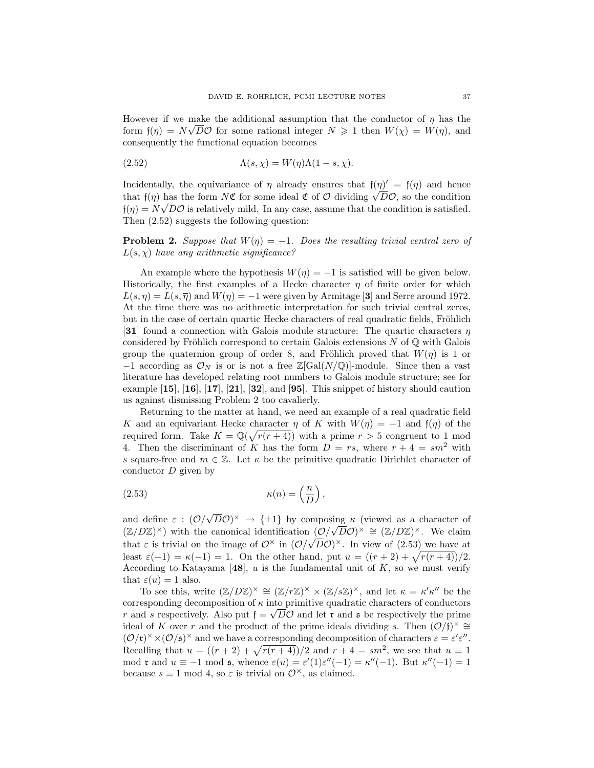However if we make the additional assumption that the conductor of  $\eta$  has the form  $f(\eta) = N\sqrt{D}\mathcal{O}$  for some rational integer  $N \geq 1$  then  $W(\chi) = W(\eta)$ , and consequently the functional equation becomes

(2.52) 
$$
\Lambda(s,\chi) = W(\eta)\Lambda(1-s,\chi).
$$

Incidentally, the equivariance of  $\eta$  already ensures that  $f(\eta)' = f(\eta)$  and hence Incidentally, the equivariance of  $\eta$  already ensures that  $f(\eta)' = f(\eta)$  and hence that  $f(\eta)$  has the form  $N\mathfrak{C}$  for some ideal  $\mathfrak{C}$  of  $\mathcal O$  dividing  $\sqrt{D}\mathcal{O}$ , so the condition  $f(\eta) = N\sqrt{D}\mathcal{O}$  is relatively mild. In any case, assume that the condition is satisfied. Then  $(2.52)$  suggests the following question:

**Problem 2.** Suppose that  $W(\eta) = -1$ . Does the resulting trivial central zero of  $L(s, \chi)$  have any arithmetic significance?

An example where the hypothesis  $W(\eta) = -1$  is satisfied will be given below. Historically, the first examples of a Hecke character  $\eta$  of finite order for which  $L(s, \eta) = L(s, \overline{\eta})$  and  $W(\eta) = -1$  were given by Armitage [3] and Serre around 1972. At the time there was no arithmetic interpretation for such trivial central zeros, but in the case of certain quartic Hecke characters of real quadratic fields, Fröhlich [31] found a connection with Galois module structure: The quartic characters  $\eta$ considered by Fröhlich correspond to certain Galois extensions  $N$  of  $\mathbb Q$  with Galois group the quaternion group of order 8, and Fröhlich proved that  $W(\eta)$  is 1 or  $-1$  according as  $\mathcal{O}_N$  is or is not a free Z[Gal(N/Q)]-module. Since then a vast literature has developed relating root numbers to Galois module structure; see for example  $\left[15\right]$ ,  $\left[16\right]$ ,  $\left[17\right]$ ,  $\left[21\right]$ ,  $\left[32\right]$ , and  $\left[95\right]$ . This snippet of history should caution us against dismissing Problem 2 too cavalierly.

Returning to the matter at hand, we need an example of a real quadratic field K and an equivariant Hecke character  $\eta$  of K with  $W(\eta) = -1$  and  $f(\eta)$  of the required form. Take  $K = \mathbb{Q}(\sqrt{r(r+4)})$  with a prime  $r > 5$  congruent to 1 mod 4. Then the discriminant of K has the form  $D = rs$ , where  $r + 4 = sm^2$  with s square-free and  $m \in \mathbb{Z}$ . Let  $\kappa$  be the primitive quadratic Dirichlet character of conductor D given by

(2.53) 
$$
\kappa(n) = \left(\frac{n}{D}\right),
$$

and define  $\varepsilon$  :  $(\mathcal{O}/\mathcal{O})$  $\overline{D}\mathcal{O}$ <sup>×</sup>  $\rightarrow$  { $\pm 1$ } by composing  $\kappa$  (viewed as a character of  $(\mathbb{Z}/D\mathbb{Z})^{\times}$ ) with the canonical identification  $(\mathcal{O}/\sqrt{D}\mathcal{O})^{\times} \cong (\mathbb{Z}/D\mathbb{Z})^{\times}$ . We claim that  $\varepsilon$  is trivial on the image of  $\mathcal{O}^\times$  in  $(\mathcal{O}/\sqrt{D}\mathcal{O})^\times$ . In view of (2.53) we have at least  $\varepsilon(-1) = \kappa(-1) = 1$ . On the other hand, put  $u = ((r + 2) + \sqrt{r(r + 4)})/2$ . According to Katayama [48], u is the fundamental unit of  $K$ , so we must verify that  $\varepsilon(u) = 1$  also.

To see this, write  $(\mathbb{Z}/D\mathbb{Z})^{\times} \cong (\mathbb{Z}/r\mathbb{Z})^{\times} \times (\mathbb{Z}/s\mathbb{Z})^{\times}$ , and let  $\kappa = \kappa' \kappa''$  be the corresponding decomposition of  $\kappa$  into primitive quadratic characters of conductors r and s respectively. Also put  $f = \sqrt{D}\mathcal{O}$  and let  $\mathfrak{r}$  and  $\mathfrak{s}$  be respectively the prime ideal of K over r and the product of the prime ideals dividing s. Then  $(\mathcal{O}/f)^{\times} \cong$  $(\mathcal{O}/\mathfrak{r})^{\times} \times (\mathcal{O}/\mathfrak{s})^{\times}$  and we have a corresponding decomposition of characters  $\varepsilon = \varepsilon' \varepsilon''$ . Recalling that  $u = \left( (r + 2) + \sqrt{r(r + 4)} \right) / 2$  and  $r + 4 = sm^2$ , we see that  $u \equiv 1$ mod **r** and  $u \equiv -1$  mod **s**, whence  $\varepsilon(u) = \varepsilon'(1)\varepsilon''(-1) = \kappa''(-1)$ . But  $\kappa''(-1) = 1$ because  $s \equiv 1 \mod 4$ , so  $\varepsilon$  is trivial on  $\mathcal{O}^{\times}$ , as claimed.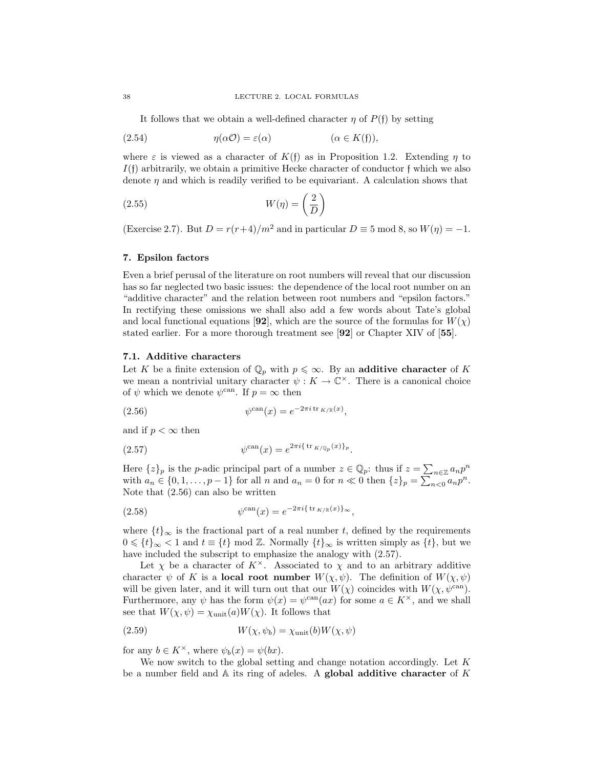It follows that we obtain a well-defined character  $\eta$  of  $P(f)$  by setting

(2.54) 
$$
\eta(\alpha \mathcal{O}) = \varepsilon(\alpha) \qquad (\alpha \in K(\mathfrak{f})),
$$

where  $\varepsilon$  is viewed as a character of  $K(f)$  as in Proposition 1.2. Extending  $\eta$  to  $I(f)$  arbitrarily, we obtain a primitive Hecke character of conductor f which we also denote  $\eta$  and which is readily verified to be equivariant. A calculation shows that

$$
(2.55) \t W(\eta) = \left(\frac{2}{D}\right)
$$

(Exercise 2.7). But  $D = r(r+4)/m^2$  and in particular  $D \equiv 5 \mod 8$ , so  $W(\eta) = -1$ .

### 7. Epsilon factors

Even a brief perusal of the literature on root numbers will reveal that our discussion has so far neglected two basic issues: the dependence of the local root number on an "additive character" and the relation between root numbers and "epsilon factors." In rectifying these omissions we shall also add a few words about Tate's global and local functional equations [92], which are the source of the formulas for  $W(\chi)$ stated earlier. For a more thorough treatment see [92] or Chapter XIV of [55].

# 7.1. Additive characters

Let K be a finite extension of  $\mathbb{Q}_p$  with  $p \leq \infty$ . By an additive character of K we mean a nontrivial unitary character  $\psi: K \to \mathbb{C}^{\times}$ . There is a canonical choice of  $\psi$  which we denote  $\psi^{\text{can}}$ . If  $p = \infty$  then

(2.56) 
$$
\psi^{\operatorname{can}}(x) = e^{-2\pi i \operatorname{tr}_{K/\mathbb{R}}(x)},
$$

and if  $p < \infty$  then

(2.57) 
$$
\psi^{\operatorname{can}}(x) = e^{2\pi i \{ \operatorname{tr}_{K/\mathbb{Q}_p}(x) \}_p}.
$$

Here  $\{z\}_p$  is the *p*-adic principal part of a number  $z \in \mathbb{Q}_p$ : thus if  $z = \sum_{n \in \mathbb{Z}} a_n p^n$ with  $a_n \in \{0, 1, \ldots, p-1\}$  for all n and  $a_n = 0$  for  $n \ll 0$  then  $\{z\}_p = \sum_{n=0}^{n=2} a_n p^n$ . Note that (2.56) can also be written

(2.58) 
$$
\psi^{\operatorname{can}}(x) = e^{-2\pi i \{\operatorname{tr}_{K/\mathbb{R}}(x)\}} \sim,
$$

where  $\{t\}_{\infty}$  is the fractional part of a real number t, defined by the requirements  $0 \leq \{t\}_{\infty} < 1$  and  $t \equiv \{t\}$  mod Z. Normally  $\{t\}_{\infty}$  is written simply as  $\{t\}$ , but we have included the subscript to emphasize the analogy with (2.57).

Let  $\chi$  be a character of  $K^{\times}$ . Associated to  $\chi$  and to an arbitrary additive character  $\psi$  of K is a **local root number**  $W(\chi, \psi)$ . The definition of  $W(\chi, \psi)$ will be given later, and it will turn out that our  $W(\chi)$  coincides with  $W(\chi, \psi^{\text{can}})$ . Furthermore, any  $\psi$  has the form  $\psi(x) = \psi^{\text{can}}(ax)$  for some  $a \in K^{\times}$ , and we shall see that  $W(\chi, \psi) = \chi_{\text{unit}}(a)W(\chi)$ . It follows that

(2.59) 
$$
W(\chi, \psi_b) = \chi_{\text{unit}}(b)W(\chi, \psi)
$$

for any  $b \in K^{\times}$ , where  $\psi_b(x) = \psi(bx)$ .

We now switch to the global setting and change notation accordingly. Let K be a number field and  $A$  its ring of adeles. A global additive character of K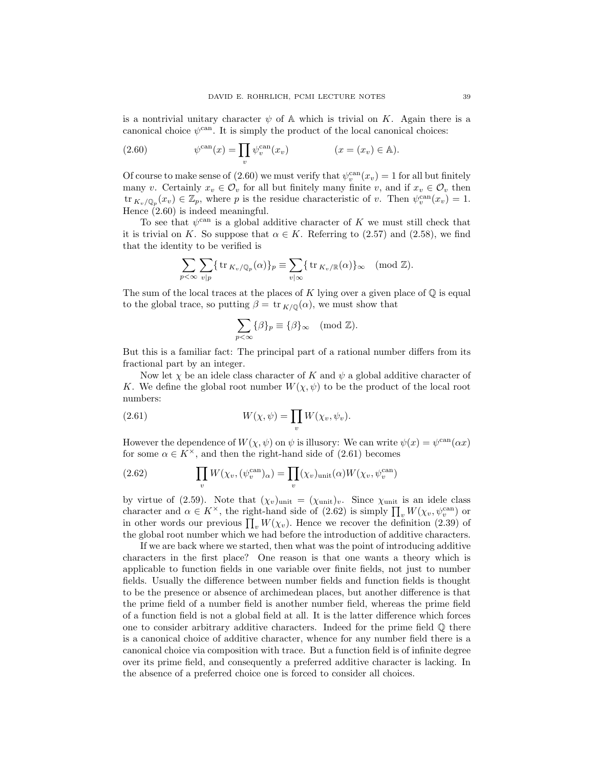is a nontrivial unitary character  $\psi$  of A which is trivial on K. Again there is a canonical choice  $\psi^{\text{can}}$ . It is simply the product of the local canonical choices:

(2.60) 
$$
\psi^{\operatorname{can}}(x) = \prod_v \psi_v^{\operatorname{can}}(x_v) \qquad (x = (x_v) \in \mathbb{A}).
$$

Of course to make sense of (2.60) we must verify that  $\psi_v^{\text{can}}(x_v) = 1$  for all but finitely many v. Certainly  $x_v \in \mathcal{O}_v$  for all but finitely many finite v, and if  $x_v \in \mathcal{O}_v$  then  $\text{tr}_{K_v/\mathbb{Q}_p}(x_v) \in \mathbb{Z}_p$ , where p is the residue characteristic of v. Then  $\psi_v^{\text{can}}(x_v) = 1$ . Hence  $(2.60)$  is indeed meaningful.

To see that  $\psi^{\text{can}}$  is a global additive character of K we must still check that it is trivial on K. So suppose that  $\alpha \in K$ . Referring to (2.57) and (2.58), we find that the identity to be verified is

$$
\sum_{p<\infty}\sum_{v|p}\{\mathrm{tr}_{K_v/\mathbb{Q}_p}(\alpha)\}_p\equiv\sum_{v|\infty}\{\mathrm{tr}_{K_v/\mathbb{R}}(\alpha)\}_\infty\pmod{\mathbb{Z}}.
$$

The sum of the local traces at the places of K lying over a given place of  $\mathbb Q$  is equal to the global trace, so putting  $\beta = \text{tr}_{K/\mathbb{Q}}(\alpha)$ , we must show that

$$
\sum_{p<\infty} {\{\beta\}}_p \equiv {\{\beta\}}_\infty \pmod{\mathbb{Z}}.
$$

But this is a familiar fact: The principal part of a rational number differs from its fractional part by an integer.

Now let  $\chi$  be an idele class character of K and  $\psi$  a global additive character of K. We define the global root number  $W(\chi, \psi)$  to be the product of the local root numbers:

(2.61) 
$$
W(\chi, \psi) = \prod_{v} W(\chi_{v}, \psi_{v}).
$$

However the dependence of  $W(\chi, \psi)$  on  $\psi$  is illusory: We can write  $\psi(x) = \psi^{\text{can}}(\alpha x)$ for some  $\alpha \in K^{\times}$ , and then the right-hand side of (2.61) becomes

(2.62) 
$$
\prod_{v} W(\chi_v, (\psi_v^{\text{can}})_{\alpha}) = \prod_{v} (\chi_v)_{\text{unit}}(\alpha) W(\chi_v, \psi_v^{\text{can}})
$$

by virtue of (2.59). Note that  $(\chi_v)_{\text{unit}} = (\chi_{\text{unit}})_v$ . Since  $\chi_{\text{unit}}$  is an idele class character and  $\alpha \in K^{\times}$ , the right-hand side of (2.62) is simply  $\prod_{v} W(\chi_v, \psi_v^{\text{can}})$  or in other words our previous  $\prod_{v} W(\chi_v)$ . Hence we recover the definition (2.39) of the global root number which we had before the introduction of additive characters.

If we are back where we started, then what was the point of introducing additive characters in the first place? One reason is that one wants a theory which is applicable to function fields in one variable over finite fields, not just to number fields. Usually the difference between number fields and function fields is thought to be the presence or absence of archimedean places, but another difference is that the prime field of a number field is another number field, whereas the prime field of a function field is not a global field at all. It is the latter difference which forces one to consider arbitrary additive characters. Indeed for the prime field  $\mathbb Q$  there is a canonical choice of additive character, whence for any number field there is a canonical choice via composition with trace. But a function field is of infinite degree over its prime field, and consequently a preferred additive character is lacking. In the absence of a preferred choice one is forced to consider all choices.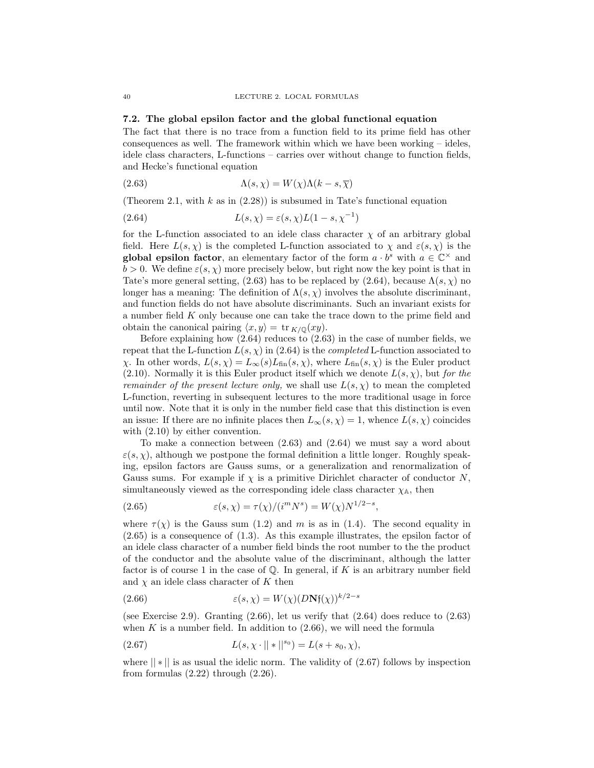## 7.2. The global epsilon factor and the global functional equation

The fact that there is no trace from a function field to its prime field has other consequences as well. The framework within which we have been working  $-$  ideles, idele class characters, L-functions – carries over without change to function fields, and Hecke's functional equation

(2.63) 
$$
\Lambda(s, \chi) = W(\chi)\Lambda(k - s, \overline{\chi})
$$

(Theorem 2.1, with  $k$  as in  $(2.28)$ ) is subsumed in Tate's functional equation

(2.64) 
$$
L(s,\chi) = \varepsilon(s,\chi)L(1-s,\chi^{-1})
$$

for the L-function associated to an idele class character  $\chi$  of an arbitrary global field. Here  $L(s, \chi)$  is the completed L-function associated to  $\chi$  and  $\varepsilon(s, \chi)$  is the global epsilon factor, an elementary factor of the form  $a \cdot b^s$  with  $a \in \mathbb{C}^\times$  and  $b > 0$ . We define  $\varepsilon(s, \chi)$  more precisely below, but right now the key point is that in Tate's more general setting, (2.63) has to be replaced by (2.64), because  $\Lambda(s, \chi)$  no longer has a meaning: The definition of  $\Lambda(s, \chi)$  involves the absolute discriminant, and function fields do not have absolute discriminants. Such an invariant exists for a number field K only because one can take the trace down to the prime field and obtain the canonical pairing  $\langle x, y \rangle = \text{tr}_{K/\mathbb{Q}}(xy)$ .

Before explaining how (2.64) reduces to (2.63) in the case of number fields, we repeat that the L-function  $L(s, \chi)$  in (2.64) is the *completed* L-function associated to  $\chi$ . In other words,  $L(s, \chi) = L_{\infty}(s)L_{\text{fin}}(s, \chi)$ , where  $L_{\text{fin}}(s, \chi)$  is the Euler product (2.10). Normally it is this Euler product itself which we denote  $L(s, \chi)$ , but for the remainder of the present lecture only, we shall use  $L(s, \chi)$  to mean the completed L-function, reverting in subsequent lectures to the more traditional usage in force until now. Note that it is only in the number field case that this distinction is even an issue: If there are no infinite places then  $L_{\infty}(s, \chi) = 1$ , whence  $L(s, \chi)$  coincides with  $(2.10)$  by either convention.

To make a connection between (2.63) and (2.64) we must say a word about  $\varepsilon(s, \chi)$ , although we postpone the formal definition a little longer. Roughly speaking, epsilon factors are Gauss sums, or a generalization and renormalization of Gauss sums. For example if  $\chi$  is a primitive Dirichlet character of conductor N, simultaneously viewed as the corresponding idele class character  $\chi_{A}$ , then

(2.65) 
$$
\varepsilon(s, \chi) = \tau(\chi)/(i^{m} N^{s}) = W(\chi) N^{1/2 - s},
$$

where  $\tau(\chi)$  is the Gauss sum (1.2) and m is as in (1.4). The second equality in (2.65) is a consequence of (1.3). As this example illustrates, the epsilon factor of an idele class character of a number field binds the root number to the the product of the conductor and the absolute value of the discriminant, although the latter factor is of course 1 in the case of  $\mathbb Q$ . In general, if K is an arbitrary number field and  $\chi$  an idele class character of K then

(2.66) 
$$
\varepsilon(s,\chi) = W(\chi)(D\mathbf{N}\mathfrak{f}(\chi))^{k/2-s}
$$

(see Exercise 2.9). Granting  $(2.66)$ , let us verify that  $(2.64)$  does reduce to  $(2.63)$ when  $K$  is a number field. In addition to  $(2.66)$ , we will need the formula

(2.67) 
$$
L(s, \chi \cdot || * ||^{s_0}) = L(s + s_0, \chi),
$$

where  $|| * ||$  is as usual the idelic norm. The validity of (2.67) follows by inspection from formulas  $(2.22)$  through  $(2.26)$ .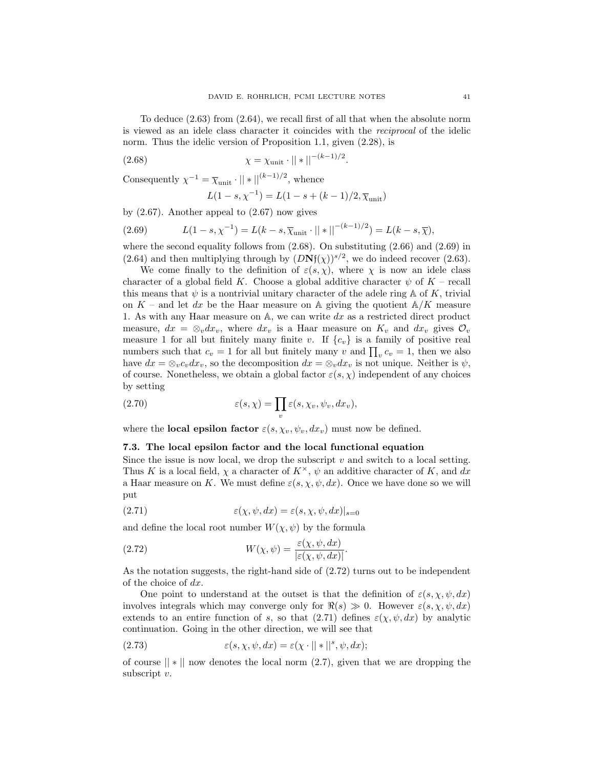To deduce (2.63) from (2.64), we recall first of all that when the absolute norm is viewed as an idele class character it coincides with the reciprocal of the idelic norm. Thus the idelic version of Proposition 1.1, given (2.28), is

(2.68) 
$$
\chi = \chi_{\text{unit}} \cdot || * ||^{-(k-1)/2}.
$$

Consequently  $\chi^{-1} = \overline{\chi}_{\text{unit}} \cdot || * ||^{(k-1)/2}$ , whence

$$
L(1 - s, \chi^{-1}) = L(1 - s + (k - 1)/2, \overline{\chi}_{\text{unit}})
$$

by  $(2.67)$ . Another appeal to  $(2.67)$  now gives

(2.69) 
$$
L(1-s, \chi^{-1}) = L(k-s, \overline{\chi}_{\text{unit}} \cdot ||*||^{-(k-1)/2}) = L(k-s, \overline{\chi}),
$$

where the second equality follows from  $(2.68)$ . On substituting  $(2.66)$  and  $(2.69)$  in (2.64) and then multiplying through by  $(DNf(\chi))^{s/2}$ , we do indeed recover (2.63).

We come finally to the definition of  $\varepsilon(s, \chi)$ , where  $\chi$  is now an idele class character of a global field K. Choose a global additive character  $\psi$  of K – recall this means that  $\psi$  is a nontrivial unitary character of the adele ring A of K, trivial on  $K$  – and let dx be the Haar measure on A giving the quotient  $\mathbb{A}/K$  measure 1. As with any Haar measure on  $A$ , we can write dx as a restricted direct product measure,  $dx = \otimes_v dx_v$ , where  $dx_v$  is a Haar measure on  $K_v$  and  $dx_v$  gives  $\mathcal{O}_v$ measure 1 for all but finitely many finite v. If  $\{c_v\}$  is a family of positive real numbers such that  $c_v = 1$  for all but finitely many v and  $\prod_v c_v = 1$ , then we also have  $dx = \otimes_v c_v dx_v$ , so the decomposition  $dx = \otimes_v dx_v$  is not unique. Neither is  $\psi$ , of course. Nonetheless, we obtain a global factor  $\varepsilon(s, \chi)$  independent of any choices by setting

(2.70) 
$$
\varepsilon(s,\chi) = \prod_{v} \varepsilon(s,\chi_v,\psi_v,dx_v),
$$

where the **local epsilon factor**  $\varepsilon(s, \chi_v, \psi_v, dx_v)$  must now be defined.

# 7.3. The local epsilon factor and the local functional equation

Since the issue is now local, we drop the subscript  $v$  and switch to a local setting. Thus K is a local field,  $\chi$  a character of  $K^{\times}$ ,  $\psi$  an additive character of K, and dx a Haar measure on K. We must define  $\varepsilon(s, \chi, \psi, dx)$ . Once we have done so we will put

(2.71) 
$$
\epsilon(\chi, \psi, dx) = \epsilon(s, \chi, \psi, dx)|_{s=0}
$$

and define the local root number  $W(\chi, \psi)$  by the formula

(2.72) 
$$
W(\chi, \psi) = \frac{\varepsilon(\chi, \psi, dx)}{|\varepsilon(\chi, \psi, dx)|}.
$$

As the notation suggests, the right-hand side of (2.72) turns out to be independent of the choice of dx.

One point to understand at the outset is that the definition of  $\varepsilon(s, \chi, \psi, dx)$ involves integrals which may converge only for  $\Re(s) \gg 0$ . However  $\varepsilon(s, \chi, \psi, dx)$ extends to an entire function of s, so that (2.71) defines  $\varepsilon(\chi, \psi, dx)$  by analytic continuation. Going in the other direction, we will see that

(2.73) 
$$
\varepsilon(s, \chi, \psi, dx) = \varepsilon(\chi \cdot || * ||^s, \psi, dx);
$$

of course  $\| * \|$  now denotes the local norm  $(2.7)$ , given that we are dropping the subscript v.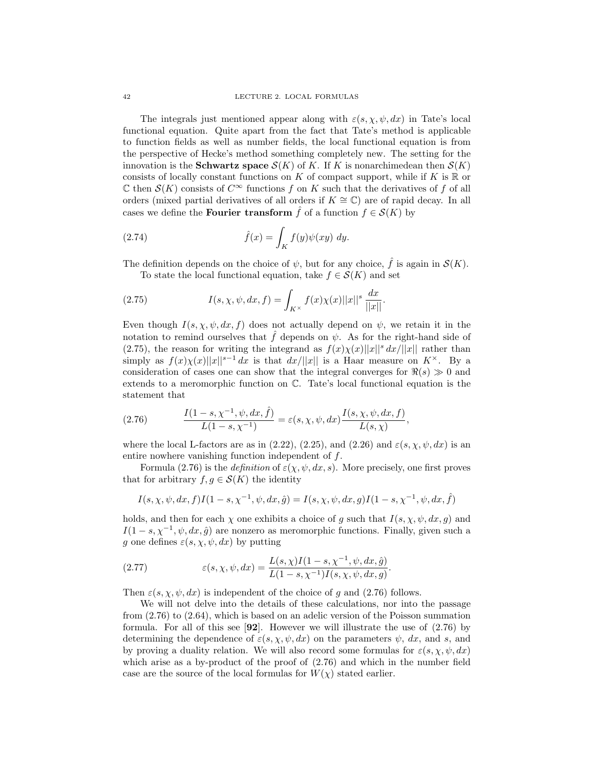The integrals just mentioned appear along with  $\varepsilon(s, \chi, \psi, dx)$  in Tate's local functional equation. Quite apart from the fact that Tate's method is applicable to function fields as well as number fields, the local functional equation is from the perspective of Hecke's method something completely new. The setting for the innovation is the **Schwartz space**  $\mathcal{S}(K)$  of K. If K is nonarchimedean then  $\mathcal{S}(K)$ consists of locally constant functions on K of compact support, while if K is  $\mathbb R$  or  $\mathbb C$  then  $\mathcal S(K)$  consists of  $C^{\infty}$  functions f on K such that the derivatives of f of all orders (mixed partial derivatives of all orders if  $K \cong \mathbb{C}$ ) are of rapid decay. In all cases we define the **Fourier transform**  $\hat{f}$  of a function  $f \in \mathcal{S}(K)$  by

(2.74) 
$$
\hat{f}(x) = \int_K f(y)\psi(xy) \, dy.
$$

The definition depends on the choice of  $\psi$ , but for any choice,  $\hat{f}$  is again in  $\mathcal{S}(K)$ .

To state the local functional equation, take  $f \in \mathcal{S}(K)$  and set

(2.75) 
$$
I(s, \chi, \psi, dx, f) = \int_{K^{\times}} f(x) \chi(x) ||x||^{s} \frac{dx}{||x||}.
$$

Even though  $I(s, \chi, \psi, dx, f)$  does not actually depend on  $\psi$ , we retain it in the notation to remind ourselves that  $\hat{f}$  depends on  $\psi$ . As for the right-hand side of (2.75), the reason for writing the integrand as  $f(x)\chi(x)||x||^s dx/||x||$  rather than simply as  $f(x)\chi(x)||x||^{s-1} dx$  is that  $dx/||x||$  is a Haar measure on  $K^{\times}$ . By a consideration of cases one can show that the integral converges for  $\Re(s) \gg 0$  and extends to a meromorphic function on C. Tate's local functional equation is the statement that

(2.76) 
$$
\frac{I(1-s, \chi^{-1}, \psi, dx, \hat{f})}{L(1-s, \chi^{-1})} = \varepsilon(s, \chi, \psi, dx) \frac{I(s, \chi, \psi, dx, f)}{L(s, \chi)},
$$

where the local L-factors are as in  $(2.22)$ ,  $(2.25)$ , and  $(2.26)$  and  $\varepsilon(s, \chi, \psi, dx)$  is an entire nowhere vanishing function independent of f.

Formula (2.76) is the *definition* of  $\varepsilon(\chi, \psi, dx, s)$ . More precisely, one first proves that for arbitrary  $f, g \in \mathcal{S}(K)$  the identity

$$
I(s,\chi,\psi,dx,f)I(1-s,\chi^{-1},\psi,dx,\hat{g})=I(s,\chi,\psi,dx,g)I(1-s,\chi^{-1},\psi,dx,\hat{f})
$$

holds, and then for each  $\chi$  one exhibits a choice of g such that  $I(s, \chi, \psi, dx, g)$  and  $I(1-s, \chi^{-1}, \psi, dx, \hat{g})$  are nonzero as meromorphic functions. Finally, given such a g one defines  $\varepsilon(s, \chi, \psi, dx)$  by putting

(2.77) 
$$
\varepsilon(s, \chi, \psi, dx) = \frac{L(s, \chi)I(1 - s, \chi^{-1}, \psi, dx, \hat{g})}{L(1 - s, \chi^{-1})I(s, \chi, \psi, dx, g)}.
$$

Then  $\varepsilon(s, \chi, \psi, dx)$  is independent of the choice of g and (2.76) follows.

We will not delve into the details of these calculations, nor into the passage from (2.76) to (2.64), which is based on an adelic version of the Poisson summation formula. For all of this see  $\mathbf{92}$ . However we will illustrate the use of  $(2.76)$  by determining the dependence of  $\varepsilon(s, \chi, \psi, dx)$  on the parameters  $\psi$ , dx, and s, and by proving a duality relation. We will also record some formulas for  $\varepsilon(s, \chi, \psi, dx)$ which arise as a by-product of the proof of  $(2.76)$  and which in the number field case are the source of the local formulas for  $W(\chi)$  stated earlier.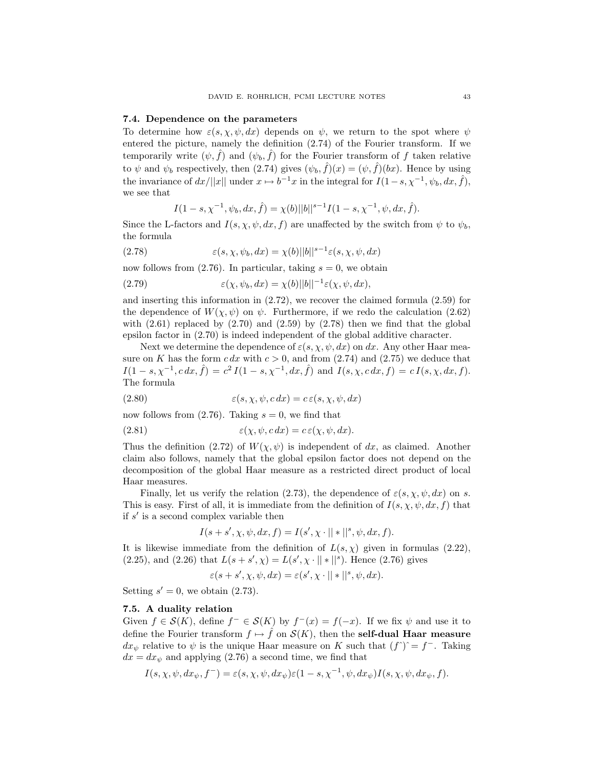### 7.4. Dependence on the parameters

To determine how  $\varepsilon(s, \chi, \psi, dx)$  depends on  $\psi$ , we return to the spot where  $\psi$ entered the picture, namely the definition (2.74) of the Fourier transform. If we temporarily write  $(\psi, \hat{f})$  and  $(\psi_b, \hat{f})$  for the Fourier transform of f taken relative to  $\psi$  and  $\psi_b$  respectively, then  $(2.74)$  gives  $(\psi_b, \hat{f})(x) = (\psi, \hat{f})(bx)$ . Hence by using the invariance of  $dx/||x||$  under  $x \mapsto b^{-1}x$  in the integral for  $I(1-s, \chi^{-1}, \psi_b, dx, \hat{f}),$ we see that

$$
I(1-s,\chi^{-1},\psi_b,dx,\hat{f})=\chi(b)||b||^{s-1}I(1-s,\chi^{-1},\psi,dx,\hat{f}).
$$

Since the L-factors and  $I(s, \chi, \psi, dx, f)$  are unaffected by the switch from  $\psi$  to  $\psi_b$ , the formula

(2.78) 
$$
\varepsilon(s, \chi, \psi_b, dx) = \chi(b) ||b||^{s-1} \varepsilon(s, \chi, \psi, dx)
$$

now follows from (2.76). In particular, taking  $s = 0$ , we obtain

(2.79) 
$$
\varepsilon(\chi, \psi_b, dx) = \chi(b) ||b||^{-1} \varepsilon(\chi, \psi, dx),
$$

and inserting this information in (2.72), we recover the claimed formula (2.59) for the dependence of  $W(\chi, \psi)$  on  $\psi$ . Furthermore, if we redo the calculation (2.62) with  $(2.61)$  replaced by  $(2.70)$  and  $(2.59)$  by  $(2.78)$  then we find that the global epsilon factor in (2.70) is indeed independent of the global additive character.

Next we determine the dependence of  $\varepsilon(s, \chi, \psi, dx)$  on dx. Any other Haar measure on K has the form  $c dx$  with  $c > 0$ , and from  $(2.74)$  and  $(2.75)$  we deduce that  $I(1-s,\chi^{-1}, c \, dx, \hat{f}) = c^2 I(1-s,\chi^{-1}, dx, \hat{f})$  and  $I(s,\chi, c \, dx, f) = c I(s,\chi, dx, f)$ . The formula

(2.80) 
$$
\varepsilon(s, \chi, \psi, c \, dx) = c \, \varepsilon(s, \chi, \psi, dx)
$$

now follows from  $(2.76)$ . Taking  $s = 0$ , we find that

(2.81) 
$$
\varepsilon(\chi, \psi, c \, dx) = c \, \varepsilon(\chi, \psi, dx).
$$

Thus the definition (2.72) of  $W(\chi, \psi)$  is independent of dx, as claimed. Another claim also follows, namely that the global epsilon factor does not depend on the decomposition of the global Haar measure as a restricted direct product of local Haar measures.

Finally, let us verify the relation (2.73), the dependence of  $\varepsilon(s, \chi, \psi, dx)$  on s. This is easy. First of all, it is immediate from the definition of  $I(s, \chi, \psi, dx, f)$  that if  $s'$  is a second complex variable then

$$
I(s + s', \chi, \psi, dx, f) = I(s', \chi \cdot || * ||^s, \psi, dx, f).
$$

It is likewise immediate from the definition of  $L(s, \chi)$  given in formulas (2.22), (2.25), and (2.26) that  $L(s + s', \chi) = L(s', \chi \cdot || * ||^s)$ . Hence (2.76) gives

$$
\varepsilon(s+s',\chi,\psi,dx) = \varepsilon(s',\chi\cdot||*||^s,\psi,dx).
$$

Setting  $s' = 0$ , we obtain (2.73).

# 7.5. A duality relation

Given  $f \in \mathcal{S}(K)$ , define  $f^- \in \mathcal{S}(K)$  by  $f^-(x) = f(-x)$ . If we fix  $\psi$  and use it to define the Fourier transform  $f \mapsto \hat{f}$  on  $\mathcal{S}(K)$ , then the self-dual Haar measure  $dx_{\psi}$  relative to  $\psi$  is the unique Haar measure on K such that  $(f^{\wedge})^{\sim} = f^{-}$ . Taking  $dx = dx_{\psi}$  and applying (2.76) a second time, we find that

$$
I(s, \chi, \psi, dx_{\psi}, f^{-}) = \varepsilon(s, \chi, \psi, dx_{\psi})\varepsilon(1-s, \chi^{-1}, \psi, dx_{\psi})I(s, \chi, \psi, dx_{\psi}, f).
$$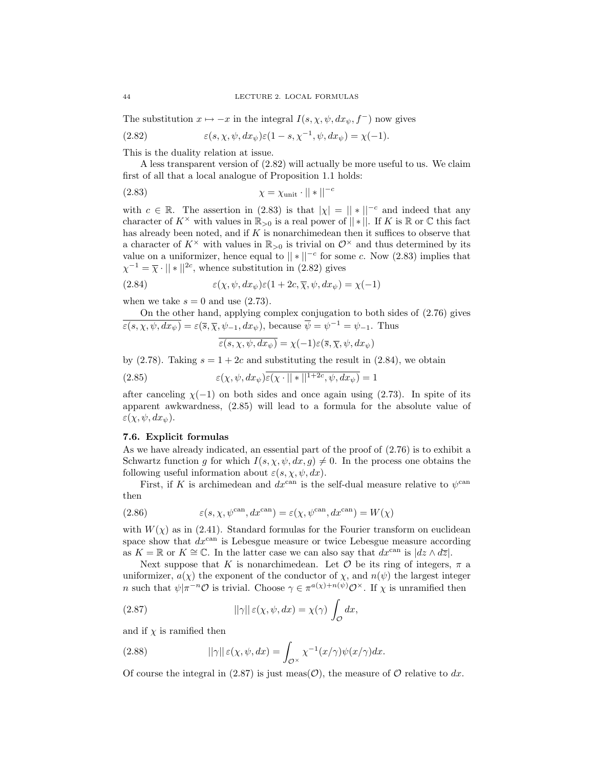The substitution  $x \mapsto -x$  in the integral  $I(s, \chi, \psi, dx_{\psi}, f^{-})$  now gives

(2.82) 
$$
\varepsilon(s, \chi, \psi, dx_{\psi})\varepsilon(1-s, \chi^{-1}, \psi, dx_{\psi}) = \chi(-1).
$$

This is the duality relation at issue.

A less transparent version of (2.82) will actually be more useful to us. We claim first of all that a local analogue of Proposition 1.1 holds:

$$
\chi = \chi_{\text{unit}} \cdot || * ||^{-c}
$$

with  $c \in \mathbb{R}$ . The assertion in (2.83) is that  $|\chi| = ||*||^{-c}$  and indeed that any character of  $K^{\times}$  with values in  $\mathbb{R}_{>0}$  is a real power of  $||*||$ . If K is  $\mathbb{R}$  or  $\mathbb{C}$  this fact has already been noted, and if  $K$  is nonarchimedean then it suffices to observe that a character of  $K^{\times}$  with values in  $\mathbb{R}_{>0}$  is trivial on  $\mathcal{O}^{\times}$  and thus determined by its value on a uniformizer, hence equal to  $||*||^{-c}$  for some c. Now (2.83) implies that  $\chi^{-1} = \overline{\chi} \cdot || * ||^{2c}$ , whence substitution in (2.82) gives

(2.84) 
$$
\epsilon(\chi, \psi, dx_{\psi})\epsilon(1+2c, \overline{\chi}, \psi, dx_{\psi}) = \chi(-1)
$$

when we take  $s = 0$  and use  $(2.73)$ .

On the other hand, applying complex conjugation to both sides of (2.76) gives  $\overline{\varepsilon(s,\chi,\psi,dx_{\psi})} = \varepsilon(\overline{s},\overline{\chi},\psi_{-1},dx_{\psi}),$  because  $\overline{\psi} = \psi^{-1} = \psi_{-1}$ . Thus

$$
\overline{\varepsilon(s,\chi,\psi,dx_{\psi})} = \chi(-1)\varepsilon(\overline{s},\overline{\chi},\psi,dx_{\psi})
$$

by (2.78). Taking  $s = 1 + 2c$  and substituting the result in (2.84), we obtain

(2.85) 
$$
\epsilon(\chi, \psi, dx_{\psi}) \overline{\epsilon(\chi \cdot || * ||^{1+2c}, \psi, dx_{\psi})} = 1
$$

after canceling  $\chi(-1)$  on both sides and once again using (2.73). In spite of its apparent awkwardness, (2.85) will lead to a formula for the absolute value of  $\varepsilon(\chi, \psi, dx_{\psi}).$ 

## 7.6. Explicit formulas

As we have already indicated, an essential part of the proof of (2.76) is to exhibit a Schwartz function g for which  $I(s, \chi, \psi, dx, g) \neq 0$ . In the process one obtains the following useful information about  $\varepsilon(s, \chi, \psi, dx)$ .

First, if K is archimedean and  $dx^{\text{can}}$  is the self-dual measure relative to  $\psi^{\text{can}}$ then

(2.86) 
$$
\varepsilon(s, \chi, \psi^{\text{can}}, dx^{\text{can}}) = \varepsilon(\chi, \psi^{\text{can}}, dx^{\text{can}}) = W(\chi)
$$

with  $W(\chi)$  as in (2.41). Standard formulas for the Fourier transform on euclidean space show that  $dx^{\text{can}}$  is Lebesgue measure or twice Lebesgue measure according as  $K = \mathbb{R}$  or  $K \cong \mathbb{C}$ . In the latter case we can also say that  $dx^{\text{can}}$  is  $|dz \wedge d\overline{z}|$ .

Next suppose that K is nonarchimedean. Let  $\mathcal O$  be its ring of integers,  $\pi$  a uniformizer,  $a(\chi)$  the exponent of the conductor of  $\chi$ , and  $n(\psi)$  the largest integer *n* such that  $\psi | \pi^{-n} \mathcal{O}$  is trivial. Choose  $\gamma \in \pi^{a(\chi)+n(\psi)} \mathcal{O}^{\times}$ . If  $\chi$  is unramified then

(2.87) 
$$
||\gamma|| \varepsilon(\chi, \psi, dx) = \chi(\gamma) \int_{\mathcal{O}} dx,
$$

and if  $\chi$  is ramified then

(2.88) 
$$
||\gamma|| \varepsilon(\chi, \psi, dx) = \int_{\mathcal{O}^\times} \chi^{-1}(x/\gamma) \psi(x/\gamma) dx.
$$

Of course the integral in (2.87) is just meas( $\mathcal{O}$ ), the measure of  $\mathcal O$  relative to dx.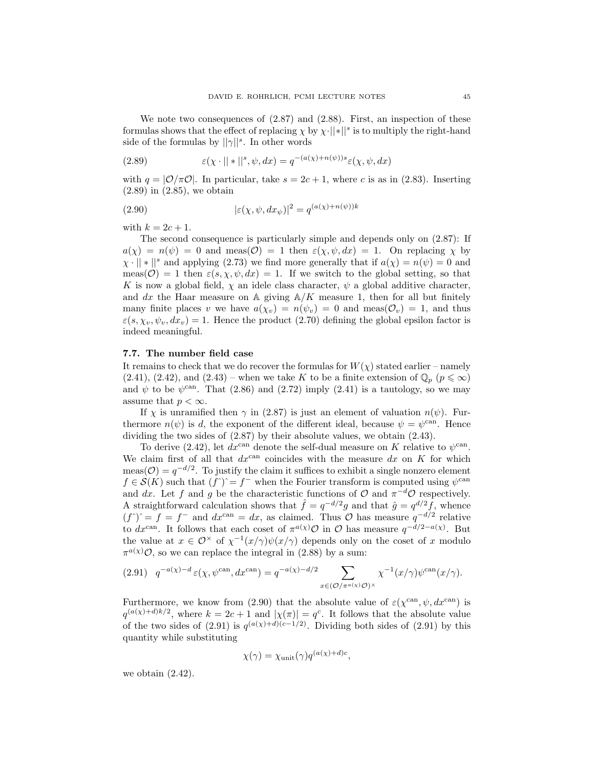We note two consequences of  $(2.87)$  and  $(2.88)$ . First, an inspection of these formulas shows that the effect of replacing  $\chi$  by  $\chi$ .  $||*||^s$  is to multiply the right-hand side of the formulas by  $||\gamma||^s$ . In other words

(2.89) 
$$
\varepsilon(\chi \cdot ||*||^s, \psi, dx) = q^{-(a(\chi) + n(\psi))s} \varepsilon(\chi, \psi, dx)
$$

with  $q = |O/\pi O|$ . In particular, take  $s = 2c + 1$ , where c is as in (2.83). Inserting (2.89) in (2.85), we obtain

(2.90) 
$$
|\varepsilon(\chi, \psi, dx_{\psi})|^2 = q^{(a(\chi) + n(\psi))k}
$$

with  $k = 2c + 1$ .

The second consequence is particularly simple and depends only on (2.87): If  $a(\chi) = n(\psi) = 0$  and meas( $\mathcal{O}$ ) = 1 then  $\varepsilon(\chi, \psi, dx) = 1$ . On replacing  $\chi$  by  $\chi \cdot || * ||^s$  and applying (2.73) we find more generally that if  $a(\chi) = n(\psi) = 0$  and meas( $\mathcal{O}$ ) = 1 then  $\varepsilon(s, \chi, \psi, dx)$  = 1. If we switch to the global setting, so that K is now a global field,  $\chi$  an idele class character,  $\psi$  a global additive character, and dx the Haar measure on A giving  $A/K$  measure 1, then for all but finitely many finite places v we have  $a(\chi_v) = n(\psi_v) = 0$  and meas( $\mathcal{O}_v$ ) = 1, and thus  $\varepsilon(s, \chi_v, \psi_v, dx_v) = 1$ . Hence the product (2.70) defining the global epsilon factor is indeed meaningful.

# 7.7. The number field case

It remains to check that we do recover the formulas for  $W(\chi)$  stated earlier – namely  $(2.41), (2.42), \text{ and } (2.43)$  – when we take K to be a finite extension of  $\mathbb{Q}_p$   $(p \leq \infty)$ and  $\psi$  to be  $\psi^{\text{can}}$ . That (2.86) and (2.72) imply (2.41) is a tautology, so we may assume that  $p < \infty$ .

If  $\chi$  is unramified then  $\gamma$  in (2.87) is just an element of valuation  $n(\psi)$ . Furthermore  $n(\psi)$  is d, the exponent of the different ideal, because  $\psi = \psi^{\text{can}}$ . Hence dividing the two sides of (2.87) by their absolute values, we obtain (2.43).

To derive (2.42), let  $dx^{\text{can}}$  denote the self-dual measure on K relative to  $\psi^{\text{can}}$ . We claim first of all that  $dx^{\text{can}}$  coincides with the measure  $dx$  on K for which meas( $\mathcal{O}$ ) =  $q^{-d/2}$ . To justify the claim it suffices to exhibit a single nonzero element  $f \in \mathcal{S}(K)$  such that  $(f^{\hat{}}) = f^-$  when the Fourier transform is computed using  $\psi^{\text{can}}$ and dx. Let f and g be the characteristic functions of  $\mathcal{O}$  and  $\pi^{-d}\mathcal{O}$  respectively. A straightforward calculation shows that  $\hat{f} = q^{-d/2}g$  and that  $\hat{g} = q^{d/2}f$ , whence  $(f^{\hat{}})^{\hat{}}=f=f^{\hat{-}}$  and  $dx^{\text{can}}=dx$ , as claimed. Thus  $\hat{O}$  has measure  $q^{-d/2}$  relative to dx<sup>can</sup>. It follows that each coset of  $\pi^{a}(\chi)$   $\mathcal{O}$  in  $\mathcal{O}$  has measure  $q^{-d/2-a(\chi)}$ . But the value at  $x \in \mathcal{O}^\times$  of  $\chi^{-1}(x/\gamma)\psi(x/\gamma)$  depends only on the coset of x modulo  $\pi^{a}(\chi)\mathcal{O}$ , so we can replace the integral in (2.88) by a sum:

$$
(2.91) \quad q^{-a(\chi)-d} \,\varepsilon(\chi, \psi^{\text{can}}, dx^{\text{can}}) = q^{-a(\chi)-d/2} \sum_{x \in (\mathcal{O}/\pi^{a(\chi)}\mathcal{O})^\times} \chi^{-1}(x/\gamma) \psi^{\text{can}}(x/\gamma).
$$

Furthermore, we know from (2.90) that the absolute value of  $\varepsilon(\chi^{\text{can}}, \psi, dx^{\text{can}})$  is  $q^{(a(\chi)+d)k/2}$ , where  $k=2c+1$  and  $|\chi(\pi)|=q^c$ . It follows that the absolute value of the two sides of  $(2.91)$  is  $q^{(a(\chi)+d)(c-1/2)}$ . Dividing both sides of  $(2.91)$  by this quantity while substituting

$$
\chi(\gamma) = \chi_{\text{unit}}(\gamma) q^{(a(\chi) + d)c},
$$

we obtain (2.42).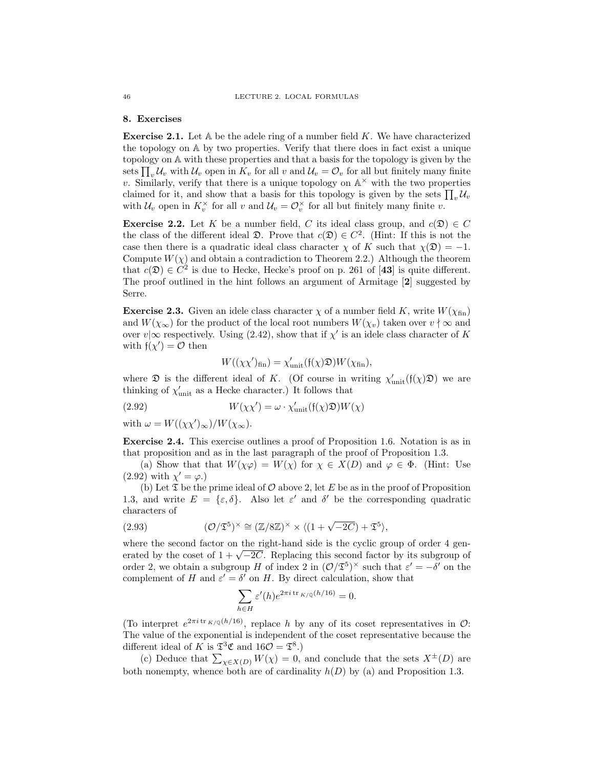### 8. Exercises

**Exercise 2.1.** Let  $\mathbb A$  be the adele ring of a number field K. We have characterized the topology on A by two properties. Verify that there does in fact exist a unique topology on A with these properties and that a basis for the topology is given by the sets  $\prod_{v} U_v$  with  $U_v$  open in  $K_v$  for all v and  $U_v = \mathcal{O}_v$  for all but finitely many finite v. Similarly, verify that there is a unique topology on  $\mathbb{A}^{\times}$  with the two properties claimed for it, and show that a basis for this topology is given by the sets  $\prod_{v} \mathcal{U}_v$ with  $\mathcal{U}_v$  open in  $K_v^{\times}$  for all v and  $\mathcal{U}_v = \mathcal{O}_v^{\times}$  for all but finitely many finite v.

**Exercise 2.2.** Let K be a number field, C its ideal class group, and  $c(\mathfrak{D}) \in C$ the class of the different ideal  $\mathfrak{D}$ . Prove that  $c(\mathfrak{D}) \in C^2$ . (Hint: If this is not the case then there is a quadratic ideal class character  $\chi$  of K such that  $\chi(\mathfrak{D}) = -1$ . Compute  $W(\chi)$  and obtain a contradiction to Theorem 2.2.) Although the theorem that  $c(\mathfrak{D}) \in C^2$  is due to Hecke, Hecke's proof on p. 261 of [43] is quite different. The proof outlined in the hint follows an argument of Armitage [2] suggested by Serre.

**Exercise 2.3.** Given an idele class character  $\chi$  of a number field K, write  $W(\chi_{fin})$ and  $W(\chi_{\infty})$  for the product of the local root numbers  $W(\chi_v)$  taken over  $v \nmid \infty$  and over  $v \propto v \propto v$  respectively. Using (2.42), show that if  $\chi'$  is an idele class character of K with  $f(\chi') = O$  then

$$
W((\chi\chi')_{\text{fin}}) = \chi'_{\text{unit}}(\mathfrak{f}(\chi)\mathfrak{D})W(\chi_{\text{fin}}),
$$

where  $\mathfrak D$  is the different ideal of K. (Of course in writing  $\chi'_{\text{unit}}(\mathfrak f(\chi)\mathfrak D)$  we are thinking of  $\chi'_{\text{unit}}$  as a Hecke character.) It follows that

(2.92) 
$$
W(\chi\chi') = \omega \cdot \chi'_{\text{unit}}(\mathfrak{f}(\chi)\mathfrak{D})W(\chi)
$$

with  $\omega = W((\chi \chi')_{\infty})/W(\chi_{\infty}).$ 

Exercise 2.4. This exercise outlines a proof of Proposition 1.6. Notation is as in that proposition and as in the last paragraph of the proof of Proposition 1.3.

(a) Show that that  $W(\chi\varphi) = W(\chi)$  for  $\chi \in X(D)$  and  $\varphi \in \Phi$ . (Hint: Use  $(2.92)$  with  $\chi' = \varphi$ .)

(b) Let  $\mathfrak T$  be the prime ideal of  $\mathcal O$  above 2, let E be as in the proof of Proposition 1.3, and write  $E = {\varepsilon, \delta}$ . Also let  $\varepsilon'$  and  $\delta'$  be the corresponding quadratic characters of

(2.93) 
$$
(\mathcal{O}/\mathfrak{T}^5)^\times \cong (\mathbb{Z}/8\mathbb{Z})^\times \times \langle (1+\sqrt{-2C}) + \mathfrak{T}^5 \rangle,
$$

where the second factor on the right-hand side is the cyclic group of order 4 genwhere the second factor on the right-hand side is the cyclic group of order 4 generated by the coset of  $1 + \sqrt{-2C}$ . Replacing this second factor by its subgroup of order 2, we obtain a subgroup H of index 2 in  $(\mathcal{O}/\mathfrak{T}^5)^\times$  such that  $\varepsilon' = -\delta'$  on the complement of H and  $\varepsilon' = \delta'$  on H. By direct calculation, show that

$$
\sum_{h \in H} \varepsilon'(h) e^{2\pi i \operatorname{tr}_{K/\mathbb{Q}}(h/16)} = 0.
$$

(To interpret  $e^{2\pi i \operatorname{tr} K/\mathbb{Q}(h/16)}$ , replace h by any of its coset representatives in  $\mathcal{O}$ : The value of the exponential is independent of the coset representative because the different ideal of K is  $\mathfrak{S}^3 \mathfrak{C}$  and  $16\mathcal{O} = \mathfrak{T}^8$ .)

(c) Deduce that  $\sum_{\chi \in X(D)} W(\chi) = 0$ , and conclude that the sets  $X^{\pm}(D)$  are both nonempty, whence both are of cardinality  $h(D)$  by (a) and Proposition 1.3.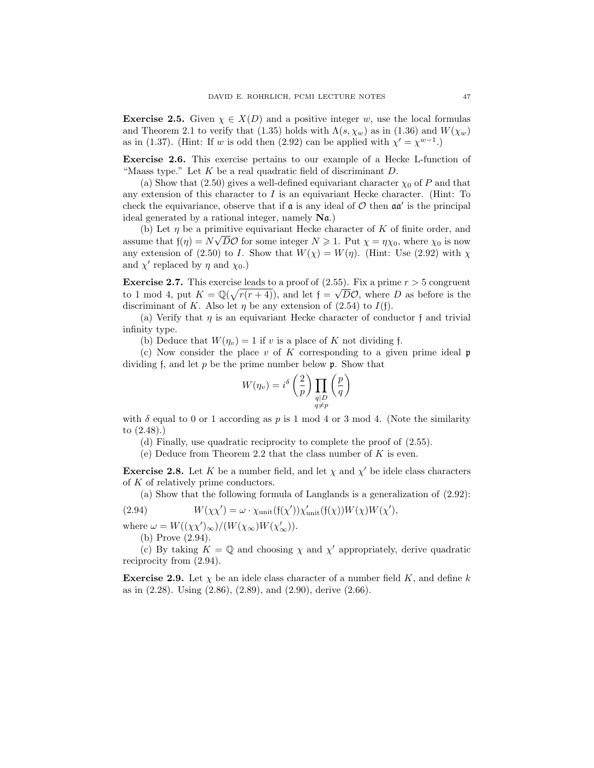**Exercise 2.5.** Given  $\chi \in X(D)$  and a positive integer w, use the local formulas and Theorem 2.1 to verify that (1.35) holds with  $\Lambda(s, \chi_w)$  as in (1.36) and  $W(\chi_w)$ as in (1.37). (Hint: If w is odd then (2.92) can be applied with  $\chi' = \chi^{w-1}$ .)

Exercise 2.6. This exercise pertains to our example of a Hecke L-function of "Maass type." Let  $K$  be a real quadratic field of discriminant  $D$ .

(a) Show that (2.50) gives a well-defined equivariant character  $\chi_0$  of P and that any extension of this character to  $I$  is an equivariant Hecke character. (Hint: To check the equivariance, observe that if  $\mathfrak a$  is any ideal of  $\mathcal O$  then  $\mathfrak a\mathfrak a'$  is the principal ideal generated by a rational integer, namely Na.)

(b) Let  $\eta$  be a primitive equivariant Hecke character of K of finite order, and assume that  $f(\eta) = N\sqrt{D}\mathcal{O}$  for some integer  $N \geq 1$ . Put  $\chi = \eta \chi_0$ , where  $\chi_0$  is now any extension of (2.50) to I. Show that  $W(\chi) = W(\eta)$ . (Hint: Use (2.92) with  $\chi$ and  $\chi'$  replaced by  $\eta$  and  $\chi_0$ .)

**Exercise 2.7.** This exercise leads to a proof of  $(2.55)$ . Fix a prime  $r > 5$  congruent to 1 mod 4, put  $K = \mathbb{Q}(\sqrt{r(r+4)})$ , and let  $f = \sqrt{D}\mathcal{O}$ , where D as before is the discriminant of K. Also let  $\eta$  be any extension of (2.54) to  $I(f)$ .

(a) Verify that  $\eta$  is an equivariant Hecke character of conductor f and trivial infinity type.

(b) Deduce that  $W(\eta_v) = 1$  if v is a place of K not dividing f.

(c) Now consider the place v of K corresponding to a given prime ideal  $\mathfrak p$ dividing f, and let  $p$  be the prime number below  $\mathfrak{p}$ . Show that

$$
W(\eta_v) = i^{\delta} \left( \frac{2}{p} \right) \prod_{\substack{q \mid D \\ q \neq p}} \left( \frac{p}{q} \right)
$$

with  $\delta$  equal to 0 or 1 according as p is 1 mod 4 or 3 mod 4. (Note the similarity to (2.48).)

(d) Finally, use quadratic reciprocity to complete the proof of (2.55).

(e) Deduce from Theorem 2.2 that the class number of  $K$  is even.

**Exercise 2.8.** Let K be a number field, and let  $\chi$  and  $\chi'$  be idele class characters of K of relatively prime conductors.

(a) Show that the following formula of Langlands is a generalization of (2.92):

(2.94) 
$$
W(\chi\chi') = \omega \cdot \chi_{\text{unit}}(\mathfrak{f}(\chi'))\chi'_{\text{unit}}(\mathfrak{f}(\chi))W(\chi)W(\chi'),
$$

where  $\omega = W((\chi \chi')_{\infty})/(W(\chi_{\infty})W(\chi'_{\infty}))$ . (b) Prove (2.94).

(c) By taking  $K = \mathbb{Q}$  and choosing  $\chi$  and  $\chi'$  appropriately, derive quadratic reciprocity from (2.94).

**Exercise 2.9.** Let  $\chi$  be an idele class character of a number field K, and define k as in (2.28). Using (2.86), (2.89), and (2.90), derive (2.66).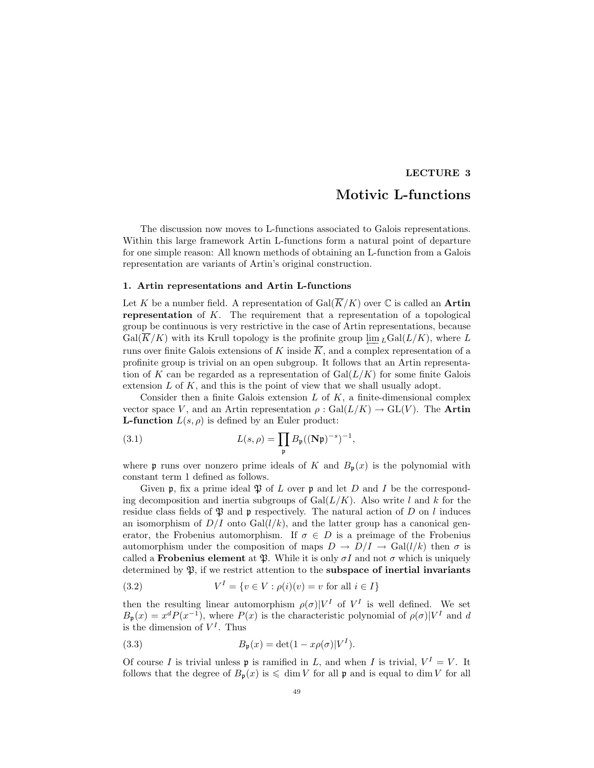# LECTURE 3

# Motivic L-functions

The discussion now moves to L-functions associated to Galois representations. Within this large framework Artin L-functions form a natural point of departure for one simple reason: All known methods of obtaining an L-function from a Galois representation are variants of Artin's original construction.

## 1. Artin representations and Artin L-functions

Let K be a number field. A representation of  $Gal(\overline{K}/K)$  over  $\mathbb C$  is called an **Artin** representation of K. The requirement that a representation of a topological group be continuous is very restrictive in the case of Artin representations, because  $Gal(\overline{K}/K)$  with its Krull topology is the profinite group  $\lim_{L} Gal(L/K)$ , where L runs over finite Galois extensions of K inside  $\overline{K}$ , and a complex representation of a profinite group is trivial on an open subgroup. It follows that an Artin representation of K can be regarded as a representation of  $Gal(L/K)$  for some finite Galois extension  $L$  of  $K$ , and this is the point of view that we shall usually adopt.

Consider then a finite Galois extension  $L$  of  $K$ , a finite-dimensional complex vector space V, and an Artin representation  $\rho : \text{Gal}(L/K) \to \text{GL}(V)$ . The Artin **L-function**  $L(s, \rho)$  is defined by an Euler product:

(3.1) 
$$
L(s,\rho) = \prod_{\mathfrak{p}} B_{\mathfrak{p}}((\mathbf{N}\mathfrak{p})^{-s})^{-1},
$$

where p runs over nonzero prime ideals of K and  $B_p(x)$  is the polynomial with constant term 1 defined as follows.

Given p, fix a prime ideal  $\mathfrak P$  of L over p and let D and I be the corresponding decomposition and inertia subgroups of  $Gal(L/K)$ . Also write l and k for the residue class fields of  $\mathfrak P$  and p respectively. The natural action of D on l induces an isomorphism of  $D/I$  onto  $Gal(l/k)$ , and the latter group has a canonical generator, the Frobenius automorphism. If  $\sigma \in D$  is a preimage of the Frobenius automorphism under the composition of maps  $D \to D/I \to \text{Gal}(l/k)$  then  $\sigma$  is called a **Frobenius element** at  $\mathfrak{P}$ . While it is only  $\sigma I$  and not  $\sigma$  which is uniquely determined by  $\mathfrak{P}$ , if we restrict attention to the **subspace of inertial invariants** 

(3.2) 
$$
V^{I} = \{ v \in V : \rho(i)(v) = v \text{ for all } i \in I \}
$$

then the resulting linear automorphism  $\rho(\sigma)|V^I$  of  $V^I$  is well defined. We set  $B_{\mathfrak{p}}(x) = x^d P(x^{-1})$ , where  $P(x)$  is the characteristic polynomial of  $\rho(\sigma)|V^I$  and d is the dimension of  $V^I$ . Thus

(3.3) 
$$
B_{\mathfrak{p}}(x) = \det(1 - x\rho(\sigma)|V^I).
$$

Of course I is trivial unless **p** is ramified in L, and when I is trivial,  $V^I = V$ . It follows that the degree of  $B_p(x)$  is  $\leq$  dim V for all p and is equal to dim V for all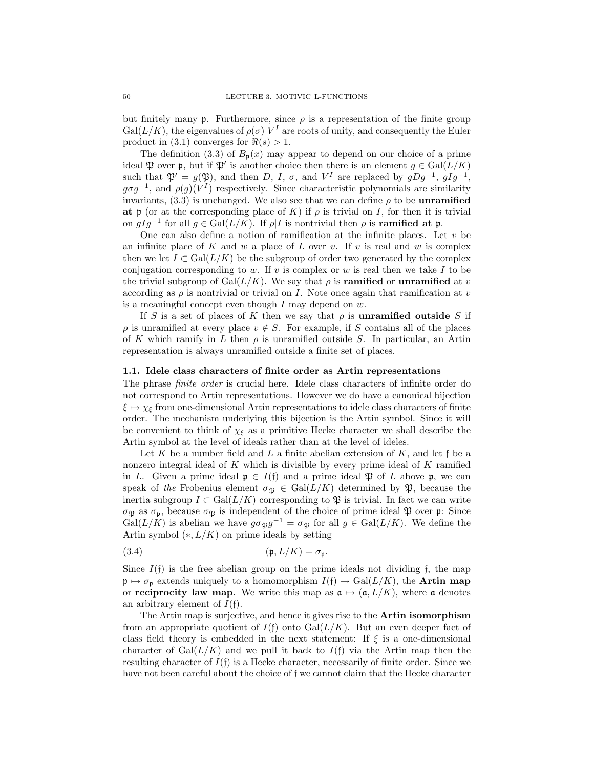but finitely many p. Furthermore, since  $\rho$  is a representation of the finite group  $Gal(L/K)$ , the eigenvalues of  $\rho(\sigma)|V^I$  are roots of unity, and consequently the Euler product in (3.1) converges for  $\Re(s) > 1$ .

The definition (3.3) of  $B_p(x)$  may appear to depend on our choice of a prime ideal  $\mathfrak P$  over  $\mathfrak p$ , but if  $\mathfrak P'$  is another choice then there is an element  $g \in \text{Gal}(L/K)$ such that  $\mathfrak{P}' = g(\mathfrak{P})$ , and then D, I,  $\sigma$ , and V<sup>I</sup> are replaced by  $gDg^{-1}$ ,  $gIg^{-1}$ ,  $g\sigma g^{-1}$ , and  $\rho(g)(V^I)$  respectively. Since characteristic polynomials are similarity invariants,  $(3.3)$  is unchanged. We also see that we can define  $\rho$  to be **unramified** at p (or at the corresponding place of K) if  $\rho$  is trivial on I, for then it is trivial on  $gIg^{-1}$  for all  $g \in \text{Gal}(L/K)$ . If  $\rho | I$  is nontrivial then  $\rho$  is **ramified at p.** 

One can also define a notion of ramification at the infinite places. Let  $v$  be an infinite place of K and w a place of L over v. If v is real and w is complex then we let  $I \subset \text{Gal}(L/K)$  be the subgroup of order two generated by the complex conjugation corresponding to w. If v is complex or w is real then we take  $I$  to be the trivial subgroup of  $Gal(L/K)$ . We say that  $\rho$  is **ramified** or **unramified** at v according as  $\rho$  is nontrivial or trivial on I. Note once again that ramification at v is a meaningful concept even though  $I$  may depend on  $w$ .

If S is a set of places of K then we say that  $\rho$  is **unramified outside** S if  $\rho$  is unramified at every place  $v \notin S$ . For example, if S contains all of the places of K which ramify in L then  $\rho$  is unramified outside S. In particular, an Artin representation is always unramified outside a finite set of places.

### 1.1. Idele class characters of finite order as Artin representations

The phrase finite order is crucial here. Idele class characters of infinite order do not correspond to Artin representations. However we do have a canonical bijection  $\xi \mapsto \chi_{\xi}$  from one-dimensional Artin representations to idele class characters of finite order. The mechanism underlying this bijection is the Artin symbol. Since it will be convenient to think of  $\chi_{\xi}$  as a primitive Hecke character we shall describe the Artin symbol at the level of ideals rather than at the level of ideles.

Let K be a number field and L a finite abelian extension of K, and let f be a nonzero integral ideal of K which is divisible by every prime ideal of K ramified in L. Given a prime ideal  $\mathfrak{p} \in I(\mathfrak{f})$  and a prime ideal  $\mathfrak{P}$  of L above  $\mathfrak{p}$ , we can speak of the Frobenius element  $\sigma_{\mathfrak{P}} \in \text{Gal}(L/K)$  determined by  $\mathfrak{P}$ , because the inertia subgroup  $I \subset \text{Gal}(L/K)$  corresponding to  $\mathfrak P$  is trivial. In fact we can write σ<sub>p</sub> as σ<sub>p</sub>, because σ<sub>p</sub> is independent of the choice of prime ideal  $\mathfrak{P}$  over p: Since  $Gal(L/K)$  is abelian we have  $g\sigma_{\mathfrak{P}}g^{-1} = \sigma_{\mathfrak{P}}$  for all  $g \in Gal(L/K)$ . We define the Artin symbol  $(*, L/K)$  on prime ideals by setting

(3.4) (p, L/K) = σp.

Since  $I(f)$  is the free abelian group on the prime ideals not dividing f, the map  $\mathfrak{p} \mapsto \sigma_{\mathfrak{p}}$  extends uniquely to a homomorphism  $I(f) \to Gal(L/K)$ , the **Artin map** or **reciprocity law map**. We write this map as  $\mathfrak{a} \mapsto (\mathfrak{a}, L/K)$ , where  $\mathfrak{a}$  denotes an arbitrary element of  $I(f)$ .

The Artin map is surjective, and hence it gives rise to the Artin isomorphism from an appropriate quotient of  $I(f)$  onto  $Gal(L/K)$ . But an even deeper fact of class field theory is embedded in the next statement: If  $\xi$  is a one-dimensional character of Gal $(L/K)$  and we pull it back to  $I(f)$  via the Artin map then the resulting character of  $I(f)$  is a Hecke character, necessarily of finite order. Since we have not been careful about the choice of f we cannot claim that the Hecke character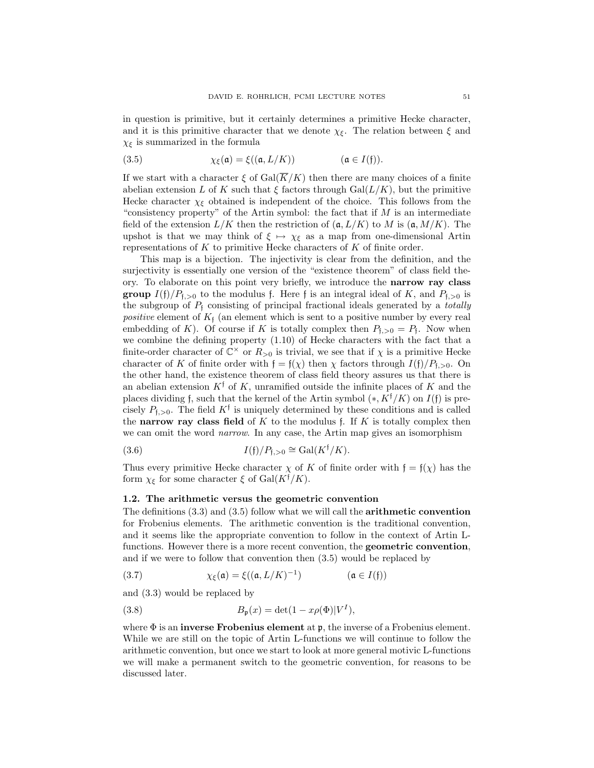in question is primitive, but it certainly determines a primitive Hecke character, and it is this primitive character that we denote  $\chi_{\xi}$ . The relation between  $\xi$  and  $\chi_{\xi}$  is summarized in the formula

(3.5) 
$$
\chi_{\xi}(\mathfrak{a}) = \xi((\mathfrak{a}, L/K)) \qquad (\mathfrak{a} \in I(\mathfrak{f})).
$$

If we start with a character  $\xi$  of  $Gal(\overline{K}/K)$  then there are many choices of a finite abelian extension L of K such that  $\xi$  factors through Gal( $L/K$ ), but the primitive Hecke character  $\chi_{\xi}$  obtained is independent of the choice. This follows from the "consistency property" of the Artin symbol: the fact that if  $M$  is an intermediate field of the extension  $L/K$  then the restriction of  $(a, L/K)$  to M is  $(a, M/K)$ . The upshot is that we may think of  $\xi \mapsto \chi_{\xi}$  as a map from one-dimensional Artin representations of  $K$  to primitive Hecke characters of  $K$  of finite order.

This map is a bijection. The injectivity is clear from the definition, and the surjectivity is essentially one version of the "existence theorem" of class field theory. To elaborate on this point very briefly, we introduce the narrow ray class **group**  $I(f)/P_{f,>0}$  to the modulus f. Here f is an integral ideal of K, and  $P_{f,>0}$  is the subgroup of  $P_f$  consisting of principal fractional ideals generated by a *totally* positive element of  $K_f$  (an element which is sent to a positive number by every real embedding of K). Of course if K is totally complex then  $P_{f, > 0} = P_f$ . Now when we combine the defining property (1.10) of Hecke characters with the fact that a finite-order character of  $\mathbb{C}^{\times}$  or  $R_{>0}$  is trivial, we see that if  $\chi$  is a primitive Hecke character of K of finite order with  $f = f(\chi)$  then  $\chi$  factors through  $I(f)/P_{f,>0}$ . On the other hand, the existence theorem of class field theory assures us that there is an abelian extension  $K^{\dagger}$  of K, unramified outside the infinite places of K and the places dividing f, such that the kernel of the Artin symbol  $(*, K^{\dagger}/K)$  on  $I(f)$  is precisely  $P_{f, >0}$ . The field  $K^{\dagger}$  is uniquely determined by these conditions and is called the narrow ray class field of  $K$  to the modulus f. If  $K$  is totally complex then we can omit the word *narrow*. In any case, the Artin map gives an isomorphism

(3.6) 
$$
I(\mathfrak{f})/P_{\mathfrak{f},>0} \cong \text{Gal}(K^{\mathfrak{f}}/K).
$$

Thus every primitive Hecke character  $\chi$  of K of finite order with  $f = f(\chi)$  has the form  $\chi_{\xi}$  for some character  $\xi$  of Gal( $K^{\dagger}/K$ ).

## 1.2. The arithmetic versus the geometric convention

The definitions (3.3) and (3.5) follow what we will call the arithmetic convention for Frobenius elements. The arithmetic convention is the traditional convention, and it seems like the appropriate convention to follow in the context of Artin Lfunctions. However there is a more recent convention, the geometric convention, and if we were to follow that convention then (3.5) would be replaced by

(3.7) 
$$
\chi_{\xi}(\mathfrak{a}) = \xi((\mathfrak{a}, L/K)^{-1}) \qquad (\mathfrak{a} \in I(\mathfrak{f}))
$$

and (3.3) would be replaced by

(3.8) 
$$
B_{\mathfrak{p}}(x) = \det(1 - x\rho(\Phi)|V^I),
$$

where  $\Phi$  is an **inverse Frobenius element** at **p**, the inverse of a Frobenius element. While we are still on the topic of Artin L-functions we will continue to follow the arithmetic convention, but once we start to look at more general motivic L-functions we will make a permanent switch to the geometric convention, for reasons to be discussed later.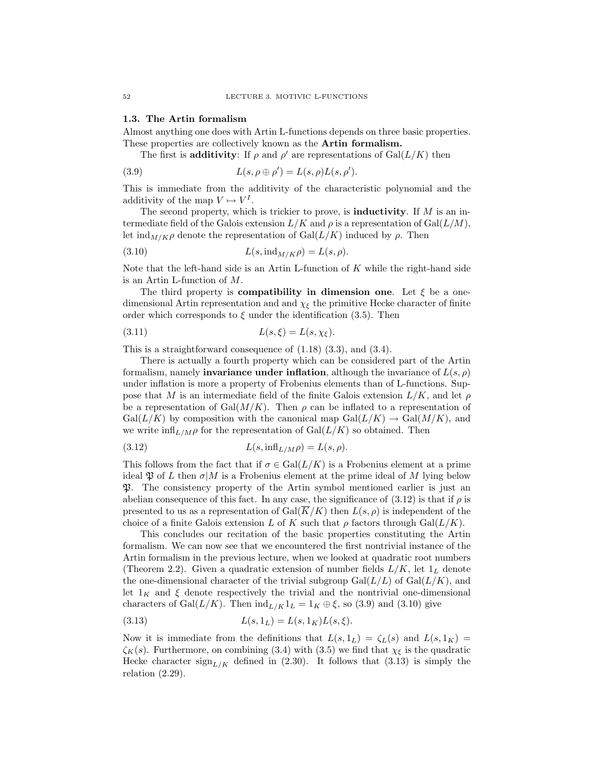#### 1.3. The Artin formalism

Almost anything one does with Artin L-functions depends on three basic properties. These properties are collectively known as the Artin formalism.

The first is **additivity**: If  $\rho$  and  $\rho'$  are representations of Gal( $L/K$ ) then

(3.9) 
$$
L(s, \rho \oplus \rho') = L(s, \rho)L(s, \rho').
$$

This is immediate from the additivity of the characteristic polynomial and the additivity of the map  $V \mapsto V^I$ .

The second property, which is trickier to prove, is **inductivity**. If  $M$  is an intermediate field of the Galois extension  $L/K$  and  $\rho$  is a representation of  $Gal(L/M)$ , let  $\text{ind}_{M/K}\rho$  denote the representation of  $\text{Gal}(L/K)$  induced by  $\rho$ . Then

$$
(3.10) \tL(s, \text{ind}_{M/K}\rho) = L(s, \rho).
$$

Note that the left-hand side is an Artin L-function of  $K$  while the right-hand side is an Artin L-function of M.

The third property is **compatibility in dimension one.** Let  $\xi$  be a onedimensional Artin representation and and  $\chi_{\xi}$  the primitive Hecke character of finite order which corresponds to  $\xi$  under the identification (3.5). Then

$$
(3.11) \t\t\t L(s,\xi) = L(s,\chi_{\xi}).
$$

This is a straightforward consequence of (1.18) (3.3), and (3.4).

There is actually a fourth property which can be considered part of the Artin formalism, namely **invariance under inflation**, although the invariance of  $L(s, \rho)$ under inflation is more a property of Frobenius elements than of L-functions. Suppose that M is an intermediate field of the finite Galois extension  $L/K$ , and let  $\rho$ be a representation of Gal $(M/K)$ . Then  $\rho$  can be inflated to a representation of  $Gal(L/K)$  by composition with the canonical map  $Gal(L/K) \rightarrow Gal(M/K)$ , and we write  $\inf_{L/M\rho}$  for the representation of  $Gal(L/K)$  so obtained. Then

(3.12) 
$$
L(s, \inf_{L/M}\rho) = L(s, \rho).
$$

This follows from the fact that if  $\sigma \in \text{Gal}(L/K)$  is a Frobenius element at a prime ideal  $\mathfrak P$  of L then  $\sigma|M$  is a Frobenius element at the prime ideal of M lying below P. The consistency property of the Artin symbol mentioned earlier is just an abelian consequence of this fact. In any case, the significance of  $(3.12)$  is that if  $\rho$  is presented to us as a representation of  $Gal(\overline{K}/K)$  then  $L(s, \rho)$  is independent of the choice of a finite Galois extension L of K such that  $\rho$  factors through Gal( $L/K$ ).

This concludes our recitation of the basic properties constituting the Artin formalism. We can now see that we encountered the first nontrivial instance of the Artin formalism in the previous lecture, when we looked at quadratic root numbers (Theorem 2.2). Given a quadratic extension of number fields  $L/K$ , let  $1_L$  denote the one-dimensional character of the trivial subgroup  $Gal(L/L)$  of  $Gal(L/K)$ , and let  $1_K$  and  $\xi$  denote respectively the trivial and the nontrivial one-dimensional characters of Gal $(L/K)$ . Then  $\text{ind}_{L/K}1_L = 1_K \oplus \xi$ , so (3.9) and (3.10) give

(3.13) 
$$
L(s, 1_L) = L(s, 1_K)L(s, \xi).
$$

Now it is immediate from the definitions that  $L(s, 1_L) = \zeta_L(s)$  and  $L(s, 1_K) =$  $\zeta_K(s)$ . Furthermore, on combining (3.4) with (3.5) we find that  $\chi_{\xi}$  is the quadratic Hecke character  $\text{sign}_{L/K}$  defined in (2.30). It follows that (3.13) is simply the relation  $(2.29)$ .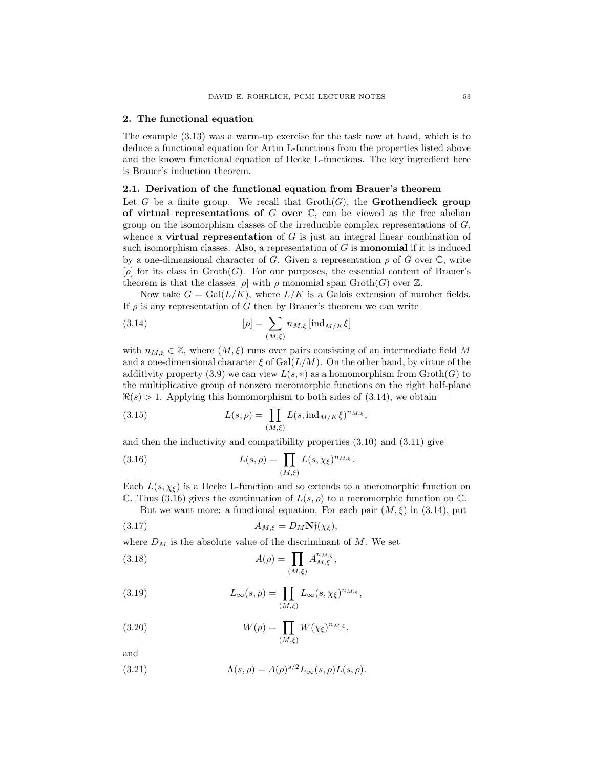#### 2. The functional equation

The example (3.13) was a warm-up exercise for the task now at hand, which is to deduce a functional equation for Artin L-functions from the properties listed above and the known functional equation of Hecke L-functions. The key ingredient here is Brauer's induction theorem.

## 2.1. Derivation of the functional equation from Brauer's theorem

Let G be a finite group. We recall that  $\mathrm{Groth}(G)$ , the **Grothendieck group** of virtual representations of  $G$  over  $\mathbb{C}$ , can be viewed as the free abelian group on the isomorphism classes of the irreducible complex representations of  $G$ , whence a **virtual representation** of  $G$  is just an integral linear combination of such isomorphism classes. Also, a representation of  $G$  is **monomial** if it is induced by a one-dimensional character of G. Given a representation  $\rho$  of G over  $\mathbb{C}$ , write  $[\rho]$  for its class in  $\mathrm{Groth}(G)$ . For our purposes, the essential content of Brauer's theorem is that the classes  $[\rho]$  with  $\rho$  monomial span Groth $(G)$  over  $\mathbb{Z}$ .

Now take  $G = \text{Gal}(L/K)$ , where  $L/K$  is a Galois extension of number fields. If  $\rho$  is any representation of G then by Brauer's theorem we can write

(3.14) 
$$
[\rho] = \sum_{(M,\xi)} n_{M,\xi} \left[ \text{ind}_{M/K} \xi \right]
$$

with  $n_{M,\xi} \in \mathbb{Z}$ , where  $(M,\xi)$  runs over pairs consisting of an intermediate field M and a one-dimensional character  $\xi$  of  $Gal(L/M)$ . On the other hand, by virtue of the additivity property (3.9) we can view  $L(s, *)$  as a homomorphism from  $\operatorname{Groth}(G)$  to the multiplicative group of nonzero meromorphic functions on the right half-plane  $\Re(s) > 1$ . Applying this homomorphism to both sides of (3.14), we obtain

(3.15) 
$$
L(s,\rho) = \prod_{(M,\xi)} L(s,\mathrm{ind}_{M/K}\xi)^{n_{M,\xi}},
$$

and then the inductivity and compatibility properties (3.10) and (3.11) give

(3.16) 
$$
L(s,\rho) = \prod_{(M,\xi)} L(s,\chi_{\xi})^{n_{M,\xi}}.
$$

Each  $L(s, \chi_{\varepsilon})$  is a Hecke L-function and so extends to a meromorphic function on C. Thus (3.16) gives the continuation of  $L(s, \rho)$  to a meromorphic function on C.

But we want more: a functional equation. For each pair  $(M, \xi)$  in (3.14), put

(3.17) 
$$
A_{M,\xi} = D_M \mathbf{N} \mathbf{f}(\chi_{\xi}),
$$

where  $D_M$  is the absolute value of the discriminant of M. We set

(3.18) 
$$
A(\rho) = \prod_{(M,\xi)} A_{M,\xi}^{n_{M,\xi}},
$$

(3.19) 
$$
L_{\infty}(s,\rho) = \prod_{(M,\xi)} L_{\infty}(s,\chi_{\xi})^{n_{M,\xi}},
$$

(3.20) 
$$
W(\rho) = \prod_{(M,\xi)} W(\chi_{\xi})^{n_{M,\xi}},
$$

and

(3.21) 
$$
\Lambda(s,\rho) = A(\rho)^{s/2} L_{\infty}(s,\rho) L(s,\rho).
$$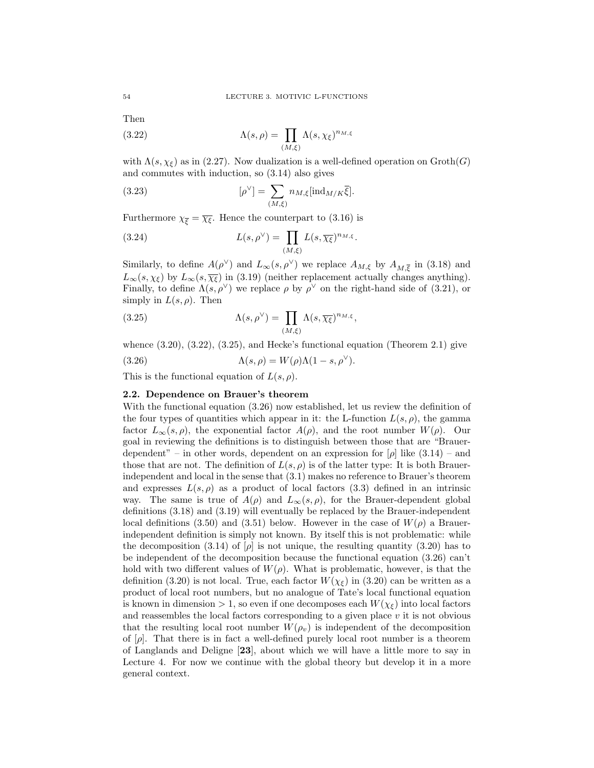Then

(3.22) 
$$
\Lambda(s,\rho) = \prod_{(M,\xi)} \Lambda(s,\chi_{\xi})^{n_{M,\xi}}
$$

with  $\Lambda(s, \chi_{\xi})$  as in (2.27). Now dualization is a well-defined operation on  $\mathrm{Groth}(G)$ and commutes with induction, so (3.14) also gives

(3.23) 
$$
[\rho^{\vee}] = \sum_{(M,\xi)} n_{M,\xi} [\text{ind}_{M/K} \overline{\xi}].
$$

Furthermore  $\chi_{\overline{\xi}} = \overline{\chi_{\xi}}$ . Hence the counterpart to (3.16) is

(3.24) 
$$
L(s, \rho^{\vee}) = \prod_{(M,\xi)} L(s, \overline{\chi_{\xi}})^{n_{M,\xi}}.
$$

Similarly, to define  $A(\rho^{\vee})$  and  $L_{\infty}(s, \rho^{\vee})$  we replace  $A_{M,\xi}$  by  $A_{M,\overline{\xi}}$  in (3.18) and  $L_{\infty}(s, \chi_{\xi})$  by  $L_{\infty}(s, \overline{\chi_{\xi}})$  in (3.19) (neither replacement actually changes anything). Finally, to define  $\Lambda(s, \rho^{\vee})$  we replace  $\rho$  by  $\rho^{\vee}$  on the right-hand side of (3.21), or simply in  $L(s, \rho)$ . Then

(3.25) 
$$
\Lambda(s,\rho^{\vee}) = \prod_{(M,\xi)} \Lambda(s,\overline{\chi_{\xi}})^{n_{M,\xi}},
$$

whence  $(3.20)$ ,  $(3.22)$ ,  $(3.25)$ , and Hecke's functional equation (Theorem 2.1) give

(3.26) 
$$
\Lambda(s,\rho) = W(\rho)\Lambda(1-s,\rho^{\vee}).
$$

This is the functional equation of  $L(s, \rho)$ .

# 2.2. Dependence on Brauer's theorem

With the functional equation (3.26) now established, let us review the definition of the four types of quantities which appear in it: the L-function  $L(s, \rho)$ , the gamma factor  $L_{\infty}(s, \rho)$ , the exponential factor  $A(\rho)$ , and the root number  $W(\rho)$ . Our goal in reviewing the definitions is to distinguish between those that are "Brauerdependent" – in other words, dependent on an expression for  $[\rho]$  like  $(3.14)$  – and those that are not. The definition of  $L(s, \rho)$  is of the latter type: It is both Brauerindependent and local in the sense that (3.1) makes no reference to Brauer's theorem and expresses  $L(s, \rho)$  as a product of local factors (3.3) defined in an intrinsic way. The same is true of  $A(\rho)$  and  $L_{\infty}(s, \rho)$ , for the Brauer-dependent global definitions (3.18) and (3.19) will eventually be replaced by the Brauer-independent local definitions (3.50) and (3.51) below. However in the case of  $W(\rho)$  a Brauerindependent definition is simply not known. By itself this is not problematic: while the decomposition (3.14) of  $[\rho]$  is not unique, the resulting quantity (3.20) has to be independent of the decomposition because the functional equation (3.26) can't hold with two different values of  $W(\rho)$ . What is problematic, however, is that the definition (3.20) is not local. True, each factor  $W(\chi_{\xi})$  in (3.20) can be written as a product of local root numbers, but no analogue of Tate's local functional equation is known in dimension  $> 1$ , so even if one decomposes each  $W(\chi_{\xi})$  into local factors and reassembles the local factors corresponding to a given place v it is not obvious that the resulting local root number  $W(\rho_v)$  is independent of the decomposition of  $[\rho]$ . That there is in fact a well-defined purely local root number is a theorem of Langlands and Deligne [23], about which we will have a little more to say in Lecture 4. For now we continue with the global theory but develop it in a more general context.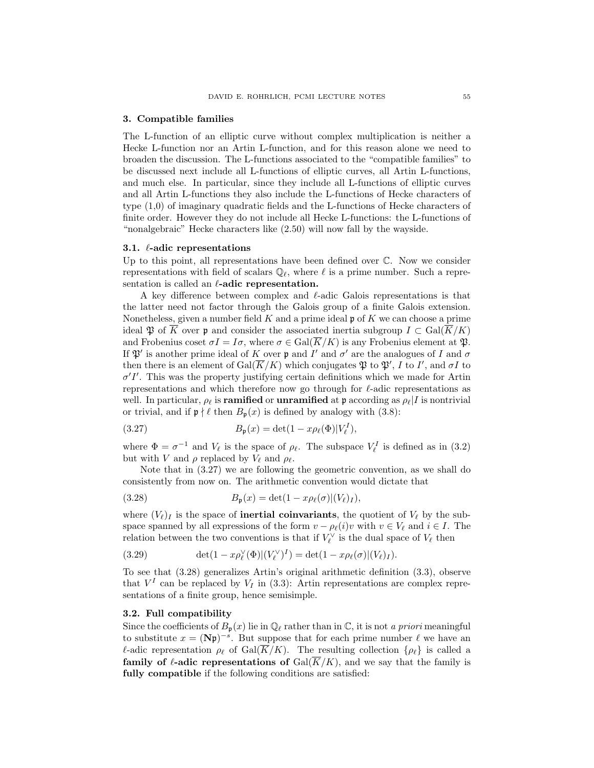#### 3. Compatible families

The L-function of an elliptic curve without complex multiplication is neither a Hecke L-function nor an Artin L-function, and for this reason alone we need to broaden the discussion. The L-functions associated to the "compatible families" to be discussed next include all L-functions of elliptic curves, all Artin L-functions, and much else. In particular, since they include all L-functions of elliptic curves and all Artin L-functions they also include the L-functions of Hecke characters of type (1,0) of imaginary quadratic fields and the L-functions of Hecke characters of finite order. However they do not include all Hecke L-functions: the L-functions of "nonalgebraic" Hecke characters like (2.50) will now fall by the wayside.

### 3.1.  $\ell$ -adic representations

Up to this point, all representations have been defined over C. Now we consider representations with field of scalars  $\mathbb{Q}_\ell$ , where  $\ell$  is a prime number. Such a representation is called an  $\ell$ -adic representation.

A key difference between complex and  $\ell$ -adic Galois representations is that the latter need not factor through the Galois group of a finite Galois extension. Nonetheless, given a number field  $K$  and a prime ideal  $\mathfrak p$  of  $K$  we can choose a prime ideal  $\mathfrak{P}$  of  $\overline{K}$  over **p** and consider the associated inertia subgroup  $I \subset \text{Gal}(\overline{K}/K)$ and Frobenius coset  $\sigma I = I\sigma$ , where  $\sigma \in \text{Gal}(\overline{K}/K)$  is any Frobenius element at  $\mathfrak{P}$ . If  $\mathfrak{P}'$  is another prime ideal of K over **p** and  $I'$  and  $\sigma'$  are the analogues of I and  $\sigma$ then there is an element of  $Gal(\overline{K}/K)$  which conjugates  $\mathfrak{P}$  to  $\mathfrak{P}', I$  to  $I'$ , and  $\sigma I$  to  $\sigma' I'$ . This was the property justifying certain definitions which we made for Artin representations and which therefore now go through for  $\ell$ -adic representations as well. In particular,  $\rho_\ell$  is **ramified** or **unramified** at p according as  $\rho_\ell\vert I$  is nontrivial or trivial, and if  $\mathfrak{p} \nmid \ell$  then  $B_{\mathfrak{p}}(x)$  is defined by analogy with (3.8):

(3.27) 
$$
B_{\mathfrak{p}}(x) = \det(1 - x \rho_{\ell}(\Phi)|V_{\ell}^{I}),
$$

where  $\Phi = \sigma^{-1}$  and  $V_\ell$  is the space of  $\rho_\ell$ . The subspace  $V_\ell^I$  is defined as in (3.2) but with V and  $\rho$  replaced by  $V_\ell$  and  $\rho_\ell$ .

Note that in (3.27) we are following the geometric convention, as we shall do consistently from now on. The arithmetic convention would dictate that

(3.28) 
$$
B_{\mathfrak{p}}(x) = \det(1 - x \rho_{\ell}(\sigma) | (V_{\ell})_I),
$$

where  $(V_{\ell})_I$  is the space of **inertial coinvariants**, the quotient of  $V_{\ell}$  by the subspace spanned by all expressions of the form  $v - \rho_{\ell}(i)v$  with  $v \in V_{\ell}$  and  $i \in I$ . The relation between the two conventions is that if  $V_{\ell}^{\vee}$  is the dual space of  $V_{\ell}$  then

(3.29) 
$$
\det(1-x\rho_{\ell}^{\vee}(\Phi)|(V_{\ell}^{\vee})^I) = \det(1-x\rho_{\ell}(\sigma)|(V_{\ell})_I).
$$

To see that (3.28) generalizes Artin's original arithmetic definition (3.3), observe that  $V^I$  can be replaced by  $V_I$  in (3.3): Artin representations are complex representations of a finite group, hence semisimple.

## 3.2. Full compatibility

Since the coefficients of  $B_p(x)$  lie in  $\mathbb{Q}_\ell$  rather than in C, it is not a priori meaningful to substitute  $x = (Np)^{-s}$ . But suppose that for each prime number  $\ell$  we have an  $\ell$ -adic representation  $\rho_{\ell}$  of Gal( $\overline{K}/K$ ). The resulting collection  $\{\rho_{\ell}\}\$ is called a family of  $\ell$ -adic representations of  $Gal(\overline{K}/K)$ , and we say that the family is fully compatible if the following conditions are satisfied: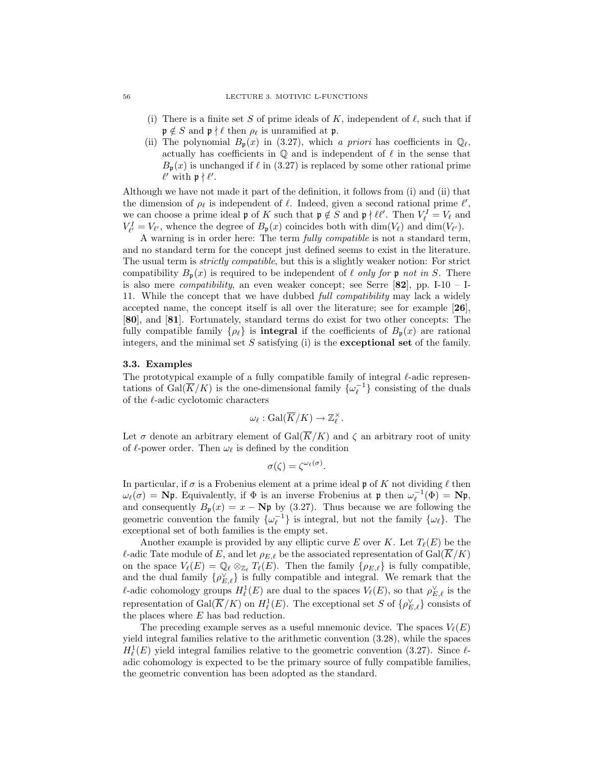- (i) There is a finite set S of prime ideals of K, independent of  $\ell$ , such that if  $\mathfrak{p} \notin S$  and  $\mathfrak{p} \nmid \ell$  then  $\rho_{\ell}$  is unramified at  $\mathfrak{p}$ .
- (ii) The polynomial  $B_p(x)$  in (3.27), which a priori has coefficients in  $\mathbb{Q}_\ell$ , actually has coefficients in  $\mathbb Q$  and is independent of  $\ell$  in the sense that  $B_{p}(x)$  is unchanged if  $\ell$  in (3.27) is replaced by some other rational prime  $\ell'$  with  $p \nmid \ell'.$

Although we have not made it part of the definition, it follows from (i) and (ii) that the dimension of  $\rho_{\ell}$  is independent of  $\ell$ . Indeed, given a second rational prime  $\ell'$ , we can choose a prime ideal  $\mathfrak p$  of K such that  $\mathfrak p \notin S$  and  $\mathfrak p \nmid \ell \ell'$ . Then  $V^I_{\ell} = V_{\ell}$  and  $V_{\ell'}^I = V_{\ell'}$ , whence the degree of  $B_{\mathfrak{p}}(x)$  coincides both with  $\dim(V_{\ell})$  and  $\dim(V_{\ell'})$ .

A warning is in order here: The term fully compatible is not a standard term, and no standard term for the concept just defined seems to exist in the literature. The usual term is *strictly compatible*, but this is a slightly weaker notion: For strict compatibility  $B_p(x)$  is required to be independent of  $\ell$  only for p not in S. There is also mere *compatibility*, an even weaker concept; see Serre  $[82]$ , pp. I-10 – I-11. While the concept that we have dubbed full compatibility may lack a widely accepted name, the concept itself is all over the literature; see for example [26], [80], and [81]. Fortunately, standard terms do exist for two other concepts: The fully compatible family  $\{\rho_{\ell}\}\$ is integral if the coefficients of  $B_{p}(x)$  are rational integers, and the minimal set  $S$  satisfying (i) is the **exceptional set** of the family.

# 3.3. Examples

The prototypical example of a fully compatible family of integral  $\ell$ -adic representations of  $Gal(\overline{K}/K)$  is the one-dimensional family  $\{\omega_{\ell}^{-1}\}$  consisting of the duals of the  $\ell$ -adic cyclotomic characters

$$
\omega_{\ell} : \text{Gal}(\overline{K}/K) \to \mathbb{Z}_{\ell}^{\times}.
$$

Let  $\sigma$  denote an arbitrary element of Gal( $\overline{K}/K$ ) and  $\zeta$  an arbitrary root of unity of  $\ell$ -power order. Then  $\omega_{\ell}$  is defined by the condition

$$
\sigma(\zeta) = \zeta^{\omega_{\ell}(\sigma)}.
$$

In particular, if  $\sigma$  is a Frobenius element at a prime ideal  $\mathfrak p$  of K not dividing  $\ell$  then  $\omega_{\ell}(\sigma) = \mathbf{N} \mathfrak{p}$ . Equivalently, if  $\Phi$  is an inverse Frobenius at  $\mathfrak{p}$  then  $\omega_{\ell}^{-1}(\Phi) = \mathbf{N} \mathfrak{p}$ , and consequently  $B_p(x) = x - Np$  by (3.27). Thus because we are following the geometric convention the family  $\{\omega_{\ell}^{-1}\}$  is integral, but not the family  $\{\omega_{\ell}\}$ . The exceptional set of both families is the empty set.

Another example is provided by any elliptic curve E over K. Let  $T_{\ell}(E)$  be the  $\ell$ -adic Tate module of E, and let  $\rho_{E,\ell}$  be the associated representation of Gal( $\overline{K}/K$ ) on the space  $V_{\ell}(E) = \mathbb{Q}_{\ell} \otimes_{\mathbb{Z}_{\ell}} T_{\ell}(E)$ . Then the family  $\{\rho_{E,\ell}\}\$ is fully compatible, and the dual family  $\{\rho_{E,\ell}^{\vee}\}\$  is fully compatible and integral. We remark that the  $\ell$ -adic cohomology groups  $H^1_\ell(E)$  are dual to the spaces  $V_\ell(E)$ , so that  $\rho_{E,\ell}^\vee$  is the representation of  $Gal(\overline{K}/K)$  on  $H^1_\ell(E)$ . The exceptional set S of  $\{\rho_{E,\ell}^{\vee}\}\)$  consists of the places where E has bad reduction.

The preceding example serves as a useful mnemonic device. The spaces  $V_{\ell}(E)$ yield integral families relative to the arithmetic convention (3.28), while the spaces  $H^1_\ell(E)$  yield integral families relative to the geometric convention (3.27). Since  $\ell$ adic cohomology is expected to be the primary source of fully compatible families, the geometric convention has been adopted as the standard.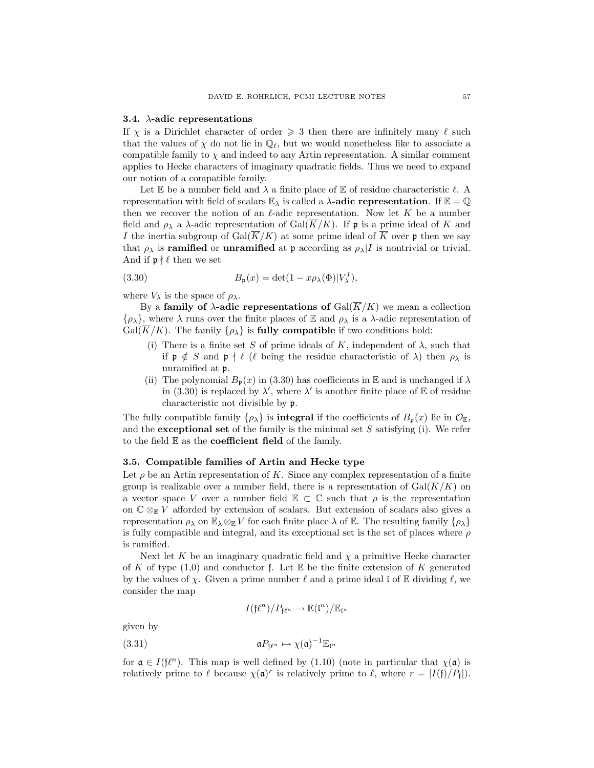#### 3.4.  $\lambda$ -adic representations

If  $\chi$  is a Dirichlet character of order  $\geqslant$  3 then there are infinitely many  $\ell$  such that the values of  $\chi$  do not lie in  $\mathbb{Q}_\ell$ , but we would nonetheless like to associate a compatible family to  $\chi$  and indeed to any Artin representation. A similar comment applies to Hecke characters of imaginary quadratic fields. Thus we need to expand our notion of a compatible family.

Let  $\mathbb E$  be a number field and  $\lambda$  a finite place of  $\mathbb E$  of residue characteristic  $\ell$ . A representation with field of scalars  $\mathbb{E}_{\lambda}$  is called a  $\lambda$ -adic representation. If  $\mathbb{E} = \mathbb{Q}$ then we recover the notion of an  $\ell$ -adic representation. Now let K be a number field and  $\rho_{\lambda}$  a  $\lambda$ -adic representation of Gal( $\overline{K}/K$ ). If **p** is a prime ideal of K and I the inertia subgroup of  $Gal(\overline{K}/K)$  at some prime ideal of  $\overline{K}$  over p then we say that  $\rho_{\lambda}$  is **ramified** or **unramified** at **p** according as  $\rho_{\lambda} | I$  is nontrivial or trivial. And if  $\mathfrak{p} \nmid \ell$  then we set

(3.30) 
$$
B_{\mathfrak{p}}(x) = \det(1 - x \rho_{\lambda}(\Phi)|V_{\lambda}^{I}),
$$

where  $V_{\lambda}$  is the space of  $\rho_{\lambda}$ .

By a family of  $\lambda$ -adic representations of  $Gal(\overline{K}/K)$  we mean a collection  $\{\rho_{\lambda}\}\$ , where  $\lambda$  runs over the finite places of  $\mathbb E$  and  $\rho_{\lambda}$  is a  $\lambda$ -adic representation of  $Gal(\overline{K}/K)$ . The family  $\{\rho_{\lambda}\}\$ is **fully compatible** if two conditions hold:

- (i) There is a finite set S of prime ideals of K, independent of  $\lambda$ , such that if  $\mathfrak{p} \notin S$  and  $\mathfrak{p} \nmid \ell$  ( $\ell$  being the residue characteristic of  $\lambda$ ) then  $\rho_{\lambda}$  is unramified at p.
- (ii) The polynomial  $B_p(x)$  in (3.30) has coefficients in E and is unchanged if  $\lambda$ in (3.30) is replaced by  $\lambda'$ , where  $\lambda'$  is another finite place of  $\mathbb E$  of residue characteristic not divisible by p.

The fully compatible family  $\{\rho_{\lambda}\}\$ is **integral** if the coefficients of  $B_{\mathbf{p}}(x)$  lie in  $\mathcal{O}_{\mathbb{E}}$ , and the **exceptional set** of the family is the minimal set  $S$  satisfying (i). We refer to the field  $E$  as the **coefficient field** of the family.

## 3.5. Compatible families of Artin and Hecke type

Let  $\rho$  be an Artin representation of K. Since any complex representation of a finite group is realizable over a number field, there is a representation of  $Gal(\overline{K}/K)$  on a vector space V over a number field  $\mathbb{E} \subset \mathbb{C}$  such that  $\rho$  is the representation on  $\mathbb{C} \otimes_{\mathbb{E}} V$  afforded by extension of scalars. But extension of scalars also gives a representation  $\rho_{\lambda}$  on  $\mathbb{E}_{\lambda} \otimes_{\mathbb{E}} V$  for each finite place  $\lambda$  of  $\mathbb{E}$ . The resulting family  $\{\rho_{\lambda}\}\$ is fully compatible and integral, and its exceptional set is the set of places where  $\rho$ is ramified.

Next let K be an imaginary quadratic field and  $\chi$  a primitive Hecke character of K of type  $(1,0)$  and conductor f. Let E be the finite extension of K generated by the values of  $\chi$ . Given a prime number  $\ell$  and a prime ideal l of E dividing  $\ell$ , we consider the map

$$
I(\mathfrak{f}\ell^n)/P_{\mathfrak{f}\ell^n}\to \mathbb{E}(\mathfrak{l}^n)/\mathbb{E}_{\mathfrak{l}^n}
$$

given by

(3.31) 
$$
\mathfrak{a} P_{\mathfrak{f}^{\ell^n}} \mapsto \chi(\mathfrak{a})^{-1} \mathbb{E}_{\mathfrak{l}^n}
$$

for  $\mathfrak{a} \in I(\mathfrak{f}\ell^n)$ . This map is well defined by (1.10) (note in particular that  $\chi(\mathfrak{a})$  is relatively prime to  $\ell$  because  $\chi(\mathfrak{a})^r$  is relatively prime to  $\ell$ , where  $r = |I(\mathfrak{f})/P_{\mathfrak{f}}|$ .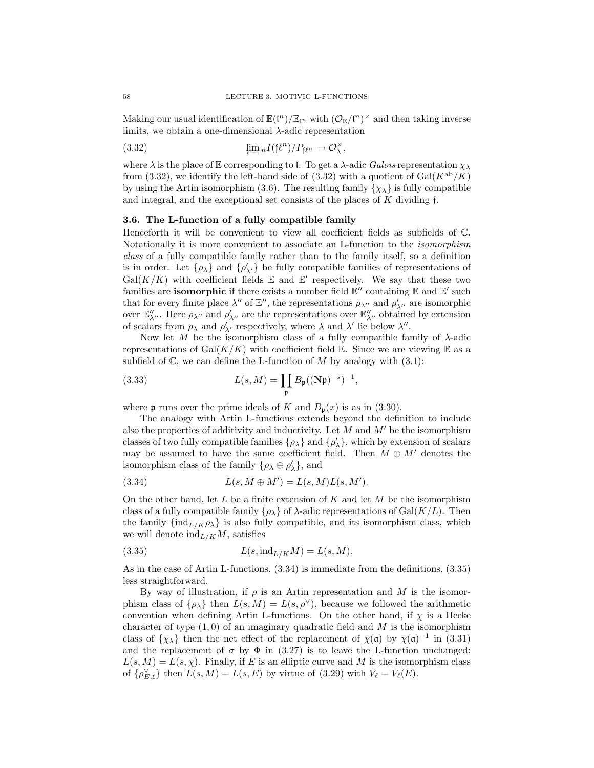Making our usual identification of  $\mathbb{E}(\mathfrak{l}^n)/\mathbb{E}_{\mathfrak{l}^n}$  with  $(\mathcal{O}_{\mathbb{E}}/\mathfrak{l}^n)^{\times}$  and then taking inverse limits, we obtain a one-dimensional  $\lambda$ -adic representation

(3.32) 
$$
\underline{\lim} {}_{n}I(\mathfrak{f}\ell^{n})/P_{\mathfrak{f}\ell^{n}} \to \mathcal{O}_{\lambda}^{\times},
$$

where  $\lambda$  is the place of E corresponding to l. To get a  $\lambda$ -adic Galois representation  $\chi_{\lambda}$ from (3.32), we identify the left-hand side of (3.32) with a quotient of  $Gal(K^{ab}/K)$ by using the Artin isomorphism (3.6). The resulting family  $\{\chi_{\lambda}\}\$ is fully compatible and integral, and the exceptional set consists of the places of K dividing f.

# 3.6. The L-function of a fully compatible family

Henceforth it will be convenient to view all coefficient fields as subfields of C. Notationally it is more convenient to associate an L-function to the isomorphism class of a fully compatible family rather than to the family itself, so a definition is in order. Let  $\{\rho_{\lambda'}\}$  and  $\{\rho'_{\lambda'}\}$  be fully compatible families of representations of  $Gal(\overline{K}/K)$  with coefficient fields  $\mathbb E$  and  $\mathbb E'$  respectively. We say that these two families are **isomorphic** if there exists a number field  $\mathbb{E}''$  containing  $\mathbb{E}$  and  $\mathbb{E}'$  such that for every finite place  $\lambda''$  of  $\mathbb{E}''$ , the representations  $\rho_{\lambda''}$  and  $\rho'_{\lambda''}$  are isomorphic over  $\mathbb{E}_{\lambda''}''$ . Here  $\rho_{\lambda''}$  and  $\rho'_{\lambda''}$  are the representations over  $\mathbb{E}_{\lambda''}''$  obtained by extension of scalars from  $\rho_{\lambda}$  and  $\rho'_{\lambda'}$  respectively, where  $\lambda$  and  $\lambda'$  lie below  $\lambda''$ .

Now let M be the isomorphism class of a fully compatible family of  $\lambda$ -adic representations of Gal( $K/K$ ) with coefficient field E. Since we are viewing E as a subfield of  $\mathbb{C}$ , we can define the L-function of M by analogy with  $(3.1)$ :

(3.33) 
$$
L(s, M) = \prod_{\mathfrak{p}} B_{\mathfrak{p}}((\mathbf{N}\mathfrak{p})^{-s})^{-1},
$$

where **p** runs over the prime ideals of K and  $B_p(x)$  is as in (3.30).

The analogy with Artin L-functions extends beyond the definition to include also the properties of additivity and inductivity. Let  $M$  and  $M'$  be the isomorphism classes of two fully compatible families  $\{\rho_{\lambda}\}\$  and  $\{\rho'_{\lambda}\}\$ , which by extension of scalars may be assumed to have the same coefficient field. Then  $M \oplus M'$  denotes the isomorphism class of the family  $\{\rho_\lambda \oplus \rho'_\lambda\}$ , and

(3.34) 
$$
L(s, M \oplus M') = L(s, M)L(s, M').
$$

On the other hand, let  $L$  be a finite extension of  $K$  and let  $M$  be the isomorphism class of a fully compatible family  $\{\rho_{\lambda}\}\$  of  $\lambda$ -adic representations of Gal $(K/L)$ . Then the family  $\{\text{ind}_{L/K}\rho_\lambda\}$  is also fully compatible, and its isomorphism class, which we will denote  $\mathrm{ind}_{L/K}M$ , satisfies

$$
(3.35) \tL(s, \mathrm{ind}_{L/K}M) = L(s, M).
$$

As in the case of Artin L-functions, (3.34) is immediate from the definitions, (3.35) less straightforward.

By way of illustration, if  $\rho$  is an Artin representation and M is the isomorphism class of  $\{\rho_{\lambda}\}\$  then  $L(s, M) = L(s, \rho^{\vee})$ , because we followed the arithmetic convention when defining Artin L-functions. On the other hand, if  $\chi$  is a Hecke character of type  $(1,0)$  of an imaginary quadratic field and M is the isomorphism class of  $\{\chi_{\lambda}\}\right\}$  then the net effect of the replacement of  $\chi(\mathfrak{a})$  by  $\chi(\mathfrak{a})^{-1}$  in (3.31) and the replacement of  $\sigma$  by  $\Phi$  in (3.27) is to leave the L-function unchanged:  $L(s, M) = L(s, \chi)$ . Finally, if E is an elliptic curve and M is the isomorphism class of  $\{\rho_{E,\ell}^{\vee}\}\$  then  $L(s,M) = L(s,E)$  by virtue of (3.29) with  $V_{\ell} = V_{\ell}(E)$ .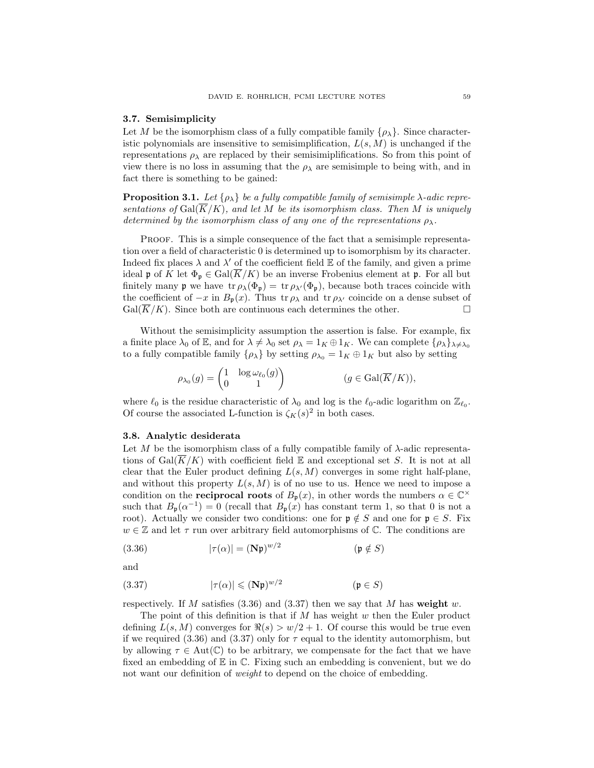#### 3.7. Semisimplicity

Let M be the isomorphism class of a fully compatible family  $\{\rho_{\lambda}\}\.$  Since characteristic polynomials are insensitive to semisimplification,  $L(s, M)$  is unchanged if the representations  $\rho_{\lambda}$  are replaced by their semisimiplifications. So from this point of view there is no loss in assuming that the  $\rho_{\lambda}$  are semisimple to being with, and in fact there is something to be gained:

**Proposition 3.1.** Let  $\{\rho_{\lambda}\}\$ be a fully compatible family of semisimple  $\lambda$ -adic representations of  $Gal(\overline{K}/K)$ , and let M be its isomorphism class. Then M is uniquely determined by the isomorphism class of any one of the representations  $\rho_{\lambda}$ .

PROOF. This is a simple consequence of the fact that a semisimple representation over a field of characteristic 0 is determined up to isomorphism by its character. Indeed fix places  $\lambda$  and  $\lambda'$  of the coefficient field  $\mathbb E$  of the family, and given a prime ideal p of K let  $\Phi_{p} \in \text{Gal}(\overline{K}/K)$  be an inverse Frobenius element at p. For all but finitely many **p** we have  $tr \rho_{\lambda}(\Phi_{\mathfrak{p}}) = tr \rho_{\lambda'}(\Phi_{\mathfrak{p}})$ , because both traces coincide with the coefficient of  $-x$  in  $B_{p}(x)$ . Thus tr  $\rho_{\lambda}$  and tr  $\rho_{\lambda'}$  coincide on a dense subset of  $Gal(\overline{K}/K)$ . Since both are continuous each determines the other.

Without the semisimplicity assumption the assertion is false. For example, fix a finite place  $\lambda_0$  of E, and for  $\lambda \neq \lambda_0$  set  $\rho_{\lambda} = 1_K \oplus 1_K$ . We can complete  $\{\rho_{\lambda}\}_{\lambda \neq \lambda_0}$ to a fully compatible family  $\{\rho_{\lambda}\}\$  by setting  $\rho_{\lambda_0} = 1_K \oplus 1_K$  but also by setting

$$
\rho_{\lambda_0}(g) = \begin{pmatrix} 1 & \log \omega_{\ell_0}(g) \\ 0 & 1 \end{pmatrix} \qquad (g \in \text{Gal}(\overline{K}/K)),
$$

where  $\ell_0$  is the residue characteristic of  $\lambda_0$  and log is the  $\ell_0$ -adic logarithm on  $\mathbb{Z}_{\ell_0}$ . Of course the associated L-function is  $\zeta_K(s)^2$  in both cases.

#### 3.8. Analytic desiderata

Let M be the isomorphism class of a fully compatible family of  $\lambda$ -adic representations of  $Gal(K/K)$  with coefficient field  $\mathbb E$  and exceptional set S. It is not at all clear that the Euler product defining  $L(s, M)$  converges in some right half-plane, and without this property  $L(s, M)$  is of no use to us. Hence we need to impose a condition on the **reciprocal roots** of  $B_p(x)$ , in other words the numbers  $\alpha \in \mathbb{C}^\times$ such that  $B_{\mathfrak{p}}(\alpha^{-1})=0$  (recall that  $B_{\mathfrak{p}}(x)$  has constant term 1, so that 0 is not a root). Actually we consider two conditions: one for  $\mathfrak{p} \notin S$  and one for  $\mathfrak{p} \in S$ . Fix  $w \in \mathbb{Z}$  and let  $\tau$  run over arbitrary field automorphisms of  $\mathbb{C}$ . The conditions are

(3.36) 
$$
|\tau(\alpha)| = (\mathbf{N}\mathfrak{p})^{w/2} \qquad (\mathfrak{p} \notin S)
$$

and

$$
(3.37) \t\t |\tau(\alpha)| \leqslant (\mathbf{N}\mathfrak{p})^{w/2} \t\t (\mathfrak{p} \in S)
$$

respectively. If M satisfies  $(3.36)$  and  $(3.37)$  then we say that M has weight w.

The point of this definition is that if  $M$  has weight  $w$  then the Euler product defining  $L(s, M)$  converges for  $\Re(s) > w/2 + 1$ . Of course this would be true even if we required (3.36) and (3.37) only for  $\tau$  equal to the identity automorphism, but by allowing  $\tau \in Aut(\mathbb{C})$  to be arbitrary, we compensate for the fact that we have fixed an embedding of  $E$  in  $\mathbb C$ . Fixing such an embedding is convenient, but we do not want our definition of *weight* to depend on the choice of embedding.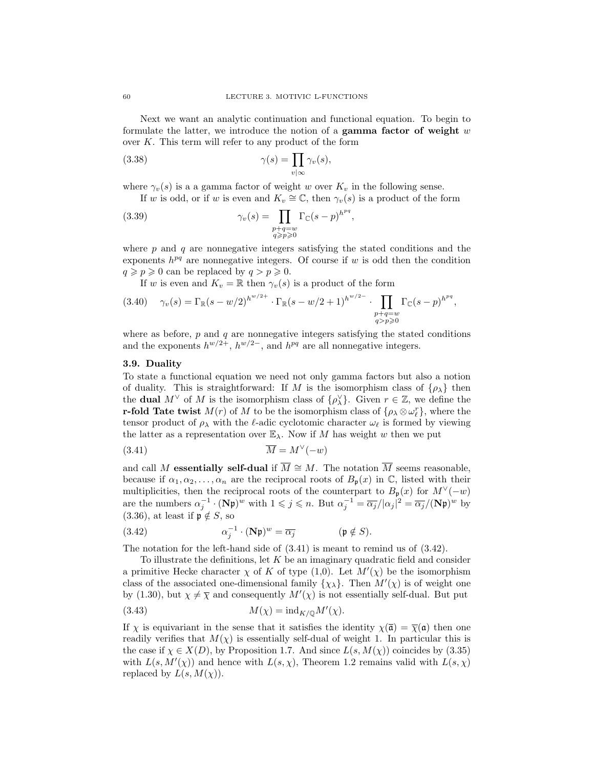Next we want an analytic continuation and functional equation. To begin to formulate the latter, we introduce the notion of a gamma factor of weight  $w$ over  $K$ . This term will refer to any product of the form

(3.38) 
$$
\gamma(s) = \prod_{v \mid \infty} \gamma_v(s),
$$

where  $\gamma_v(s)$  is a a gamma factor of weight w over  $K_v$  in the following sense.

If w is odd, or if w is even and  $K_v \cong \mathbb{C}$ , then  $\gamma_v(s)$  is a product of the form

(3.39) 
$$
\gamma_v(s) = \prod_{\substack{p+q=w\\q\geq p\geqslant 0}} \Gamma_{\mathbb{C}}(s-p)^{h^{pq}},
$$

where  $p$  and  $q$  are nonnegative integers satisfying the stated conditions and the exponents  $h^{pq}$  are nonnegative integers. Of course if w is odd then the condition  $q \geqslant p \geqslant 0$  can be replaced by  $q > p \geqslant 0$ .

If w is even and  $K_v = \mathbb{R}$  then  $\gamma_v(s)$  is a product of the form

$$
(3.40) \quad \gamma_v(s) = \Gamma_{\mathbb{R}}(s - w/2)^{h^{w/2+}} \cdot \Gamma_{\mathbb{R}}(s - w/2 + 1)^{h^{w/2-}} \cdot \prod_{\substack{p+q=w\\q>p\geqslant 0}} \Gamma_{\mathbb{C}}(s - p)^{h^{pq}},
$$

where as before,  $p$  and  $q$  are nonnegative integers satisfying the stated conditions and the exponents  $h^{w/2+}$ ,  $h^{w/2-}$ , and  $h^{pq}$  are all nonnegative integers.

# 3.9. Duality

To state a functional equation we need not only gamma factors but also a notion of duality. This is straightforward: If M is the isomorphism class of  $\{\rho_{\lambda}\}\)$  then the **dual**  $M^{\vee}$  of M is the isomorphism class of  $\{\rho_{\lambda}^{\vee}\}\$ . Given  $r \in \mathbb{Z}$ , we define the **r-fold Tate twist**  $M(r)$  of M to be the isomorphism class of  $\{\rho_\lambda \otimes \omega_\ell^r\}$ , where the tensor product of  $\rho_{\lambda}$  with the  $\ell$ -adic cyclotomic character  $\omega_{\ell}$  is formed by viewing the latter as a representation over  $\mathbb{E}_{\lambda}$ . Now if M has weight w then we put

$$
(3.41)\qquad \qquad \overline{M} = M^{\vee}(-w)
$$

and call M **essentially self-dual** if  $\overline{M} \cong M$ . The notation  $\overline{M}$  seems reasonable, because if  $\alpha_1, \alpha_2, \ldots, \alpha_n$  are the reciprocal roots of  $B_p(x)$  in  $\mathbb{C}$ , listed with their multiplicities, then the reciprocal roots of the counterpart to  $B_p(x)$  for  $M^{\vee}(-w)$ are the numbers  $\alpha_j^{-1} \cdot (\mathbf{N} \mathfrak{p})^w$  with  $1 \leq j \leq n$ . But  $\alpha_j^{-1} = \overline{\alpha_j}/|\alpha_j|^2 = \overline{\alpha_j}/(\mathbf{N} \mathfrak{p})^w$  by (3.36), at least if  $\mathfrak{p} \notin S$ , so

(3.42) 
$$
\alpha_j^{-1} \cdot (\mathbf{N} \mathfrak{p})^w = \overline{\alpha_j} \qquad (\mathfrak{p} \notin S).
$$

The notation for the left-hand side of (3.41) is meant to remind us of (3.42).

To illustrate the definitions, let  $K$  be an imaginary quadratic field and consider a primitive Hecke character  $\chi$  of K of type  $(1,0)$ . Let  $M'(\chi)$  be the isomorphism class of the associated one-dimensional family  $\{\chi_{\lambda}\}\$ . Then  $M'(\chi)$  is of weight one by (1.30), but  $\chi \neq \overline{\chi}$  and consequently  $M'(\chi)$  is not essentially self-dual. But put

(3.43) 
$$
M(\chi) = \mathrm{ind}_{K/\mathbb{Q}} M'(\chi).
$$

If  $\chi$  is equivariant in the sense that it satisfies the identity  $\chi(\bar{\mathfrak{a}}) = \bar{\chi}(\mathfrak{a})$  then one readily verifies that  $M(\chi)$  is essentially self-dual of weight 1. In particular this is the case if  $\chi \in X(D)$ , by Proposition 1.7. And since  $L(s, M(\chi))$  coincides by (3.35) with  $L(s, M'(\chi))$  and hence with  $L(s, \chi)$ , Theorem 1.2 remains valid with  $L(s, \chi)$ replaced by  $L(s, M(\chi))$ .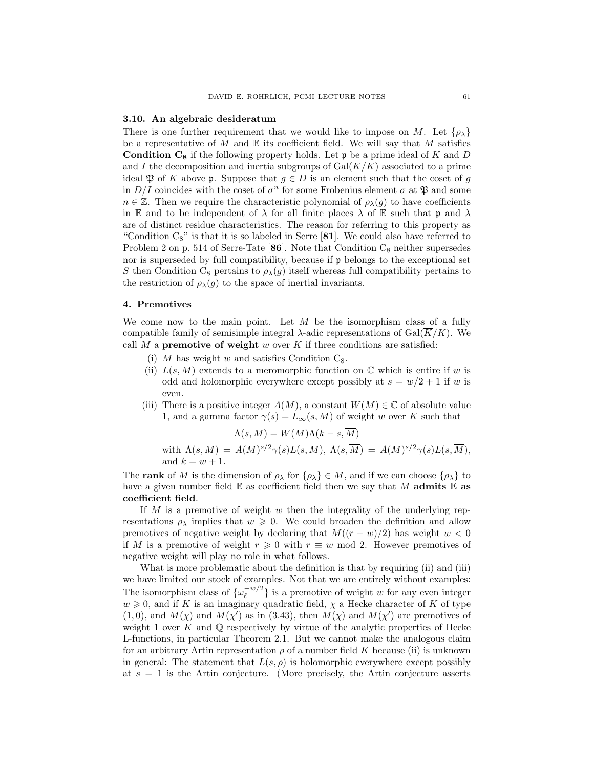#### 3.10. An algebraic desideratum

There is one further requirement that we would like to impose on M. Let  $\{\rho_{\lambda}\}\$ be a representative of  $M$  and  $E$  its coefficient field. We will say that  $M$  satisfies **Condition C<sub>8</sub>** if the following property holds. Let  $\mathfrak p$  be a prime ideal of K and D and I the decomposition and inertia subgroups of  $Gal(\overline{K}/K)$  associated to a prime ideal  $\mathfrak P$  of  $\overline K$  above p. Suppose that  $g \in D$  is an element such that the coset of g in  $D/I$  coincides with the coset of  $\sigma^n$  for some Frobenius element  $\sigma$  at  $\mathfrak P$  and some  $n \in \mathbb{Z}$ . Then we require the characteristic polynomial of  $\rho_{\lambda}(g)$  to have coefficients in E and to be independent of  $\lambda$  for all finite places  $\lambda$  of E such that p and  $\lambda$ are of distinct residue characteristics. The reason for referring to this property as "Condition  $C_8$ " is that it is so labeled in Serre [81]. We could also have referred to Problem 2 on p. 514 of Serre-Tate [86]. Note that Condition  $C_8$  neither supersedes nor is superseded by full compatibility, because if  $\mathfrak p$  belongs to the exceptional set S then Condition C<sub>8</sub> pertains to  $\rho_{\lambda}(g)$  itself whereas full compatibility pertains to the restriction of  $\rho_{\lambda}(g)$  to the space of inertial invariants.

# 4. Premotives

We come now to the main point. Let  $M$  be the isomorphism class of a fully compatible family of semisimple integral  $\lambda$ -adic representations of Gal( $\overline{K}/K$ ). We call M a **premotive of weight** w over K if three conditions are satisfied:

- (i) M has weight w and satisfies Condition  $C_8$ .
- (ii)  $L(s, M)$  extends to a meromorphic function on  $\mathbb C$  which is entire if w is odd and holomorphic everywhere except possibly at  $s = w/2 + 1$  if w is even.
- (iii) There is a positive integer  $A(M)$ , a constant  $W(M) \in \mathbb{C}$  of absolute value 1, and a gamma factor  $\gamma(s) = L_{\infty}(s, M)$  of weight w over K such that

$$
\Lambda(s, M) = W(M)\Lambda(k - s, \overline{M})
$$

with  $\Lambda(s,M) = A(M)^{s/2}\gamma(s)L(s,M), \ \Lambda(s,\overline{M}) = A(M)^{s/2}\gamma(s)L(s,\overline{M}),$ and  $k = w + 1$ .

The **rank** of M is the dimension of  $\rho_{\lambda}$  for  $\{\rho_{\lambda}\}\in M$ , and if we can choose  $\{\rho_{\lambda}\}\)$  to have a given number field  $\mathbb E$  as coefficient field then we say that M admits  $\mathbb E$  as coefficient field.

If M is a premotive of weight w then the integrality of the underlying representations  $\rho_{\lambda}$  implies that  $w \geqslant 0$ . We could broaden the definition and allow premotives of negative weight by declaring that  $M((r - w)/2)$  has weight  $w < 0$ if M is a premotive of weight  $r \geq 0$  with  $r \equiv w \mod 2$ . However premotives of negative weight will play no role in what follows.

What is more problematic about the definition is that by requiring (ii) and (iii) we have limited our stock of examples. Not that we are entirely without examples: The isomorphism class of  $\{\omega_{\ell}^{-w/2}\}$  $\left\{e^{-w/2}\right\}$  is a premotive of weight w for any even integer  $w \geq 0$ , and if K is an imaginary quadratic field,  $\chi$  a Hecke character of K of type  $(1,0)$ , and  $M(\chi)$  and  $M(\chi')$  as in (3.43), then  $M(\chi)$  and  $M(\chi')$  are premotives of weight 1 over K and  $\mathbb Q$  respectively by virtue of the analytic properties of Hecke L-functions, in particular Theorem 2.1. But we cannot make the analogous claim for an arbitrary Artin representation  $\rho$  of a number field K because (ii) is unknown in general: The statement that  $L(s, \rho)$  is holomorphic everywhere except possibly at  $s = 1$  is the Artin conjecture. (More precisely, the Artin conjecture asserts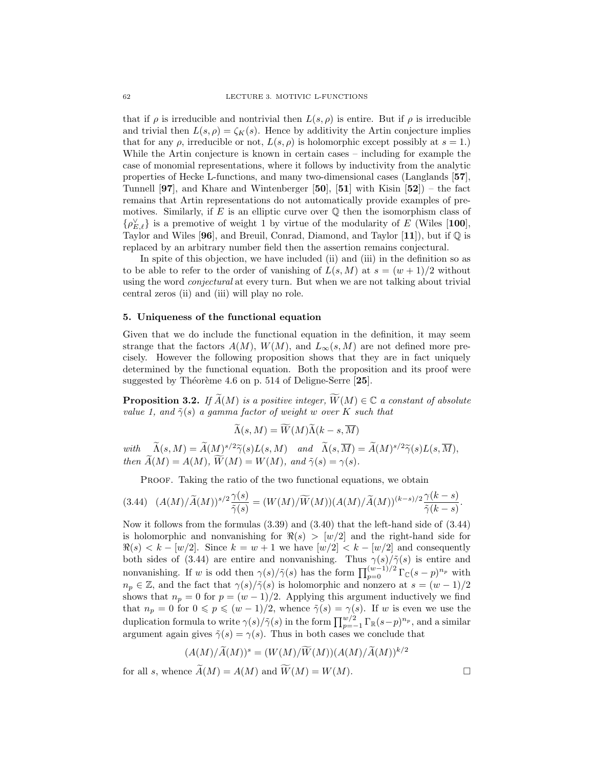that if  $\rho$  is irreducible and nontrivial then  $L(s, \rho)$  is entire. But if  $\rho$  is irreducible and trivial then  $L(s, \rho) = \zeta_K(s)$ . Hence by additivity the Artin conjecture implies that for any  $\rho$ , irreducible or not,  $L(s, \rho)$  is holomorphic except possibly at  $s = 1$ . While the Artin conjecture is known in certain cases – including for example the case of monomial representations, where it follows by inductivity from the analytic properties of Hecke L-functions, and many two-dimensional cases (Langlands [57], Tunnell  $[97]$ , and Khare and Wintenberger  $[50]$ ,  $[51]$  with Kisin  $[52]$ ) – the fact remains that Artin representations do not automatically provide examples of premotives. Similarly, if E is an elliptic curve over  $\mathbb Q$  then the isomorphism class of  $\{\rho_{E,\ell}^{\vee}\}\$ is a premotive of weight 1 by virtue of the modularity of E (Wiles [100], Taylor and Wiles [96], and Breuil, Conrad, Diamond, and Taylor [11]), but if  $\mathbb Q$  is replaced by an arbitrary number field then the assertion remains conjectural.

In spite of this objection, we have included (ii) and (iii) in the definition so as to be able to refer to the order of vanishing of  $L(s, M)$  at  $s = (w + 1)/2$  without using the word conjectural at every turn. But when we are not talking about trivial central zeros (ii) and (iii) will play no role.

#### 5. Uniqueness of the functional equation

Given that we do include the functional equation in the definition, it may seem strange that the factors  $A(M)$ ,  $W(M)$ , and  $L_{\infty}(s, M)$  are not defined more precisely. However the following proposition shows that they are in fact uniquely determined by the functional equation. Both the proposition and its proof were suggested by Théorème 4.6 on p. 514 of Deligne-Serre  $[25]$ .

**Proposition 3.2.** If  $\widetilde{A}(M)$  is a positive integer,  $\widetilde{W}(M) \in \mathbb{C}$  a constant of absolute value 1, and  $\tilde{\gamma}(s)$  a gamma factor of weight w over K such that

$$
\widetilde{\Lambda}(s,M) = \widetilde{W}(M)\widetilde{\Lambda}(k-s,\overline{M})
$$

with  $\widetilde{\Lambda}(s, M) = \widetilde{A}(M)^{s/2} \widetilde{\gamma}(s) L(s, M)$  and  $\widetilde{\Lambda}(s, \overline{M}) = \widetilde{A}(M)^{s/2} \widetilde{\gamma}(s) L(s, \overline{M}),$ <br>then  $\widetilde{A}(M) = \widetilde{M}(M)$ ,  $\widetilde{M}(M) = M(M)$  and  $\widetilde{\gamma}(s)$ then  $\widetilde{A}(M) = A(M)$ ,  $\widetilde{W}(M) = W(M)$ , and  $\widetilde{\gamma}(s) = \gamma(s)$ .

PROOF. Taking the ratio of the two functional equations, we obtain

$$
(3.44)\quad (A(M)/\widetilde{A}(M))^{s/2}\frac{\gamma(s)}{\widetilde{\gamma}(s)}=(W(M)/\widetilde{W}(M))(A(M)/\widetilde{A}(M))^{(k-s)/2}\frac{\gamma(k-s)}{\widetilde{\gamma}(k-s)}.
$$

Now it follows from the formulas (3.39) and (3.40) that the left-hand side of (3.44) is holomorphic and nonvanishing for  $\Re(s) > [w/2]$  and the right-hand side for  $\Re(s) < k - \lfloor w/2 \rfloor$ . Since  $k = w + 1$  we have  $\lfloor w/2 \rfloor < k - \lfloor w/2 \rfloor$  and consequently both sides of (3.44) are entire and nonvanishing. Thus  $\gamma(s)/\tilde{\gamma}(s)$  is entire and nonvanishing. If w is odd then  $\gamma(s)/\tilde{\gamma}(s)$  has the form  $\prod_{p=0}^{(w-1)/2} \Gamma_{\mathbb{C}}(s-p)^{n_p}$  with  $n_p \in \mathbb{Z}$ , and the fact that  $\gamma(s)/\tilde{\gamma}(s)$  is holomorphic and nonzero at  $s = (w-1)/2$ shows that  $n_p = 0$  for  $p = (w - 1)/2$ . Applying this argument inductively we find that  $n_p = 0$  for  $0 \leqslant p \leqslant (w-1)/2$ , whence  $\tilde{\gamma}(s) = \gamma(s)$ . If w is even we use the duplication formula to write  $\gamma(s)/\tilde{\gamma}(s)$  in the form  $\prod_{p=-1}^{w/2} \Gamma_{\mathbb{R}}(s-p)^{n_p}$ , and a similar argument again gives  $\tilde{\gamma}(s) = \gamma(s)$ . Thus in both cases we conclude that

$$
(A(M)/\widetilde{A}(M))^s = (W(M)/\widetilde{W}(M))(A(M)/\widetilde{A}(M))^{k/2}
$$
  
for all s, whence  $\widetilde{A}(M) = A(M)$  and  $\widetilde{W}(M) = W(M)$ .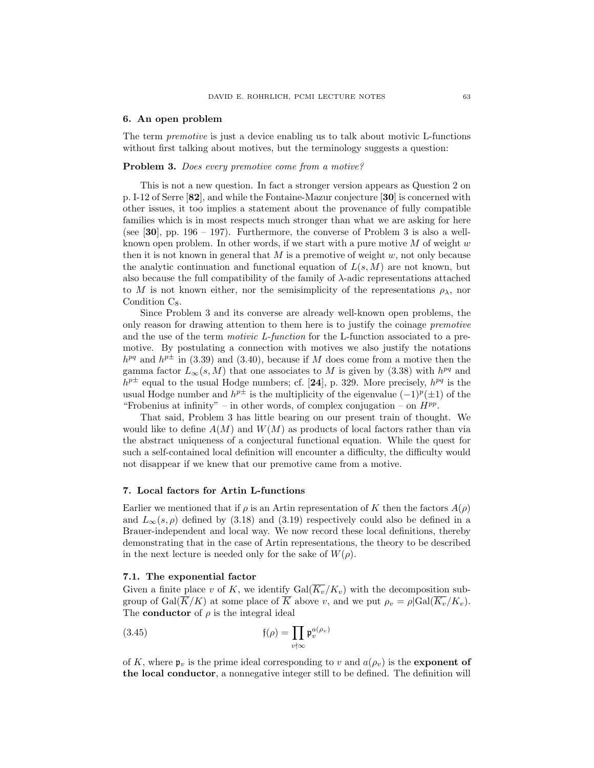#### 6. An open problem

The term premotive is just a device enabling us to talk about motivic L-functions without first talking about motives, but the terminology suggests a question:

## Problem 3. Does every premotive come from a motive?

This is not a new question. In fact a stronger version appears as Question 2 on p. I-12 of Serre [82], and while the Fontaine-Mazur conjecture [30] is concerned with other issues, it too implies a statement about the provenance of fully compatible families which is in most respects much stronger than what we are asking for here (see  $[30]$ , pp. 196 – 197). Furthermore, the converse of Problem 3 is also a wellknown open problem. In other words, if we start with a pure motive  $M$  of weight  $w$ then it is not known in general that  $M$  is a premotive of weight  $w$ , not only because the analytic continuation and functional equation of  $L(s, M)$  are not known, but also because the full compatibility of the family of  $\lambda$ -adic representations attached to M is not known either, nor the semisimplicity of the representations  $\rho_{\lambda}$ , nor Condition  $C_8$ .

Since Problem 3 and its converse are already well-known open problems, the only reason for drawing attention to them here is to justify the coinage premotive and the use of the term motivic L-function for the L-function associated to a premotive. By postulating a connection with motives we also justify the notations  $h^{pq}$  and  $h^{p\pm}$  in (3.39) and (3.40), because if M does come from a motive then the gamma factor  $L_{\infty}(s, M)$  that one associates to M is given by (3.38) with  $h^{pq}$  and  $h^{p\pm}$  equal to the usual Hodge numbers; cf. [24], p. 329. More precisely,  $h^{pq}$  is the usual Hodge number and  $h^{p\pm}$  is the multiplicity of the eigenvalue  $(-1)^p(\pm 1)$  of the "Frobenius at infinity" – in other words, of complex conjugation – on  $H^{pp}$ .

That said, Problem 3 has little bearing on our present train of thought. We would like to define  $A(M)$  and  $W(M)$  as products of local factors rather than via the abstract uniqueness of a conjectural functional equation. While the quest for such a self-contained local definition will encounter a difficulty, the difficulty would not disappear if we knew that our premotive came from a motive.

## 7. Local factors for Artin L-functions

Earlier we mentioned that if  $\rho$  is an Artin representation of K then the factors  $A(\rho)$ and  $L_{\infty}(s, \rho)$  defined by (3.18) and (3.19) respectively could also be defined in a Brauer-independent and local way. We now record these local definitions, thereby demonstrating that in the case of Artin representations, the theory to be described in the next lecture is needed only for the sake of  $W(\rho)$ .

## 7.1. The exponential factor

Given a finite place v of K, we identify  $Gal(\overline{K_v}/K_v)$  with the decomposition subgroup of Gal( $\overline{K}/K$ ) at some place of  $\overline{K}$  above v, and we put  $\rho_v = \rho | \text{Gal}(\overline{K_v}/K_v)$ . The **conductor** of  $\rho$  is the integral ideal

(3.45) 
$$
\mathfrak{f}(\rho) = \prod_{v \nmid \infty} \mathfrak{p}_v^{a(\rho_v)}
$$

of K, where  $\mathfrak{p}_v$  is the prime ideal corresponding to v and  $a(\rho_v)$  is the **exponent of** the local conductor, a nonnegative integer still to be defined. The definition will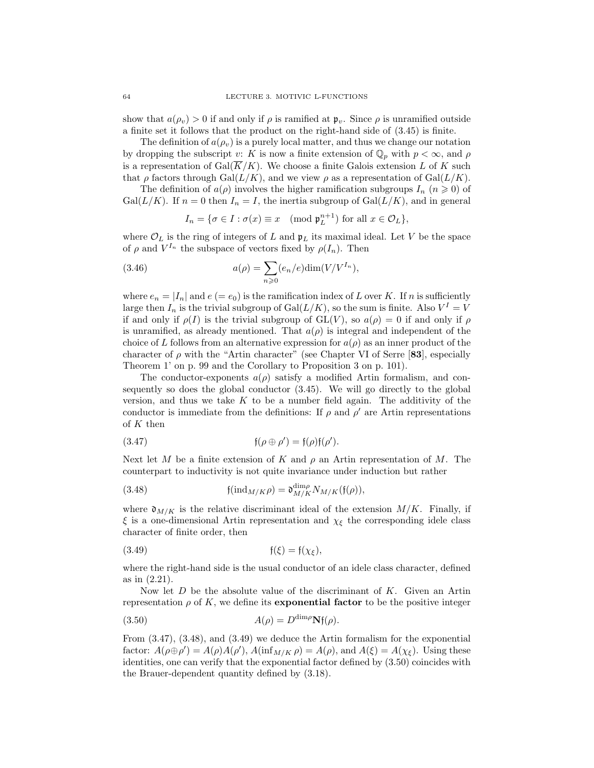show that  $a(\rho_v) > 0$  if and only if  $\rho$  is ramified at  $\mathfrak{p}_v$ . Since  $\rho$  is unramified outside a finite set it follows that the product on the right-hand side of (3.45) is finite.

The definition of  $a(\rho_v)$  is a purely local matter, and thus we change our notation by dropping the subscript v: K is now a finite extension of  $\mathbb{Q}_p$  with  $p < \infty$ , and  $\rho$ is a representation of Gal( $\overline{K}/K$ ). We choose a finite Galois extension L of K such that  $\rho$  factors through Gal( $L/K$ ), and we view  $\rho$  as a representation of Gal( $L/K$ ).

The definition of  $a(\rho)$  involves the higher ramification subgroups  $I_n$   $(n \geq 0)$  of  $Gal(L/K)$ . If  $n = 0$  then  $I_n = I$ , the inertia subgroup of  $Gal(L/K)$ , and in general

$$
I_n = \{ \sigma \in I : \sigma(x) \equiv x \pmod{\mathfrak{p}_L^{n+1}} \text{ for all } x \in \mathcal{O}_L \},
$$

where  $\mathcal{O}_L$  is the ring of integers of L and  $\mathfrak{p}_L$  its maximal ideal. Let V be the space of  $\rho$  and  $V^{I_n}$  the subspace of vectors fixed by  $\rho(I_n)$ . Then

(3.46) 
$$
a(\rho) = \sum_{n\geqslant 0} (e_n/e) \dim(V/V^{I_n}),
$$

where  $e_n = |I_n|$  and  $e (= e_0)$  is the ramification index of L over K. If n is sufficiently large then  $I_n$  is the trivial subgroup of  $Gal(L/K)$ , so the sum is finite. Also  $V^I = V$ if and only if  $\rho(I)$  is the trivial subgroup of  $GL(V)$ , so  $a(\rho) = 0$  if and only if  $\rho$ is unramified, as already mentioned. That  $a(\rho)$  is integral and independent of the choice of L follows from an alternative expression for  $a(\rho)$  as an inner product of the character of  $\rho$  with the "Artin character" (see Chapter VI of Serre [83], especially Theorem 1' on p. 99 and the Corollary to Proposition 3 on p. 101).

The conductor-exponents  $a(\rho)$  satisfy a modified Artin formalism, and consequently so does the global conductor (3.45). We will go directly to the global version, and thus we take  $K$  to be a number field again. The additivity of the conductor is immediate from the definitions: If  $\rho$  and  $\rho'$  are Artin representations of  $K$  then

(3.47) 
$$
\mathfrak{f}(\rho \oplus \rho') = \mathfrak{f}(\rho)\mathfrak{f}(\rho').
$$

Next let M be a finite extension of K and  $\rho$  an Artin representation of M. The counterpart to inductivity is not quite invariance under induction but rather

(3.48) 
$$
\mathfrak{f}(\mathrm{ind}_{M/K}\rho) = \mathfrak{d}^{\mathrm{dim}\rho}_{M/K} N_{M/K}(\mathfrak{f}(\rho)),
$$

where  $\mathfrak{d}_{M/K}$  is the relative discriminant ideal of the extension  $M/K$ . Finally, if  $\xi$  is a one-dimensional Artin representation and  $\chi_{\xi}$  the corresponding idele class character of finite order, then

$$
(3.49) \t\t f(\xi) = f(\chi_{\xi}),
$$

where the right-hand side is the usual conductor of an idele class character, defined as in (2.21).

Now let  $D$  be the absolute value of the discriminant of  $K$ . Given an Artin representation  $\rho$  of K, we define its **exponential factor** to be the positive integer

(3.50) 
$$
A(\rho) = D^{\dim \rho} \mathbf{N} \mathfrak{f}(\rho).
$$

From (3.47), (3.48), and (3.49) we deduce the Artin formalism for the exponential factor:  $A(\rho \oplus \rho') = A(\rho)A(\rho'), A(\inf_{M/K} \rho) = A(\rho), \text{ and } A(\xi) = A(\chi_{\xi}).$  Using these identities, one can verify that the exponential factor defined by (3.50) coincides with the Brauer-dependent quantity defined by (3.18).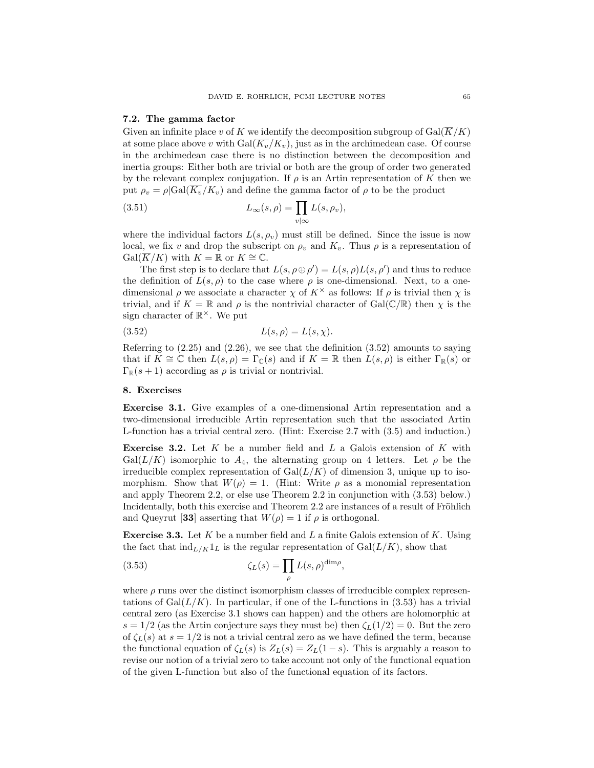#### 7.2. The gamma factor

Given an infinite place v of K we identify the decomposition subgroup of  $Gal(\overline{K}/K)$ at some place above v with  $Gal(\overline{K_v}/K_v)$ , just as in the archimedean case. Of course in the archimedean case there is no distinction between the decomposition and inertia groups: Either both are trivial or both are the group of order two generated by the relevant complex conjugation. If  $\rho$  is an Artin representation of K then we put  $\rho_v = \rho | \text{Gal}(\overline{K_v}/K_v)$  and define the gamma factor of  $\rho$  to be the product

(3.51) 
$$
L_{\infty}(s,\rho) = \prod_{v \mid \infty} L(s,\rho_v),
$$

where the individual factors  $L(s, \rho_v)$  must still be defined. Since the issue is now local, we fix v and drop the subscript on  $\rho_v$  and  $K_v$ . Thus  $\rho$  is a representation of  $Gal(K/K)$  with  $K = \mathbb{R}$  or  $K \cong \mathbb{C}$ .

The first step is to declare that  $L(s, \rho \oplus \rho') = L(s, \rho)L(s, \rho')$  and thus to reduce the definition of  $L(s, \rho)$  to the case where  $\rho$  is one-dimensional. Next, to a onedimensional  $\rho$  we associate a character  $\chi$  of  $K^{\times}$  as follows: If  $\rho$  is trivial then  $\chi$  is trivial, and if  $K = \mathbb{R}$  and  $\rho$  is the nontrivial character of Gal( $\mathbb{C}/\mathbb{R}$ ) then  $\chi$  is the sign character of  $\mathbb{R}^{\times}$ . We put

$$
(3.52)\qquad \qquad L(s,\rho) = L(s,\chi).
$$

Referring to  $(2.25)$  and  $(2.26)$ , we see that the definition  $(3.52)$  amounts to saying that if  $K \cong \mathbb{C}$  then  $L(s, \rho) = \Gamma_{\mathbb{C}}(s)$  and if  $K = \mathbb{R}$  then  $L(s, \rho)$  is either  $\Gamma_{\mathbb{R}}(s)$  or  $\Gamma_{\mathbb{R}}(s+1)$  according as  $\rho$  is trivial or nontrivial.

## 8. Exercises

Exercise 3.1. Give examples of a one-dimensional Artin representation and a two-dimensional irreducible Artin representation such that the associated Artin L-function has a trivial central zero. (Hint: Exercise 2.7 with (3.5) and induction.)

**Exercise 3.2.** Let  $K$  be a number field and  $L$  a Galois extension of  $K$  with  $Gal(L/K)$  isomorphic to  $A_4$ , the alternating group on 4 letters. Let  $\rho$  be the irreducible complex representation of  $Gal(L/K)$  of dimension 3, unique up to isomorphism. Show that  $W(\rho) = 1$ . (Hint: Write  $\rho$  as a monomial representation and apply Theorem 2.2, or else use Theorem 2.2 in conjunction with (3.53) below.) Incidentally, both this exercise and Theorem 2.2 are instances of a result of Fröhlich and Queyrut [33] asserting that  $W(\rho) = 1$  if  $\rho$  is orthogonal.

**Exercise 3.3.** Let K be a number field and L a finite Galois extension of K. Using the fact that  $\text{ind}_{L/K}1_L$  is the regular representation of  $\text{Gal}(L/K)$ , show that

(3.53) 
$$
\zeta_L(s) = \prod_{\rho} L(s,\rho)^{\dim \rho},
$$

where  $\rho$  runs over the distinct isomorphism classes of irreducible complex representations of  $Gal(L/K)$ . In particular, if one of the L-functions in  $(3.53)$  has a trivial central zero (as Exercise 3.1 shows can happen) and the others are holomorphic at  $s = 1/2$  (as the Artin conjecture says they must be) then  $\zeta_L(1/2) = 0$ . But the zero of  $\zeta_L(s)$  at  $s = 1/2$  is not a trivial central zero as we have defined the term, because the functional equation of  $\zeta_L(s)$  is  $Z_L(s) = Z_L(1-s)$ . This is arguably a reason to revise our notion of a trivial zero to take account not only of the functional equation of the given L-function but also of the functional equation of its factors.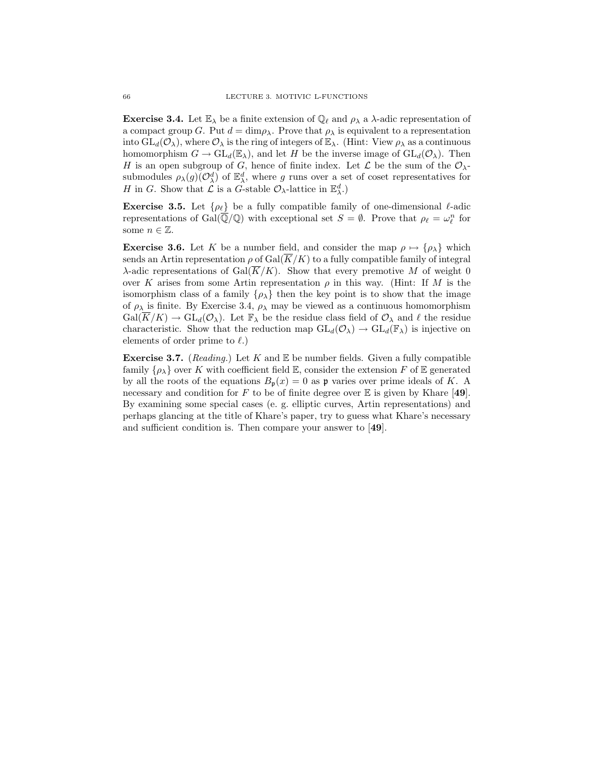**Exercise 3.4.** Let  $\mathbb{E}_{\lambda}$  be a finite extension of  $\mathbb{Q}_{\ell}$  and  $\rho_{\lambda}$  a  $\lambda$ -adic representation of a compact group G. Put  $d = \dim \rho_{\lambda}$ . Prove that  $\rho_{\lambda}$  is equivalent to a representation into  $GL_d(\mathcal{O}_\lambda)$ , where  $\mathcal{O}_\lambda$  is the ring of integers of  $\mathbb{E}_\lambda$ . (Hint: View  $\rho_\lambda$  as a continuous homomorphism  $G \to \text{GL}_d(\mathbb{E}_{\lambda})$ , and let H be the inverse image of  $\text{GL}_d(\mathcal{O}_{\lambda})$ . Then H is an open subgroup of G, hence of finite index. Let  $\mathcal L$  be the sum of the  $\mathcal O_{\lambda}$ submodules  $\rho_\lambda(g)(\mathcal{O}^d_\lambda)$  of  $\mathbb{E}^d_\lambda$ , where g runs over a set of coset representatives for H in G. Show that  $\mathcal L$  is a G-stable  $\mathcal O_\lambda$ -lattice in  $\mathbb{E}^d_\lambda$ .)

**Exercise 3.5.** Let  $\{\rho_\ell\}$  be a fully compatible family of one-dimensional  $\ell$ -adic representations of Gal $(\overline{\mathbb{Q}}/\mathbb{Q})$  with exceptional set  $S = \emptyset$ . Prove that  $\rho_{\ell} = \omega_{\ell}^{n}$  for some  $n \in \mathbb{Z}$ .

**Exercise 3.6.** Let K be a number field, and consider the map  $\rho \mapsto {\rho_{\lambda}}$  which sends an Artin representation  $\rho$  of  $Gal(\overline{K}/K)$  to a fully compatible family of integral  $\lambda$ -adic representations of Gal( $\overline{K}/K$ ). Show that every premotive M of weight 0 over K arises from some Artin representation  $\rho$  in this way. (Hint: If M is the isomorphism class of a family  $\{\rho_{\lambda}\}\$  then the key point is to show that the image of  $\rho_{\lambda}$  is finite. By Exercise 3.4,  $\rho_{\lambda}$  may be viewed as a continuous homomorphism  $Gal(\overline{K}/K) \to GL_d(\mathcal{O}_\lambda)$ . Let  $\mathbb{F}_\lambda$  be the residue class field of  $\mathcal{O}_\lambda$  and  $\ell$  the residue characteristic. Show that the reduction map  $GL_d(\mathcal{O}_\lambda) \to GL_d(\mathbb{F}_\lambda)$  is injective on elements of order prime to  $\ell$ .)

**Exercise 3.7.** (*Reading.*) Let K and  $\mathbb E$  be number fields. Given a fully compatible family  $\{\rho_{\lambda}\}\$ over K with coefficient field E, consider the extension F of E generated by all the roots of the equations  $B_p(x) = 0$  as p varies over prime ideals of K. A necessary and condition for F to be of finite degree over  $E$  is given by Khare [49]. By examining some special cases (e. g. elliptic curves, Artin representations) and perhaps glancing at the title of Khare's paper, try to guess what Khare's necessary and sufficient condition is. Then compare your answer to [49].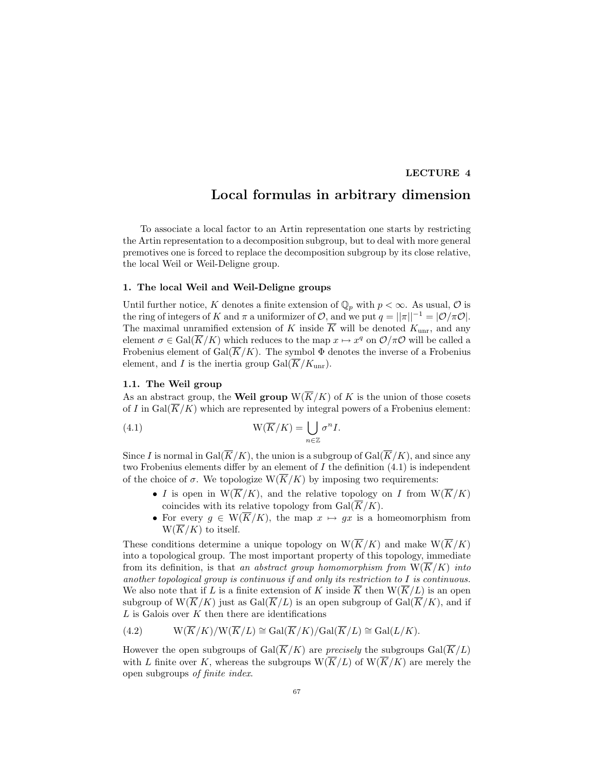## LECTURE 4

# Local formulas in arbitrary dimension

To associate a local factor to an Artin representation one starts by restricting the Artin representation to a decomposition subgroup, but to deal with more general premotives one is forced to replace the decomposition subgroup by its close relative, the local Weil or Weil-Deligne group.

# 1. The local Weil and Weil-Deligne groups

Until further notice, K denotes a finite extension of  $\mathbb{Q}_p$  with  $p < \infty$ . As usual, O is the ring of integers of K and  $\pi$  a uniformizer of  $\mathcal{O}$ , and we put  $q = ||\pi||^{-1} = |\mathcal{O}/\pi\mathcal{O}|$ . The maximal unramified extension of K inside  $\overline{K}$  will be denoted  $K_{\text{unr}}$ , and any element  $\sigma \in \text{Gal}(\overline{K}/K)$  which reduces to the map  $x \mapsto x^q$  on  $\mathcal{O}/\pi\mathcal{O}$  will be called a Frobenius element of Gal $(\overline{K}/K)$ . The symbol  $\Phi$  denotes the inverse of a Frobenius element, and I is the inertia group  $Gal(\overline{K}/K_{\text{unr}})$ .

# 1.1. The Weil group

As an abstract group, the **Weil group**  $W(\overline{K}/K)$  of K is the union of those cosets of I in Gal( $\overline{K}/K$ ) which are represented by integral powers of a Frobenius element:

(4.1) 
$$
W(\overline{K}/K) = \bigcup_{n \in \mathbb{Z}} \sigma^n I.
$$

Since I is normal in Gal( $\overline{K}/K$ ), the union is a subgroup of Gal( $\overline{K}/K$ ), and since any two Frobenius elements differ by an element of I the definition (4.1) is independent of the choice of  $\sigma$ . We topologize  $W(\overline{K}/K)$  by imposing two requirements:

- I is open in  $W(\overline{K}/K)$ , and the relative topology on I from  $W(\overline{K}/K)$ coincides with its relative topology from  $Gal(\overline{K}/K)$ .
- For every  $g \in W(\overline{K}/K)$ , the map  $x \mapsto gx$  is a homeomorphism from  $W(\overline{K}/K)$  to itself.

These conditions determine a unique topology on  $W(\overline{K}/K)$  and make  $W(\overline{K}/K)$ into a topological group. The most important property of this topology, immediate from its definition, is that an abstract group homomorphism from  $W(\overline{K}/K)$  into another topological group is continuous if and only its restriction to  $I$  is continuous. We also note that if L is a finite extension of K inside  $\overline{K}$  then  $W(\overline{K}/L)$  is an open subgroup of  $W(\overline{K}/K)$  just as  $Gal(\overline{K}/L)$  is an open subgroup of  $Gal(\overline{K}/K)$ , and if  $L$  is Galois over  $K$  then there are identifications

(4.2) 
$$
W(\overline{K}/K)/W(\overline{K}/L) \cong Gal(\overline{K}/K)/Gal(\overline{K}/L) \cong Gal(L/K).
$$

However the open subgroups of Gal( $\overline{K}/K$ ) are *precisely* the subgroups Gal( $\overline{K}/L$ ) with L finite over K, whereas the subgroups  $W(\overline{K}/L)$  of  $W(\overline{K}/K)$  are merely the open subgroups of finite index.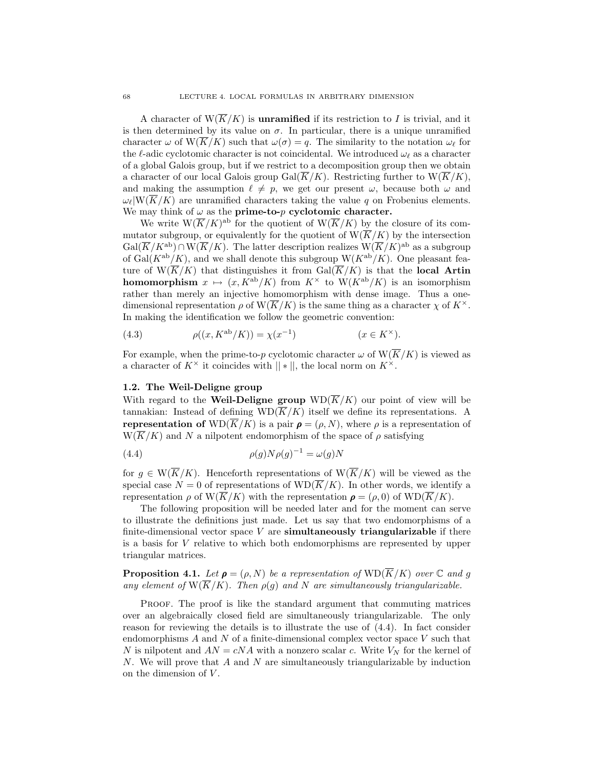A character of  $W(\overline{K}/K)$  is **unramified** if its restriction to I is trivial, and it is then determined by its value on  $\sigma$ . In particular, there is a unique unramified character  $\omega$  of  $\mathcal{W}(\overline{K}/K)$  such that  $\omega(\sigma) = q$ . The similarity to the notation  $\omega_{\ell}$  for the  $\ell$ -adic cyclotomic character is not coincidental. We introduced  $\omega_\ell$  as a character of a global Galois group, but if we restrict to a decomposition group then we obtain a character of our local Galois group  $Gal(\overline{K}/K)$ . Restricting further to  $W(\overline{K}/K)$ , and making the assumption  $\ell \neq p$ , we get our present  $\omega$ , because both  $\omega$  and  $\omega_{\ell}|\mathcal{W}(\overline{K}/K)|$  are unramified characters taking the value q on Frobenius elements. We may think of  $\omega$  as the **prime-to-** $p$  **cyclotomic character.** 

We write  $W(\overline{K}/K)^{ab}$  for the quotient of  $W(\overline{K}/K)$  by the closure of its commutator subgroup, or equivalently for the quotient of  $W(\overline{K}/K)$  by the intersection  $Gal(\overline{K}/K^{\rm ab}) \cap W(\overline{K}/K)$ . The latter description realizes  $W(\overline{K}/K)^{\rm ab}$  as a subgroup of Gal( $K^{ab}/K$ ), and we shall denote this subgroup  $W(K^{ab}/K)$ . One pleasant feature of  $W(\overline{K}/K)$  that distinguishes it from  $Gal(\overline{K}/K)$  is that the local Artin **homomorphism**  $x \mapsto (x, K^{ab}/K)$  from  $K^{\times}$  to  $W(K^{ab}/K)$  is an isomorphism rather than merely an injective homomorphism with dense image. Thus a onedimensional representation  $\rho$  of  $\overline{K}/K$ ) is the same thing as a character  $\chi$  of  $K^{\times}$ . In making the identification we follow the geometric convention:

(4.3) 
$$
\rho((x, K^{\text{ab}}/K)) = \chi(x^{-1}) \qquad (x \in K^{\times}).
$$

For example, when the prime-to-p cyclotomic character  $\omega$  of  $W(\overline{K}/K)$  is viewed as a character of  $K^{\times}$  it coincides with  $||*||$ , the local norm on  $K^{\times}$ .

## 1.2. The Weil-Deligne group

With regard to the **Weil-Deligne group**  $WD(\overline{K}/K)$  our point of view will be tannakian: Instead of defining  $WD(\overline{K}/K)$  itself we define its representations. A representation of  $WD(\overline{K}/K)$  is a pair  $\rho = (\rho, N)$ , where  $\rho$  is a representation of  $W(K/K)$  and N a nilpotent endomorphism of the space of  $\rho$  satisfying

(4.4) 
$$
\rho(g)N\rho(g)^{-1} = \omega(g)N
$$

for  $q \in W(\overline{K}/K)$ . Henceforth representations of  $W(\overline{K}/K)$  will be viewed as the special case  $N = 0$  of representations of  $WD(\overline{K}/K)$ . In other words, we identify a representation  $\rho$  of  $W(\overline{K}/K)$  with the representation  $\rho = (\rho, 0)$  of  $WD(\overline{K}/K)$ .

The following proposition will be needed later and for the moment can serve to illustrate the definitions just made. Let us say that two endomorphisms of a finite-dimensional vector space  $V$  are **simultaneously triangularizable** if there is a basis for V relative to which both endomorphisms are represented by upper triangular matrices.

**Proposition 4.1.** Let  $\rho = (\rho, N)$  be a representation of  $WD(\overline{K}/K)$  over C and g any element of  $\overline{W(K/K)}$ . Then  $\rho(g)$  and N are simultaneously triangularizable.

Proof. The proof is like the standard argument that commuting matrices over an algebraically closed field are simultaneously triangularizable. The only reason for reviewing the details is to illustrate the use of (4.4). In fact consider endomorphisms A and N of a finite-dimensional complex vector space V such that N is nilpotent and  $AN = cNA$  with a nonzero scalar c. Write  $V_N$  for the kernel of N. We will prove that A and N are simultaneously triangularizable by induction on the dimension of  $V$ .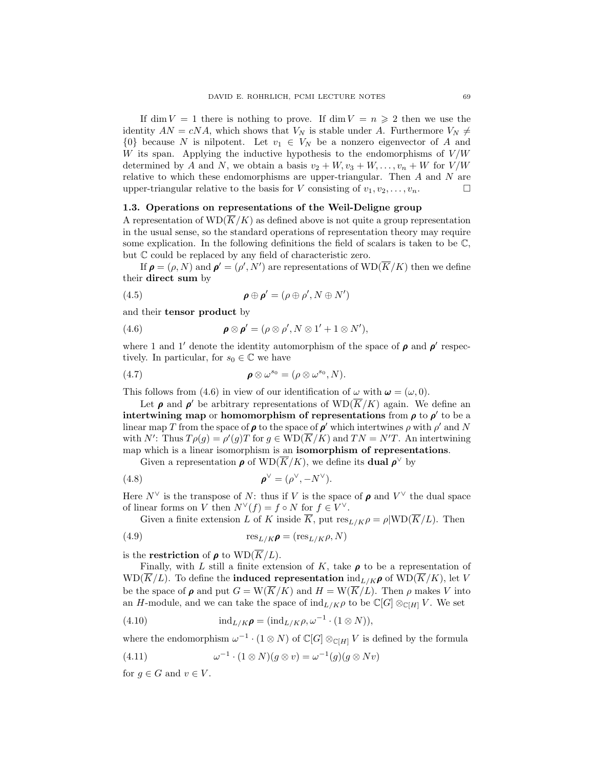If dim  $V = 1$  there is nothing to prove. If dim  $V = n \geq 2$  then we use the identity  $AN = cNA$ , which shows that  $V_N$  is stable under A. Furthermore  $V_N \neq$  $\{0\}$  because N is nilpotent. Let  $v_1 \in V_N$  be a nonzero eigenvector of A and W its span. Applying the inductive hypothesis to the endomorphisms of  $V/W$ determined by A and N, we obtain a basis  $v_2 + W, v_3 + W, \ldots, v_n + W$  for  $V/W$ relative to which these endomorphisms are upper-triangular. Then  $A$  and  $N$  are upper-triangular relative to the basis for V consisting of  $v_1, v_2, \ldots, v_n$ .

# 1.3. Operations on representations of the Weil-Deligne group

A representation of  $WD(\overline{K}/K)$  as defined above is not quite a group representation in the usual sense, so the standard operations of representation theory may require some explication. In the following definitions the field of scalars is taken to be  $\mathbb{C}$ , but C could be replaced by any field of characteristic zero.

If  $\rho = (\rho, N)$  and  $\rho' = (\rho', N')$  are representations of  $WD(\overline{K}/K)$  then we define their direct sum by

(4.5) 
$$
\boldsymbol{\rho} \oplus \boldsymbol{\rho}' = (\rho \oplus \rho', N \oplus N')
$$

and their tensor product by

(4.6) 
$$
\boldsymbol{\rho} \otimes \boldsymbol{\rho}' = (\rho \otimes \rho', N \otimes 1' + 1 \otimes N'),
$$

where 1 and 1' denote the identity automorphism of the space of  $\rho$  and  $\rho'$  respectively. In particular, for  $s_0 \in \mathbb{C}$  we have

$$
\boldsymbol{\rho} \otimes \omega^{s_0} = (\rho \otimes \omega^{s_0}, N).
$$

This follows from (4.6) in view of our identification of  $\omega$  with  $\boldsymbol{\omega} = (\omega, 0)$ .

Let  $\rho$  and  $\rho'$  be arbitrary representations of  $WD(\overline{K}/K)$  again. We define an intertwining map or homomorphism of representations from  $\rho$  to  $\rho'$  to be a linear map T from the space of  $\rho$  to the space of  $\rho'$  which intertwines  $\rho$  with  $\rho'$  and N with N': Thus  $T \rho(g) = \rho'(g) T$  for  $g \in \text{WD}(\overline{K}/K)$  and  $TN = N'T$ . An intertwining map which is a linear isomorphism is an isomorphism of representations.

Given a representation  $\rho$  of  $\text{WD}(\overline{K}/K)$ , we define its **dual**  $\rho^{\vee}$  by

(4.8) 
$$
\boldsymbol{\rho}^{\vee} = (\rho^{\vee}, -N^{\vee}).
$$

Here  $N^{\vee}$  is the transpose of N: thus if V is the space of  $\rho$  and  $V^{\vee}$  the dual space of linear forms on V then  $N^{\vee}(f) = f \circ N$  for  $f \in V^{\vee}$ .

Given a finite extension L of K inside  $\overline{K}$ , put  $res_{L/K}\rho = \rho|WD(\overline{K}/L)$ . Then

(4.9) 
$$
\text{res}_{L/K}\rho = (\text{res}_{L/K}\rho, N)
$$

is the **restriction** of  $\rho$  to  $WD(\overline{K}/L)$ .

Finally, with L still a finite extension of K, take  $\rho$  to be a representation of  $WD(K/L)$ . To define the **induced representation**  $ind_{L/K}\rho$  of  $WD(K/K)$ , let V be the space of  $\rho$  and put  $G = W(\overline{K}/K)$  and  $H = W(\overline{K}/L)$ . Then  $\rho$  makes V into an H-module, and we can take the space of  $\text{ind}_{L/K}\rho$  to be  $\mathbb{C}[G]\otimes_{\mathbb{C}[H]}V$ . We set

(4.10) 
$$
\mathrm{ind}_{L/K}\boldsymbol{\rho}=(\mathrm{ind}_{L/K}\rho,\omega^{-1}\cdot(1\otimes N)),
$$

where the endomorphism  $\omega^{-1} \cdot (1 \otimes N)$  of  $\mathbb{C}[G] \otimes_{\mathbb{C}[H]} V$  is defined by the formula

(4.11) 
$$
\omega^{-1} \cdot (1 \otimes N)(g \otimes v) = \omega^{-1}(g)(g \otimes Nv)
$$

for  $q \in G$  and  $v \in V$ .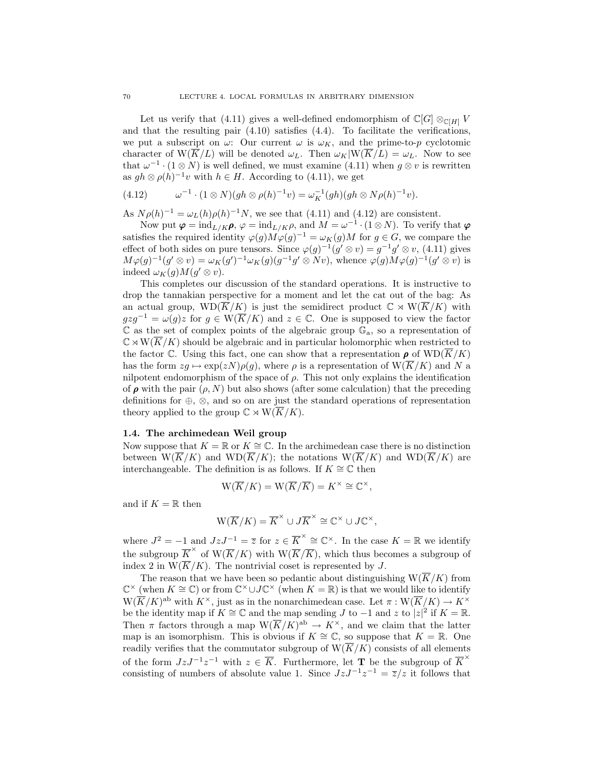Let us verify that (4.11) gives a well-defined endomorphism of  $\mathbb{C}[G] \otimes_{\mathbb{C}[H]} V$ and that the resulting pair (4.10) satisfies (4.4). To facilitate the verifications, we put a subscript on  $\omega$ : Our current  $\omega$  is  $\omega_K$ , and the prime-to-p cyclotomic character of  $W(\overline{K}/L)$  will be denoted  $\omega_L$ . Then  $\omega_K|W(\overline{K}/L) = \omega_L$ . Now to see that  $\omega^{-1} \cdot (1 \otimes N)$  is well defined, we must examine (4.11) when  $g \otimes v$  is rewritten as  $gh \otimes \rho(h)^{-1}v$  with  $h \in H$ . According to (4.11), we get

$$
(4.12) \qquad \omega^{-1} \cdot (1 \otimes N)(gh \otimes \rho(h)^{-1}v) = \omega_K^{-1}(gh)(gh \otimes N\rho(h)^{-1}v).
$$

As  $N \rho(h)^{-1} = \omega_L(h) \rho(h)^{-1} N$ , we see that (4.11) and (4.12) are consistent.

Now put  $\boldsymbol{\varphi} = \text{ind}_{L/K} \boldsymbol{\rho}, \varphi = \text{ind}_{L/K} \rho, \text{ and } M = \omega^{-1} \cdot (1 \otimes N)$ . To verify that  $\boldsymbol{\varphi}$ satisfies the required identity  $\varphi(g)M\varphi(g)^{-1} = \omega_K(g)M$  for  $g \in G$ , we compare the effect of both sides on pure tensors. Since  $\varphi(g)^{-1}(g' \otimes v) = g^{-1}g' \otimes v$ , (4.11) gives  $M\varphi(g)^{-1}(g'\otimes v)=\omega_K(g')^{-1}\omega_K(g)(g^{-1}g'\otimes Nv)$ , whence  $\varphi(g)M\varphi(g)^{-1}(g'\otimes v)$  is indeed  $\omega_K(g) M(g' \otimes v)$ .

This completes our discussion of the standard operations. It is instructive to drop the tannakian perspective for a moment and let the cat out of the bag: As an actual group,  $WD(\overline{K}/K)$  is just the semidirect product  $\mathbb{C} \rtimes W(\overline{K}/K)$  with  $gzg^{-1} = \omega(g)z$  for  $g \in W(\overline{K}/K)$  and  $z \in \mathbb{C}$ . One is supposed to view the factor  $\mathbb C$  as the set of complex points of the algebraic group  $\mathbb G_a$ , so a representation of  $\mathbb{C} \rtimes W(\overline{K}/K)$  should be algebraic and in particular holomorphic when restricted to the factor C. Using this fact, one can show that a representation  $\rho$  of  $WD(\overline{K}/K)$ has the form  $zq \mapsto \exp(zN)\rho(q)$ , where  $\rho$  is a representation of  $W(K/K)$  and N a nilpotent endomorphism of the space of  $\rho$ . This not only explains the identification of  $\rho$  with the pair  $(\rho, N)$  but also shows (after some calculation) that the preceding definitions for ⊕, ⊗, and so on are just the standard operations of representation theory applied to the group  $\mathbb{C} \rtimes W(\overline{K}/K)$ .

# 1.4. The archimedean Weil group

Now suppose that  $K = \mathbb{R}$  or  $K \cong \mathbb{C}$ . In the archimedean case there is no distinction between  $W(\overline{K}/K)$  and  $WD(\overline{K}/K)$ ; the notations  $W(\overline{K}/K)$  and  $WD(\overline{K}/K)$  are interchangeable. The definition is as follows. If  $K \cong \mathbb{C}$  then

$$
W(\overline{K}/K) = W(\overline{K}/\overline{K}) = K^{\times} \cong \mathbb{C}^{\times},
$$

and if  $K = \mathbb{R}$  then

$$
W(\overline{K}/K) = \overline{K}^{\times} \cup J\overline{K}^{\times} \cong \mathbb{C}^{\times} \cup J\mathbb{C}^{\times},
$$

where  $J^2 = -1$  and  $JzJ^{-1} = \overline{z}$  for  $z \in \overline{K}^{\times} \cong \mathbb{C}^{\times}$ . In the case  $K = \mathbb{R}$  we identify the subgroup  $\overline{K}^{\times}$  of  $\overline{W}(\overline{K}/K)$  with  $\overline{W}(\overline{K}/\overline{K})$ , which thus becomes a subgroup of index 2 in  $W(\overline{K}/K)$ . The nontrivial coset is represented by J.

The reason that we have been so pedantic about distinguishing  $W(\overline{K}/K)$  from  $\mathbb{C}^\times$  (when  $K \cong \mathbb{C}$ ) or from  $\mathbb{C}^\times \cup J\mathbb{C}^\times$  (when  $K = \mathbb{R}$ ) is that we would like to identify  $W(\overline{K}/K)^{ab}$  with  $K^{\times}$ , just as in the nonarchimedean case. Let  $\pi: W(\overline{K}/K) \to K^{\times}$ be the identity map if  $K \cong \mathbb{C}$  and the map sending J to  $-1$  and z to  $|z|^2$  if  $K = \mathbb{R}$ . Then  $\pi$  factors through a map  $W(\overline{K}/K)^{ab} \to K^{\times}$ , and we claim that the latter map is an isomorphism. This is obvious if  $K \cong \mathbb{C}$ , so suppose that  $K = \mathbb{R}$ . One readily verifies that the commutator subgroup of  $W(\overline{K}/K)$  consists of all elements of the form  $JzJ^{-1}z^{-1}$  with  $z \in \overline{K}$ . Furthermore, let **T** be the subgroup of  $\overline{K}^{\times}$ consisting of numbers of absolute value 1. Since  $JzJ^{-1}z^{-1} = \overline{z}/z$  it follows that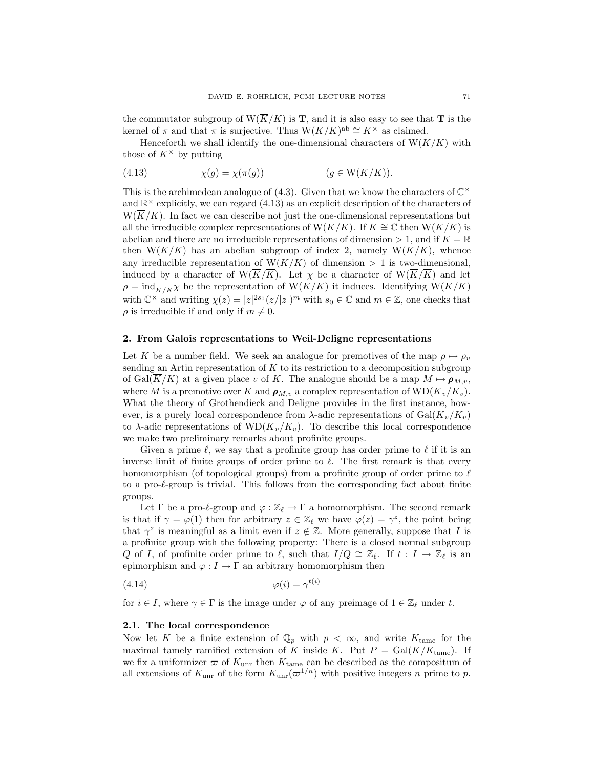the commutator subgroup of  $W(\overline{K}/K)$  is **T**, and it is also easy to see that **T** is the kernel of  $\pi$  and that  $\pi$  is surjective. Thus  $W(\overline{K}/K)^{ab} \cong K^{\times}$  as claimed.

Henceforth we shall identify the one-dimensional characters of  $W(\overline{K}/K)$  with those of  $K^{\times}$  by putting

(4.13) 
$$
\chi(g) = \chi(\pi(g)) \qquad (g \in W(\overline{K}/K)).
$$

This is the archimedean analogue of (4.3). Given that we know the characters of  $\mathbb{C}^{\times}$ and  $\mathbb{R}^{\times}$  explicitly, we can regard  $(4.13)$  as an explicit description of the characters of  $W(\overline{K}/K)$ . In fact we can describe not just the one-dimensional representations but all the irreducible complex representations of W( $\overline{K}/K$ ). If  $K \cong \mathbb{C}$  then W( $\overline{K}/K$ ) is abelian and there are no irreducible representations of dimension  $> 1$ , and if  $K = \mathbb{R}$ then  $W(\overline{K}/K)$  has an abelian subgroup of index 2, namely  $W(\overline{K}/\overline{K})$ , whence any irreducible representation of  $W(\overline{K}/K)$  of dimension  $> 1$  is two-dimensional, induced by a character of  $\overline{W(K/K)}$ . Let  $\chi$  be a character of  $\overline{W(K/K)}$  and let  $\rho = \text{ind}_{\overline{K}/K}\chi$  be the representation of  $\text{W}(\overline{K}/K)$  it induces. Identifying  $\text{W}(\overline{K}/\overline{K})$ with  $\mathbb{C}^\times$  and writing  $\chi(z) = |z|^{2s_0} (z/|z|)^m$  with  $s_0 \in \mathbb{C}$  and  $m \in \mathbb{Z}$ , one checks that  $\rho$  is irreducible if and only if  $m \neq 0$ .

## 2. From Galois representations to Weil-Deligne representations

Let K be a number field. We seek an analogue for premotives of the map  $\rho \mapsto \rho_v$ sending an Artin representation of K to its restriction to a decomposition subgroup of Gal( $\overline{K}/K$ ) at a given place v of K. The analogue should be a map  $M \mapsto \rho_{M,v}$ , where M is a premotive over K and  $\rho_{M,v}$  a complex representation of  $\text{WD}(\overline{K}_v/K_v)$ . What the theory of Grothendieck and Deligne provides in the first instance, however, is a purely local correspondence from  $\lambda$ -adic representations of Gal( $\overline{K}_v/K_v$ ) to  $\lambda$ -adic representations of  $WD(\overline{K}_v/K_v)$ . To describe this local correspondence we make two preliminary remarks about profinite groups.

Given a prime  $\ell$ , we say that a profinite group has order prime to  $\ell$  if it is an inverse limit of finite groups of order prime to  $\ell$ . The first remark is that every homomorphism (of topological groups) from a profinite group of order prime to  $\ell$ to a pro- $\ell$ -group is trivial. This follows from the corresponding fact about finite groups.

Let  $\Gamma$  be a pro- $\ell$ -group and  $\varphi : \mathbb{Z}_{\ell} \to \Gamma$  a homomorphism. The second remark is that if  $\gamma = \varphi(1)$  then for arbitrary  $z \in \mathbb{Z}_{\ell}$  we have  $\varphi(z) = \gamma^{z}$ , the point being that  $\gamma^z$  is meaningful as a limit even if  $z \notin \mathbb{Z}$ . More generally, suppose that I is a profinite group with the following property: There is a closed normal subgroup Q of I, of profinite order prime to  $\ell$ , such that  $I/Q \cong \mathbb{Z}_{\ell}$ . If  $t : I \to \mathbb{Z}_{\ell}$  is an epimorphism and  $\varphi : I \to \Gamma$  an arbitrary homomorphism then

$$
\varphi(i) = \gamma^{t(i)}
$$

for  $i \in I$ , where  $\gamma \in \Gamma$  is the image under  $\varphi$  of any preimage of  $1 \in \mathbb{Z}_{\ell}$  under t.

## 2.1. The local correspondence

Now let K be a finite extension of  $\mathbb{Q}_p$  with  $p < \infty$ , and write  $K_{\text{tame}}$  for the maximal tamely ramified extension of K inside  $\overline{K}$ . Put  $P = \text{Gal}(\overline{K}/K_{\text{tame}})$ . If we fix a uniformizer  $\varpi$  of  $K_{\text{unr}}$  then  $K_{\text{tame}}$  can be described as the compositum of all extensions of  $K_{\text{unr}}$  of the form  $K_{\text{unr}}(\varpi^{1/n})$  with positive integers n prime to p.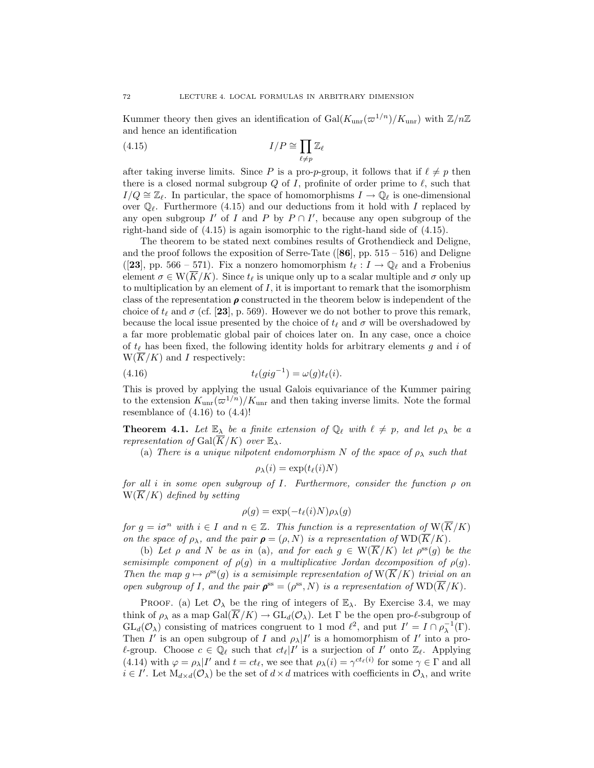Kummer theory then gives an identification of Gal( $K_{\text{unr}}(\varpi^{1/n})/K_{\text{unr}}$ ) with  $\mathbb{Z}/n\mathbb{Z}$ and hence an identification

(4.15) 
$$
I/P \cong \prod_{\ell \neq p} \mathbb{Z}_{\ell}
$$

after taking inverse limits. Since P is a pro-p-group, it follows that if  $\ell \neq p$  then there is a closed normal subgroup  $Q$  of I, profinite of order prime to  $\ell$ , such that  $I/Q \cong \mathbb{Z}_{\ell}$ . In particular, the space of homomorphisms  $I \to \mathbb{Q}_{\ell}$  is one-dimensional over  $\mathbb{Q}_\ell$ . Furthermore (4.15) and our deductions from it hold with I replaced by any open subgroup  $I'$  of  $I$  and  $P$  by  $P \cap I'$ , because any open subgroup of the right-hand side of (4.15) is again isomorphic to the right-hand side of (4.15).

The theorem to be stated next combines results of Grothendieck and Deligne, and the proof follows the exposition of Serre-Tate  $([86], pp. 515 - 516)$  and Deligne ([23], pp. 566 – 571). Fix a nonzero homomorphism  $t_\ell : I \to \mathbb{Q}_\ell$  and a Frobenius element  $\sigma \in W(\overline{K}/K)$ . Since  $t_{\ell}$  is unique only up to a scalar multiple and  $\sigma$  only up to multiplication by an element of  $I$ , it is important to remark that the isomorphism class of the representation  $\rho$  constructed in the theorem below is independent of the choice of  $t_\ell$  and  $\sigma$  (cf. [23], p. 569). However we do not bother to prove this remark, because the local issue presented by the choice of  $t_\ell$  and  $\sigma$  will be overshadowed by a far more problematic global pair of choices later on. In any case, once a choice of  $t_\ell$  has been fixed, the following identity holds for arbitrary elements g and i of  $W(\overline{K}/K)$  and I respectively:

(4.16) 
$$
t_{\ell}(gig^{-1}) = \omega(g)t_{\ell}(i).
$$

This is proved by applying the usual Galois equivariance of the Kummer pairing to the extension  $K_{\text{unr}}(\varpi^{1/n})/K_{\text{unr}}$  and then taking inverse limits. Note the formal resemblance of  $(4.16)$  to  $(4.4)!$ 

**Theorem 4.1.** Let  $\mathbb{E}_{\lambda}$  be a finite extension of  $\mathbb{Q}_{\ell}$  with  $\ell \neq p$ , and let  $\rho_{\lambda}$  be a representation of Gal $(\overline{K}/K)$  over  $\mathbb{E}_{\lambda}$ .

(a) There is a unique nilpotent endomorphism N of the space of  $\rho_{\lambda}$  such that

$$
\rho_{\lambda}(i) = \exp(t_{\ell}(i)N)
$$

for all i in some open subgroup of I. Furthermore, consider the function  $\rho$  on  $W(\overline{K}/K)$  defined by setting

$$
\rho(g) = \exp(-t_{\ell}(i)N)\rho_{\lambda}(g)
$$

for  $g = i\sigma^n$  with  $i \in I$  and  $n \in \mathbb{Z}$ . This function is a representation of  $W(\overline{K}/K)$ on the space of  $\rho_{\lambda}$ , and the pair  $\rho = (\rho, N)$  is a representation of  $\text{WD}(\overline{K}/K)$ .

(b) Let  $\rho$  and N be as in (a), and for each  $g \in W(\overline{K}/K)$  let  $\rho^{ss}(g)$  be the semisimple component of  $\rho(g)$  in a multiplicative Jordan decomposition of  $\rho(g)$ . Then the map  $g \mapsto \rho^{ss}(g)$  is a semisimple representation of  $W(\overline{K}/K)$  trivial on an open subgroup of I, and the pair  $\rho^{ss} = (\rho^{ss}, N)$  is a representation of  $WD(\overline{K}/K)$ .

PROOF. (a) Let  $\mathcal{O}_{\lambda}$  be the ring of integers of  $\mathbb{E}_{\lambda}$ . By Exercise 3.4, we may think of  $\rho_{\lambda}$  as a map  $Gal(\overline{K}/K) \to GL_d(\mathcal{O}_{\lambda})$ . Let  $\Gamma$  be the open pro- $\ell$ -subgroup of  $GL_d(\mathcal{O}_\lambda)$  consisting of matrices congruent to 1 mod  $\ell^2$ , and put  $I' = I \cap \rho_\lambda^{-1}(\Gamma)$ . Then I' is an open subgroup of I and  $\rho_{\lambda}|I'$  is a homomorphism of I' into a pro- $\ell$ -group. Choose  $c \in \mathbb{Q}_\ell$  such that  $ct_\ell|I'$  is a surjection of I' onto  $\mathbb{Z}_\ell$ . Applying (4.14) with  $\varphi = \rho_\lambda |I'$  and  $t = ct_\ell$ , we see that  $\rho_\lambda(i) = \gamma^{ct_\ell(i)}$  for some  $\gamma \in \Gamma$  and all  $i \in I'$ . Let  $M_{d \times d}(\mathcal{O}_{\lambda})$  be the set of  $d \times d$  matrices with coefficients in  $\mathcal{O}_{\lambda}$ , and write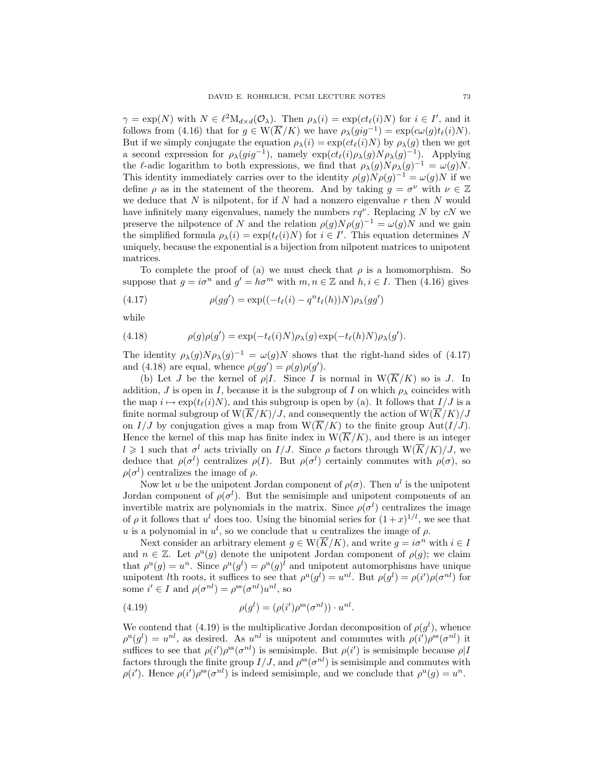$\gamma = \exp(N)$  with  $N \in \ell^2 M_{d \times d}(\mathcal{O}_\lambda)$ . Then  $\rho_\lambda(i) = \exp(ct_\ell(i)N)$  for  $i \in I'$ , and it follows from (4.16) that for  $g \in W(\overline{K}/K)$  we have  $\rho_{\lambda}(gig^{-1}) = \exp(c\omega(g)t_{\ell}(i)N)$ . But if we simply conjugate the equation  $\rho_{\lambda}(i) = \exp(ct_{\ell}(i)N)$  by  $\rho_{\lambda}(g)$  then we get a second expression for  $\rho_{\lambda}(gig^{-1})$ , namely  $\exp(ct_{\ell}(i)\rho_{\lambda}(g)N\rho_{\lambda}(g)^{-1})$ . Applying the l-adic logarithm to both expressions, we find that  $\rho_{\lambda}(g)N\rho_{\lambda}(g)^{-1} = \omega(g)N$ . This identity immediately carries over to the identity  $\rho(g)N\rho(g)^{-1} = \omega(g)N$  if we define  $\rho$  as in the statement of the theorem. And by taking  $g = \sigma^{\nu}$  with  $\nu \in \mathbb{Z}$ we deduce that  $N$  is nilpotent, for if  $N$  had a nonzero eigenvalue  $r$  then  $N$  would have infinitely many eigenvalues, namely the numbers  $rq^{\nu}$ . Replacing N by cN we preserve the nilpotence of N and the relation  $\rho(g)N\rho(g)^{-1} = \omega(g)N$  and we gain the simplified formula  $\rho_{\lambda}(i) = \exp(t_{\ell}(i)N)$  for  $i \in I'$ . This equation determines N uniquely, because the exponential is a bijection from nilpotent matrices to unipotent matrices.

To complete the proof of (a) we must check that  $\rho$  is a homomorphism. So suppose that  $g = i\sigma^n$  and  $g' = h\sigma^m$  with  $m, n \in \mathbb{Z}$  and  $h, i \in I$ . Then (4.16) gives

(4.17) 
$$
\rho(gg') = \exp((-t_{\ell}(i) - q^{n}t_{\ell}(h))N)\rho_{\lambda}(gg')
$$

while

(4.18) 
$$
\rho(g)\rho(g') = \exp(-t_{\ell}(i)N)\rho_{\lambda}(g)\exp(-t_{\ell}(h)N)\rho_{\lambda}(g').
$$

The identity  $\rho_{\lambda}(g)N\rho_{\lambda}(g)^{-1} = \omega(g)N$  shows that the right-hand sides of (4.17) and (4.18) are equal, whence  $\rho(gg') = \rho(g)\rho(g')$ .

(b) Let J be the kernel of  $\rho |I$ . Since I is normal in  $W(\overline{K}/K)$  so is J. In addition, J is open in I, because it is the subgroup of I on which  $\rho_{\lambda}$  coincides with the map  $i \mapsto \exp(t_{\ell}(i)N)$ , and this subgroup is open by (a). It follows that  $I/J$  is a finite normal subgroup of  $\overline{W(K/K)}/J$ , and consequently the action of  $\overline{W(K/K)}/J$ on  $I/J$  by conjugation gives a map from  $W(\overline{K}/K)$  to the finite group Aut $(I/J)$ . Hence the kernel of this map has finite index in  $W(\overline{K}/K)$ , and there is an integer  $l \geq 1$  such that  $\sigma^l$  acts trivially on  $I/J$ . Since  $\rho$  factors through  $W(\overline{K}/K)/J$ , we deduce that  $\rho(\sigma^l)$  centralizes  $\rho(I)$ . But  $\rho(\sigma^l)$  certainly commutes with  $\rho(\sigma)$ , so  $\rho(\sigma^l)$  centralizes the image of  $\rho$ .

Now let u be the unipotent Jordan component of  $\rho(\sigma)$ . Then  $u^l$  is the unipotent Jordan component of  $\rho(\sigma^l)$ . But the semisimple and unipotent components of an invertible matrix are polynomials in the matrix. Since  $\rho(\sigma^l)$  centralizes the image of  $\rho$  it follows that  $u^l$  does too. Using the binomial series for  $(1+x)^{1/l}$ , we see that u is a polynomial in  $u^l$ , so we conclude that u centralizes the image of  $\rho$ .

Next consider an arbitrary element  $g \in W(\overline{K}/K)$ , and write  $g = i\sigma^n$  with  $i \in I$ and  $n \in \mathbb{Z}$ . Let  $\rho^{\mathfrak{u}}(g)$  denote the unipotent Jordan component of  $\rho(g)$ ; we claim that  $\rho^{\mathfrak{u}}(g) = u^n$ . Since  $\rho^{\mathfrak{u}}(g^l) = \rho^{\mathfrak{u}}(g)^l$  and unipotent automorphisms have unique unipotent *l*th roots, it suffices to see that  $\rho^{u}(g^{l}) = u^{nl}$ . But  $\rho(g^{l}) = \rho(i')\rho(\sigma^{nl})$  for some  $i' \in I$  and  $\rho(\sigma^{nl}) = \rho^{\text{ss}}(\sigma^{nl})u^{nl}$ , so

(4.19) 
$$
\rho(g^l) = (\rho(i')\rho^{\text{ss}}(\sigma^{nl})) \cdot u^{nl}.
$$

We contend that (4.19) is the multiplicative Jordan decomposition of  $\rho(g^l)$ , whence  $\rho^{\rm u}(g^l) = u^{nl}$ , as desired. As  $u^{nl}$  is unipotent and commutes with  $\rho(i')\rho^{\rm ss}(\sigma^{nl})$  it suffices to see that  $\rho(i')\rho^{ss}(\sigma^{nl})$  is semisimple. But  $\rho(i')$  is semisimple because  $\rho|I$ factors through the finite group  $I/J$ , and  $\rho^{ss}(\sigma^{nl})$  is semisimple and commutes with  $\rho(i')$ . Hence  $\rho(i')\rho^{\rm ss}(\sigma^{nl})$  is indeed semisimple, and we conclude that  $\rho^{\rm u}(g)=u^n$ .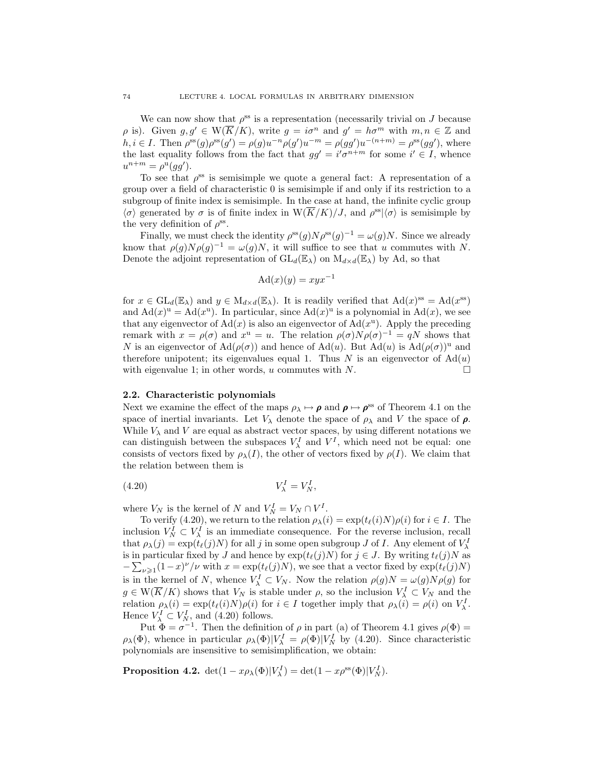We can now show that  $\rho^{\text{ss}}$  is a representation (necessarily trivial on J because  $\rho$  is). Given  $g, g' \in W(\overline{K}/K)$ , write  $g = i\sigma^n$  and  $g' = h\sigma^m$  with  $m, n \in \mathbb{Z}$  and  $h, i \in I$ . Then  $\rho^{\rm ss}(g)\rho^{\rm ss}(g') = \rho(g)u^{-n}\rho(g')u^{-m} = \rho(gg')u^{-(n+m)} = \rho^{\rm ss}(gg')$ , where the last equality follows from the fact that  $gg' = i'\sigma^{n+m}$  for some  $i' \in I$ , whence  $u^{n+m} = \rho^{\mathbf{u}}(gg').$ 

To see that  $\rho^{ss}$  is semisimple we quote a general fact: A representation of a group over a field of characteristic 0 is semisimple if and only if its restriction to a subgroup of finite index is semisimple. In the case at hand, the infinite cyclic group  $\langle \sigma \rangle$  generated by  $\sigma$  is of finite index in  $W(\overline{K}/K)/J$ , and  $\rho^{ss}|\langle \sigma \rangle$  is semisimple by the very definition of  $\rho^{\rm ss}$ .

Finally, we must check the identity  $\rho^{ss}(g)N\rho^{ss}(g)^{-1} = \omega(g)N$ . Since we already know that  $\rho(g)N\rho(g)^{-1} = \omega(g)N$ , it will suffice to see that u commutes with N. Denote the adjoint representation of  $GL_d(\mathbb{E}_{\lambda})$  on  $M_{d\times d}(\mathbb{E}_{\lambda})$  by Ad, so that

$$
Ad(x)(y) = xyx^{-1}
$$

for  $x \in GL_d(\mathbb{E}_{\lambda})$  and  $y \in M_{d \times d}(\mathbb{E}_{\lambda})$ . It is readily verified that  $Ad(x)^{ss} = Ad(x^{ss})$ and  $\text{Ad}(x)^u = \text{Ad}(x^u)$ . In particular, since  $\text{Ad}(x)^u$  is a polynomial in  $\text{Ad}(x)$ , we see that any eigenvector of  $Ad(x)$  is also an eigenvector of  $Ad(x^u)$ . Apply the preceding remark with  $x = \rho(\sigma)$  and  $x^u = u$ . The relation  $\rho(\sigma)N\rho(\sigma)^{-1} = qN$  shows that N is an eigenvector of  $\text{Ad}(\rho(\sigma))$  and hence of  $\text{Ad}(u)$ . But  $\text{Ad}(u)$  is  $\text{Ad}(\rho(\sigma))^u$  and therefore unipotent; its eigenvalues equal 1. Thus N is an eigenvector of  $\text{Ad}(u)$ with eigenvalue 1; in other words, u commutes with N.

## 2.2. Characteristic polynomials

Next we examine the effect of the maps  $\rho_{\lambda} \mapsto \rho$  and  $\rho \mapsto \rho^{\text{ss}}$  of Theorem 4.1 on the space of inertial invariants. Let  $V_{\lambda}$  denote the space of  $\rho_{\lambda}$  and V the space of  $\rho$ . While  $V_{\lambda}$  and V are equal as abstract vector spaces, by using different notations we can distinguish between the subspaces  $V^I_\lambda$  and  $V^I$ , which need not be equal: one consists of vectors fixed by  $\rho_{\lambda}(I)$ , the other of vectors fixed by  $\rho(I)$ . We claim that the relation between them is

$$
(4.20) \t\t V_{\lambda}^I = V_N^I,
$$

where  $V_N$  is the kernel of N and  $V_N^I = V_N \cap V^I$ .

To verify (4.20), we return to the relation  $\rho_{\lambda}(i) = \exp(t_{\ell}(i)N)\rho(i)$  for  $i \in I$ . The inclusion  $V_N^I \subset V_\lambda^I$  is an immediate consequence. For the reverse inclusion, recall that  $\rho_{\lambda}(j) = \exp(t_{\ell}(j)N)$  for all j in some open subgroup J of I. Any element of  $V_{\lambda}^{I}$ is in particular fixed by J and hence by  $\exp(t_{\ell}(j)N)$  for  $j \in J$ . By writing  $t_{\ell}(j)N$  as  $-\sum_{\nu\geqslant 1}(1-x)^\nu/\nu$  with  $x = \exp(t_\ell(j)N)$ , we see that a vector fixed by  $\exp(t_\ell(j)N)$ is in the kernel of N, whence  $V^I_\lambda \subset V_N$ . Now the relation  $\rho(g)N = \omega(g)N\rho(g)$  for  $g \in W(\overline{K}/K)$  shows that  $V_N$  is stable under  $\rho$ , so the inclusion  $V^I_\lambda \subset V_N$  and the relation  $\rho_{\lambda}(i) = \exp(t_{\ell}(i)N)\rho(i)$  for  $i \in I$  together imply that  $\rho_{\lambda}(i) = \rho(i)$  on  $V_{\lambda}^{I}$ . Hence  $V^I_\lambda \subset V^I_N$ , and (4.20) follows.

Put  $\hat{\Phi} = \sigma^{-1}$ . Then the definition of  $\rho$  in part (a) of Theorem 4.1 gives  $\rho(\Phi) =$  $\rho_{\lambda}(\Phi)$ , whence in particular  $\rho_{\lambda}(\Phi)|V_{\lambda}^{I} = \rho(\Phi)|V_{N}^{I}$  by (4.20). Since characteristic polynomials are insensitive to semisimplification, we obtain:

**Proposition 4.2.**  $\det(1 - x \rho_{\lambda}(\Phi)|V_{\lambda}^{I}) = \det(1 - x \rho^{\text{ss}}(\Phi)|V_{N}^{I}).$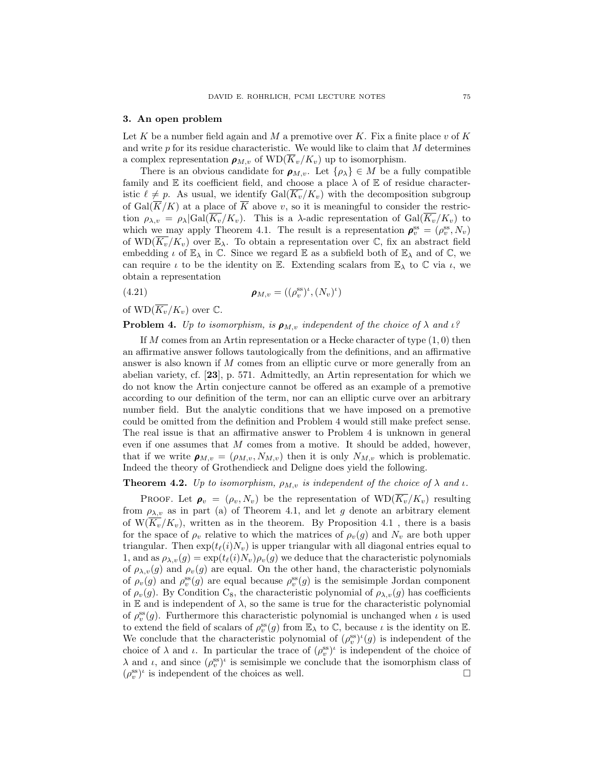#### 3. An open problem

Let K be a number field again and M a premotive over K. Fix a finite place  $v$  of K and write  $p$  for its residue characteristic. We would like to claim that  $M$  determines a complex representation  $\rho_{M,v}$  of  $WD(\overline{K}_v/K_v)$  up to isomorphism.

There is an obvious candidate for  $\rho_{M,v}$ . Let  $\{\rho_{\lambda}\}\in M$  be a fully compatible family and  $E$  its coefficient field, and choose a place  $\lambda$  of  $E$  of residue characteristic  $\ell \neq p$ . As usual, we identify  $Gal(K_v/K_v)$  with the decomposition subgroup of Gal( $\overline{K}/K$ ) at a place of  $\overline{K}$  above v, so it is meaningful to consider the restriction  $\rho_{\lambda,v} = \rho_{\lambda} |Gal(\overline{K_v}/K_v)$ . This is a  $\lambda$ -adic representation of  $Gal(\overline{K_v}/K_v)$  to which we may apply Theorem 4.1. The result is a representation  $\rho_v^{\text{ss}} = (\rho_v^{\text{ss}}, N_v)$ of  $WD(\overline{K_v}/K_v)$  over  $\mathbb{E}_{\lambda}$ . To obtain a representation over  $\mathbb{C}$ , fix an abstract field embedding  $\iota$  of  $\mathbb{E}_{\lambda}$  in  $\mathbb{C}$ . Since we regard  $\mathbb{E}$  as a subfield both of  $\mathbb{E}_{\lambda}$  and of  $\mathbb{C}$ , we can require  $\iota$  to be the identity on E. Extending scalars from  $\mathbb{E}_{\lambda}$  to  $\mathbb C$  via  $\iota$ , we obtain a representation

(4.21) 
$$
\boldsymbol{\rho}_{M,v} = ((\rho_v^{\text{ss}})^{\iota}, (N_v)^{\iota})
$$

of  $WD(\overline{K_v}/K_v)$  over  $\mathbb{C}$ .

**Problem 4.** Up to isomorphism, is  $\rho_{M,v}$  independent of the choice of  $\lambda$  and  $\iota$ ?

If M comes from an Artin representation or a Hecke character of type  $(1,0)$  then an affirmative answer follows tautologically from the definitions, and an affirmative answer is also known if M comes from an elliptic curve or more generally from an abelian variety, cf. [23], p. 571. Admittedly, an Artin representation for which we do not know the Artin conjecture cannot be offered as an example of a premotive according to our definition of the term, nor can an elliptic curve over an arbitrary number field. But the analytic conditions that we have imposed on a premotive could be omitted from the definition and Problem 4 would still make prefect sense. The real issue is that an affirmative answer to Problem 4 is unknown in general even if one assumes that M comes from a motive. It should be added, however, that if we write  $\rho_{M,v} = (\rho_{M,v}, N_{M,v})$  then it is only  $N_{M,v}$  which is problematic. Indeed the theory of Grothendieck and Deligne does yield the following.

**Theorem 4.2.** Up to isomorphism,  $\rho_{M,v}$  is independent of the choice of  $\lambda$  and  $\iota$ .

PROOF. Let  $\rho_v = (\rho_v, N_v)$  be the representation of  $WD(\overline{K_v}/K_v)$  resulting from  $\rho_{\lambda,v}$  as in part (a) of Theorem 4.1, and let g denote an arbitrary element of  $W(\overline{K_v}/K_v)$ , written as in the theorem. By Proposition 4.1, there is a basis for the space of  $\rho_v$  relative to which the matrices of  $\rho_v(g)$  and  $N_v$  are both upper triangular. Then  $exp(t_{\ell}(i)N_v)$  is upper triangular with all diagonal entries equal to 1, and as  $\rho_{\lambda,v}(g) = \exp(t_\ell(i)N_v)\rho_v(g)$  we deduce that the characteristic polynomials of  $\rho_{\lambda,v}(g)$  and  $\rho_v(g)$  are equal. On the other hand, the characteristic polynomials of  $\rho_v(g)$  and  $\rho_v^{ss}(g)$  are equal because  $\rho_v^{ss}(g)$  is the semisimple Jordan component of  $\rho_v(g)$ . By Condition C<sub>8</sub>, the characteristic polynomial of  $\rho_{\lambda,v}(g)$  has coefficients in E and is independent of  $\lambda$ , so the same is true for the characteristic polynomial of  $\rho_v^{\text{ss}}(g)$ . Furthermore this characteristic polynomial is unchanged when  $\iota$  is used to extend the field of scalars of  $\rho_v^{ss}(g)$  from  $\mathbb{E}_{\lambda}$  to  $\mathbb{C}$ , because  $\iota$  is the identity on  $\mathbb{E}_{\lambda}$ . We conclude that the characteristic polynomial of  $(\rho_v^{\text{ss}})^{\iota}(g)$  is independent of the choice of  $\lambda$  and  $\iota$ . In particular the trace of  $(\rho_v^{\text{ss}})^{\iota}$  is independent of the choice of  $\lambda$  and  $\iota$ , and since  $(\rho_v^{\text{ss}})^{\iota}$  is semisimple we conclude that the isomorphism class of  $(\rho_v^{\rm ss})^{\iota}$  is independent of the choices as well.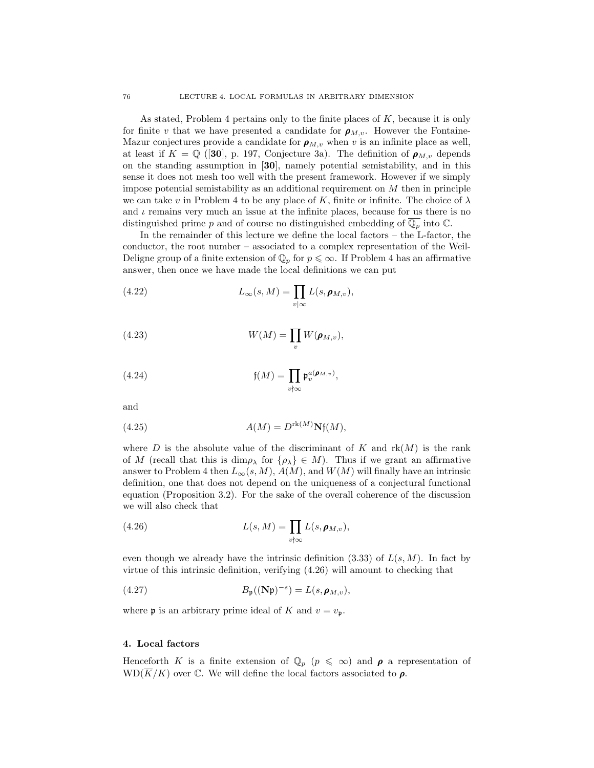As stated, Problem 4 pertains only to the finite places of  $K$ , because it is only for finite v that we have presented a candidate for  $\rho_{M,v}$ . However the Fontaine-Mazur conjectures provide a candidate for  $\rho_{M,v}$  when v is an infinite place as well, at least if  $K = \mathbb{Q}$  ([30], p. 197, Conjecture 3a). The definition of  $\rho_{M,v}$  depends on the standing assumption in [30], namely potential semistability, and in this sense it does not mesh too well with the present framework. However if we simply impose potential semistability as an additional requirement on M then in principle we can take v in Problem 4 to be any place of K, finite or infinite. The choice of  $\lambda$ and  $\iota$  remains very much an issue at the infinite places, because for us there is no distinguished prime p and of course no distinguished embedding of  $\overline{\mathbb{Q}_p}$  into  $\mathbb{C}$ .

In the remainder of this lecture we define the local factors – the L-factor, the conductor, the root number – associated to a complex representation of the Weil-Deligne group of a finite extension of  $\mathbb{Q}_p$  for  $p \leq \infty$ . If Problem 4 has an affirmative answer, then once we have made the local definitions we can put

(4.22) 
$$
L_{\infty}(s, M) = \prod_{v \mid \infty} L(s, \rho_{M,v}),
$$

(4.23) 
$$
W(M) = \prod_{v} W(\pmb{\rho}_{M,v}),
$$

(4.24) 
$$
\mathfrak{f}(M) = \prod_{v \nmid \infty} \mathfrak{p}_v^{a(\boldsymbol{\rho}_{M,v})},
$$

and

(4.25) 
$$
A(M) = D^{\text{rk}(M)} \mathbf{N} \mathfrak{f}(M),
$$

where D is the absolute value of the discriminant of K and  $rk(M)$  is the rank of M (recall that this is  $\dim \rho_\lambda$  for  $\{\rho_\lambda\} \in M$ ). Thus if we grant an affirmative answer to Problem 4 then  $L_{\infty}(s, M)$ ,  $A(M)$ , and  $W(M)$  will finally have an intrinsic definition, one that does not depend on the uniqueness of a conjectural functional equation (Proposition 3.2). For the sake of the overall coherence of the discussion we will also check that

(4.26) 
$$
L(s, M) = \prod_{v \nmid \infty} L(s, \rho_{M, v}),
$$

even though we already have the intrinsic definition  $(3.33)$  of  $L(s, M)$ . In fact by virtue of this intrinsic definition, verifying (4.26) will amount to checking that

(4.27) 
$$
B_{\mathfrak{p}}((\mathbf{N}\mathfrak{p})^{-s})=L(s,\boldsymbol{\rho}_{M,v}),
$$

where **p** is an arbitrary prime ideal of K and  $v = v_p$ .

## 4. Local factors

Henceforth K is a finite extension of  $\mathbb{Q}_p$  ( $p \leq \infty$ ) and  $\rho$  a representation of  $WD(\overline{K}/K)$  over C. We will define the local factors associated to  $\rho$ .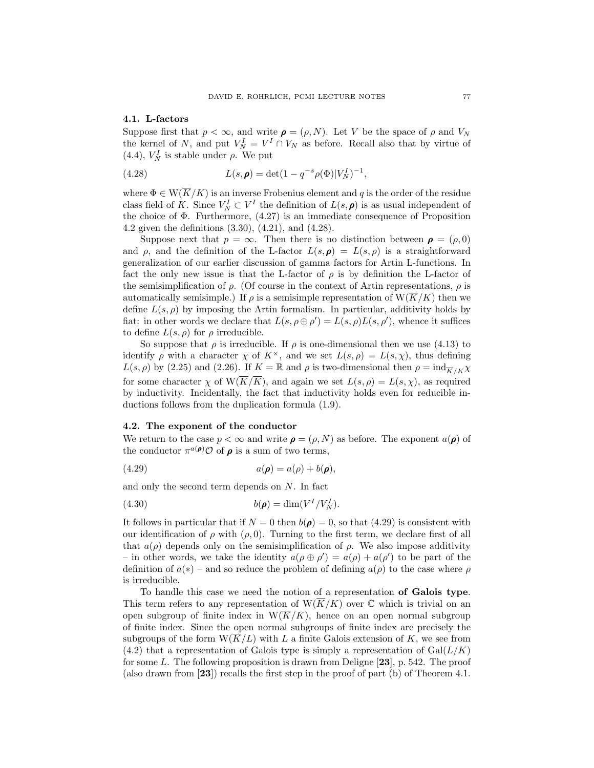#### 4.1. L-factors

Suppose first that  $p < \infty$ , and write  $\rho = (\rho, N)$ . Let V be the space of  $\rho$  and  $V_N$ the kernel of N, and put  $V_N^I = V^I \cap V_N$  as before. Recall also that by virtue of (4.4),  $V_N^I$  is stable under  $\rho$ . We put

(4.28) 
$$
L(s, \rho) = \det(1 - q^{-s}\rho(\Phi)|V_N^I|^{-1},
$$

where  $\Phi \in W(\overline{K}/K)$  is an inverse Frobenius element and q is the order of the residue class field of K. Since  $V_N^I \subset V^I$  the definition of  $L(s, \rho)$  is as usual independent of the choice of  $\Phi$ . Furthermore,  $(4.27)$  is an immediate consequence of Proposition 4.2 given the definitions (3.30), (4.21), and (4.28).

Suppose next that  $p = \infty$ . Then there is no distinction between  $p = (\rho, 0)$ and  $\rho$ , and the definition of the L-factor  $L(s, \rho) = L(s, \rho)$  is a straightforward generalization of our earlier discussion of gamma factors for Artin L-functions. In fact the only new issue is that the L-factor of  $\rho$  is by definition the L-factor of the semisimplification of  $\rho$ . (Of course in the context of Artin representations,  $\rho$  is automatically semisimple.) If  $\rho$  is a semisimple representation of  $W(\overline{K}/K)$  then we define  $L(s, \rho)$  by imposing the Artin formalism. In particular, additivity holds by fiat: in other words we declare that  $L(s, \rho \oplus \rho') = L(s, \rho)L(s, \rho')$ , whence it suffices to define  $L(s, \rho)$  for  $\rho$  irreducible.

So suppose that  $\rho$  is irreducible. If  $\rho$  is one-dimensional then we use (4.13) to identify  $\rho$  with a character  $\chi$  of  $K^{\times}$ , and we set  $L(s, \rho) = L(s, \chi)$ , thus defining  $L(s, \rho)$  by (2.25) and (2.26). If  $K = \mathbb{R}$  and  $\rho$  is two-dimensional then  $\rho = \text{ind}_{\overline{K}/K}\chi$ for some character  $\chi$  of  $W(\overline{K}/\overline{K})$ , and again we set  $L(s, \rho) = L(s, \chi)$ , as required by inductivity. Incidentally, the fact that inductivity holds even for reducible inductions follows from the duplication formula (1.9).

## 4.2. The exponent of the conductor

We return to the case  $p < \infty$  and write  $\rho = (\rho, N)$  as before. The exponent  $a(\rho)$  of the conductor  $\pi^{a(\rho)} \mathcal{O}$  of  $\rho$  is a sum of two terms,

$$
(4.29) \t\t a(\boldsymbol{\rho}) = a(\rho) + b(\boldsymbol{\rho}),
$$

and only the second term depends on N. In fact

$$
(4.30) \t\t b(\pmb{\rho}) = \dim(V^I/V_N^I).
$$

It follows in particular that if  $N = 0$  then  $b(\rho) = 0$ , so that (4.29) is consistent with our identification of  $\rho$  with  $(\rho, 0)$ . Turning to the first term, we declare first of all that  $a(\rho)$  depends only on the semisimplification of  $\rho$ . We also impose additivity – in other words, we take the identity  $a(\rho \oplus \rho') = a(\rho) + a(\rho')$  to be part of the definition of  $a(*)$  – and so reduce the problem of defining  $a(\rho)$  to the case where  $\rho$ is irreducible.

To handle this case we need the notion of a representation of Galois type. This term refers to any representation of  $W(\overline{K}/K)$  over  $\mathbb C$  which is trivial on an open subgroup of finite index in  $W(\overline{K}/K)$ , hence on an open normal subgroup of finite index. Since the open normal subgroups of finite index are precisely the subgroups of the form  $W(\overline{K}/L)$  with L a finite Galois extension of K, we see from  $(4.2)$  that a representation of Galois type is simply a representation of  $Gal(L/K)$ for some L. The following proposition is drawn from Deligne  $[23]$ , p. 542. The proof (also drawn from  $[23]$ ) recalls the first step in the proof of part (b) of Theorem 4.1.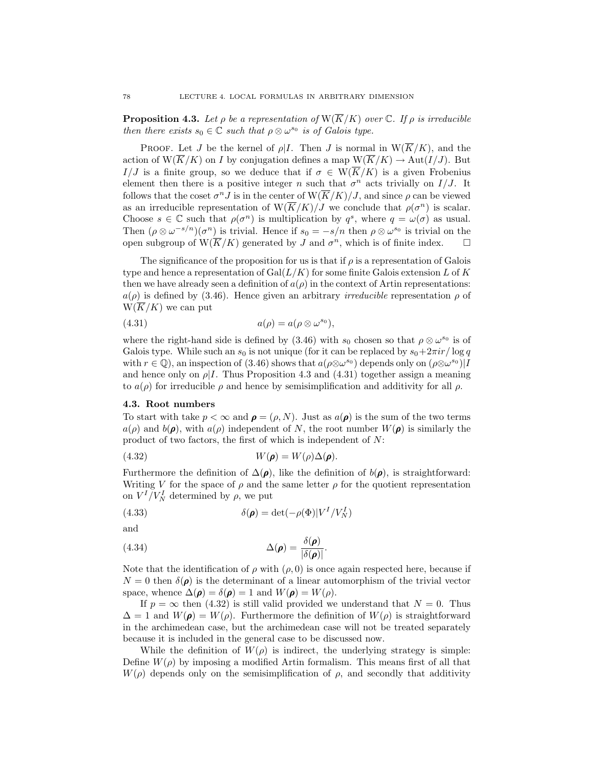**Proposition 4.3.** Let  $\rho$  be a representation of  $W(\overline{K}/K)$  over  $\mathbb{C}$ . If  $\rho$  is irreducible then there exists  $s_0 \in \mathbb{C}$  such that  $\rho \otimes \omega^{s_0}$  is of Galois type.

**PROOF.** Let J be the kernel of  $\rho|I$ . Then J is normal in  $W(\overline{K}/K)$ , and the action of  $W(\overline{K}/K)$  on I by conjugation defines a map  $W(\overline{K}/K) \to Aut(I/J)$ . But I/J is a finite group, so we deduce that if  $\sigma \in W(\overline{K}/K)$  is a given Frobenius element then there is a positive integer n such that  $\sigma^n$  acts trivially on  $I/J$ . It follows that the coset  $\sigma^n J$  is in the center of  $\mathcal{W}(\overline{K}/K)/J$ , and since  $\rho$  can be viewed as an irreducible representation of  $W(\overline{K}/K)/J$  we conclude that  $\rho(\sigma^n)$  is scalar. Choose  $s \in \mathbb{C}$  such that  $\rho(\sigma^n)$  is multiplication by  $q^s$ , where  $q = \omega(\sigma)$  as usual. Then  $(\rho \otimes \omega^{-s/n})(\sigma^n)$  is trivial. Hence if  $s_0 = -s/n$  then  $\rho \otimes \omega^{s_0}$  is trivial on the open subgroup of  $W(\overline{K}/K)$  generated by J and  $\sigma^n$ , which is of finite index.  $\square$ 

The significance of the proposition for us is that if  $\rho$  is a representation of Galois type and hence a representation of  $Gal(L/K)$  for some finite Galois extension L of K then we have already seen a definition of  $a(\rho)$  in the context of Artin representations:  $a(\rho)$  is defined by (3.46). Hence given an arbitrary *irreducible* representation  $\rho$  of  $W(\overline{K}/K)$  we can put

$$
(4.31) \t\t a(\rho) = a(\rho \otimes \omega^{s_0}),
$$

where the right-hand side is defined by (3.46) with  $s_0$  chosen so that  $\rho \otimes \omega^{s_0}$  is of Galois type. While such an  $s_0$  is not unique (for it can be replaced by  $s_0+2\pi i r/\log q$ with  $r \in \mathbb{Q}$ , an inspection of (3.46) shows that  $a(\rho \otimes \omega^{s_0})$  depends only on  $(\rho \otimes \omega^{s_0})$ ] and hence only on  $\rho$ I. Thus Proposition 4.3 and (4.31) together assign a meaning to  $a(\rho)$  for irreducible  $\rho$  and hence by semisimplification and additivity for all  $\rho$ .

## 4.3. Root numbers

To start with take  $p < \infty$  and  $\rho = (\rho, N)$ . Just as  $a(\rho)$  is the sum of the two terms  $a(\rho)$  and  $b(\rho)$ , with  $a(\rho)$  independent of N, the root number  $W(\rho)$  is similarly the product of two factors, the first of which is independent of N:

$$
(4.32) \t\t W(\pmb{\rho}) = W(\rho)\Delta(\pmb{\rho}).
$$

Furthermore the definition of  $\Delta(\rho)$ , like the definition of  $b(\rho)$ , is straightforward: Writing V for the space of  $\rho$  and the same letter  $\rho$  for the quotient representation on  $V^I/V_N^I$  determined by  $\rho$ , we put

(4.33) 
$$
\delta(\pmb{\rho}) = \det(-\rho(\Phi)|V^I/V_N^I)
$$

and

(4.34) 
$$
\Delta(\boldsymbol{\rho}) = \frac{\delta(\boldsymbol{\rho})}{|\delta(\boldsymbol{\rho})|}.
$$

Note that the identification of  $\rho$  with  $(\rho, 0)$  is once again respected here, because if  $N = 0$  then  $\delta(\rho)$  is the determinant of a linear automorphism of the trivial vector space, whence  $\Delta(\rho) = \delta(\rho) = 1$  and  $W(\rho) = W(\rho)$ .

If  $p = \infty$  then (4.32) is still valid provided we understand that  $N = 0$ . Thus  $\Delta = 1$  and  $W(\rho) = W(\rho)$ . Furthermore the definition of  $W(\rho)$  is straightforward in the archimedean case, but the archimedean case will not be treated separately because it is included in the general case to be discussed now.

While the definition of  $W(\rho)$  is indirect, the underlying strategy is simple: Define  $W(\rho)$  by imposing a modified Artin formalism. This means first of all that  $W(\rho)$  depends only on the semisimplification of  $\rho$ , and secondly that additivity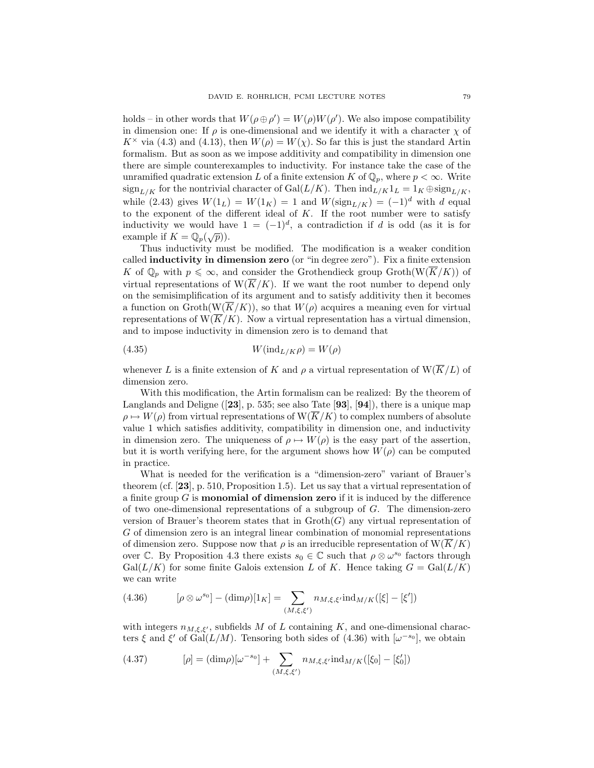holds – in other words that  $W(\rho \oplus \rho') = W(\rho)W(\rho')$ . We also impose compatibility in dimension one: If  $\rho$  is one-dimensional and we identify it with a character  $\chi$  of  $K^{\times}$  via (4.3) and (4.13), then  $W(\rho) = W(\chi)$ . So far this is just the standard Artin formalism. But as soon as we impose additivity and compatibility in dimension one there are simple counterexamples to inductivity. For instance take the case of the unramified quadratic extension L of a finite extension K of  $\mathbb{Q}_p$ , where  $p < \infty$ . Write  $\operatorname{sign}_{L/K}$  for the nontrivial character of  $\operatorname{Gal}(L/K)$ . Then  $\operatorname{ind}_{L/K}1_L = 1_K \oplus \operatorname{sign}_{L/K}$ , while (2.43) gives  $W(1_L) = W(1_K) = 1$  and  $W(\text{sign}_{L/K}) = (-1)^d$  with d equal to the exponent of the different ideal of  $K$ . If the root number were to satisfy inductivity we would have  $1 = (-1)^d$ , a contradiction if d is odd (as it is for mauctivity we would have example if  $K = \mathbb{Q}_p(\sqrt{p})$ .

Thus inductivity must be modified. The modification is a weaker condition called inductivity in dimension zero (or "in degree zero"). Fix a finite extension K of  $\mathbb{Q}_p$  with  $p \leq \infty$ , and consider the Grothendieck group Groth $(\overline{W}(\overline{K}/K))$  of virtual representations of  $W(\overline{K}/K)$ . If we want the root number to depend only on the semisimplification of its argument and to satisfy additivity then it becomes a function on  $\operatorname{Groth}(\overline{K}/K)$ , so that  $W(\rho)$  acquires a meaning even for virtual representations of  $W(\overline{K}/K)$ . Now a virtual representation has a virtual dimension, and to impose inductivity in dimension zero is to demand that

$$
(4.35) \t\t W(\mathrm{ind}_{L/K}\rho) = W(\rho)
$$

whenever L is a finite extension of K and  $\rho$  a virtual representation of  $W(\overline{K}/L)$  of dimension zero.

With this modification, the Artin formalism can be realized: By the theorem of Langlands and Deligne ([23], p. 535; see also Tate [93], [94]), there is a unique map  $\rho \mapsto W(\rho)$  from virtual representations of  $W(\overline{K}/K)$  to complex numbers of absolute value 1 which satisfies additivity, compatibility in dimension one, and inductivity in dimension zero. The uniqueness of  $\rho \mapsto W(\rho)$  is the easy part of the assertion, but it is worth verifying here, for the argument shows how  $W(\rho)$  can be computed in practice.

What is needed for the verification is a "dimension-zero" variant of Brauer's theorem (cf. [23], p. 510, Proposition 1.5). Let us say that a virtual representation of a finite group  $G$  is **monomial of dimension zero** if it is induced by the difference of two one-dimensional representations of a subgroup of  $G$ . The dimension-zero version of Brauer's theorem states that in  $\mathrm{Groth}(G)$  any virtual representation of G of dimension zero is an integral linear combination of monomial representations of dimension zero. Suppose now that  $\rho$  is an irreducible representation of  $W(\overline{K}/K)$ over C. By Proposition 4.3 there exists  $s_0 \in \mathbb{C}$  such that  $\rho \otimes \omega^{s_0}$  factors through  $Gal(L/K)$  for some finite Galois extension L of K. Hence taking  $G = Gal(L/K)$ we can write

(4.36) 
$$
[\rho \otimes \omega^{s_0}] - (\dim \rho)[1_K] = \sum_{(M,\xi,\xi')} n_{M,\xi,\xi'} \operatorname{ind}_{M/K}([\xi] - [\xi'])
$$

with integers  $n_{M,\xi,\xi'}$ , subfields M of L containing K, and one-dimensional characters  $\xi$  and  $\xi'$  of  $Gal(L/M)$ . Tensoring both sides of (4.36) with  $[\omega^{-s_0}]$ , we obtain

(4.37) 
$$
[\rho] = (\dim \rho)[\omega^{-s_0}] + \sum_{(M,\xi,\xi')} n_{M,\xi,\xi'} \text{ind}_{M/K}([\xi_0] - [\xi'_0])
$$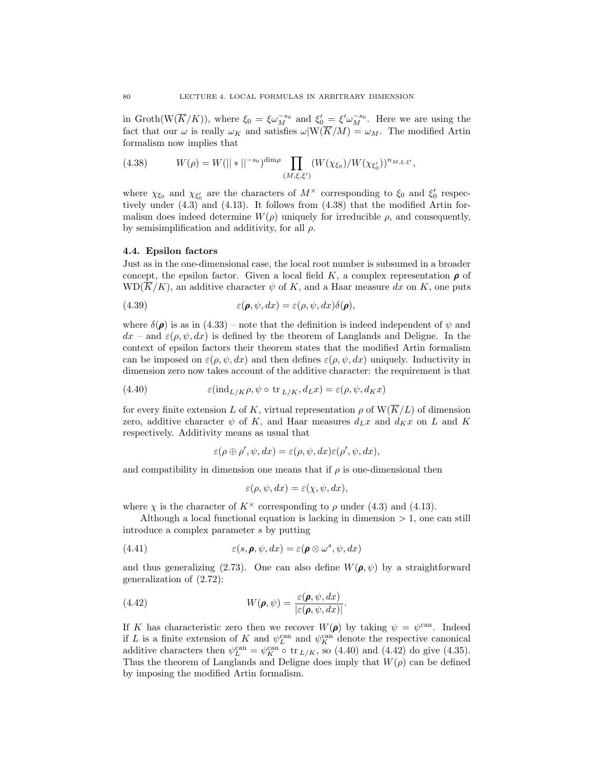in Groth( $W(\overline{K}/K)$ ), where  $\xi_0 = \xi \omega_M^{-s_0}$  and  $\xi'_0 = \xi' \omega_M^{-s_0}$ . Here we are using the fact that our  $\omega$  is really  $\omega_K$  and satisfies  $\omega|W(\overline{K}/M) = \omega_M$ . The modified Artin formalism now implies that

(4.38) 
$$
W(\rho) = W(||*||^{-s_0})^{\dim \rho} \prod_{(M,\xi,\xi')} (W(\chi_{\xi_0})/W(\chi_{\xi'_0}))^{n_{M,\xi,\xi'}},
$$

where  $\chi_{\xi_0}$  and  $\chi_{\xi'_0}$  are the characters of  $M^{\times}$  corresponding to  $\xi_0$  and  $\xi'_0$  respectively under (4.3) and (4.13). It follows from (4.38) that the modified Artin formalism does indeed determine  $W(\rho)$  uniquely for irreducible  $\rho$ , and consequently, by semisimplification and additivity, for all  $\rho$ .

## 4.4. Epsilon factors

Just as in the one-dimensional case, the local root number is subsumed in a broader concept, the epsilon factor. Given a local field K, a complex representation  $\rho$  of  $WD(\overline{K}/K)$ , an additive character  $\psi$  of K, and a Haar measure dx on K, one puts

(4.39) 
$$
\varepsilon(\pmb{\rho},\psi,dx)=\varepsilon(\rho,\psi,dx)\delta(\pmb{\rho}),
$$

where  $\delta(\rho)$  is as in (4.33) – note that the definition is indeed independent of  $\psi$  and  $dx$  – and  $\varepsilon(\rho, \psi, dx)$  is defined by the theorem of Langlands and Deligne. In the context of epsilon factors their theorem states that the modified Artin formalism can be imposed on  $\varepsilon(\rho, \psi, dx)$  and then defines  $\varepsilon(\rho, \psi, dx)$  uniquely. Inductivity in dimension zero now takes account of the additive character: the requirement is that

(4.40) 
$$
\varepsilon(\text{ind}_{L/K}\rho, \psi \circ \text{tr}_{L/K}, d_Lx) = \varepsilon(\rho, \psi, d_Kx)
$$

for every finite extension L of K, virtual representation  $\rho$  of  $W(\overline{K}/L)$  of dimension zero, additive character  $\psi$  of K, and Haar measures  $d_Lx$  and  $d_Kx$  on L and K respectively. Additivity means as usual that

$$
\varepsilon(\rho \oplus \rho', \psi, dx) = \varepsilon(\rho, \psi, dx)\varepsilon(\rho', \psi, dx),
$$

and compatibility in dimension one means that if  $\rho$  is one-dimensional then

$$
\varepsilon(\rho, \psi, dx) = \varepsilon(\chi, \psi, dx),
$$

where  $\chi$  is the character of  $K^{\times}$  corresponding to  $\rho$  under (4.3) and (4.13).

Although a local functional equation is lacking in dimension  $> 1$ , one can still introduce a complex parameter s by putting

(4.41) 
$$
\varepsilon(s, \boldsymbol{\rho}, \psi, dx) = \varepsilon(\boldsymbol{\rho} \otimes \omega^s, \psi, dx)
$$

and thus generalizing (2.73). One can also define  $W(\rho, \psi)$  by a straightforward generalization of (2.72):

(4.42) 
$$
W(\boldsymbol{\rho},\psi) = \frac{\varepsilon(\boldsymbol{\rho},\psi,dx)}{|\varepsilon(\boldsymbol{\rho},\psi,dx)|}.
$$

If K has characteristic zero then we recover  $W(\rho)$  by taking  $\psi = \psi^{\text{can}}$ . Indeed if L is a finite extension of K and  $\psi_L^{\text{can}}$  and  $\psi_K^{\text{can}}$  denote the respective canonical additive characters then  $\psi_L^{\text{can}} = \psi_K^{\text{can}} \circ \text{tr}_{L/K}$ , so (4.40) and (4.42) do give (4.35). Thus the theorem of Langlands and Deligne does imply that  $W(\rho)$  can be defined by imposing the modified Artin formalism.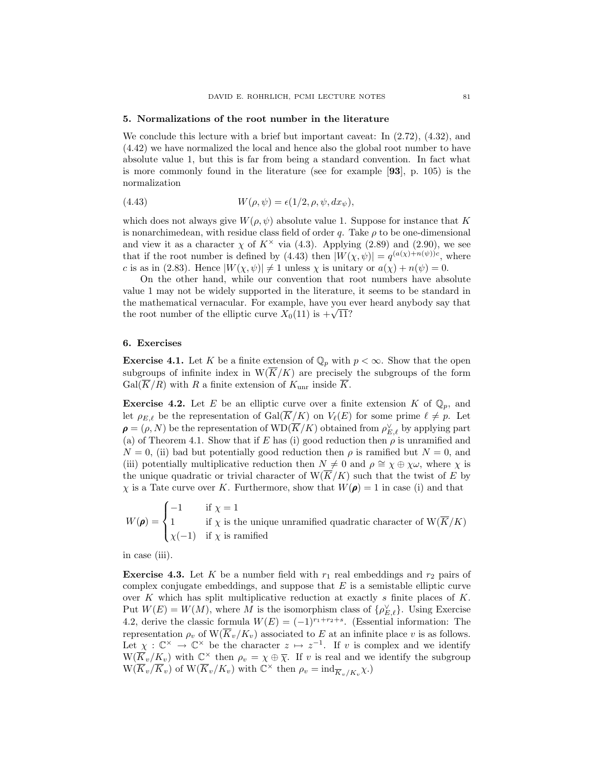#### 5. Normalizations of the root number in the literature

We conclude this lecture with a brief but important caveat: In  $(2.72)$ ,  $(4.32)$ , and (4.42) we have normalized the local and hence also the global root number to have absolute value 1, but this is far from being a standard convention. In fact what is more commonly found in the literature (see for example [93], p. 105) is the normalization

(4.43) 
$$
W(\rho, \psi) = \epsilon(1/2, \rho, \psi, dx_{\psi}),
$$

which does not always give  $W(\rho, \psi)$  absolute value 1. Suppose for instance that K is nonarchimedean, with residue class field of order q. Take  $\rho$  to be one-dimensional and view it as a character  $\chi$  of  $K^{\times}$  via (4.3). Applying (2.89) and (2.90), we see that if the root number is defined by (4.43) then  $|W(\chi, \psi)| = q^{(a(\chi) + n(\psi))c}$ , where c is as in (2.83). Hence  $|W(\chi, \psi)| \neq 1$  unless  $\chi$  is unitary or  $a(\chi) + n(\psi) = 0$ .

On the other hand, while our convention that root numbers have absolute value 1 may not be widely supported in the literature, it seems to be standard in the mathematical vernacular. For example, have you ever heard anybody say that the mathematical vernacular. For example, have you  $\epsilon$  the root number of the elliptic curve  $X_0(11)$  is  $+\sqrt{11}$ ?

#### 6. Exercises

**Exercise 4.1.** Let K be a finite extension of  $\mathbb{Q}_p$  with  $p < \infty$ . Show that the open subgroups of infinite index in  $W(\overline{K}/K)$  are precisely the subgroups of the form  $Gal(\overline{K}/R)$  with R a finite extension of  $K_{\text{unr}}$  inside  $\overline{K}$ .

**Exercise 4.2.** Let E be an elliptic curve over a finite extension K of  $\mathbb{Q}_p$ , and let  $\rho_{E,\ell}$  be the representation of  $Gal(\overline{K}/K)$  on  $V_{\ell}(E)$  for some prime  $\ell \neq p$ . Let  $\boldsymbol{\rho} = (\rho,N)$  be the representation of  $\text{WD}(\overline{K}/K)$  obtained from  $\rho_{E,\ell}^{\vee}$  by applying part (a) of Theorem 4.1. Show that if E has (i) good reduction then  $\rho$  is unramified and  $N = 0$ , (ii) bad but potentially good reduction then  $\rho$  is ramified but  $N = 0$ , and (iii) potentially multiplicative reduction then  $N \neq 0$  and  $\rho \cong \chi \oplus \chi \omega$ , where  $\chi$  is the unique quadratic or trivial character of  $W(\overline{K}/K)$  such that the twist of E by  $\chi$  is a Tate curve over K. Furthermore, show that  $W(\rho) = 1$  in case (i) and that

 $W(\rho) =$  $\sqrt{ }$  $\int$  $\overline{\mathcal{L}}$  $-1$  if  $\chi = 1$ 1 if  $\chi$  is the unique unramified quadratic character of  $W(K/K)$  $\chi(-1)$  if  $\chi$  is ramified

in case (iii).

**Exercise 4.3.** Let K be a number field with  $r_1$  real embeddings and  $r_2$  pairs of complex conjugate embeddings, and suppose that  $E$  is a semistable elliptic curve over K which has split multiplicative reduction at exactly s finite places of  $K$ . Put  $W(E) = W(M)$ , where M is the isomorphism class of  $\{\rho_{E,\ell}^{\vee}\}\$ . Using Exercise 4.2, derive the classic formula  $W(E) = (-1)^{r_1+r_2+s}$ . (Essential information: The representation  $\rho_v$  of  $W(\overline{K}_v/K_v)$  associated to E at an infinite place v is as follows. Let  $\chi : \mathbb{C}^\times \to \mathbb{C}^\times$  be the character  $z \mapsto z^{-1}$ . If v is complex and we identify  $W(\widetilde{K}_v/K_v)$  with  $\mathbb{C}^\times$  then  $\rho_v = \chi \oplus \overline{\chi}$ . If v is real and we identify the subgroup  $\widetilde{W(K_v/K_v)}$  of  $\widetilde{W(K_v/K_v)}$  with  $\mathbb{C}^\times$  then  $\rho_v = \mathrm{ind}_{\overline{K}_v/K_v}\chi$ .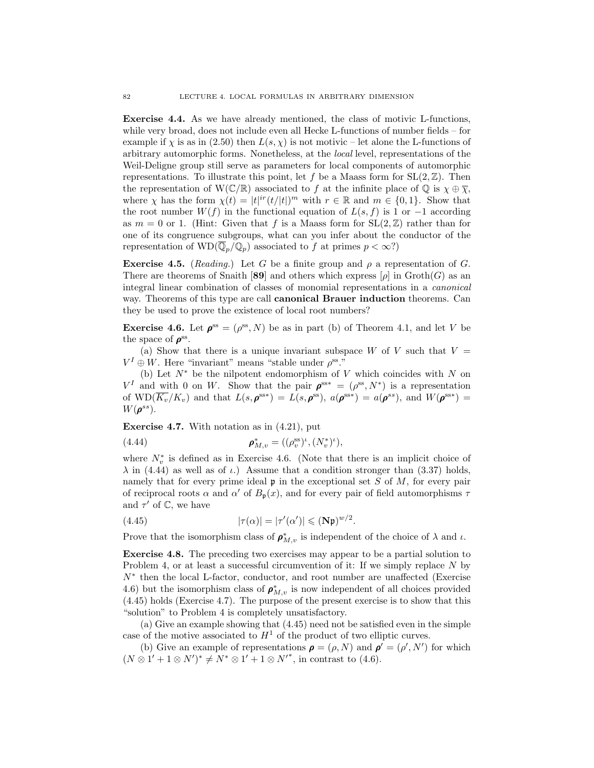Exercise 4.4. As we have already mentioned, the class of motivic L-functions, while very broad, does not include even all Hecke L-functions of number fields – for example if  $\chi$  is as in (2.50) then  $L(s, \chi)$  is not motivic – let alone the L-functions of arbitrary automorphic forms. Nonetheless, at the local level, representations of the Weil-Deligne group still serve as parameters for local components of automorphic representations. To illustrate this point, let f be a Maass form for  $SL(2,\mathbb{Z})$ . Then the representation of W( $\mathbb{C}/\mathbb{R}$ ) associated to f at the infinite place of  $\mathbb{Q}$  is  $\chi \oplus \overline{\chi}$ , where  $\chi$  has the form  $\chi(t) = |t|^{\text{ir}} (t/|t|)^m$  with  $r \in \mathbb{R}$  and  $m \in \{0, 1\}$ . Show that the root number  $W(f)$  in the functional equation of  $L(s, f)$  is 1 or -1 according as  $m = 0$  or 1. (Hint: Given that f is a Maass form for  $SL(2, \mathbb{Z})$  rather than for one of its congruence subgroups, what can you infer about the conductor of the representation of  $WD(\overline{\mathbb{Q}}_p/\mathbb{Q}_p)$  associated to f at primes  $p < \infty$ ?)

Exercise 4.5. (Reading.) Let G be a finite group and  $\rho$  a representation of G. There are theorems of Snaith [89] and others which express  $[\rho]$  in  $\mathrm{Groth}(G)$  as an integral linear combination of classes of monomial representations in a canonical way. Theorems of this type are call **canonical Brauer induction** theorems. Can they be used to prove the existence of local root numbers?

**Exercise 4.6.** Let  $\rho^{ss} = (\rho^{ss}, N)$  be as in part (b) of Theorem 4.1, and let V be the space of  $\rho^{\rm ss}$ .

(a) Show that there is a unique invariant subspace  $W$  of  $V$  such that  $V =$  $V^I \oplus W$ . Here "invariant" means "stable under  $\rho^{\text{ss}}$ ."

(b) Let  $N^*$  be the nilpotent endomorphism of V which coincides with N on  $V^I$  and with 0 on W. Show that the pair  $\rho^{ss*} = (\rho^{ss}, N^*)$  is a representation of  $\text{WD}(\overline{K_v}/K_v)$  and that  $L(s, \boldsymbol{\rho}^{\text{ss}*}) = L(s, \boldsymbol{\rho}^{\text{ss}}), a(\boldsymbol{\rho}^{\text{ss}*}) = a(\boldsymbol{\rho}^{\text{ss}}),$  and  $W(\boldsymbol{\rho}^{\text{ss}*}) =$  $W(\boldsymbol{\rho}^{ss}).$ 

Exercise 4.7. With notation as in (4.21), put

(4.44) 
$$
\boldsymbol{\rho}_{M,v}^* = ((\rho_v^{\text{ss}})^t, (N_v^*)^t),
$$

where  $N_v^*$  is defined as in Exercise 4.6. (Note that there is an implicit choice of  $\lambda$  in (4.44) as well as of  $\iota$ .) Assume that a condition stronger than (3.37) holds, namely that for every prime ideal  $\mathfrak p$  in the exceptional set S of M, for every pair of reciprocal roots  $\alpha$  and  $\alpha'$  of  $B_p(x)$ , and for every pair of field automorphisms  $\tau$ and  $\tau'$  of  $\mathbb{C}$ , we have

(4.45) 
$$
|\tau(\alpha)| = |\tau'(\alpha')| \leqslant (\mathbf{N}\mathfrak{p})^{w/2}.
$$

Prove that the isomorphism class of  $\rho_{M,v}^*$  is independent of the choice of  $\lambda$  and  $\iota$ .

Exercise 4.8. The preceding two exercises may appear to be a partial solution to Problem 4, or at least a successful circumvention of it: If we simply replace N by N<sup>∗</sup> then the local L-factor, conductor, and root number are unaffected (Exercise 4.6) but the isomorphism class of  $\rho_{M,v}^*$  is now independent of all choices provided (4.45) holds (Exercise 4.7). The purpose of the present exercise is to show that this "solution" to Problem 4 is completely unsatisfactory.

(a) Give an example showing that (4.45) need not be satisfied even in the simple case of the motive associated to  $H^1$  of the product of two elliptic curves.

(b) Give an example of representations  $\rho = (\rho, N)$  and  $\rho' = (\rho', N')$  for which  $(N \otimes 1' + 1 \otimes N')^* \neq N^* \otimes 1' + 1 \otimes N'^*$ , in contrast to (4.6).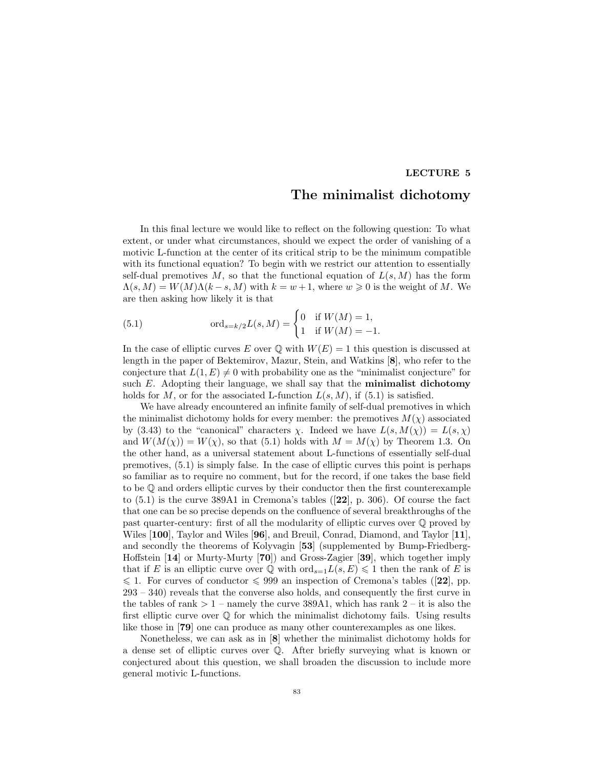#### LECTURE 5

## The minimalist dichotomy

In this final lecture we would like to reflect on the following question: To what extent, or under what circumstances, should we expect the order of vanishing of a motivic L-function at the center of its critical strip to be the minimum compatible with its functional equation? To begin with we restrict our attention to essentially self-dual premotives M, so that the functional equation of  $L(s, M)$  has the form  $\Lambda(s, M) = W(M)\Lambda(k-s, M)$  with  $k = w+1$ , where  $w \geqslant 0$  is the weight of M. We are then asking how likely it is that

(5.1) 
$$
\text{ord}_{s=k/2}L(s,M) = \begin{cases} 0 & \text{if } W(M) = 1, \\ 1 & \text{if } W(M) = -1. \end{cases}
$$

In the case of elliptic curves E over  $\mathbb Q$  with  $W(E) = 1$  this question is discussed at length in the paper of Bektemirov, Mazur, Stein, and Watkins [8], who refer to the conjecture that  $L(1, E) \neq 0$  with probability one as the "minimalist conjecture" for such  $E$ . Adopting their language, we shall say that the **minimalist dichotomy** holds for M, or for the associated L-function  $L(s, M)$ , if  $(5.1)$  is satisfied.

We have already encountered an infinite family of self-dual premotives in which the minimalist dichotomy holds for every member: the premotives  $M(\chi)$  associated by (3.43) to the "canonical" characters  $\chi$ . Indeed we have  $L(s, M(\chi)) = L(s, \chi)$ and  $W(M(\chi)) = W(\chi)$ , so that (5.1) holds with  $M = M(\chi)$  by Theorem 1.3. On the other hand, as a universal statement about L-functions of essentially self-dual premotives, (5.1) is simply false. In the case of elliptic curves this point is perhaps so familiar as to require no comment, but for the record, if one takes the base field to be Q and orders elliptic curves by their conductor then the first counterexample to (5.1) is the curve 389A1 in Cremona's tables ([22], p. 306). Of course the fact that one can be so precise depends on the confluence of several breakthroughs of the past quarter-century: first of all the modularity of elliptic curves over Q proved by Wiles [100], Taylor and Wiles [96], and Breuil, Conrad, Diamond, and Taylor [11], and secondly the theorems of Kolyvagin [53] (supplemented by Bump-Friedberg-Hoffstein [14] or Murty-Murty [70]) and Gross-Zagier [39], which together imply that if E is an elliptic curve over  $\mathbb Q$  with  $\text{ord}_{s=1}L(s, E) \leq 1$  then the rank of E is  $\leqslant$  1. For curves of conductor  $\leqslant$  999 an inspection of Cremona's tables ([22], pp. 293 – 340) reveals that the converse also holds, and consequently the first curve in the tables of rank  $> 1$  – namely the curve 389A1, which has rank  $2$  – it is also the first elliptic curve over  $\mathbb Q$  for which the minimalist dichotomy fails. Using results like those in [79] one can produce as many other counterexamples as one likes.

Nonetheless, we can ask as in [8] whether the minimalist dichotomy holds for a dense set of elliptic curves over Q. After briefly surveying what is known or conjectured about this question, we shall broaden the discussion to include more general motivic L-functions.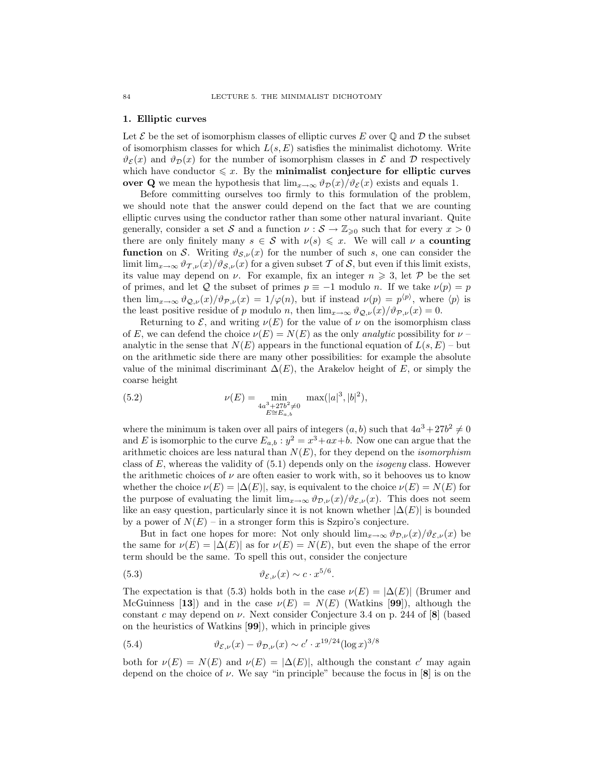#### 1. Elliptic curves

Let  $\mathcal E$  be the set of isomorphism classes of elliptic curves E over Q and D the subset of isomorphism classes for which  $L(s, E)$  satisfies the minimalist dichotomy. Write  $\vartheta_{\mathcal{E}}(x)$  and  $\vartheta_{\mathcal{D}}(x)$  for the number of isomorphism classes in  $\mathcal{E}$  and  $\mathcal{D}$  respectively which have conductor  $\leq x$ . By the minimalist conjecture for elliptic curves over Q we mean the hypothesis that  $\lim_{x\to\infty} \vartheta_{\mathcal{D}}(x)/\vartheta_{\mathcal{E}}(x)$  exists and equals 1.

Before committing ourselves too firmly to this formulation of the problem, we should note that the answer could depend on the fact that we are counting elliptic curves using the conductor rather than some other natural invariant. Quite generally, consider a set S and a function  $\nu : \mathcal{S} \to \mathbb{Z}_{\geqslant 0}$  such that for every  $x > 0$ there are only finitely many  $s \in \mathcal{S}$  with  $\nu(s) \leq x$ . We will call  $\nu$  a counting **function** on S. Writing  $\vartheta_{S,\nu}(x)$  for the number of such s, one can consider the limit lim<sub>x→∞</sub>  $\vartheta_{\mathcal{I},\nu}(x)/\vartheta_{\mathcal{S},\nu}(x)$  for a given subset T of S, but even if this limit exists, its value may depend on  $\nu$ . For example, fix an integer  $n \geqslant 3$ , let P be the set of primes, and let Q the subset of primes  $p \equiv -1$  modulo n. If we take  $\nu(p) = p$ then  $\lim_{x\to\infty} \vartheta_{\mathcal{Q},\nu}(x)/\vartheta_{\mathcal{P},\nu}(x) = 1/\varphi(n)$ , but if instead  $\nu(p) = p^{\langle p \rangle}$ , where  $\langle p \rangle$  is the least positive residue of p modulo n, then  $\lim_{x\to\infty} \vartheta_{Q,\nu}(x)/\vartheta_{P,\nu}(x) = 0$ .

Returning to  $\mathcal{E}$ , and writing  $\nu(E)$  for the value of  $\nu$  on the isomorphism class of E, we can defend the choice  $\nu(E) = N(E)$  as the only *analytic* possibility for  $\nu$ analytic in the sense that  $N(E)$  appears in the functional equation of  $L(s, E)$  – but on the arithmetic side there are many other possibilities: for example the absolute value of the minimal discriminant  $\Delta(E)$ , the Arakelov height of E, or simply the coarse height

(5.2) 
$$
\nu(E) = \min_{\substack{4a^3 + 27b^2 \neq 0 \\ E \cong E_{a,b}}} \max(|a|^3, |b|^2),
$$

where the minimum is taken over all pairs of integers  $(a, b)$  such that  $4a^3 + 27b^2 \neq 0$ and E is isomorphic to the curve  $E_{a,b}: y^2 = x^3 + ax + b$ . Now one can argue that the arithmetic choices are less natural than  $N(E)$ , for they depend on the *isomorphism* class of  $E$ , whereas the validity of  $(5.1)$  depends only on the *isogeny* class. However the arithmetic choices of  $\nu$  are often easier to work with, so it behooves us to know whether the choice  $\nu(E) = |\Delta(E)|$ , say, is equivalent to the choice  $\nu(E) = N(E)$  for the purpose of evaluating the limit  $\lim_{x\to\infty} \vartheta_{\mathcal{D},\nu}(x)/\vartheta_{\mathcal{E},\nu}(x)$ . This does not seem like an easy question, particularly since it is not known whether  $|\Delta(E)|$  is bounded by a power of  $N(E)$  – in a stronger form this is Szpiro's conjecture.

But in fact one hopes for more: Not only should  $\lim_{x\to\infty} \vartheta_{\mathcal{D},\nu}(x)/\vartheta_{\mathcal{E},\nu}(x)$  be the same for  $\nu(E) = |\Delta(E)|$  as for  $\nu(E) = N(E)$ , but even the shape of the error term should be the same. To spell this out, consider the conjecture

(5.3) 
$$
\vartheta_{\mathcal{E},\nu}(x) \sim c \cdot x^{5/6}.
$$

The expectation is that (5.3) holds both in the case  $\nu(E) = |\Delta(E)|$  (Brumer and McGuinness [13]) and in the case  $\nu(E) = N(E)$  (Watkins [99]), although the constant c may depend on  $\nu$ . Next consider Conjecture 3.4 on p. 244 of [8] (based on the heuristics of Watkins [99]), which in principle gives

(5.4) 
$$
\vartheta_{\mathcal{E},\nu}(x) - \vartheta_{\mathcal{D},\nu}(x) \sim c' \cdot x^{19/24} (\log x)^{3/8}
$$

both for  $\nu(E) = N(E)$  and  $\nu(E) = |\Delta(E)|$ , although the constant c' may again depend on the choice of  $\nu$ . We say "in principle" because the focus in [8] is on the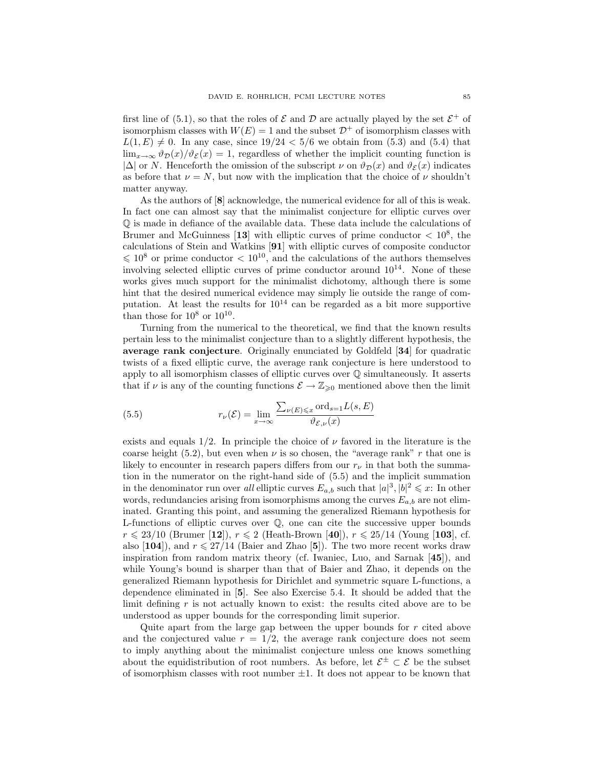first line of (5.1), so that the roles of  $\mathcal E$  and  $\mathcal D$  are actually played by the set  $\mathcal E^+$  of isomorphism classes with  $W(E) = 1$  and the subset  $\mathcal{D}^+$  of isomorphism classes with  $L(1, E) \neq 0$ . In any case, since  $19/24 < 5/6$  we obtain from (5.3) and (5.4) that  $\lim_{x\to\infty} \vartheta_{\mathcal{D}}(x)/\vartheta_{\mathcal{E}}(x) = 1$ , regardless of whether the implicit counting function is  $|\Delta|$  or N. Henceforth the omission of the subscript  $\nu$  on  $\vartheta_{\mathcal{D}}(x)$  and  $\vartheta_{\mathcal{E}}(x)$  indicates as before that  $\nu = N$ , but now with the implication that the choice of  $\nu$  shouldn't matter anyway.

As the authors of [8] acknowledge, the numerical evidence for all of this is weak. In fact one can almost say that the minimalist conjecture for elliptic curves over Q is made in defiance of the available data. These data include the calculations of Brumer and McGuinness [13] with elliptic curves of prime conductor  $\langle 10^8, 10^8 \rangle$ calculations of Stein and Watkins [91] with elliptic curves of composite conductor  $\leq 10^8$  or prime conductor  $\lt 10^{10}$ , and the calculations of the authors themselves involving selected elliptic curves of prime conductor around  $10^{14}$ . None of these works gives much support for the minimalist dichotomy, although there is some hint that the desired numerical evidence may simply lie outside the range of computation. At least the results for  $10^{14}$  can be regarded as a bit more supportive than those for  $10^8$  or  $10^{10}$ .

Turning from the numerical to the theoretical, we find that the known results pertain less to the minimalist conjecture than to a slightly different hypothesis, the average rank conjecture. Originally enunciated by Goldfeld [34] for quadratic twists of a fixed elliptic curve, the average rank conjecture is here understood to apply to all isomorphism classes of elliptic curves over  $\mathbb Q$  simultaneously. It asserts that if  $\nu$  is any of the counting functions  $\mathcal{E} \to \mathbb{Z}_{\geq 0}$  mentioned above then the limit

(5.5) 
$$
r_{\nu}(\mathcal{E}) = \lim_{x \to \infty} \frac{\sum_{\nu(E) \leq x} \text{ord}_{s=1} L(s, E)}{\vartheta_{\mathcal{E}, \nu}(x)}
$$

exists and equals  $1/2$ . In principle the choice of  $\nu$  favored in the literature is the coarse height (5.2), but even when  $\nu$  is so chosen, the "average rank" r that one is likely to encounter in research papers differs from our  $r_{\nu}$  in that both the summation in the numerator on the right-hand side of (5.5) and the implicit summation in the denominator run over all elliptic curves  $E_{a,b}$  such that  $|a|^3, |b|^2 \leq x$ : In other words, redundancies arising from isomorphisms among the curves  $E_{a,b}$  are not eliminated. Granting this point, and assuming the generalized Riemann hypothesis for L-functions of elliptic curves over Q, one can cite the successive upper bounds  $r \le 23/10$  (Brumer [12]),  $r \le 2$  (Heath-Brown [40]),  $r \le 25/14$  (Young [103], cf. also  $[104]$ , and  $r \le 27/14$  (Baier and Zhao [5]). The two more recent works draw inspiration from random matrix theory (cf. Iwaniec, Luo, and Sarnak [45]), and while Young's bound is sharper than that of Baier and Zhao, it depends on the generalized Riemann hypothesis for Dirichlet and symmetric square L-functions, a dependence eliminated in [5]. See also Exercise 5.4. It should be added that the limit defining r is not actually known to exist: the results cited above are to be understood as upper bounds for the corresponding limit superior.

Quite apart from the large gap between the upper bounds for r cited above and the conjectured value  $r = 1/2$ , the average rank conjecture does not seem to imply anything about the minimalist conjecture unless one knows something about the equidistribution of root numbers. As before, let  $\mathcal{E}^{\pm} \subset \mathcal{E}$  be the subset of isomorphism classes with root number  $\pm 1$ . It does not appear to be known that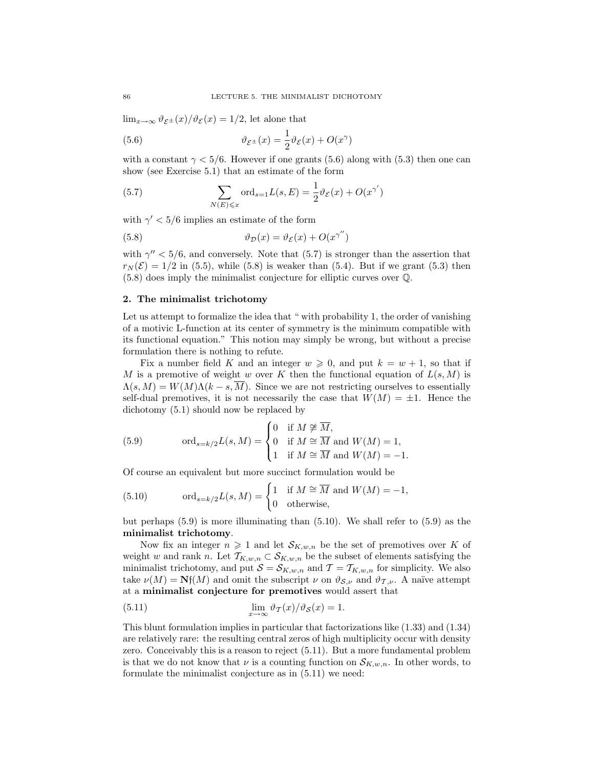$\lim_{x\to\infty} \vartheta_{\mathcal{E}^{\pm}}(x)/\vartheta_{\mathcal{E}}(x) = 1/2$ , let alone that

(5.6) 
$$
\vartheta_{\mathcal{E}^{\pm}}(x) = \frac{1}{2}\vartheta_{\mathcal{E}}(x) + O(x^{\gamma})
$$

with a constant  $\gamma < 5/6$ . However if one grants (5.6) along with (5.3) then one can show (see Exercise 5.1) that an estimate of the form

(5.7) 
$$
\sum_{N(E)\leqslant x} \text{ord}_{s=1}L(s, E) = \frac{1}{2}\vartheta_{\mathcal{E}}(x) + O(x^{\gamma'})
$$

with  $\gamma' < 5/6$  implies an estimate of the form

(5.8) 
$$
\vartheta_{\mathcal{D}}(x) = \vartheta_{\mathcal{E}}(x) + O(x^{\gamma''})
$$

with  $\gamma'' < 5/6$ , and conversely. Note that (5.7) is stronger than the assertion that  $r_N(\mathcal{E}) = 1/2$  in (5.5), while (5.8) is weaker than (5.4). But if we grant (5.3) then (5.8) does imply the minimalist conjecture for elliptic curves over Q.

## 2. The minimalist trichotomy

Let us attempt to formalize the idea that " with probability 1, the order of vanishing of a motivic L-function at its center of symmetry is the minimum compatible with its functional equation." This notion may simply be wrong, but without a precise formulation there is nothing to refute.

Fix a number field K and an integer  $w \geq 0$ , and put  $k = w + 1$ , so that if M is a premotive of weight w over K then the functional equation of  $L(s, M)$  is  $\Lambda(s,M) = W(M)\Lambda(k-s,\overline{M})$ . Since we are not restricting ourselves to essentially self-dual premotives, it is not necessarily the case that  $W(M) = \pm 1$ . Hence the dichotomy (5.1) should now be replaced by

(5.9) 
$$
\text{ord}_{s=k/2}L(s,M) = \begin{cases} 0 & \text{if } M \not\cong \overline{M}, \\ 0 & \text{if } M \cong \overline{M} \text{ and } W(M) = 1, \\ 1 & \text{if } M \cong \overline{M} \text{ and } W(M) = -1. \end{cases}
$$

Of course an equivalent but more succinct formulation would be

(5.10) 
$$
\text{ord}_{s=k/2}L(s,M) = \begin{cases} 1 & \text{if } M \cong \overline{M} \text{ and } W(M) = -1, \\ 0 & \text{otherwise,} \end{cases}
$$

but perhaps  $(5.9)$  is more illuminating than  $(5.10)$ . We shall refer to  $(5.9)$  as the minimalist trichotomy.

Now fix an integer  $n \geq 1$  and let  $\mathcal{S}_{K,w,n}$  be the set of premotives over K of weight w and rank n. Let  $\mathcal{T}_{K,w,n} \subset \mathcal{S}_{K,w,n}$  be the subset of elements satisfying the minimalist trichotomy, and put  $S = S_{K,w,n}$  and  $\mathcal{T} = \mathcal{T}_{K,w,n}$  for simplicity. We also take  $\nu(M) = \mathbf{N}f(M)$  and omit the subscript  $\nu$  on  $\vartheta_{S,\nu}$  and  $\vartheta_{T,\nu}$ . A naïve attempt at a minimalist conjecture for premotives would assert that

(5.11) 
$$
\lim_{x \to \infty} \vartheta_T(x)/\vartheta_{\mathcal{S}}(x) = 1.
$$

This blunt formulation implies in particular that factorizations like (1.33) and (1.34) are relatively rare: the resulting central zeros of high multiplicity occur with density zero. Conceivably this is a reason to reject (5.11). But a more fundamental problem is that we do not know that  $\nu$  is a counting function on  $\mathcal{S}_{K,w,n}$ . In other words, to formulate the minimalist conjecture as in (5.11) we need: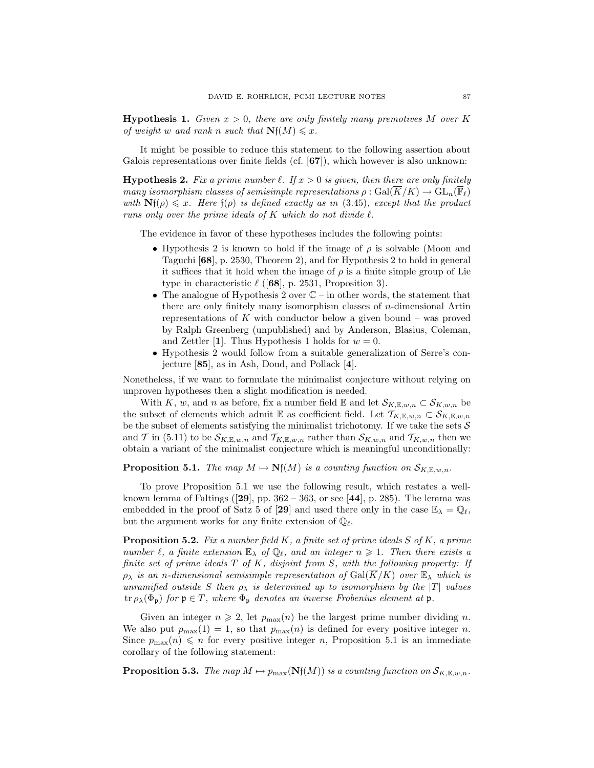**Hypothesis 1.** Given  $x > 0$ , there are only finitely many premotives M over K of weight w and rank n such that  $Nf(M) \leq x$ .

It might be possible to reduce this statement to the following assertion about Galois representations over finite fields (cf.  $[67]$ ), which however is also unknown:

**Hypothesis 2.** Fix a prime number  $\ell$ . If  $x > 0$  is given, then there are only finitely many isomorphism classes of semisimple representations  $\rho : \text{Gal}(\overline{K}/K) \to \text{GL}_n(\mathbb{F}_{\ell})$ with  $Nf(\rho) \leq x$ . Here  $f(\rho)$  is defined exactly as in (3.45), except that the product runs only over the prime ideals of  $K$  which do not divide  $\ell$ .

The evidence in favor of these hypotheses includes the following points:

- Hypothesis 2 is known to hold if the image of  $\rho$  is solvable (Moon and Taguchi [68], p. 2530, Theorem 2), and for Hypothesis 2 to hold in general it suffices that it hold when the image of  $\rho$  is a finite simple group of Lie type in characteristic  $\ell$  ([68], p. 2531, Proposition 3).
- The analogue of Hypothesis 2 over  $\mathbb{C}$  in other words, the statement that there are only finitely many isomorphism classes of n-dimensional Artin representations of  $K$  with conductor below a given bound – was proved by Ralph Greenberg (unpublished) and by Anderson, Blasius, Coleman, and Zettler [1]. Thus Hypothesis 1 holds for  $w = 0$ .
- Hypothesis 2 would follow from a suitable generalization of Serre's conjecture [85], as in Ash, Doud, and Pollack [4].

Nonetheless, if we want to formulate the minimalist conjecture without relying on unproven hypotheses then a slight modification is needed.

With K, w, and n as before, fix a number field E and let  $\mathcal{S}_{K,\mathbb{E},w,n} \subset \mathcal{S}_{K,w,n}$  be the subset of elements which admit E as coefficient field. Let  $\mathcal{T}_{K,\mathbb{E},w,n} \subset \mathcal{S}_{K,\mathbb{E},w,n}$ be the subset of elements satisfying the minimalist trichotomy. If we take the sets  $\mathcal S$ and T in (5.11) to be  $\mathcal{S}_{K,\mathbb{E},w,n}$  and  $\mathcal{T}_{K,\mathbb{E},w,n}$  rather than  $\mathcal{S}_{K,w,n}$  and  $\mathcal{T}_{K,w,n}$  then we obtain a variant of the minimalist conjecture which is meaningful unconditionally:

**Proposition 5.1.** The map  $M \mapsto \mathbf{N}f(M)$  is a counting function on  $\mathcal{S}_{K,\mathbb{E},w,n}$ .

To prove Proposition 5.1 we use the following result, which restates a wellknown lemma of Faltings ( $[29]$ , pp. 362 – 363, or see  $[44]$ , p. 285). The lemma was embedded in the proof of Satz 5 of [29] and used there only in the case  $\mathbb{E}_{\lambda} = \mathbb{Q}_{\ell}$ , but the argument works for any finite extension of  $\mathbb{Q}_{\ell}$ .

**Proposition 5.2.** Fix a number field K, a finite set of prime ideals S of K, a prime number  $\ell$ , a finite extension  $\mathbb{E}_{\lambda}$  of  $\mathbb{Q}_{\ell}$ , and an integer  $n \geqslant 1$ . Then there exists a finite set of prime ideals  $T$  of  $K$ , disjoint from  $S$ , with the following property: If  $\rho_{\lambda}$  is an n-dimensional semisimple representation of Gal( $\overline{K}/K$ ) over  $\mathbb{E}_{\lambda}$  which is unramified outside S then  $\rho_{\lambda}$  is determined up to isomorphism by the  $|T|$  values  $\text{tr } \rho_{\lambda}(\Phi_{\mathfrak{p}})$  for  $\mathfrak{p} \in T$ , where  $\Phi_{\mathfrak{p}}$  denotes an inverse Frobenius element at  $\mathfrak{p}$ .

Given an integer  $n \geq 2$ , let  $p_{\text{max}}(n)$  be the largest prime number dividing n. We also put  $p_{\text{max}}(1) = 1$ , so that  $p_{\text{max}}(n)$  is defined for every positive integer n. Since  $p_{\text{max}}(n) \leq n$  for every positive integer n, Proposition 5.1 is an immediate corollary of the following statement:

**Proposition 5.3.** The map  $M \mapsto p_{\max}(\mathbf{Nf}(M))$  is a counting function on  $\mathcal{S}_{K,\mathbb{E},w,n}$ .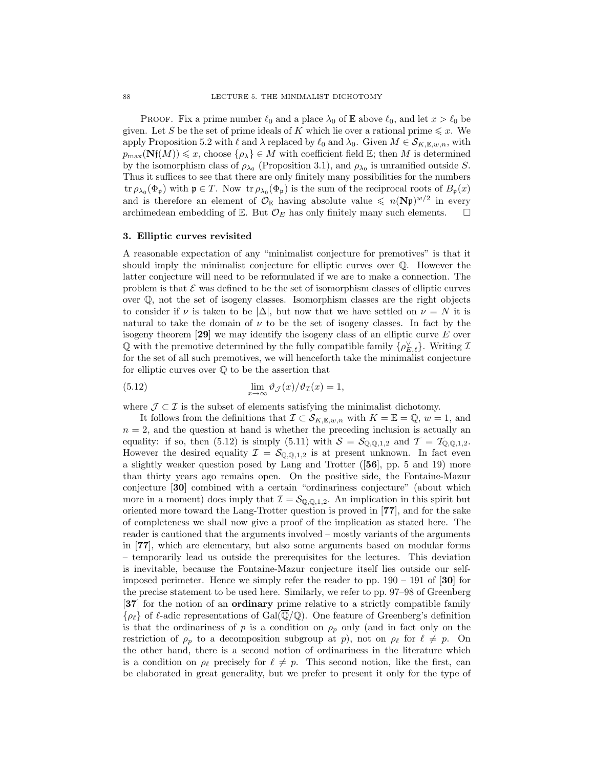**PROOF.** Fix a prime number  $\ell_0$  and a place  $\lambda_0$  of E above  $\ell_0$ , and let  $x > \ell_0$  be given. Let S be the set of prime ideals of K which lie over a rational prime  $\leq x$ . We apply Proposition 5.2 with  $\ell$  and  $\lambda$  replaced by  $\ell_0$  and  $\lambda_0$ . Given  $M \in \mathcal{S}_{K,\mathbb{E},w,n}$ , with  $p_{\max}(\mathbf{Nf}(M)) \leq x$ , choose  $\{\rho_{\lambda}\}\in M$  with coefficient field  $\mathbb{E}$ ; then M is determined by the isomorphism class of  $\rho_{\lambda_0}$  (Proposition 3.1), and  $\rho_{\lambda_0}$  is unramified outside S. Thus it suffices to see that there are only finitely many possibilities for the numbers tr  $\rho_{\lambda_0}(\Phi_{\mathfrak{p}})$  with  $\mathfrak{p} \in T$ . Now tr  $\rho_{\lambda_0}(\Phi_{\mathfrak{p}})$  is the sum of the reciprocal roots of  $B_{\mathfrak{p}}(x)$ and is therefore an element of  $\mathcal{O}_{\mathbb{E}}$  having absolute value  $\leq n(\mathbf{N}\mathfrak{p})^{w/2}$  in every archimedean embedding of E. But  $\mathcal{O}_E$  has only finitely many such elements.  $\square$ 

#### 3. Elliptic curves revisited

A reasonable expectation of any "minimalist conjecture for premotives" is that it should imply the minimalist conjecture for elliptic curves over Q. However the latter conjecture will need to be reformulated if we are to make a connection. The problem is that  $\mathcal E$  was defined to be the set of isomorphism classes of elliptic curves over  $\mathbb{Q}$ , not the set of isogeny classes. Isomorphism classes are the right objects to consider if  $\nu$  is taken to be  $|\Delta|$ , but now that we have settled on  $\nu = N$  it is natural to take the domain of  $\nu$  to be the set of isogeny classes. In fact by the isogeny theorem  $[29]$  we may identify the isogeny class of an elliptic curve E over  $\mathbb Q$  with the premotive determined by the fully compatible family  $\{\rho_{E,\ell}^{\vee}\}\$ . Writing  $\mathcal I$ for the set of all such premotives, we will henceforth take the minimalist conjecture for elliptic curves over  $\mathbb Q$  to be the assertion that

(5.12) 
$$
\lim_{x \to \infty} \vartheta_{\mathcal{J}}(x) / \vartheta_{\mathcal{I}}(x) = 1,
$$

where  $\mathcal{J} \subset \mathcal{I}$  is the subset of elements satisfying the minimalist dichotomy.

It follows from the definitions that  $\mathcal{I} \subset \mathcal{S}_{K,\mathbb{E},w,n}$  with  $K = \mathbb{E} = \mathbb{Q}, w = 1$ , and  $n = 2$ , and the question at hand is whether the preceding inclusion is actually an equality: if so, then (5.12) is simply (5.11) with  $S = S_{\mathbb{Q},\mathbb{Q},1,2}$  and  $\mathcal{T} = \mathcal{T}_{\mathbb{Q},\mathbb{Q},1,2}$ . However the desired equality  $\mathcal{I} = \mathcal{S}_{\mathbb{Q},\mathbb{Q},1,2}$  is at present unknown. In fact even a slightly weaker question posed by Lang and Trotter ([56], pp. 5 and 19) more than thirty years ago remains open. On the positive side, the Fontaine-Mazur conjecture [30] combined with a certain "ordinariness conjecture" (about which more in a moment) does imply that  $\mathcal{I} = \mathcal{S}_{\mathbb{Q},\mathbb{Q},1,2}$ . An implication in this spirit but oriented more toward the Lang-Trotter question is proved in [77], and for the sake of completeness we shall now give a proof of the implication as stated here. The reader is cautioned that the arguments involved – mostly variants of the arguments in [77], which are elementary, but also some arguments based on modular forms – temporarily lead us outside the prerequisites for the lectures. This deviation is inevitable, because the Fontaine-Mazur conjecture itself lies outside our selfimposed perimeter. Hence we simply refer the reader to pp.  $190 - 191$  of [30] for the precise statement to be used here. Similarly, we refer to pp. 97–98 of Greenberg [37] for the notion of an ordinary prime relative to a strictly compatible family  $\{\rho_{\ell}\}\$  of  $\ell$ -adic representations of Gal( $\overline{\mathbb{Q}}/\mathbb{Q}$ ). One feature of Greenberg's definition is that the ordinariness of p is a condition on  $\rho_p$  only (and in fact only on the restriction of  $\rho_p$  to a decomposition subgroup at p), not on  $\rho_\ell$  for  $\ell \neq p$ . On the other hand, there is a second notion of ordinariness in the literature which is a condition on  $\rho_\ell$  precisely for  $\ell \neq p$ . This second notion, like the first, can be elaborated in great generality, but we prefer to present it only for the type of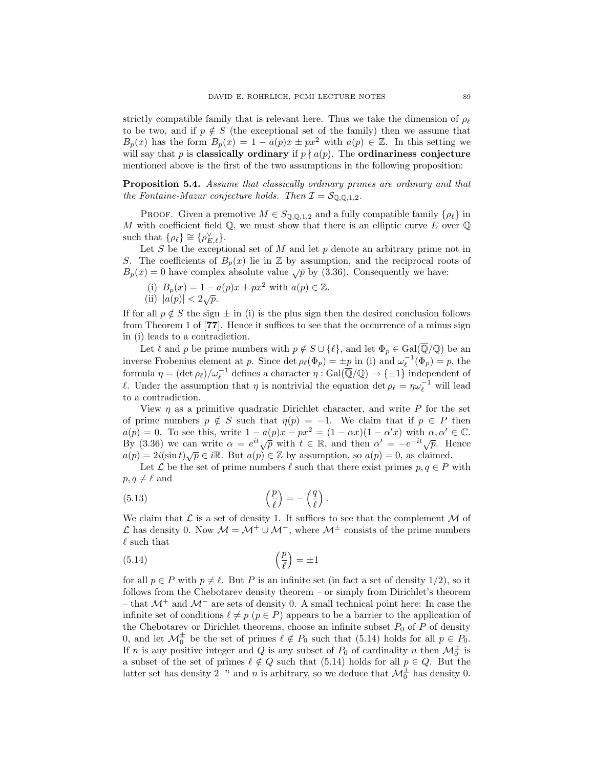strictly compatible family that is relevant here. Thus we take the dimension of  $\rho_{\ell}$ to be two, and if  $p \notin S$  (the exceptional set of the family) then we assume that  $B_p(x)$  has the form  $B_p(x) = 1 - a(p)x \pm px^2$  with  $a(p) \in \mathbb{Z}$ . In this setting we will say that p is classically ordinary if  $p \nmid a(p)$ . The ordinariness conjecture mentioned above is the first of the two assumptions in the following proposition:

Proposition 5.4. Assume that classically ordinary primes are ordinary and that the Fontaine-Mazur conjecture holds. Then  $\mathcal{I} = \mathcal{S}_{\mathbb{Q},\mathbb{Q},1,2}$ .

PROOF. Given a premotive  $M \in S_{\mathbb{Q},\mathbb{Q},1,2}$  and a fully compatible family  $\{\rho_\ell\}$  in M with coefficient field  $\mathbb{Q}$ , we must show that there is an elliptic curve E over  $\mathbb{Q}$ such that  $\{\rho_{\ell}\} \cong \{\rho_{E,\ell}^{\vee}\}.$ 

Let  $S$  be the exceptional set of  $M$  and let  $p$  denote an arbitrary prime not in S. The coefficients of  $B_p(x)$  lie in Z by assumption, and the reciprocal roots of  $B_p(x) = 0$  have complex absolute value  $\sqrt{p}$  by (3.36). Consequently we have:

(i) 
$$
B_p(x) = 1 - a(p)x \pm px^2
$$
 with  $a(p) \in \mathbb{Z}$ .  
(ii)  $|a(p)| < 2\sqrt{p}$ .

If for all  $p \notin S$  the sign  $\pm$  in (i) is the plus sign then the desired conclusion follows

from Theorem 1 of [77]. Hence it suffices to see that the occurrence of a minus sign in (i) leads to a contradiction.

Let  $\ell$  and p be prime numbers with  $p \notin S \cup \{ \ell \}$ , and let  $\Phi_p \in \text{Gal}(\overline{\mathbb{Q}}/\mathbb{Q})$  be an inverse Frobenius element at p. Since det  $\rho_\ell(\Phi_p) = \pm p$  in (i) and  $\omega_\ell^{-1}(\Phi_p) = p$ , the formula  $\eta = (\det \rho_\ell)/\omega_\ell^{-1}$  defines a character  $\eta : \text{Gal}(\overline{\mathbb{Q}}/\mathbb{Q}) \to {\{\pm 1\}}$  independent of  $\ell$ . Under the assumption that  $\eta$  is nontrivial the equation det  $\rho_{\ell} = \eta \omega_{\ell}^{-1}$  will lead to a contradiction.

View  $\eta$  as a primitive quadratic Dirichlet character, and write P for the set of prime numbers  $p \notin S$  such that  $\eta(p) = -1$ . We claim that if  $p \in P$  then  $a(p) = 0$ . To see this, write  $1 - a(p)x - px^2 = (1 - \alpha x)(1 - \alpha' x)$  with  $\alpha, \alpha' \in \mathbb{C}$ .  $a(p) = 0$ . To see this, write  $1 - a(p)x - px = (1 - \alpha x)(1 - \alpha x)$  with  $\alpha, \alpha \in \mathbb{C}$ .<br>By (3.36) we can write  $\alpha = e^{it}\sqrt{p}$  with  $t \in \mathbb{R}$ , and then  $\alpha' = -e^{-it}\sqrt{p}$ . Hence By (3.36) we can write  $\alpha = e^{\alpha} \sqrt{p}$  with  $t \in \mathbb{R}$ , and then  $\alpha = -e^{-\alpha} \sqrt{p}$ . Here  $a(p) = 2i(\sin t) \sqrt{p} \in i\mathbb{R}$ . But  $a(p) \in \mathbb{Z}$  by assumption, so  $a(p) = 0$ , as claimed.

Let  $\mathcal L$  be the set of prime numbers  $\ell$  such that there exist primes  $p, q \in P$  with  $p, q \neq \ell$  and

(5.13) 
$$
\left(\frac{p}{\ell}\right) = -\left(\frac{q}{\ell}\right).
$$

We claim that  $\mathcal L$  is a set of density 1. It suffices to see that the complement  $\mathcal M$  of L has density 0. Now  $M = M^+ \cup M^-$ , where  $M^{\pm}$  consists of the prime numbers  $\ell$  such that

$$
\left(\frac{p}{\ell}\right) = \pm 1
$$

for all  $p \in P$  with  $p \neq \ell$ . But P is an infinite set (in fact a set of density 1/2), so it follows from the Chebotarev density theorem – or simply from Dirichlet's theorem – that  $\mathcal{M}^+$  and  $\mathcal{M}^-$  are sets of density 0. A small technical point here: In case the infinite set of conditions  $\ell \neq p$  ( $p \in P$ ) appears to be a barrier to the application of the Chebotarev or Dirichlet theorems, choose an infinite subset  $P_0$  of P of density 0, and let  $\mathcal{M}_0^{\pm}$  be the set of primes  $\ell \notin P_0$  such that (5.14) holds for all  $p \in P_0$ . If n is any positive integer and Q is any subset of  $P_0$  of cardinality n then  $\mathcal{M}_0^{\pm}$  is a subset of the set of primes  $\ell \notin Q$  such that (5.14) holds for all  $p \in Q$ . But the latter set has density  $2^{-n}$  and n is arbitrary, so we deduce that  $\mathcal{M}_{0}^{\pm}$  has density 0.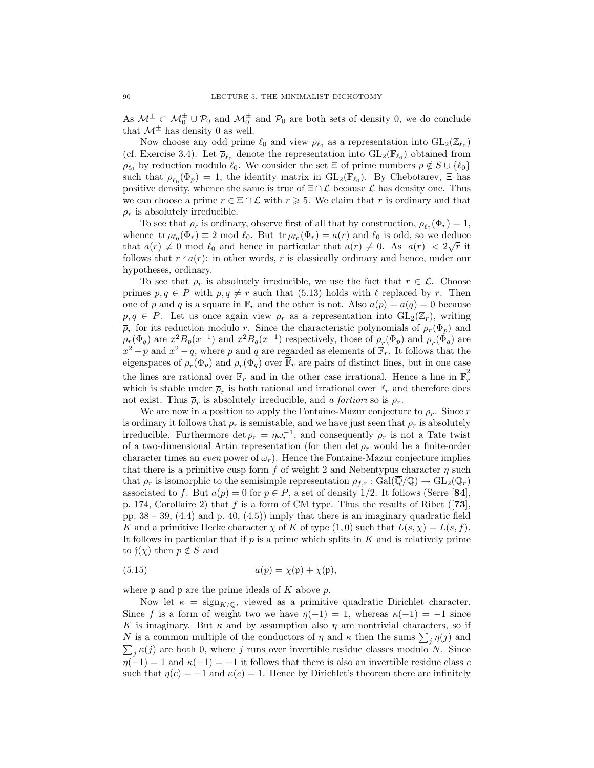As  $\mathcal{M}^{\pm} \subset \mathcal{M}_0^{\pm} \cup \mathcal{P}_0$  and  $\mathcal{M}_0^{\pm}$  and  $\mathcal{P}_0$  are both sets of density 0, we do conclude that  $\mathcal{M}^{\pm}$  has density 0 as well.

Now choose any odd prime  $\ell_0$  and view  $\rho_{\ell_0}$  as a representation into  $GL_2(\mathbb{Z}_{\ell_0})$ (cf. Exercise 3.4). Let  $\overline{\rho}_{\ell_0}$  denote the representation into  $GL_2(\mathbb{F}_{\ell_0})$  obtained from  $\rho_{\ell_0}$  by reduction modulo  $\ell_0$ . We consider the set  $\Xi$  of prime numbers  $p \notin S \cup \{\ell_0\}$ such that  $\overline{\rho}_{\ell_0}(\Phi_p) = 1$ , the identity matrix in  $GL_2(\mathbb{F}_{\ell_0})$ . By Chebotarev,  $\Xi$  has positive density, whence the same is true of  $\Xi \cap \mathcal{L}$  because  $\mathcal{L}$  has density one. Thus we can choose a prime  $r \in \Xi \cap \mathcal{L}$  with  $r \geq 5$ . We claim that r is ordinary and that  $\rho_r$  is absolutely irreducible.

To see that  $\rho_r$  is ordinary, observe first of all that by construction,  $\overline{\rho}_{\ell_0}(\Phi_r) = 1$ , whence  $\operatorname{tr}\rho_{\ell_0}(\Phi_r) \equiv 2 \mod \ell_0$ . But  $\operatorname{tr}\rho_{\ell_0}(\Phi_r) = a(r)$  and  $\ell_0$  is odd, so we deduce that  $a(r) \neq 0 \mod l_0$  and hence in particular that  $a(r) \neq 0$ . As  $|a(r)| < 2\sqrt{r}$  it follows that  $r \nmid a(r)$ : in other words, r is classically ordinary and hence, under our hypotheses, ordinary.

To see that  $\rho_r$  is absolutely irreducible, we use the fact that  $r \in \mathcal{L}$ . Choose primes  $p, q \in P$  with  $p, q \neq r$  such that (5.13) holds with  $\ell$  replaced by r. Then one of p and q is a square in  $\mathbb{F}_r$  and the other is not. Also  $a(p) = a(q) = 0$  because  $p, q \in P$ . Let us once again view  $\rho_r$  as a representation into  $GL_2(\mathbb{Z}_r)$ , writing  $\overline{\rho}_r$  for its reduction modulo r. Since the characteristic polynomials of  $\rho_r(\Phi_p)$  and  $\rho_r(\Phi_q)$  are  $x^2B_p(x^{-1})$  and  $x^2B_q(x^{-1})$  respectively, those of  $\overline{\rho}_r(\Phi_p)$  and  $\overline{\rho}_r(\Phi_q)$  are  $x^2 - p$  and  $x^2 - q$ , where p and q are regarded as elements of  $\mathbb{F}_r$ . It follows that the eigenspaces of  $\overline{\rho}_r(\Phi_p)$  and  $\overline{\rho}_r(\Phi_q)$  over  $\overline{\mathbb{F}}_r$  are pairs of distinct lines, but in one case the lines are rational over  $\mathbb{F}_r$  and in the other case irrational. Hence a line in  $\overline{\mathbb{F}}_r^2$ r which is stable under  $\overline{\rho}_r$  is both rational and irrational over  $\mathbb{F}_r$  and therefore does not exist. Thus  $\overline{\rho}_r$  is absolutely irreducible, and a fortiori so is  $\rho_r$ .

We are now in a position to apply the Fontaine-Mazur conjecture to  $\rho_r$ . Since r is ordinary it follows that  $\rho_r$  is semistable, and we have just seen that  $\rho_r$  is absolutely irreducible. Furthermore det  $\rho_r = \eta \omega_r^{-1}$ , and consequently  $\rho_r$  is not a Tate twist of a two-dimensional Artin representation (for then det  $\rho_r$  would be a finite-order character times an even power of  $\omega_r$ ). Hence the Fontaine-Mazur conjecture implies that there is a primitive cusp form f of weight 2 and Nebentypus character  $\eta$  such that  $\rho_r$  is isomorphic to the semisimple representation  $\rho_{f,r} : \text{Gal}(\overline{\mathbb{Q}}/\mathbb{Q}) \to \text{GL}_2(\mathbb{Q}_r)$ associated to f. But  $a(p) = 0$  for  $p \in P$ , a set of density 1/2. It follows (Serre [84], p. 174, Corollaire 2) that f is a form of CM type. Thus the results of Ribet ([73], pp.  $38 - 39$ ,  $(4.4)$  and p.  $40$ ,  $(4.5)$ ) imply that there is an imaginary quadratic field K and a primitive Hecke character  $\chi$  of K of type  $(1,0)$  such that  $L(s,\chi) = L(s,f)$ . It follows in particular that if  $p$  is a prime which splits in  $K$  and is relatively prime to  $f(\chi)$  then  $p \notin S$  and

(5.15) 
$$
a(p) = \chi(\mathfrak{p}) + \chi(\overline{\mathfrak{p}}),
$$

where **p** and  $\bar{p}$  are the prime ideals of K above p.

Now let  $\kappa = \text{sign}_{K/\mathbb{Q}}$ , viewed as a primitive quadratic Dirichlet character. Since f is a form of weight two we have  $\eta(-1) = 1$ , whereas  $\kappa(-1) = -1$  since K is imaginary. But  $\kappa$  and by assumption also  $\eta$  are nontrivial characters, so if N is a common multiple of the conductors of  $\eta$  and  $\kappa$  then the sums  $\sum_j \eta(j)$  and  $\sum_j \kappa(j)$  are both 0, where j runs over invertible residue classes modulo N. Since  $\eta(-1) = 1$  and  $\kappa(-1) = -1$  it follows that there is also an invertible residue class c such that  $\eta(c) = -1$  and  $\kappa(c) = 1$ . Hence by Dirichlet's theorem there are infinitely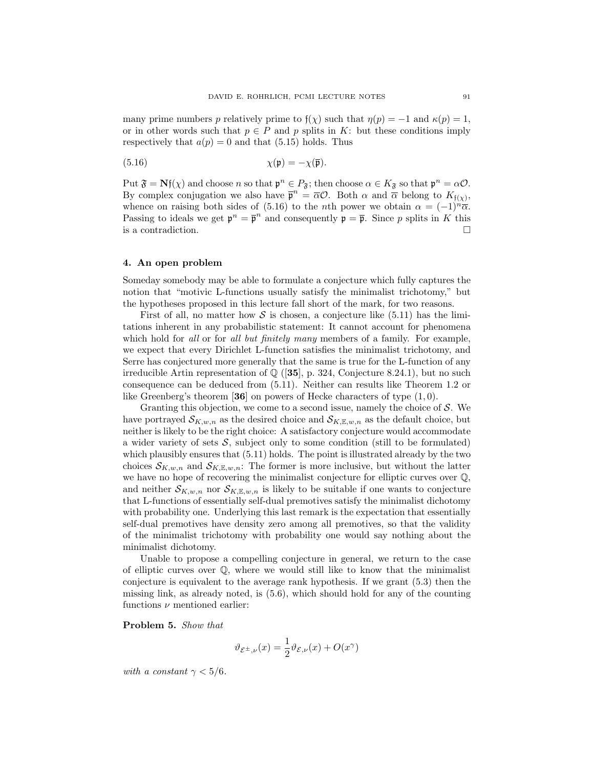many prime numbers p relatively prime to  $f(\chi)$  such that  $\eta(p) = -1$  and  $\kappa(p) = 1$ , or in other words such that  $p \in P$  and p splits in K: but these conditions imply respectively that  $a(p) = 0$  and that (5.15) holds. Thus

(5.16) 
$$
\chi(\mathfrak{p}) = -\chi(\overline{\mathfrak{p}}).
$$

Put  $\mathfrak{F} = \mathbf{N} \mathfrak{f}(\chi)$  and choose  $n$  so that  $\mathfrak{p}^n \in P_{\mathfrak{F}}$ ; then choose  $\alpha \in K_{\mathfrak{F}}$  so that  $\mathfrak{p}^n = \alpha \mathcal{O}$ . By complex conjugation we also have  $\overline{\mathfrak{p}}^n = \overline{\alpha} \mathcal{O}$ . Both  $\alpha$  and  $\overline{\alpha}$  belong to  $K_{\mathfrak{f}(\chi)}$ , whence on raising both sides of (5.16) to the *n*th power we obtain  $\alpha = (-1)^n \overline{\alpha}$ . Passing to ideals we get  $\mathfrak{p}^n = \overline{\mathfrak{p}}^n$  and consequently  $\mathfrak{p} = \overline{\mathfrak{p}}$ . Since p splits in K this is a contradiction.

#### 4. An open problem

Someday somebody may be able to formulate a conjecture which fully captures the notion that "motivic L-functions usually satisfy the minimalist trichotomy," but the hypotheses proposed in this lecture fall short of the mark, for two reasons.

First of all, no matter how S is chosen, a conjecture like  $(5.11)$  has the limitations inherent in any probabilistic statement: It cannot account for phenomena which hold for all or for all but finitely many members of a family. For example, we expect that every Dirichlet L-function satisfies the minimalist trichotomy, and Serre has conjectured more generally that the same is true for the L-function of any irreducible Artin representation of  $\mathbb{Q}$  ([35], p. 324, Conjecture 8.24.1), but no such consequence can be deduced from (5.11). Neither can results like Theorem 1.2 or like Greenberg's theorem [36] on powers of Hecke characters of type  $(1,0)$ .

Granting this objection, we come to a second issue, namely the choice of  $S$ . We have portrayed  $\mathcal{S}_{K,w,n}$  as the desired choice and  $\mathcal{S}_{K,\mathbb{E},w,n}$  as the default choice, but neither is likely to be the right choice: A satisfactory conjecture would accommodate a wider variety of sets  $S$ , subject only to some condition (still to be formulated) which plausibly ensures that  $(5.11)$  holds. The point is illustrated already by the two choices  $\mathcal{S}_{K,w,n}$  and  $\mathcal{S}_{K,\mathbb{E},w,n}$ : The former is more inclusive, but without the latter we have no hope of recovering the minimalist conjecture for elliptic curves over Q, and neither  $\mathcal{S}_{K,w,n}$  nor  $\mathcal{S}_{K,\mathbb{E},w,n}$  is likely to be suitable if one wants to conjecture that L-functions of essentially self-dual premotives satisfy the minimalist dichotomy with probability one. Underlying this last remark is the expectation that essentially self-dual premotives have density zero among all premotives, so that the validity of the minimalist trichotomy with probability one would say nothing about the minimalist dichotomy.

Unable to propose a compelling conjecture in general, we return to the case of elliptic curves over  $\mathbb{Q}$ , where we would still like to know that the minimalist conjecture is equivalent to the average rank hypothesis. If we grant (5.3) then the missing link, as already noted, is (5.6), which should hold for any of the counting functions  $\nu$  mentioned earlier:

Problem 5. Show that

$$
\vartheta_{\mathcal{E}^{\pm},\nu}(x) = \frac{1}{2}\vartheta_{\mathcal{E},\nu}(x) + O(x^{\gamma})
$$

with a constant  $\gamma < 5/6$ .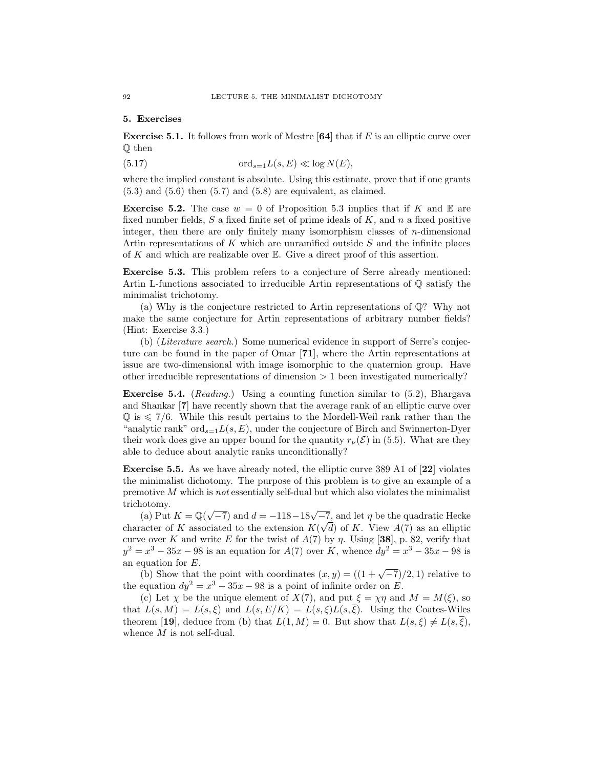#### 5. Exercises

**Exercise 5.1.** It follows from work of Mestre  $[64]$  that if E is an elliptic curve over Q then

(5.17) 
$$
\operatorname{ord}_{s=1}L(s,E)\ll \log N(E),
$$

where the implied constant is absolute. Using this estimate, prove that if one grants  $(5.3)$  and  $(5.6)$  then  $(5.7)$  and  $(5.8)$  are equivalent, as claimed.

**Exercise 5.2.** The case  $w = 0$  of Proposition 5.3 implies that if K and E are fixed number fields,  $S$  a fixed finite set of prime ideals of  $K$ , and  $n$  a fixed positive integer, then there are only finitely many isomorphism classes of  $n$ -dimensional Artin representations of  $K$  which are unramified outside  $S$  and the infinite places of  $K$  and which are realizable over  $E$ . Give a direct proof of this assertion.

Exercise 5.3. This problem refers to a conjecture of Serre already mentioned: Artin L-functions associated to irreducible Artin representations of  $\mathbb Q$  satisfy the minimalist trichotomy.

(a) Why is the conjecture restricted to Artin representations of Q? Why not make the same conjecture for Artin representations of arbitrary number fields? (Hint: Exercise 3.3.)

(b) (Literature search.) Some numerical evidence in support of Serre's conjecture can be found in the paper of Omar [71], where the Artin representations at issue are two-dimensional with image isomorphic to the quaternion group. Have other irreducible representations of dimension  $> 1$  been investigated numerically?

Exercise 5.4. (Reading.) Using a counting function similar to (5.2), Bhargava and Shankar [7] have recently shown that the average rank of an elliptic curve over  $\mathbb{Q}$  is  $\leq 7/6$ . While this result pertains to the Mordell-Weil rank rather than the "analytic rank"  $\text{ord}_{s=1}L(s, E)$ , under the conjecture of Birch and Swinnerton-Dyer their work does give an upper bound for the quantity  $r_{\nu}(\mathcal{E})$  in (5.5). What are they able to deduce about analytic ranks unconditionally?

Exercise 5.5. As we have already noted, the elliptic curve 389 A1 of [22] violates the minimalist dichotomy. The purpose of this problem is to give an example of a premotive  $M$  which is not essentially self-dual but which also violates the minimalist trichotomy.

(a) Put  $K = \mathbb{Q}$ (  $\sqrt{-7}$ ) and  $d = -118 - 18\sqrt{-7}$ , and let  $\eta$  be the quadratic Hecke character of K associated to the extension  $K(\sqrt{d})$  of K. View  $A(7)$  as an elliptic curve over K and write E for the twist of  $A(7)$  by  $\eta$ . Using [38], p. 82, verify that  $y^2 = x^3 - 35x - 98$  is an equation for  $A(7)$  over K, whence  $dy^2 = x^3 - 35x - 98$  is an equation for E.

quation for E.<br>(b) Show that the point with coordinates  $(x, y) = ((1 + \sqrt{-7})/2, 1)$  relative to the equation  $dy^2 = x^3 - 35x - 98$  is a point of infinite order on E.

(c) Let  $\chi$  be the unique element of  $X(7)$ , and put  $\xi = \chi \eta$  and  $M = M(\xi)$ , so that  $L(s, M) = L(s, \xi)$  and  $L(s, E/K) = L(s, \xi)L(s, \overline{\xi})$ . Using the Coates-Wiles theorem [19], deduce from (b) that  $L(1, M) = 0$ . But show that  $L(s, \xi) \neq L(s, \overline{\xi}),$ whence  $M$  is not self-dual.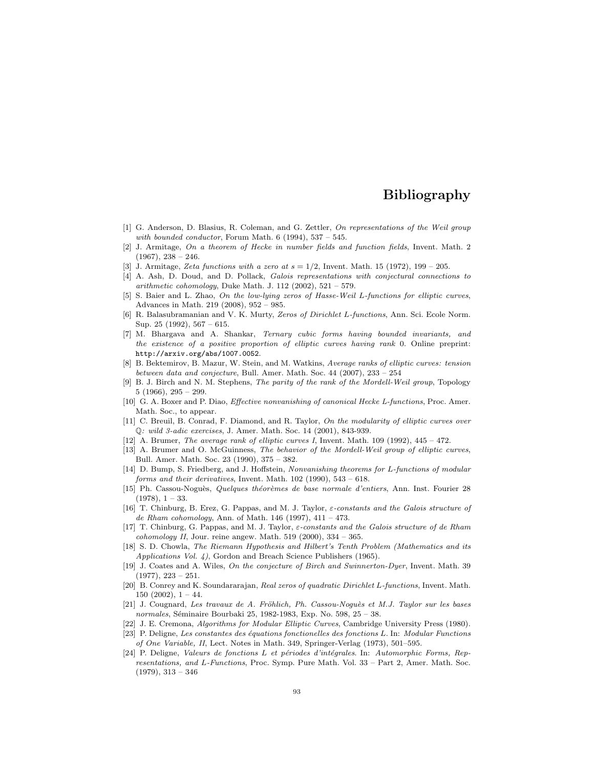# Bibliography

- [1] G. Anderson, D. Blasius, R. Coleman, and G. Zettler, On representations of the Weil group with bounded conductor, Forum Math.  $6(1994)$ ,  $537-545$ .
- [2] J. Armitage, On a theorem of Hecke in number fields and function fields, Invent. Math. 2  $(1967), 238 - 246.$
- J. Armitage, Zeta functions with a zero at  $s = 1/2$ , Invent. Math. 15 (1972), 199 205.
- [4] A. Ash, D. Doud, and D. Pollack, Galois representations with conjectural connections to arithmetic cohomology, Duke Math. J. 112 (2002),  $521 - 579$ .
- [5] S. Baier and L. Zhao, On the low-lying zeros of Hasse-Weil L-functions for elliptic curves, Advances in Math. 219 (2008), 952 – 985.
- [6] R. Balasubramanian and V. K. Murty, Zeros of Dirichlet L-functions, Ann. Sci. Ecole Norm. Sup. 25 (1992), 567 – 615.
- [7] M. Bhargava and A. Shankar, Ternary cubic forms having bounded invariants, and the existence of a positive proportion of elliptic curves having rank 0. Online preprint: http://arxiv.org/abs/1007.0052.
- [8] B. Bektemirov, B. Mazur, W. Stein, and M. Watkins, Average ranks of elliptic curves: tension between data and conjecture, Bull. Amer. Math. Soc. 44 (2007), 233 – 254
- [9] B. J. Birch and N. M. Stephens, The parity of the rank of the Mordell-Weil group, Topology 5 (1966), 295 – 299.
- [10] G. A. Boxer and P. Diao, Effective nonvanishing of canonical Hecke L-functions, Proc. Amer. Math. Soc., to appear.
- [11] C. Breuil, B. Conrad, F. Diamond, and R. Taylor, On the modularity of elliptic curves over Q: wild 3-adic exercises, J. Amer. Math. Soc. 14 (2001), 843-939.
- [12] A. Brumer, The average rank of elliptic curves I, Invent. Math. 109 (1992), 445 472.
- [13] A. Brumer and O. McGuinness, The behavior of the Mordell-Weil group of elliptic curves, Bull. Amer. Math. Soc. 23 (1990), 375 – 382.
- [14] D. Bump, S. Friedberg, and J. Hoffstein, Nonvanishing theorems for L-functions of modular forms and their derivatives, Invent. Math. 102 (1990), 543 – 618.
- [15] Ph. Cassou-Noguès, Quelques théorèmes de base normale d'entiers, Ann. Inst. Fourier 28  $(1978), 1 - 33.$
- [16] T. Chinburg, B. Erez, G. Pappas, and M. J. Taylor,  $\varepsilon$ -constants and the Galois structure of de Rham cohomology, Ann. of Math. 146 (1997), 411 – 473.
- [17] T. Chinburg, G. Pappas, and M. J. Taylor, ε-constants and the Galois structure of de Rham  $cohomology II, Jour.$  reine angew. Math. 519 (2000), 334 - 365.
- [18] S. D. Chowla, The Riemann Hypothesis and Hilbert's Tenth Problem (Mathematics and its Applications Vol. 4), Gordon and Breach Science Publishers (1965).
- [19] J. Coates and A. Wiles, On the conjecture of Birch and Swinnerton-Dyer, Invent. Math. 39  $(1977), 223 - 251.$
- [20] B. Conrey and K. Soundararajan, Real zeros of quadratic Dirichlet L-functions, Invent. Math.  $150$   $(2002)$ ,  $1 - 44$ .
- [21] J. Cougnard, Les travaux de A. Fröhlich, Ph. Cassou-Noquès et M.J. Taylor sur les bases normales, Séminaire Bourbaki 25, 1982-1983, Exp. No. 598, 25 - 38.
- [22] J. E. Cremona, Algorithms for Modular Elliptic Curves, Cambridge University Press (1980).
- [23] P. Deligne, Les constantes des équations fonctionelles des fonctions L. In: Modular Functions of One Variable, II, Lect. Notes in Math. 349, Springer-Verlag (1973), 501–595.
- [24] P. Deligne, Valeurs de fonctions L et périodes d'intégrales. In: Automorphic Forms, Representations, and L-Functions, Proc. Symp. Pure Math. Vol. 33 – Part 2, Amer. Math. Soc.  $(1979), 313 - 346$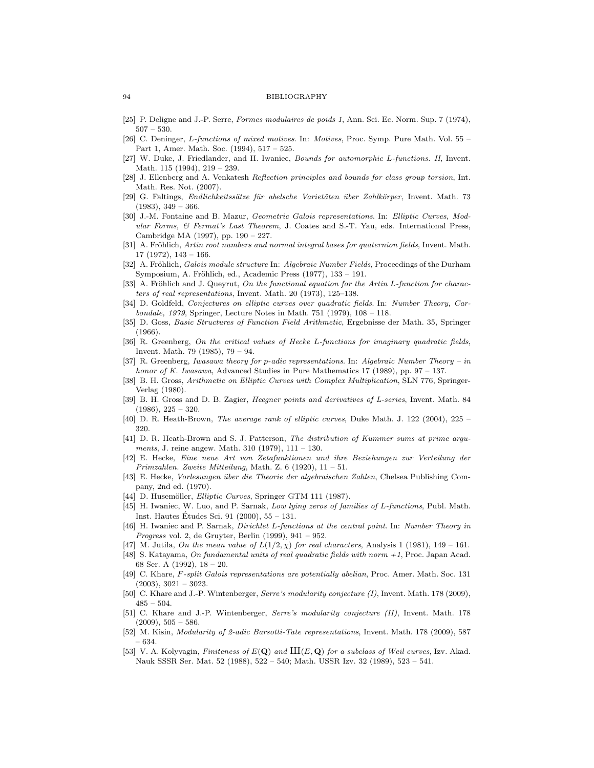#### 94 BIBLIOGRAPHY

- [25] P. Deligne and J.-P. Serre, Formes modulaires de poids 1, Ann. Sci. Ec. Norm. Sup. 7 (1974),  $507 - 530.$
- [26] C. Deninger, L-functions of mixed motives. In: Motives, Proc. Symp. Pure Math. Vol. 55 Part 1, Amer. Math. Soc. (1994), 517 – 525.
- [27] W. Duke, J. Friedlander, and H. Iwaniec, Bounds for automorphic L-functions. II, Invent. Math. 115 (1994), 219 – 239.
- [28] J. Ellenberg and A. Venkatesh Reflection principles and bounds for class group torsion, Int. Math. Res. Not. (2007).
- [29] G. Faltings, Endlichkeitssätze für abelsche Varietäten über Zahlkörper, Invent. Math. 73  $(1983), 349 - 366.$
- [30] J.-M. Fontaine and B. Mazur, Geometric Galois representations. In: Elliptic Curves, Modular Forms, & Fermat's Last Theorem, J. Coates and S.-T. Yau, eds. International Press, Cambridge MA (1997), pp. 190 – 227.
- [31] A. Fröhlich, Artin root numbers and normal integral bases for quaternion fields, Invent. Math. 17 (1972), 143 – 166.
- [32] A. Fröhlich, Galois module structure In: Algebraic Number Fields, Proceedings of the Durham Symposium, A. Fröhlich, ed., Academic Press (1977), 133 – 191.
- [33] A. Fröhlich and J. Queyrut, On the functional equation for the Artin L-function for characters of real representations, Invent. Math. 20 (1973), 125–138.
- [34] D. Goldfeld, Conjectures on elliptic curves over quadratic fields. In: Number Theory, Carbondale, 1979, Springer, Lecture Notes in Math. 751 (1979), 108 – 118.
- [35] D. Goss, Basic Structures of Function Field Arithmetic, Ergebnisse der Math. 35, Springer (1966).
- [36] R. Greenberg, On the critical values of Hecke L-functions for imaginary quadratic fields, Invent. Math. 79 (1985), 79 – 94.
- [37] R. Greenberg, Iwasawa theory for p-adic representations. In: Algebraic Number Theory in honor of K. Iwasawa, Advanced Studies in Pure Mathematics 17 (1989), pp. 97 – 137.
- [38] B. H. Gross, Arithmetic on Elliptic Curves with Complex Multiplication, SLN 776, Springer-Verlag (1980).
- [39] B. H. Gross and D. B. Zagier, Heegner points and derivatives of L-series, Invent. Math. 84  $(1986), 225 - 320.$
- [40] D. R. Heath-Brown, The average rank of elliptic curves, Duke Math. J. 122 (2004), 225 320.
- [41] D. R. Heath-Brown and S. J. Patterson, The distribution of Kummer sums at prime arguments, J. reine angew. Math. 310 (1979), 111 – 130.
- [42] E. Hecke, Eine neue Art von Zetafunktionen und ihre Beziehungen zur Verteilung der Primzahlen. Zweite Mitteilung, Math. Z. 6 (1920), 11 – 51.
- [43] E. Hecke, Vorlesungen über die Theorie der algebraischen Zahlen, Chelsea Publishing Company, 2nd ed. (1970).
- [44] D. Husemöller, *Elliptic Curves*, Springer GTM 111 (1987).
- [45] H. Iwaniec, W. Luo, and P. Sarnak, Low lying zeros of families of L-functions, Publ. Math. Inst. Hautes Études Sci. 91 (2000),  $55 - 131$ .
- [46] H. Iwaniec and P. Sarnak, Dirichlet L-functions at the central point. In: Number Theory in Progress vol. 2, de Gruyter, Berlin (1999), 941 – 952.
- [47] M. Jutila, On the mean value of  $L(1/2, \chi)$  for real characters, Analysis 1 (1981), 149 161.
- [48] S. Katayama, On fundamental units of real quadratic fields with norm +1, Proc. Japan Acad. 68 Ser. A (1992), 18 – 20.
- [49] C. Khare, F-split Galois representations are potentially abelian, Proc. Amer. Math. Soc. 131  $(2003), 3021 - 3023.$
- [50] C. Khare and J.-P. Wintenberger, Serre's modularity conjecture (I), Invent. Math. 178 (2009), 485 – 504.
- [51] C. Khare and J.-P. Wintenberger, Serre's modularity conjecture (II), Invent. Math. 178  $(2009), 505 - 586.$
- [52] M. Kisin, Modularity of 2-adic Barsotti-Tate representations, Invent. Math. 178 (2009), 587 – 634.
- [53] V. A. Kolyvagin, Finiteness of  $E(\mathbf{Q})$  and  $III(E, \mathbf{Q})$  for a subclass of Weil curves, Izv. Akad. Nauk SSSR Ser. Mat. 52 (1988), 522 – 540; Math. USSR Izv. 32 (1989), 523 – 541.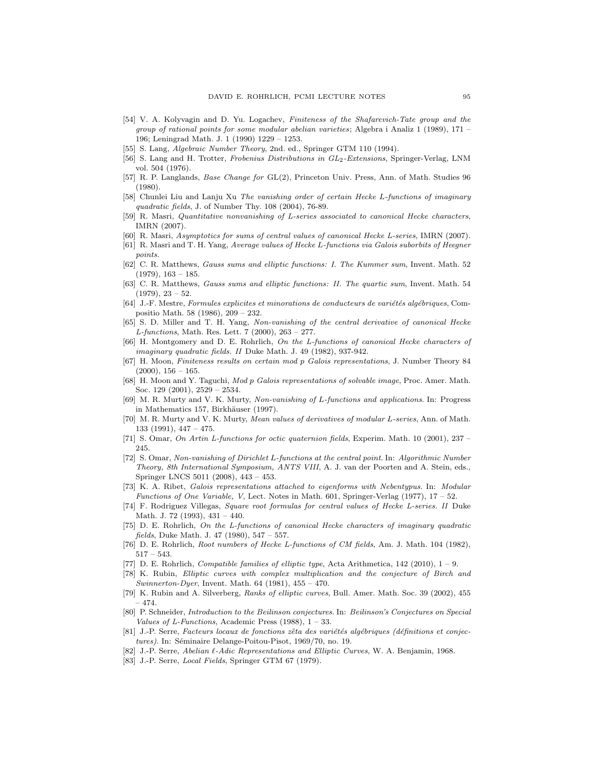- [54] V. A. Kolyvagin and D. Yu. Logachev, Finiteness of the Shafarevich-Tate group and the group of rational points for some modular abelian varieties; Algebra i Analiz 1 (1989), 171 – 196; Leningrad Math. J. 1 (1990) 1229 – 1253.
- [55] S. Lang, Algebraic Number Theory, 2nd. ed., Springer GTM 110 (1994).
- [56] S. Lang and H. Trotter, Frobenius Distributions in  $GL_2$ -Extensions, Springer-Verlag, LNM vol. 504 (1976).
- [57] R. P. Langlands, Base Change for GL(2), Princeton Univ. Press, Ann. of Math. Studies 96 (1980).
- [58] Chunlei Liu and Lanju Xu The vanishing order of certain Hecke L-functions of imaginary quadratic fields, J. of Number Thy. 108 (2004), 76-89.
- [59] R. Masri, Quantitative nonvanishing of L-series associated to canonical Hecke characters, IMRN (2007).
- [60] R. Masri, Asymptotics for sums of central values of canonical Hecke L-series, IMRN (2007).
- [61] R. Masri and T. H. Yang, Average values of Hecke L-functions via Galois suborbits of Heegner points.
- [62] C. R. Matthews, Gauss sums and elliptic functions: I. The Kummer sum, Invent. Math. 52  $(1979), 163 - 185.$
- [63] C. R. Matthews, Gauss sums and elliptic functions: II. The quartic sum, Invent. Math. 54  $(1979), 23 - 52.$
- $[64]$  J.-F. Mestre, Formules explicites et minorations de conducteurs de variétés algébriques, Compositio Math. 58 (1986), 209 – 232.
- [65] S. D. Miller and T. H. Yang, Non-vanishing of the central derivative of canonical Hecke L-functions, Math. Res. Lett. 7 (2000), 263 – 277.
- [66] H. Montgomery and D. E. Rohrlich, On the L-functions of canonical Hecke characters of imaginary quadratic fields. II Duke Math. J. 49 (1982), 937-942.
- [67] H. Moon, Finiteness results on certain mod p Galois representations, J. Number Theory 84  $(2000), 156 - 165.$
- [68] H. Moon and Y. Taguchi, Mod p Galois representations of solvable image, Proc. Amer. Math. Soc. 129 (2001), 2529 – 2534.
- [69] M. R. Murty and V. K. Murty, Non-vanishing of L-functions and applications. In: Progress in Mathematics 157, Birkhäuser (1997).
- [70] M. R. Murty and V. K. Murty, Mean values of derivatives of modular L-series, Ann. of Math. 133 (1991), 447 – 475.
- [71] S. Omar, On Artin L-functions for octic quaternion fields, Experim. Math. 10 (2001), 237 245.
- [72] S. Omar, Non-vanishing of Dirichlet L-functions at the central point. In: Algorithmic Number Theory, 8th International Symposium, ANTS VIII, A. J. van der Poorten and A. Stein, eds., Springer LNCS 5011 (2008), 443 – 453.
- [73] K. A. Ribet, Galois representations attached to eigenforms with Nebentypus. In: Modular Functions of One Variable, V, Lect. Notes in Math. 601, Springer-Verlag (1977), 17 – 52.
- [74] F. Rodriguez Villegas, Square root formulas for central values of Hecke L-series. II Duke Math. J. 72 (1993), 431 – 440.
- [75] D. E. Rohrlich, On the L-functions of canonical Hecke characters of imaginary quadratic fields, Duke Math. J. 47 (1980), 547 – 557.
- [76] D. E. Rohrlich, Root numbers of Hecke L-functions of CM fields, Am. J. Math. 104 (1982), 517 – 543.
- [77] D. E. Rohrlich, Compatible families of elliptic type, Acta Arithmetica, 142 (2010), 1 9.
- [78] K. Rubin, Elliptic curves with complex multiplication and the conjecture of Birch and Swinnerton-Dyer, Invent. Math.  $64$  (1981),  $455 - 470$ .
- [79] K. Rubin and A. Silverberg, Ranks of elliptic curves, Bull. Amer. Math. Soc. 39 (2002), 455 – 474.
- [80] P. Schneider, Introduction to the Beilinson conjectures. In: Beilinson's Conjectures on Special Values of L-Functions, Academic Press  $(1988)$ ,  $1 - 33$ .
- [81] J.-P. Serre, Facteurs locaux de fonctions zêta des variétés algébriques (définitions et conjectures). In: Séminaire Delange-Poitou-Pisot, 1969/70, no. 19.
- [82] J.-P. Serre, Abelian  $\ell$ -Adic Representations and Elliptic Curves, W. A. Benjamin, 1968.
- [83] J.-P. Serre, Local Fields, Springer GTM 67 (1979).